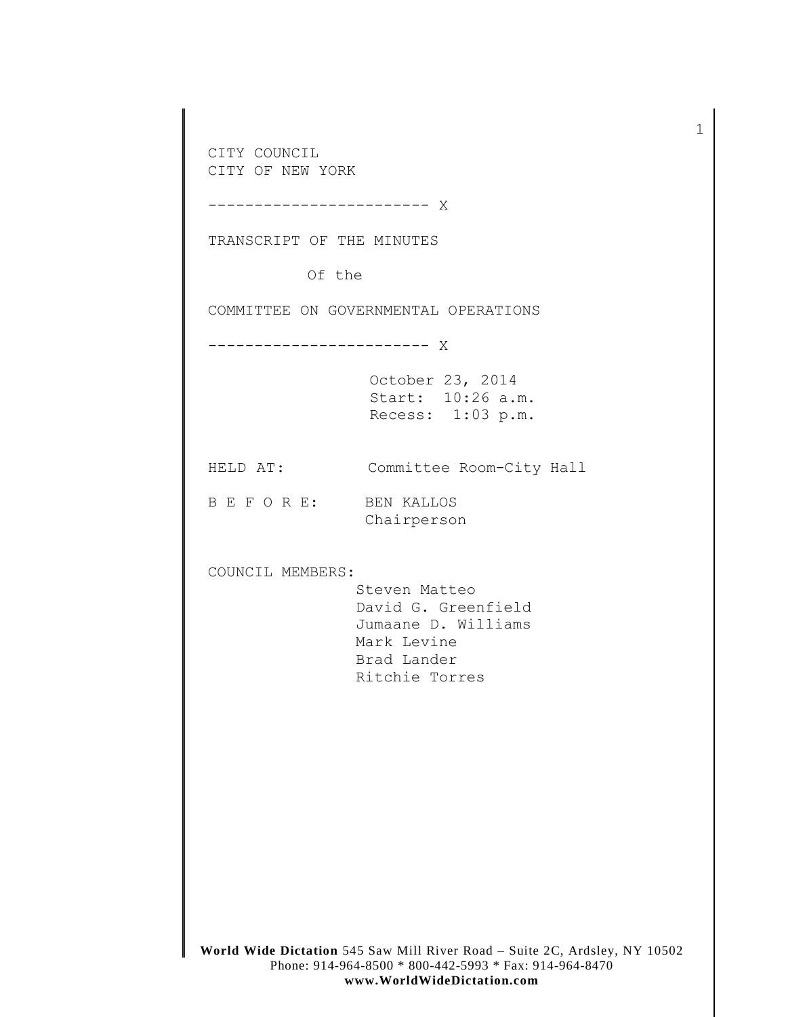**World Wide Dictation** 545 Saw Mill River Road – Suite 2C, Ardsley, NY 10502 CITY COUNCIL CITY OF NEW YORK ------------------------ X TRANSCRIPT OF THE MINUTES Of the COMMITTEE ON GOVERNMENTAL OPERATIONS ------------------------ X October 23, 2014 Start: 10:26 a.m. Recess: 1:03 p.m. HELD AT: Committee Room-City Hall B E F O R E: BEN KALLOS Chairperson COUNCIL MEMBERS: Steven Matteo David G. Greenfield Jumaane D. Williams Mark Levine Brad Lander Ritchie Torres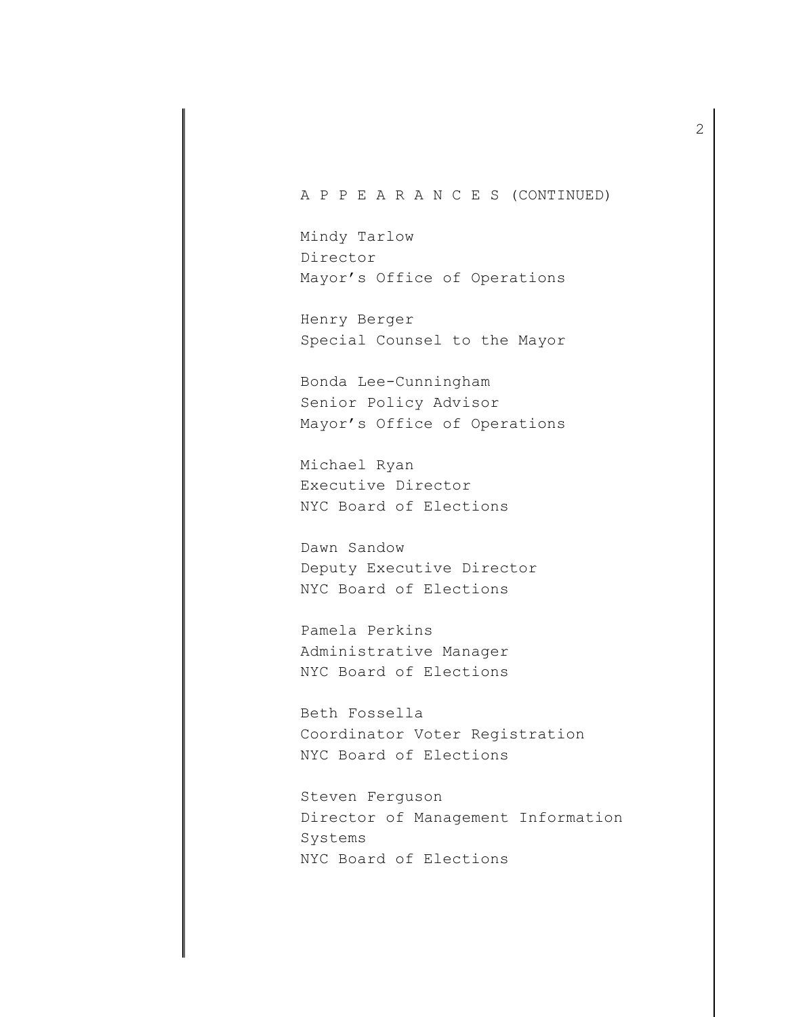## A P P E A R A N C E S (CONTINUED)

Mindy Tarlow Director Mayor's Office of Operations

Henry Berger Special Counsel to the Mayor

Bonda Lee-Cunningham Senior Policy Advisor Mayor's Office of Operations

Michael Ryan Executive Director NYC Board of Elections

Dawn Sandow Deputy Executive Director NYC Board of Elections

Pamela Perkins Administrative Manager NYC Board of Elections

Beth Fossella Coordinator Voter Registration NYC Board of Elections

Steven Ferguson Director of Management Information Systems NYC Board of Elections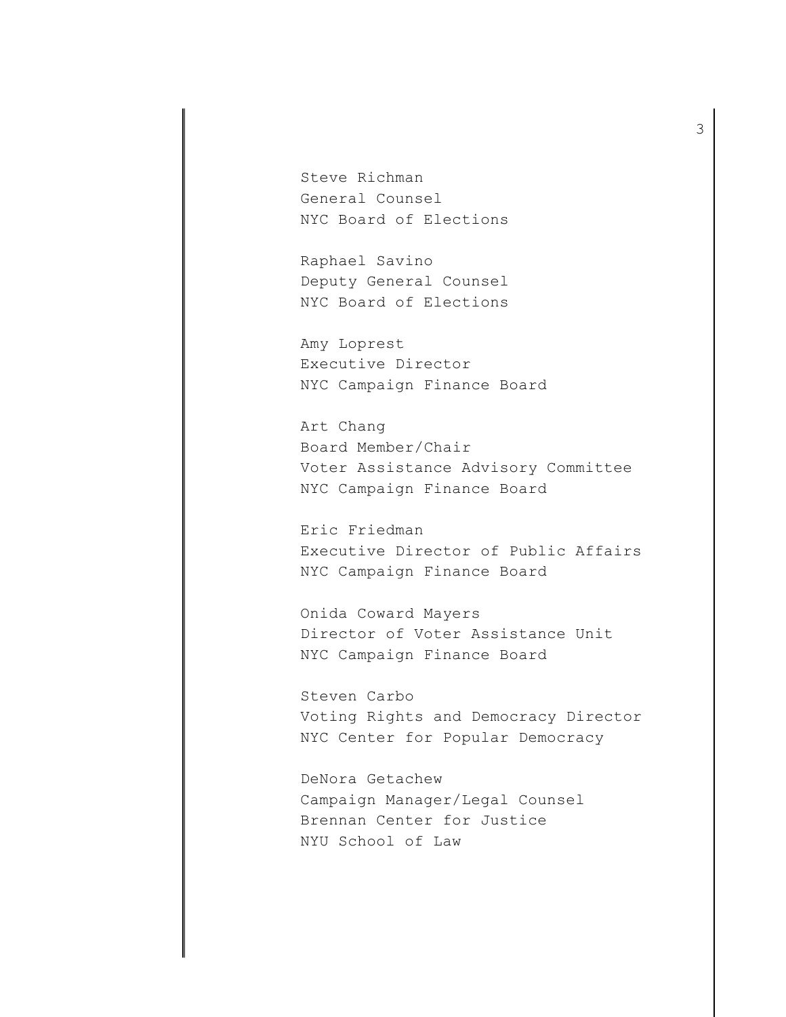Steve Richman General Counsel NYC Board of Elections

Raphael Savino Deputy General Counsel NYC Board of Elections

Amy Loprest Executive Director NYC Campaign Finance Board

Art Chang Board Member/Chair Voter Assistance Advisory Committee NYC Campaign Finance Board

Eric Friedman Executive Director of Public Affairs NYC Campaign Finance Board

Onida Coward Mayers Director of Voter Assistance Unit NYC Campaign Finance Board

Steven Carbo Voting Rights and Democracy Director NYC Center for Popular Democracy

DeNora Getachew Campaign Manager/Legal Counsel Brennan Center for Justice NYU School of Law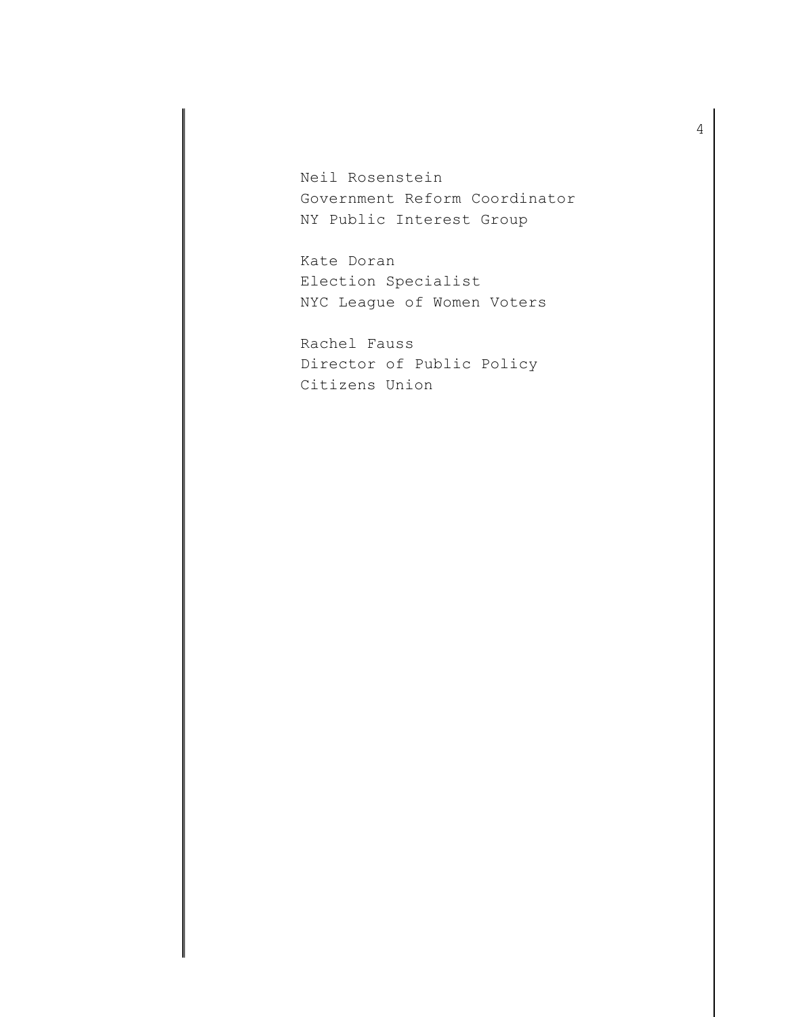Neil Rosenstein Government Reform Coordinator NY Public Interest Group

Kate Doran Election Specialist NYC League of Women Voters

Rachel Fauss Director of Public Policy Citizens Union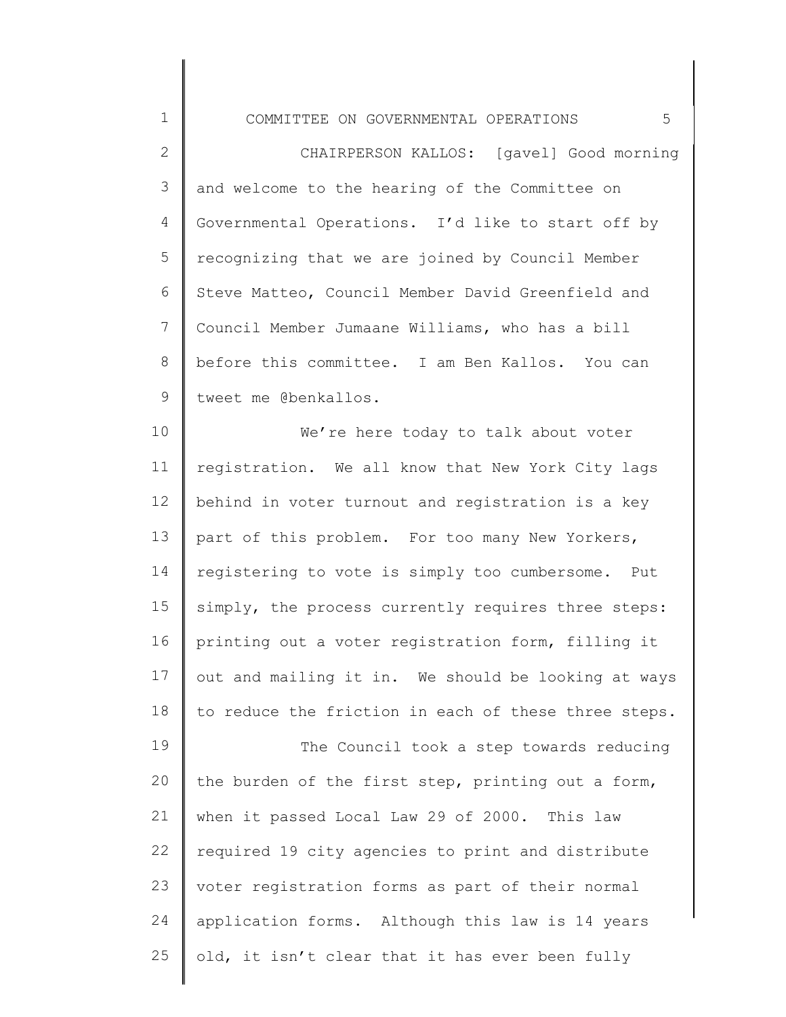1 2 3 4 5 6 7 8 9 COMMITTEE ON GOVERNMENTAL OPERATIONS 5 Governmental Operations. I'd like to start off by CHAIRPERSON KALLOS: [gavel] Good morning and welcome to the hearing of the Committee on recognizing that we are joined by Council Member Steve Matteo, Council Member David Greenfield and Council Member Jumaane Williams, who has a bill before this committee. I am Ben Kallos. You can tweet me @benkallos.

10 11 12 13 14 15 16 17 18 19 We're here today to talk about voter registration. We all know that New York City lags behind in voter turnout and registration is a key part of this problem. For too many New Yorkers, registering to vote is simply too cumbersome. Put simply, the process currently requires three steps: printing out a voter registration form, filling it out and mailing it in. We should be looking at ways to reduce the friction in each of these three steps. The Council took a step towards reducing

20 21 22 23 24 25 the burden of the first step, printing out a form, when it passed Local Law 29 of 2000. This law required 19 city agencies to print and distribute voter registration forms as part of their normal application forms. Although this law is 14 years old, it isn't clear that it has ever been fully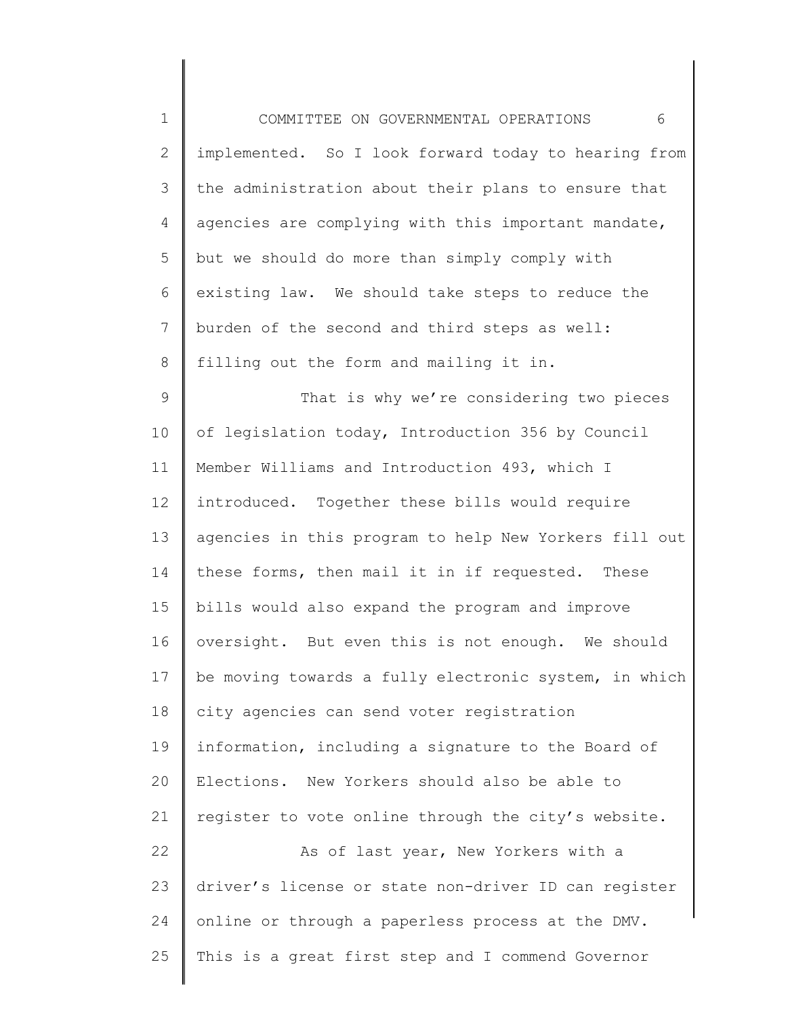| $\mathbf 1$     | 6<br>COMMITTEE ON GOVERNMENTAL OPERATIONS             |
|-----------------|-------------------------------------------------------|
| $\mathbf{2}$    | implemented. So I look forward today to hearing from  |
| 3               | the administration about their plans to ensure that   |
| 4               | agencies are complying with this important mandate,   |
| 5               | but we should do more than simply comply with         |
| 6               | existing law. We should take steps to reduce the      |
| $7\overline{ }$ | burden of the second and third steps as well:         |
| $8\,$           | filling out the form and mailing it in.               |
| 9               | That is why we're considering two pieces              |
| 10              | of legislation today, Introduction 356 by Council     |
| 11              | Member Williams and Introduction 493, which I         |
| 12              | introduced. Together these bills would require        |
| 13              | agencies in this program to help New Yorkers fill out |
| 14              | these forms, then mail it in if requested. These      |
| 15              | bills would also expand the program and improve       |
| 16              | oversight. But even this is not enough. We should     |
| 17              | be moving towards a fully electronic system, in which |
| 18              | city agencies can send voter registration             |
| 19              | information, including a signature to the Board of    |
| 20              | Elections. New Yorkers should also be able to         |
| 21              | register to vote online through the city's website.   |
| 22              | As of last year, New Yorkers with a                   |
| 23              | driver's license or state non-driver ID can register  |
| 24              | online or through a paperless process at the DMV.     |
| 25              | This is a great first step and I commend Governor     |
|                 |                                                       |

║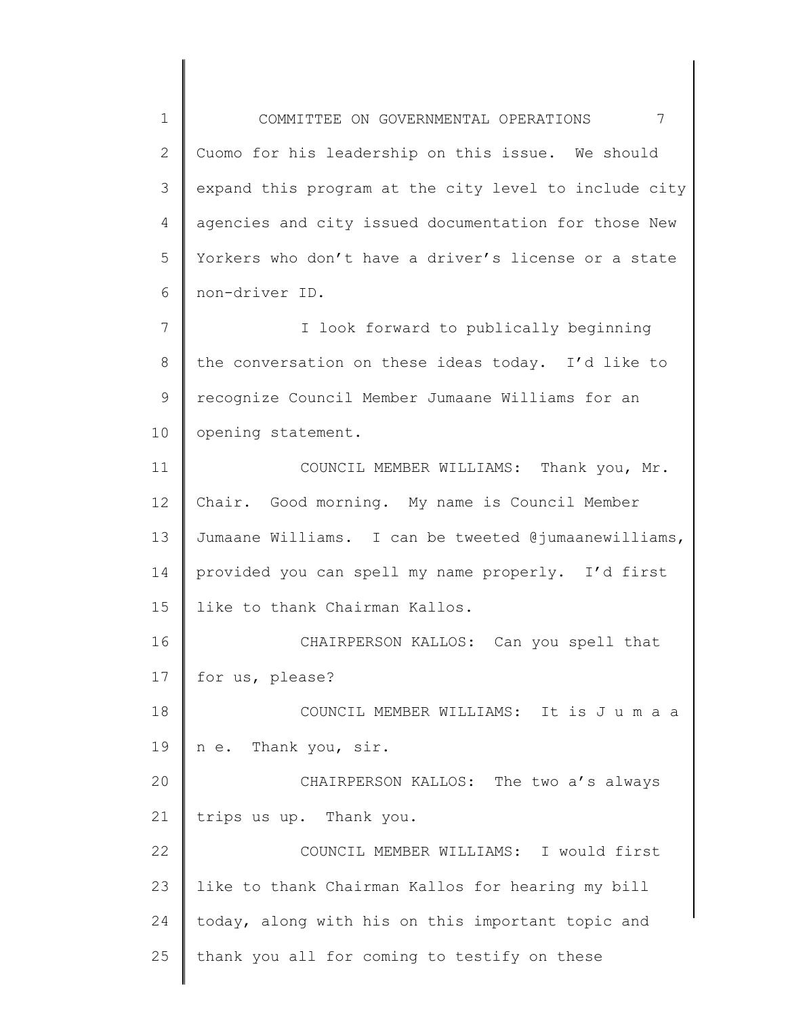1 2 3 4 5 6 7 8 9 10 11 12 13 14 15 16 17 18 19 20 21 22 23 24 25 COMMITTEE ON GOVERNMENTAL OPERATIONS 7 Cuomo for his leadership on this issue. We should expand this program at the city level to include city agencies and city issued documentation for those New Yorkers who don't have a driver's license or a state non-driver ID. I look forward to publically beginning the conversation on these ideas today. I'd like to recognize Council Member Jumaane Williams for an opening statement. COUNCIL MEMBER WILLIAMS: Thank you, Mr. Chair. Good morning. My name is Council Member Jumaane Williams. I can be tweeted @jumaanewilliams, provided you can spell my name properly. I'd first like to thank Chairman Kallos. CHAIRPERSON KALLOS: Can you spell that for us, please? COUNCIL MEMBER WILLIAMS: It is J u m a a n e. Thank you, sir. CHAIRPERSON KALLOS: The two a's always trips us up. Thank you. COUNCIL MEMBER WILLIAMS: I would first like to thank Chairman Kallos for hearing my bill today, along with his on this important topic and thank you all for coming to testify on these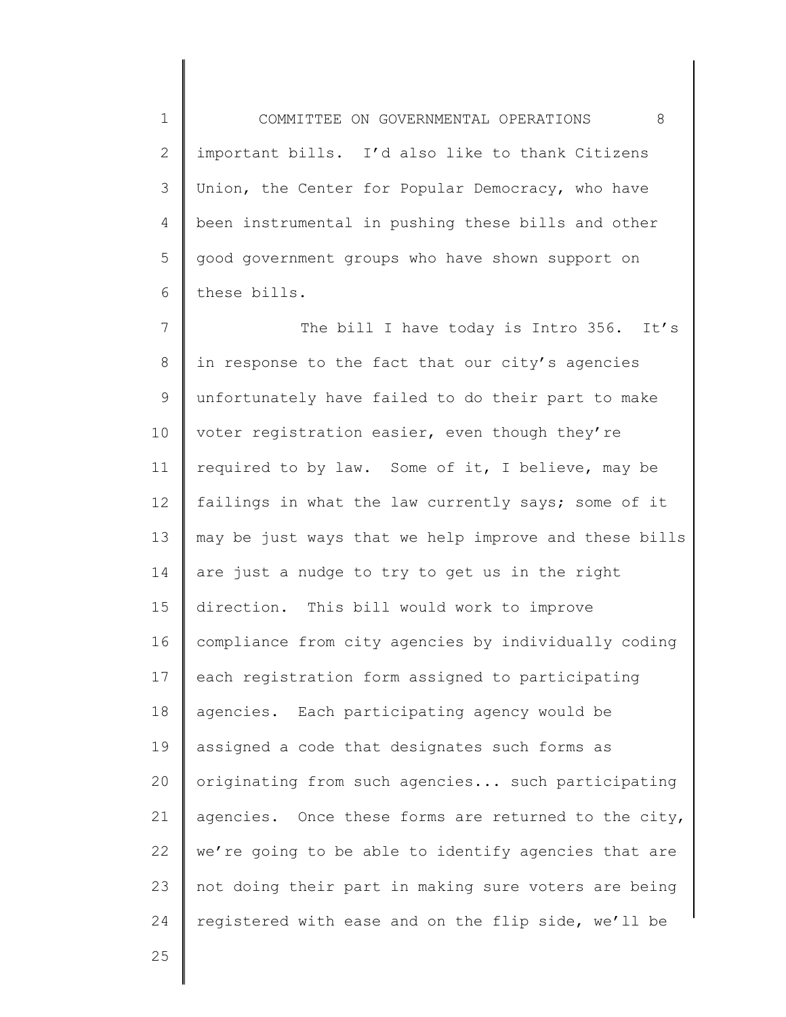1 2 3 4 5 6 COMMITTEE ON GOVERNMENTAL OPERATIONS 8 important bills. I'd also like to thank Citizens Union, the Center for Popular Democracy, who have been instrumental in pushing these bills and other good government groups who have shown support on these bills.

7 8 9 10 11 12 13 14 15 16 17 18 19 20 21 22 23 24 The bill I have today is Intro 356. It's in response to the fact that our city's agencies unfortunately have failed to do their part to make voter registration easier, even though they're required to by law. Some of it, I believe, may be failings in what the law currently says; some of it may be just ways that we help improve and these bills are just a nudge to try to get us in the right direction. This bill would work to improve compliance from city agencies by individually coding each registration form assigned to participating agencies. Each participating agency would be assigned a code that designates such forms as originating from such agencies... such participating agencies. Once these forms are returned to the city, we're going to be able to identify agencies that are not doing their part in making sure voters are being registered with ease and on the flip side, we'll be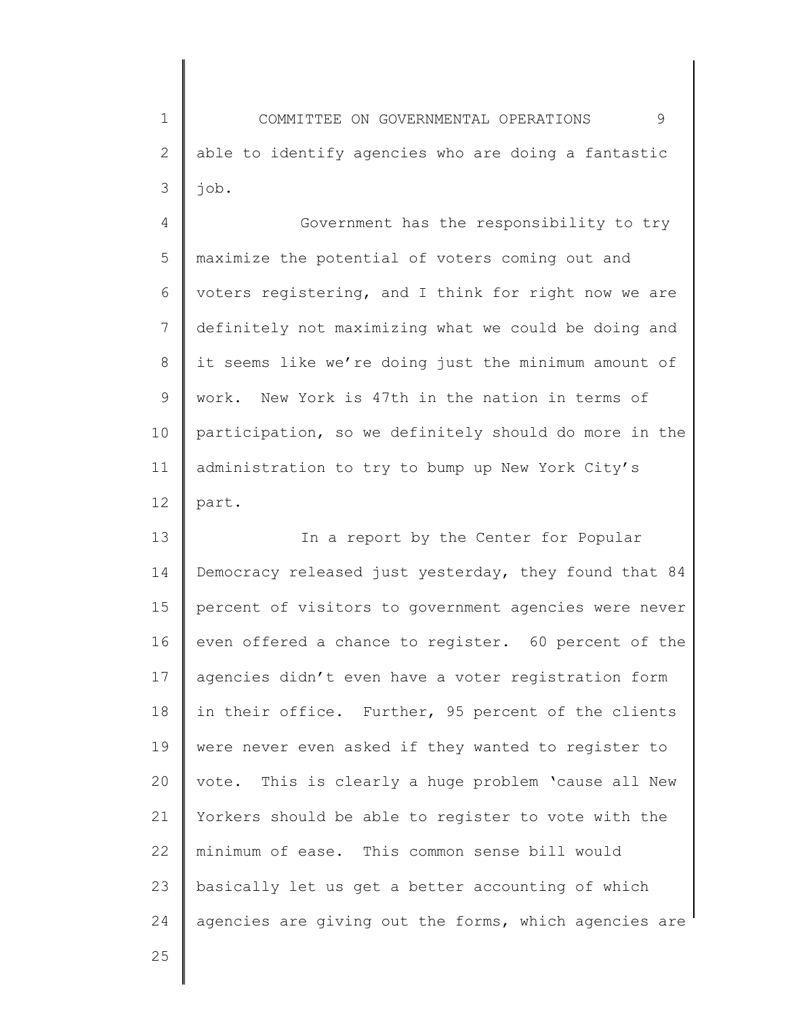1 2 3 COMMITTEE ON GOVERNMENTAL OPERATIONS 9 able to identify agencies who are doing a fantastic job.

4 5 6 7 8 9 10 11 12 Government has the responsibility to try maximize the potential of voters coming out and voters registering, and I think for right now we are definitely not maximizing what we could be doing and it seems like we're doing just the minimum amount of work. New York is 47th in the nation in terms of participation, so we definitely should do more in the administration to try to bump up New York City's part.

13 14 15 16 17 18 19 20 21 22 23 24 In a report by the Center for Popular Democracy released just yesterday, they found that 84 percent of visitors to government agencies were never even offered a chance to register. 60 percent of the agencies didn't even have a voter registration form in their office. Further, 95 percent of the clients were never even asked if they wanted to register to vote. This is clearly a huge problem 'cause all New Yorkers should be able to register to vote with the minimum of ease. This common sense bill would basically let us get a better accounting of which agencies are giving out the forms, which agencies are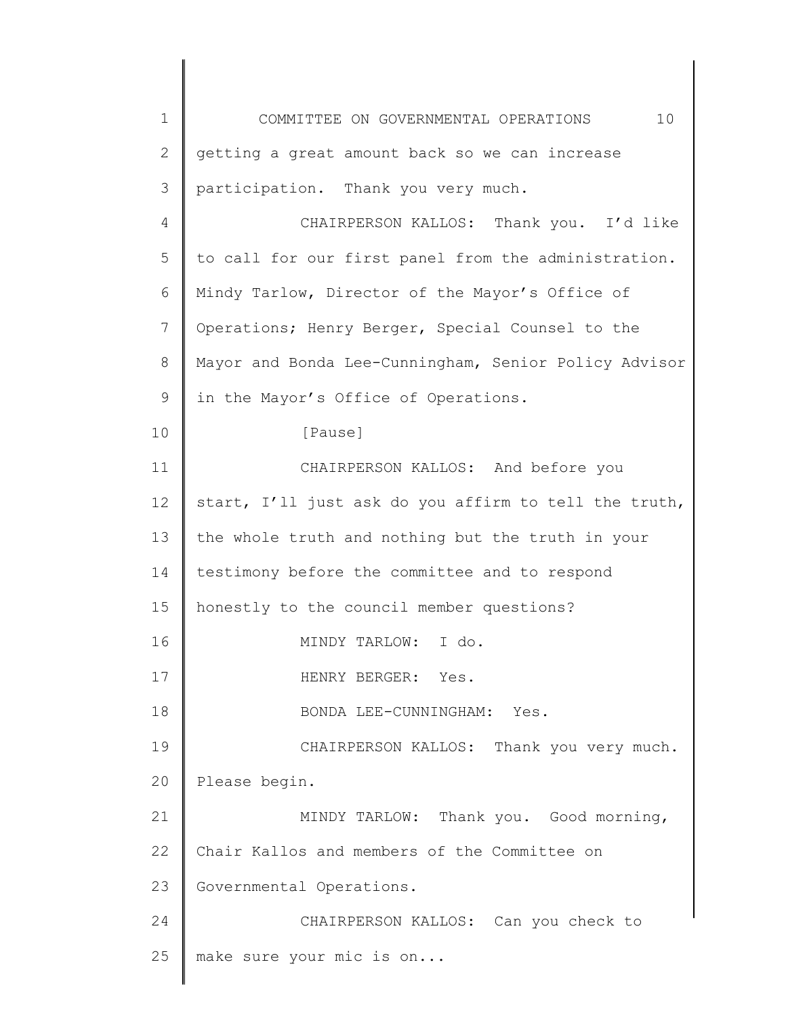| $\mathbf 1$ | 10<br>COMMITTEE ON GOVERNMENTAL OPERATIONS            |
|-------------|-------------------------------------------------------|
| 2           | getting a great amount back so we can increase        |
| 3           | participation. Thank you very much.                   |
| 4           | CHAIRPERSON KALLOS: Thank you. I'd like               |
| 5           | to call for our first panel from the administration.  |
| 6           | Mindy Tarlow, Director of the Mayor's Office of       |
| 7           | Operations; Henry Berger, Special Counsel to the      |
| 8           | Mayor and Bonda Lee-Cunningham, Senior Policy Advisor |
| 9           | in the Mayor's Office of Operations.                  |
| 10          | [Pause]                                               |
| 11          | CHAIRPERSON KALLOS: And before you                    |
| 12          | start, I'll just ask do you affirm to tell the truth, |
| 13          | the whole truth and nothing but the truth in your     |
| 14          | testimony before the committee and to respond         |
| 15          | honestly to the council member questions?             |
| 16          | MINDY TARLOW: I do.                                   |
| 17          | HENRY BERGER: Yes.                                    |
| 18          | BONDA LEE-CUNNINGHAM: Yes.                            |
| 19          | CHAIRPERSON KALLOS: Thank you very much.              |
| 20          | Please begin.                                         |
| 21          | MINDY TARLOW: Thank you. Good morning,                |
| 22          | Chair Kallos and members of the Committee on          |
| 23          | Governmental Operations.                              |
| 24          | CHAIRPERSON KALLOS: Can you check to                  |
| 25          | make sure your mic is on                              |
|             |                                                       |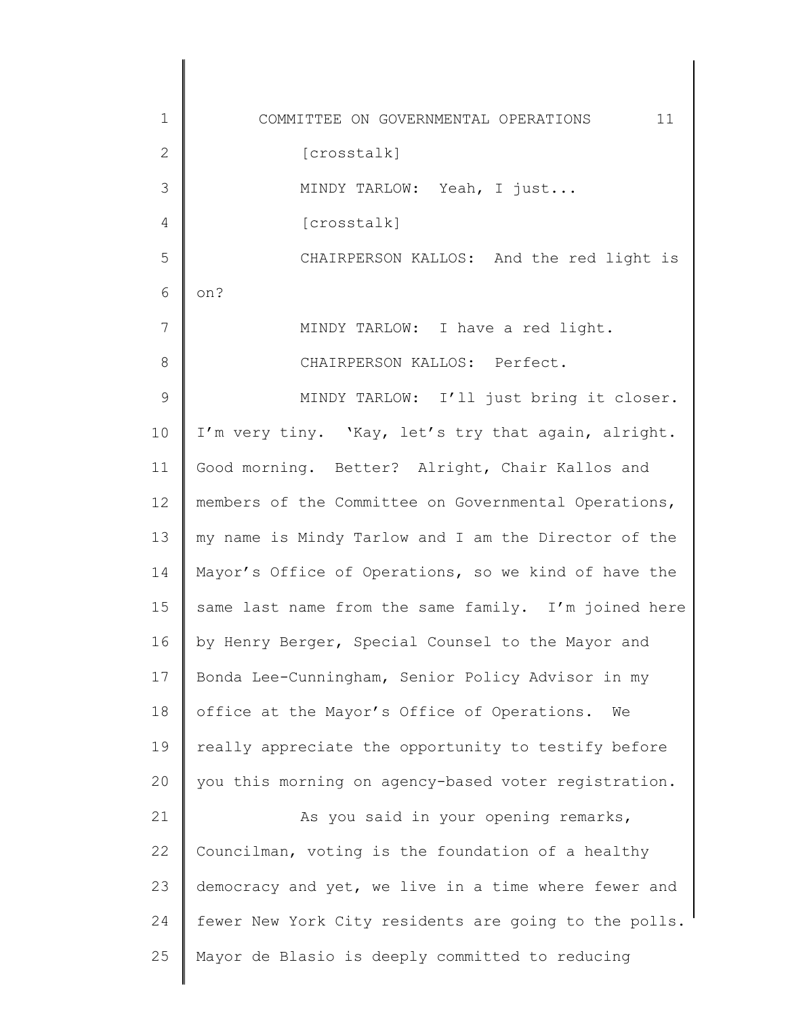1 2 3 4 5 6 7 8 9 10 11 12 13 14 15 16 17 18 19 20 21 22 23 24 25 COMMITTEE ON GOVERNMENTAL OPERATIONS 11 [crosstalk] MINDY TARLOW: Yeah, I just... [crosstalk] CHAIRPERSON KALLOS: And the red light is on? MINDY TARLOW: I have a red light. CHAIRPERSON KALLOS: Perfect. MINDY TARLOW: I'll just bring it closer. I'm very tiny. 'Kay, let's try that again, alright. Good morning. Better? Alright, Chair Kallos and members of the Committee on Governmental Operations, my name is Mindy Tarlow and I am the Director of the Mayor's Office of Operations, so we kind of have the same last name from the same family. I'm joined here by Henry Berger, Special Counsel to the Mayor and Bonda Lee-Cunningham, Senior Policy Advisor in my office at the Mayor's Office of Operations. We really appreciate the opportunity to testify before you this morning on agency-based voter registration. As you said in your opening remarks, Councilman, voting is the foundation of a healthy democracy and yet, we live in a time where fewer and fewer New York City residents are going to the polls. Mayor de Blasio is deeply committed to reducing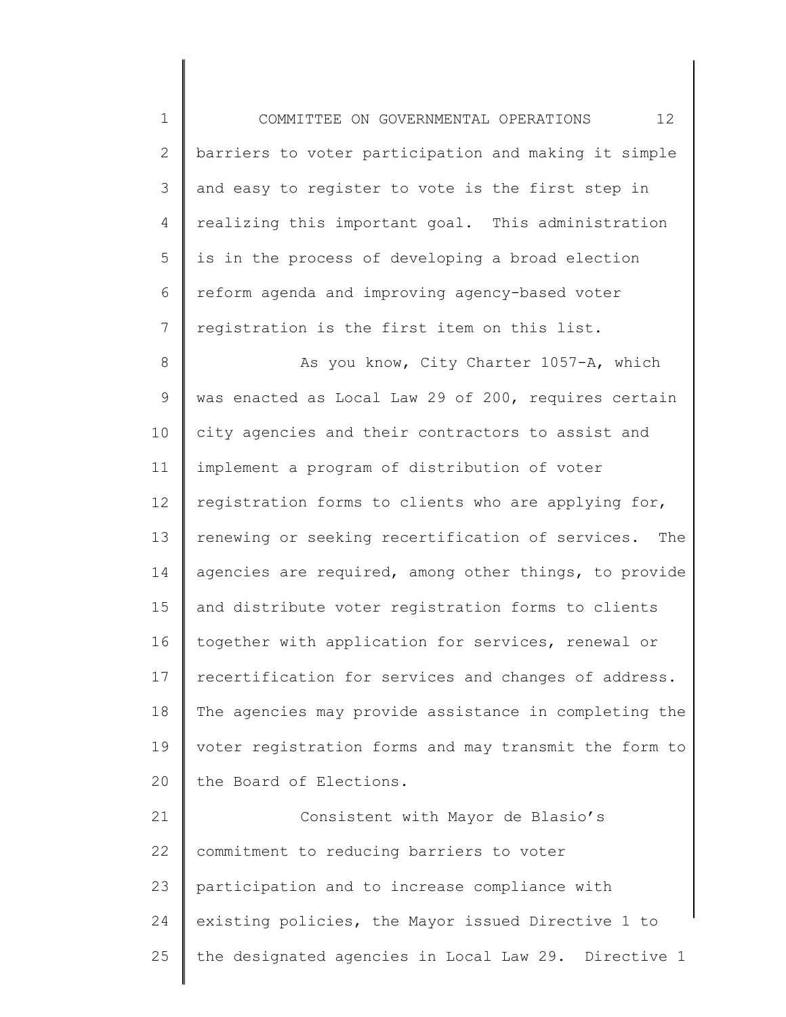1 2 3 4 5 6 7 COMMITTEE ON GOVERNMENTAL OPERATIONS 12 barriers to voter participation and making it simple and easy to register to vote is the first step in realizing this important goal. This administration is in the process of developing a broad election reform agenda and improving agency-based voter registration is the first item on this list.

8 9 10 11 12 13 14 15 16 17 18 19 20 As you know, City Charter 1057-A, which was enacted as Local Law 29 of 200, requires certain city agencies and their contractors to assist and implement a program of distribution of voter registration forms to clients who are applying for, renewing or seeking recertification of services. The agencies are required, among other things, to provide and distribute voter registration forms to clients together with application for services, renewal or recertification for services and changes of address. The agencies may provide assistance in completing the voter registration forms and may transmit the form to the Board of Elections.

21 22 23 24 25 Consistent with Mayor de Blasio's commitment to reducing barriers to voter participation and to increase compliance with existing policies, the Mayor issued Directive 1 to the designated agencies in Local Law 29. Directive 1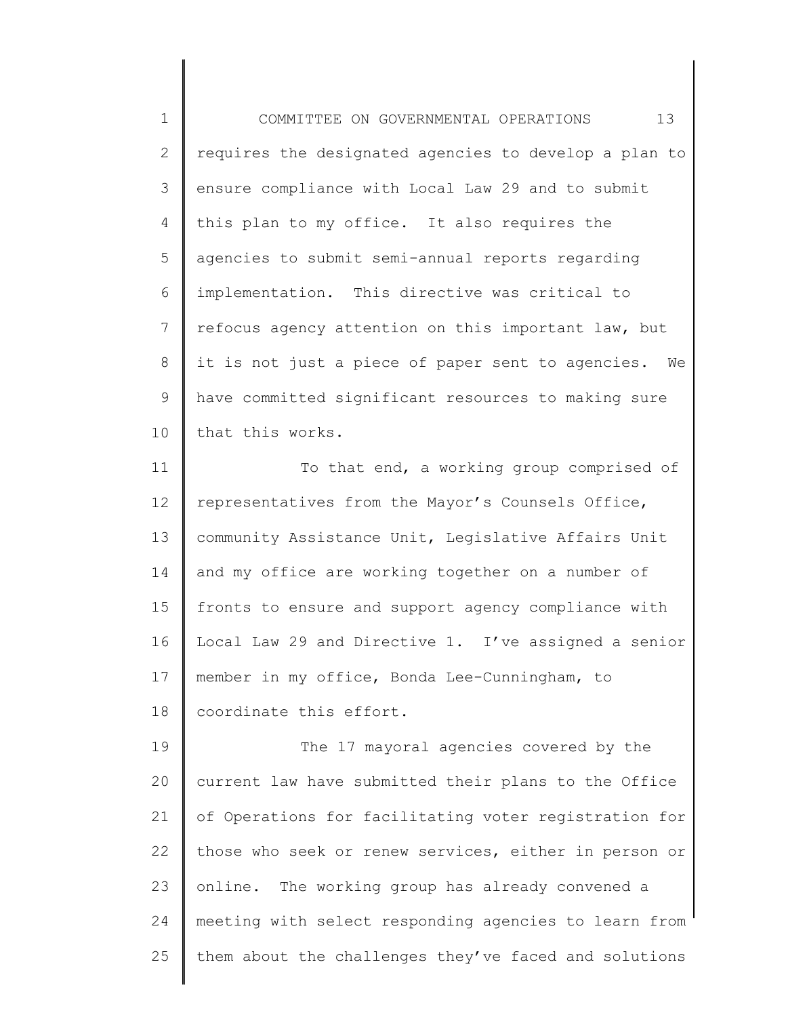1 2 3 4 5 6 7 8 9 10 COMMITTEE ON GOVERNMENTAL OPERATIONS 13 requires the designated agencies to develop a plan to ensure compliance with Local Law 29 and to submit this plan to my office. It also requires the agencies to submit semi-annual reports regarding implementation. This directive was critical to refocus agency attention on this important law, but it is not just a piece of paper sent to agencies. We have committed significant resources to making sure that this works.

11 12 13 14 15 16 17 18 To that end, a working group comprised of representatives from the Mayor's Counsels Office, community Assistance Unit, Legislative Affairs Unit and my office are working together on a number of fronts to ensure and support agency compliance with Local Law 29 and Directive 1. I've assigned a senior member in my office, Bonda Lee-Cunningham, to coordinate this effort.

19 20 21 22 23 24 25 The 17 mayoral agencies covered by the current law have submitted their plans to the Office of Operations for facilitating voter registration for those who seek or renew services, either in person or online. The working group has already convened a meeting with select responding agencies to learn from them about the challenges they've faced and solutions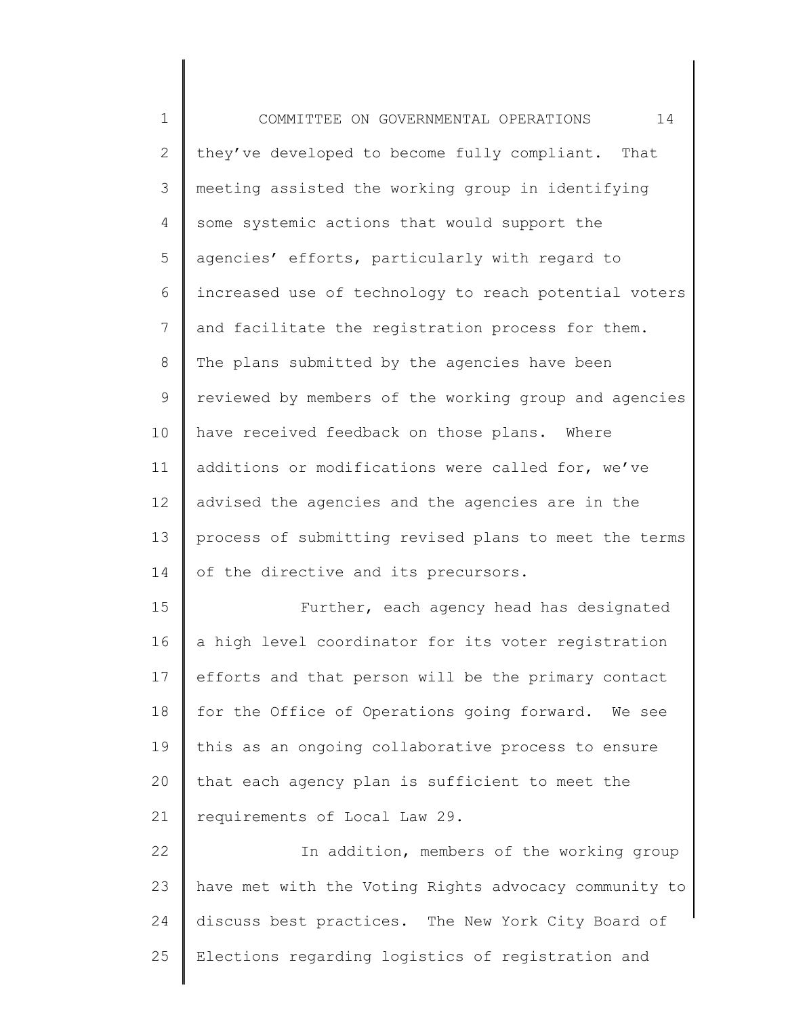1 2 3 4 5 6 7 8 9 10 11 12 13 14 15 16 17 18 19 20 21 22 23 24 25 COMMITTEE ON GOVERNMENTAL OPERATIONS 14 they've developed to become fully compliant. That meeting assisted the working group in identifying some systemic actions that would support the agencies' efforts, particularly with regard to increased use of technology to reach potential voters and facilitate the registration process for them. The plans submitted by the agencies have been reviewed by members of the working group and agencies have received feedback on those plans. Where additions or modifications were called for, we've advised the agencies and the agencies are in the process of submitting revised plans to meet the terms of the directive and its precursors. Further, each agency head has designated a high level coordinator for its voter registration efforts and that person will be the primary contact for the Office of Operations going forward. We see this as an ongoing collaborative process to ensure that each agency plan is sufficient to meet the requirements of Local Law 29. In addition, members of the working group have met with the Voting Rights advocacy community to discuss best practices. The New York City Board of Elections regarding logistics of registration and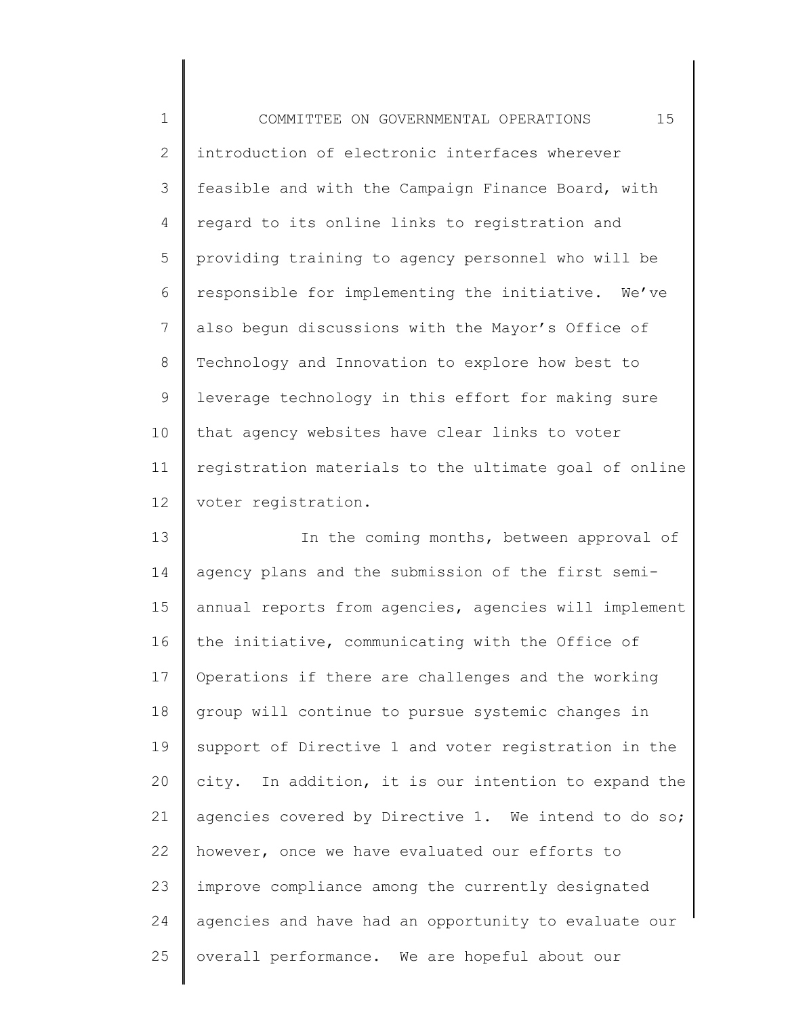1 2 3 4 5 6 7 8 9 10 11 12 COMMITTEE ON GOVERNMENTAL OPERATIONS 15 introduction of electronic interfaces wherever feasible and with the Campaign Finance Board, with regard to its online links to registration and providing training to agency personnel who will be responsible for implementing the initiative. We've also begun discussions with the Mayor's Office of Technology and Innovation to explore how best to leverage technology in this effort for making sure that agency websites have clear links to voter registration materials to the ultimate goal of online voter registration.

13 14 15 16 17 18 19 20 21 22 23 24 25 In the coming months, between approval of agency plans and the submission of the first semiannual reports from agencies, agencies will implement the initiative, communicating with the Office of Operations if there are challenges and the working group will continue to pursue systemic changes in support of Directive 1 and voter registration in the city. In addition, it is our intention to expand the agencies covered by Directive 1. We intend to do so; however, once we have evaluated our efforts to improve compliance among the currently designated agencies and have had an opportunity to evaluate our overall performance. We are hopeful about our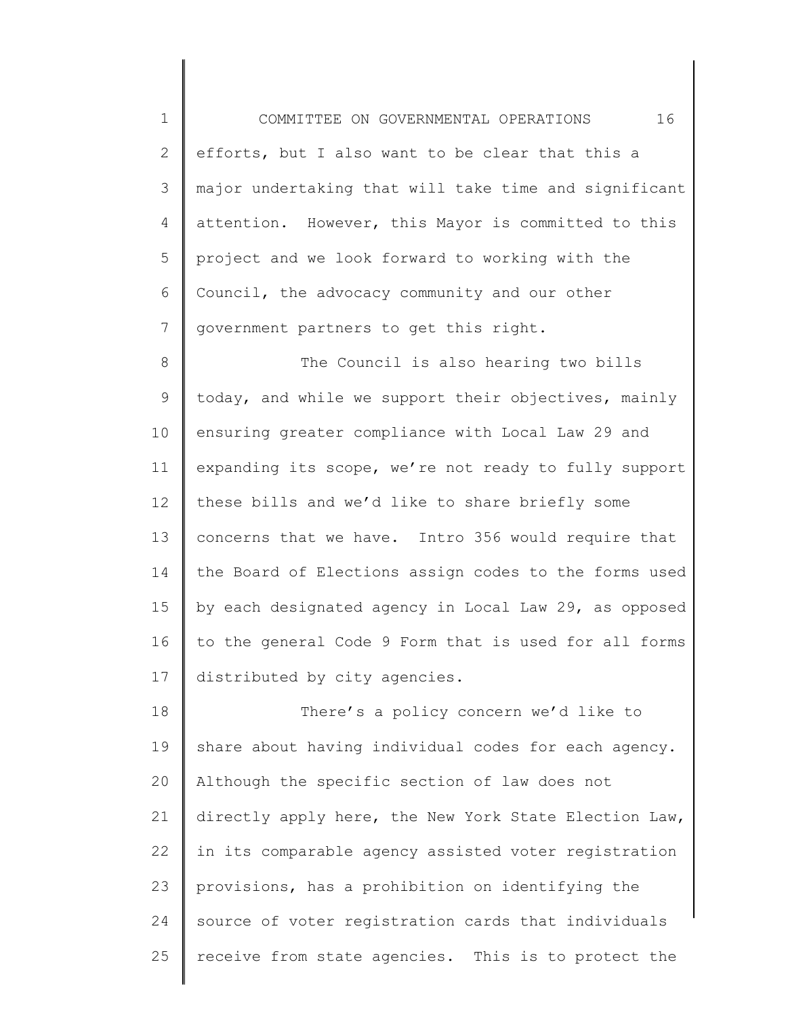1 2 3 4 5 6 7 COMMITTEE ON GOVERNMENTAL OPERATIONS 16 efforts, but I also want to be clear that this a major undertaking that will take time and significant attention. However, this Mayor is committed to this project and we look forward to working with the Council, the advocacy community and our other government partners to get this right.

8 9 10 11 12 13 14 15 16 17 The Council is also hearing two bills today, and while we support their objectives, mainly ensuring greater compliance with Local Law 29 and expanding its scope, we're not ready to fully support these bills and we'd like to share briefly some concerns that we have. Intro 356 would require that the Board of Elections assign codes to the forms used by each designated agency in Local Law 29, as opposed to the general Code 9 Form that is used for all forms distributed by city agencies.

18 19 20 21 22 23 24 25 There's a policy concern we'd like to share about having individual codes for each agency. Although the specific section of law does not directly apply here, the New York State Election Law, in its comparable agency assisted voter registration provisions, has a prohibition on identifying the source of voter registration cards that individuals receive from state agencies. This is to protect the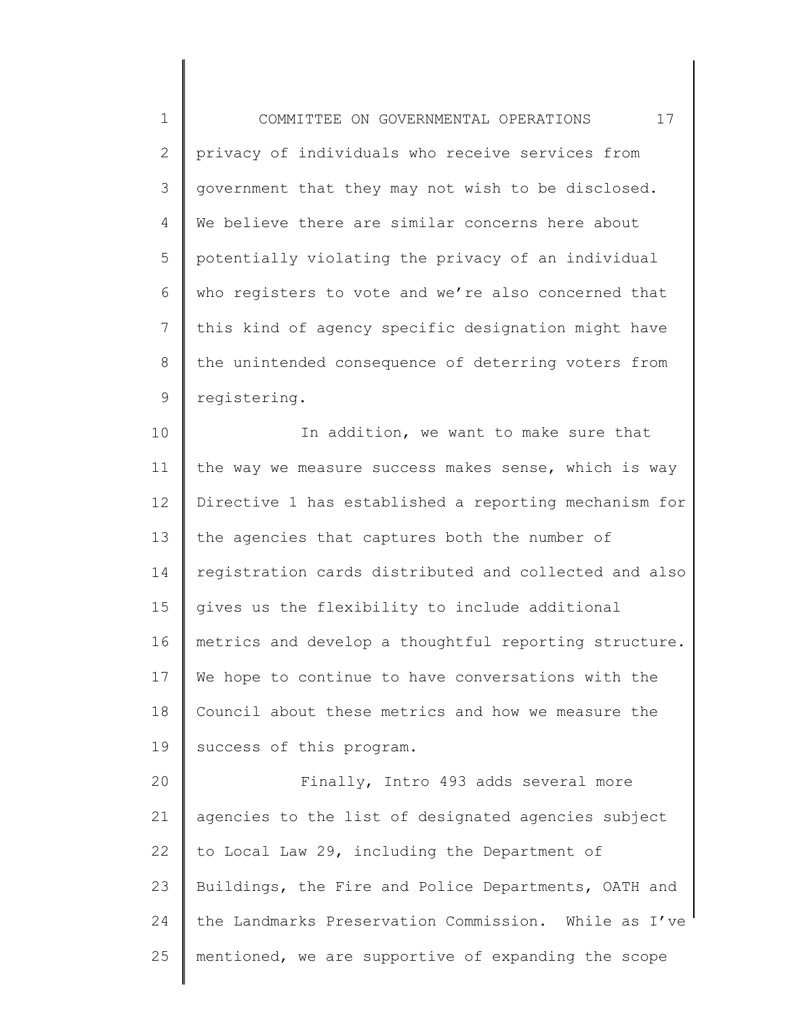1 2 3 4 5 6 7 8 9 COMMITTEE ON GOVERNMENTAL OPERATIONS 17 privacy of individuals who receive services from government that they may not wish to be disclosed. We believe there are similar concerns here about potentially violating the privacy of an individual who registers to vote and we're also concerned that this kind of agency specific designation might have the unintended consequence of deterring voters from registering.

10 11 12 13 14 15 16 17 18 19 20 In addition, we want to make sure that the way we measure success makes sense, which is way Directive 1 has established a reporting mechanism for the agencies that captures both the number of registration cards distributed and collected and also gives us the flexibility to include additional metrics and develop a thoughtful reporting structure. We hope to continue to have conversations with the Council about these metrics and how we measure the success of this program. Finally, Intro 493 adds several more

21 22 23 24 25 agencies to the list of designated agencies subject to Local Law 29, including the Department of Buildings, the Fire and Police Departments, OATH and the Landmarks Preservation Commission. While as I've mentioned, we are supportive of expanding the scope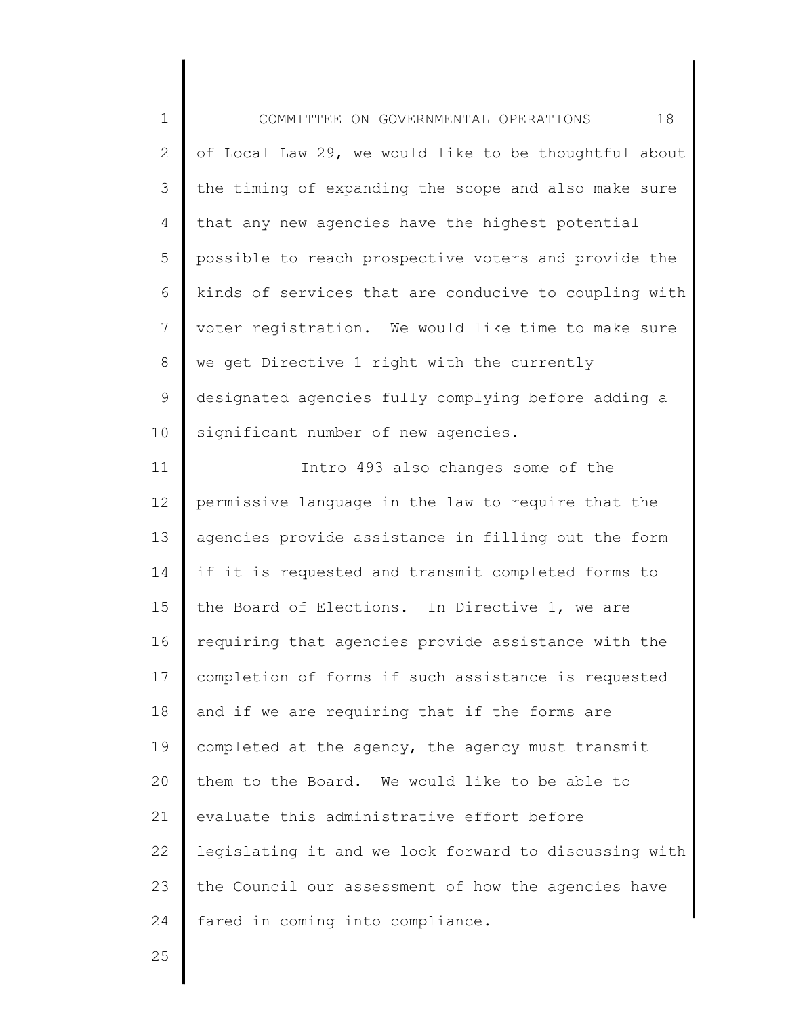1 2 3 4 5 6 7 8 9 10 COMMITTEE ON GOVERNMENTAL OPERATIONS 18 of Local Law 29, we would like to be thoughtful about the timing of expanding the scope and also make sure that any new agencies have the highest potential possible to reach prospective voters and provide the kinds of services that are conducive to coupling with voter registration. We would like time to make sure we get Directive 1 right with the currently designated agencies fully complying before adding a significant number of new agencies.

11 12 13 14 15 16 17 18 19 20 21 22 23 24 Intro 493 also changes some of the permissive language in the law to require that the agencies provide assistance in filling out the form if it is requested and transmit completed forms to the Board of Elections. In Directive 1, we are requiring that agencies provide assistance with the completion of forms if such assistance is requested and if we are requiring that if the forms are completed at the agency, the agency must transmit them to the Board. We would like to be able to evaluate this administrative effort before legislating it and we look forward to discussing with the Council our assessment of how the agencies have fared in coming into compliance.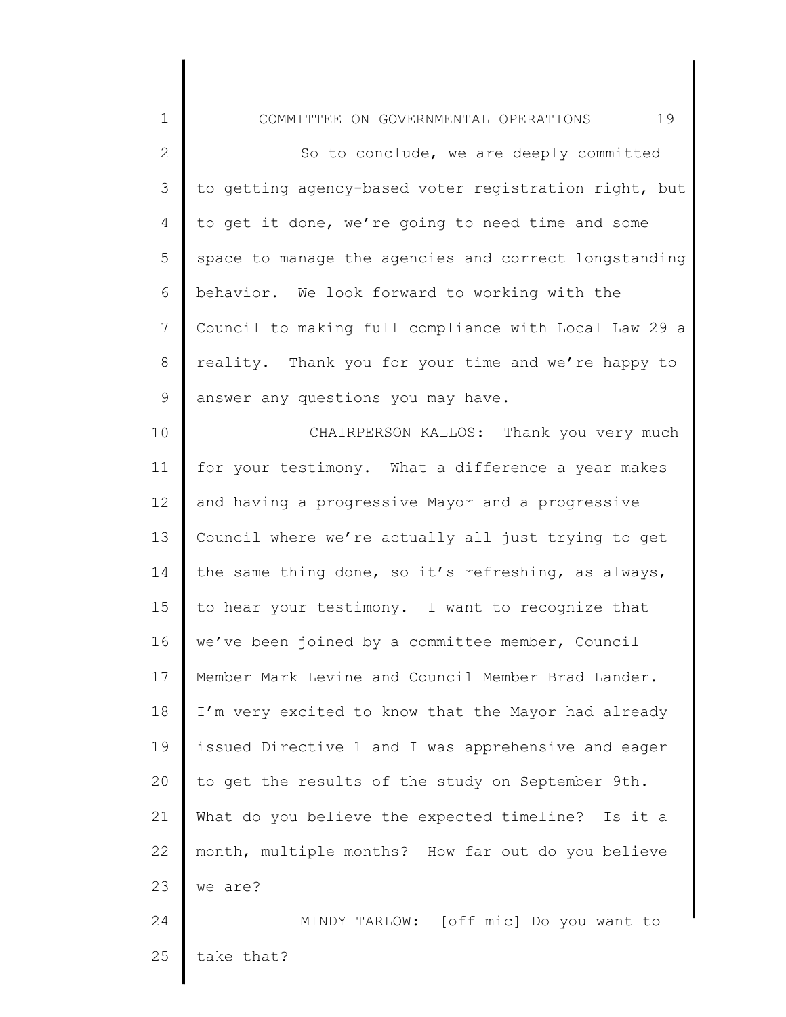1 2 3 4 5 6 7 8 9 10 11 12 13 14 15 16 17 18 19 20 21 22 23 24 25 COMMITTEE ON GOVERNMENTAL OPERATIONS 19 So to conclude, we are deeply committed to getting agency-based voter registration right, but to get it done, we're going to need time and some space to manage the agencies and correct longstanding behavior. We look forward to working with the Council to making full compliance with Local Law 29 a reality. Thank you for your time and we're happy to answer any questions you may have. CHAIRPERSON KALLOS: Thank you very much for your testimony. What a difference a year makes and having a progressive Mayor and a progressive Council where we're actually all just trying to get the same thing done, so it's refreshing, as always, to hear your testimony. I want to recognize that we've been joined by a committee member, Council Member Mark Levine and Council Member Brad Lander. I'm very excited to know that the Mayor had already issued Directive 1 and I was apprehensive and eager to get the results of the study on September 9th. What do you believe the expected timeline? Is it a month, multiple months? How far out do you believe we are? MINDY TARLOW: [off mic] Do you want to take that?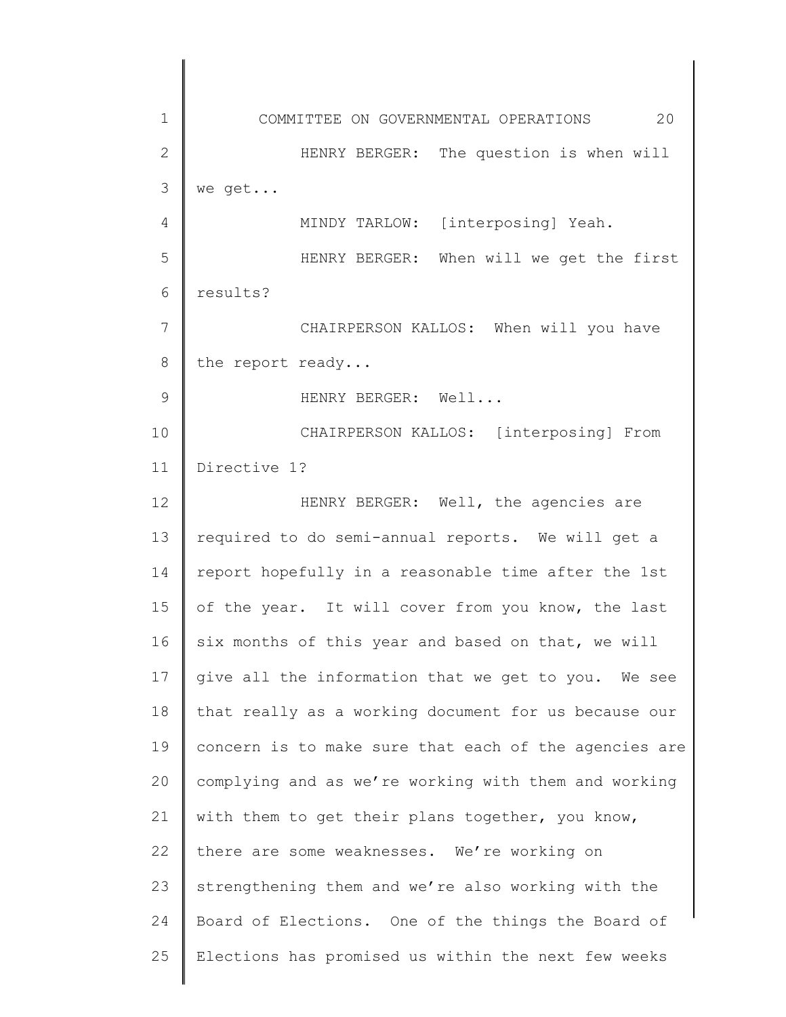1 2 3 4 5 6 7 8 9 10 11 12 13 14 15 16 17 18 19 20 21 22 23 24 25 COMMITTEE ON GOVERNMENTAL OPERATIONS 20 HENRY BERGER: The question is when will we get... MINDY TARLOW: [interposing] Yeah. HENRY BERGER: When will we get the first results? CHAIRPERSON KALLOS: When will you have the report ready... HENRY BERGER: Well... CHAIRPERSON KALLOS: [interposing] From Directive 1? HENRY BERGER: Well, the agencies are required to do semi-annual reports. We will get a report hopefully in a reasonable time after the 1st of the year. It will cover from you know, the last six months of this year and based on that, we will give all the information that we get to you. We see that really as a working document for us because our concern is to make sure that each of the agencies are complying and as we're working with them and working with them to get their plans together, you know, there are some weaknesses. We're working on strengthening them and we're also working with the Board of Elections. One of the things the Board of Elections has promised us within the next few weeks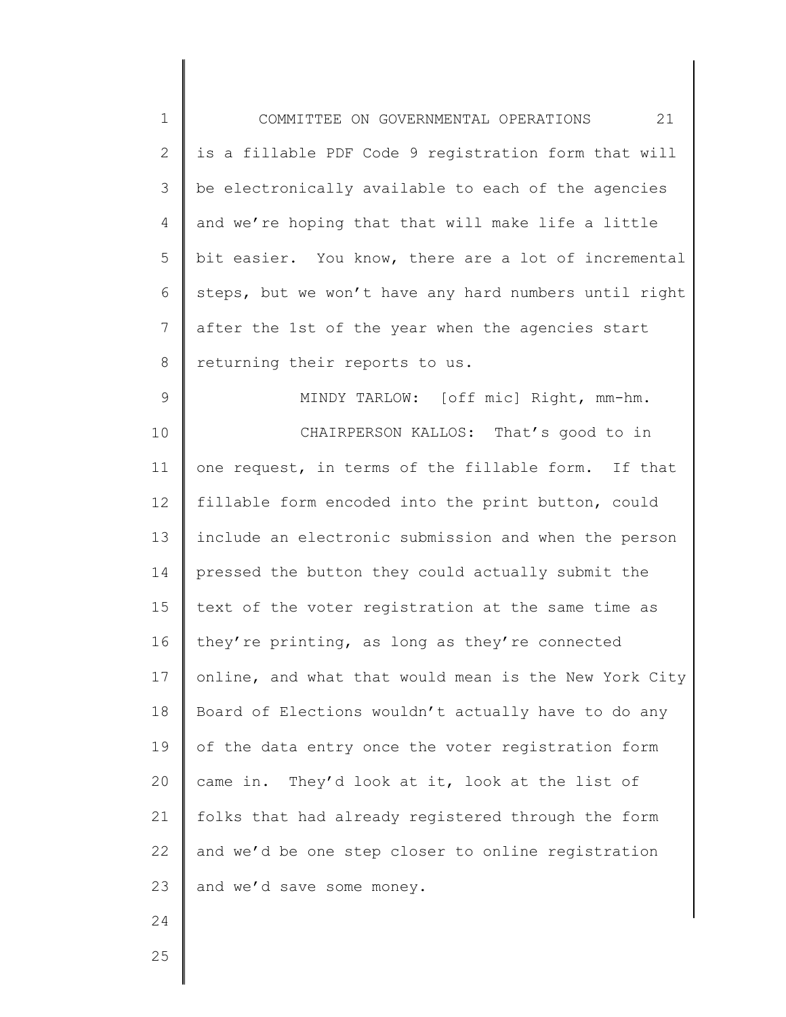| $1\,$          | 21<br>COMMITTEE ON GOVERNMENTAL OPERATIONS            |
|----------------|-------------------------------------------------------|
| $\overline{2}$ | is a fillable PDF Code 9 registration form that will  |
| 3              | be electronically available to each of the agencies   |
| 4              | and we're hoping that that will make life a little    |
| 5              | bit easier. You know, there are a lot of incremental  |
| 6              | steps, but we won't have any hard numbers until right |
| 7              | after the 1st of the year when the agencies start     |
| $8\,$          | returning their reports to us.                        |
| $\mathsf 9$    | MINDY TARLOW: [off mic] Right, mm-hm.                 |
| 10             | CHAIRPERSON KALLOS: That's good to in                 |
| 11             | one request, in terms of the fillable form. If that   |
| 12             | fillable form encoded into the print button, could    |
| 13             | include an electronic submission and when the person  |
| 14             | pressed the button they could actually submit the     |
| 15             | text of the voter registration at the same time as    |
| 16             | they're printing, as long as they're connected        |
| 17             | online, and what that would mean is the New York City |
| 18             | Board of Elections wouldn't actually have to do any   |
| 19             | of the data entry once the voter registration form    |
| 20             | came in. They'd look at it, look at the list of       |
| 21             | folks that had already registered through the form    |
| 22             | and we'd be one step closer to online registration    |
| 23             | and we'd save some money.                             |
| 24             |                                                       |
| 25             |                                                       |
|                |                                                       |

25

∥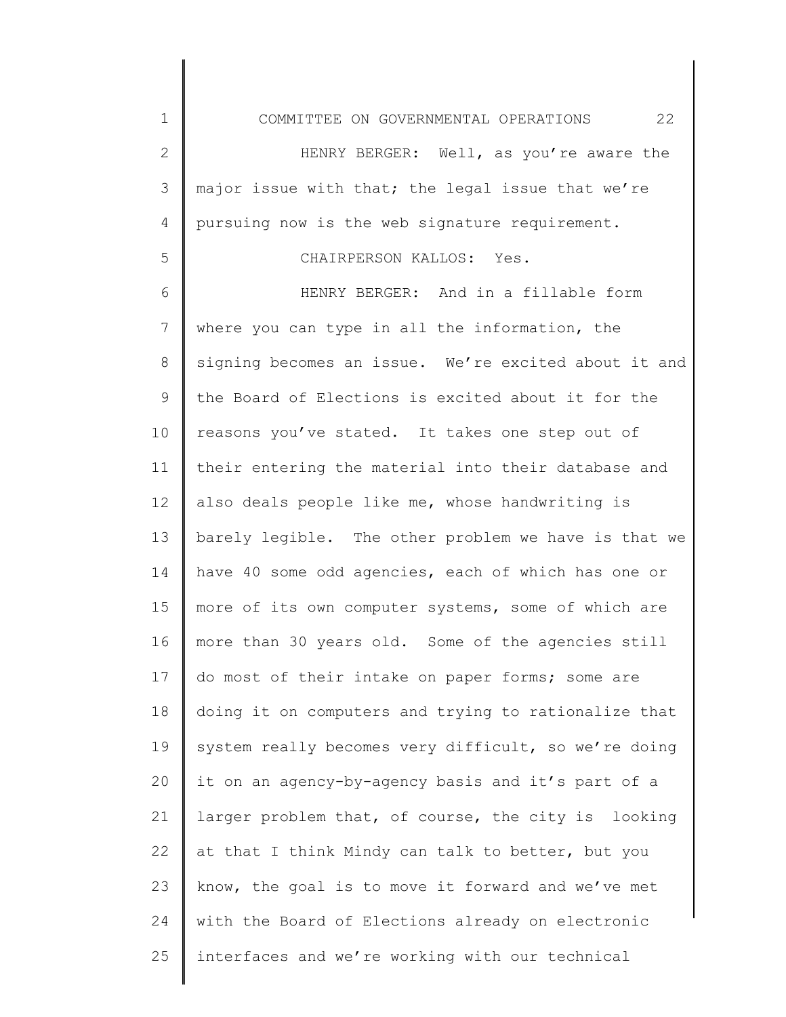1 2 3 4 5 6 7 8 9 10 11 12 13 14 15 16 17 18 19 20 21 22 23 24 COMMITTEE ON GOVERNMENTAL OPERATIONS 22 HENRY BERGER: Well, as you're aware the major issue with that; the legal issue that we're pursuing now is the web signature requirement. CHAIRPERSON KALLOS: Yes. HENRY BERGER: And in a fillable form where you can type in all the information, the signing becomes an issue. We're excited about it and the Board of Elections is excited about it for the reasons you've stated. It takes one step out of their entering the material into their database and also deals people like me, whose handwriting is barely legible. The other problem we have is that we have 40 some odd agencies, each of which has one or more of its own computer systems, some of which are more than 30 years old. Some of the agencies still do most of their intake on paper forms; some are doing it on computers and trying to rationalize that system really becomes very difficult, so we're doing it on an agency-by-agency basis and it's part of a larger problem that, of course, the city is looking at that I think Mindy can talk to better, but you know, the goal is to move it forward and we've met with the Board of Elections already on electronic

interfaces and we're working with our technical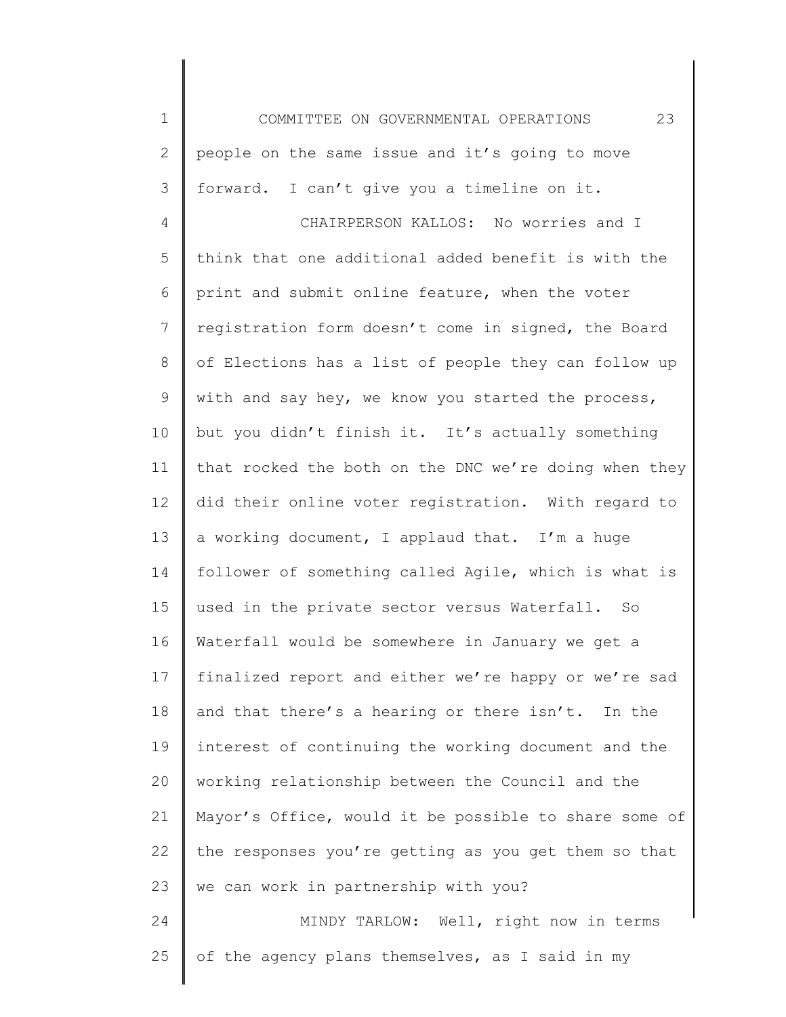1 2 3 4 5 6 7 8 9 10 11 12 13 14 15 16 17 18 19 20 21 22 23 24 25 COMMITTEE ON GOVERNMENTAL OPERATIONS 23 people on the same issue and it's going to move forward. I can't give you a timeline on it. CHAIRPERSON KALLOS: No worries and I think that one additional added benefit is with the print and submit online feature, when the voter registration form doesn't come in signed, the Board of Elections has a list of people they can follow up with and say hey, we know you started the process, but you didn't finish it. It's actually something that rocked the both on the DNC we're doing when they did their online voter registration. With regard to a working document, I applaud that. I'm a huge follower of something called Agile, which is what is used in the private sector versus Waterfall. So Waterfall would be somewhere in January we get a finalized report and either we're happy or we're sad and that there's a hearing or there isn't. In the interest of continuing the working document and the working relationship between the Council and the Mayor's Office, would it be possible to share some of the responses you're getting as you get them so that we can work in partnership with you? MINDY TARLOW: Well, right now in terms of the agency plans themselves, as I said in my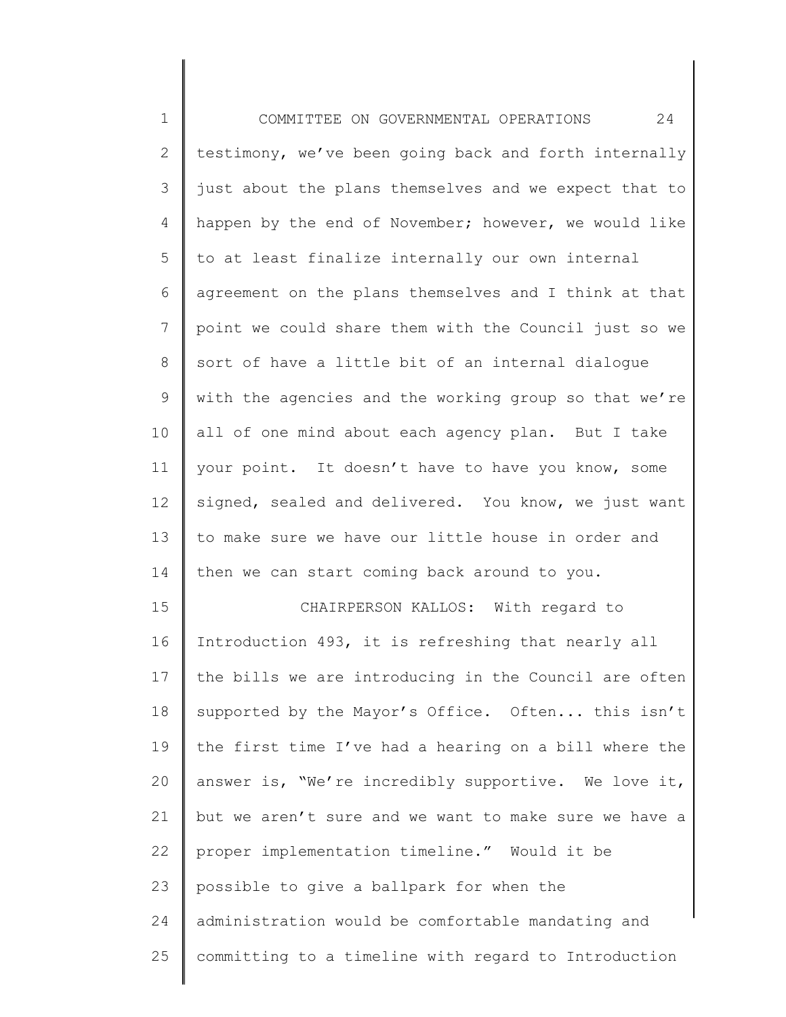| $\mathbf 1$ | 24<br>COMMITTEE ON GOVERNMENTAL OPERATIONS            |
|-------------|-------------------------------------------------------|
| 2           | testimony, we've been going back and forth internally |
| 3           | just about the plans themselves and we expect that to |
| 4           | happen by the end of November; however, we would like |
| 5           | to at least finalize internally our own internal      |
| 6           | agreement on the plans themselves and I think at that |
| 7           | point we could share them with the Council just so we |
| 8           | sort of have a little bit of an internal dialoque     |
| 9           | with the agencies and the working group so that we're |
| 10          | all of one mind about each agency plan. But I take    |
| 11          | your point. It doesn't have to have you know, some    |
| 12          | signed, sealed and delivered. You know, we just want  |
| 13          | to make sure we have our little house in order and    |
| 14          | then we can start coming back around to you.          |
| 15          | CHAIRPERSON KALLOS: With regard to                    |
| 16          | Introduction 493, it is refreshing that nearly all    |
| 17          | the bills we are introducing in the Council are often |
| 18          | supported by the Mayor's Office. Often this isn't     |
| 19          | the first time I've had a hearing on a bill where the |
| 20          | answer is, "We're incredibly supportive. We love it,  |
| 21          | but we aren't sure and we want to make sure we have a |
| 22          | proper implementation timeline." Would it be          |
| 23          | possible to give a ballpark for when the              |
| 24          | administration would be comfortable mandating and     |
| 25          | committing to a timeline with regard to Introduction  |
|             |                                                       |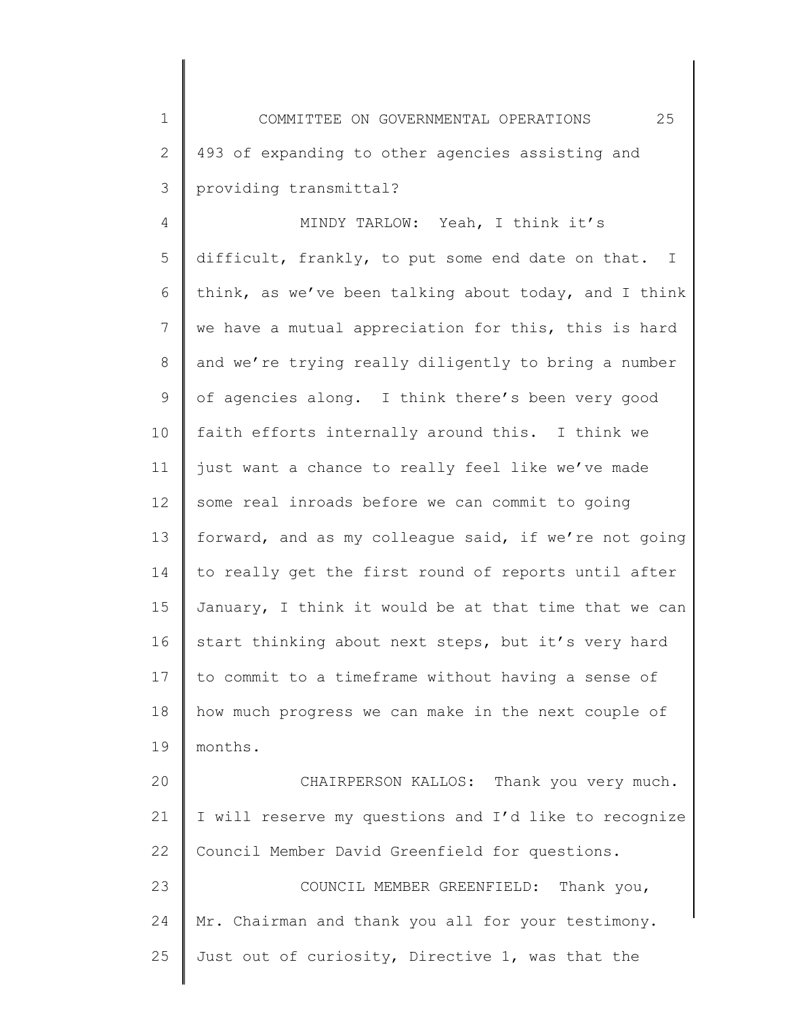1 2 3 COMMITTEE ON GOVERNMENTAL OPERATIONS 25 493 of expanding to other agencies assisting and providing transmittal?

4 5 6 7 8 9 10 11 12 13 14 15 16 17 18 19 20 21 22 23 MINDY TARLOW: Yeah, I think it's difficult, frankly, to put some end date on that. I think, as we've been talking about today, and I think we have a mutual appreciation for this, this is hard and we're trying really diligently to bring a number of agencies along. I think there's been very good faith efforts internally around this. I think we just want a chance to really feel like we've made some real inroads before we can commit to going forward, and as my colleague said, if we're not going to really get the first round of reports until after January, I think it would be at that time that we can start thinking about next steps, but it's very hard to commit to a timeframe without having a sense of how much progress we can make in the next couple of months. CHAIRPERSON KALLOS: Thank you very much. I will reserve my questions and I'd like to recognize Council Member David Greenfield for questions. COUNCIL MEMBER GREENFIELD: Thank you,

24 25 Mr. Chairman and thank you all for your testimony. Just out of curiosity, Directive 1, was that the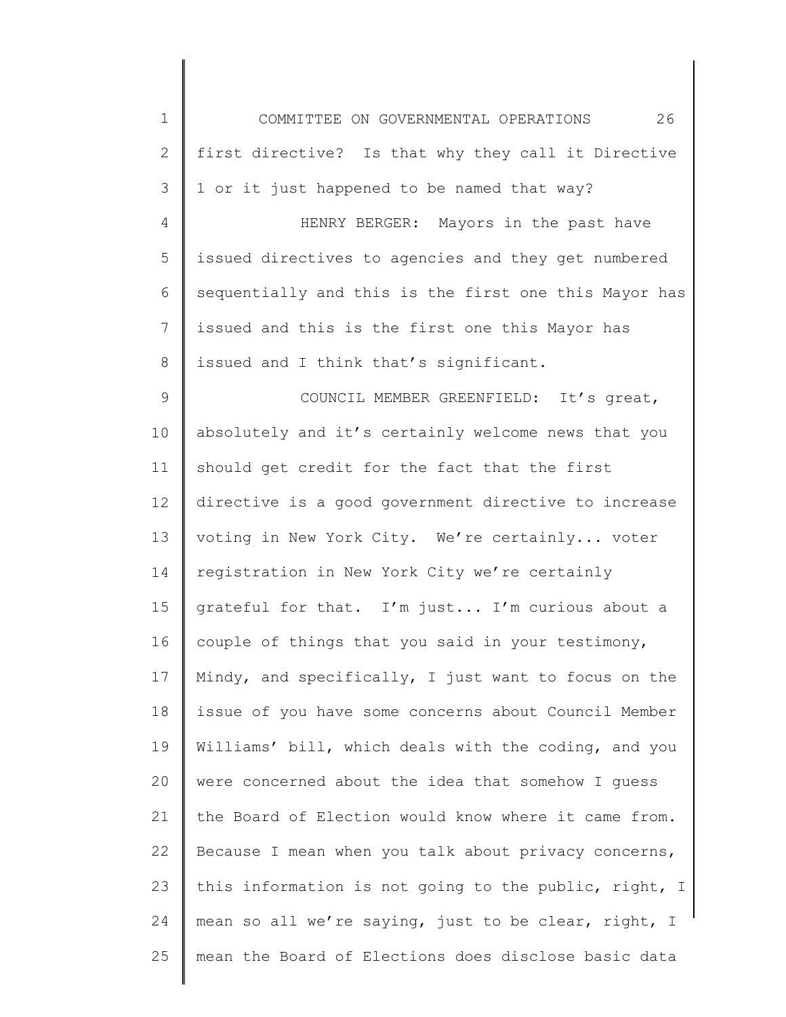| $\mathbf 1$     | 26<br>COMMITTEE ON GOVERNMENTAL OPERATIONS            |
|-----------------|-------------------------------------------------------|
| $\mathbf{2}$    | first directive? Is that why they call it Directive   |
| 3               | 1 or it just happened to be named that way?           |
| 4               | HENRY BERGER: Mayors in the past have                 |
| 5               | issued directives to agencies and they get numbered   |
| 6               | sequentially and this is the first one this Mayor has |
| $7\phantom{.0}$ | issued and this is the first one this Mayor has       |
| 8               | issued and I think that's significant.                |
| 9               | COUNCIL MEMBER GREENFIELD: It's great,                |
| 10              | absolutely and it's certainly welcome news that you   |
| 11              | should get credit for the fact that the first         |
| 12              | directive is a good government directive to increase  |
| 13              | voting in New York City. We're certainly voter        |
| 14              | registration in New York City we're certainly         |
| 15              | grateful for that. I'm just I'm curious about a       |
| 16              | couple of things that you said in your testimony,     |
| 17              | Mindy, and specifically, I just want to focus on the  |
| 18              | issue of you have some concerns about Council Member  |
| 19              | Williams' bill, which deals with the coding, and you  |
| 20              | were concerned about the idea that somehow I guess    |
| 21              | the Board of Election would know where it came from.  |
| 22              | Because I mean when you talk about privacy concerns,  |
| 23              | this information is not going to the public, right, I |
| 24              | mean so all we're saying, just to be clear, right, I  |
| 25              | mean the Board of Elections does disclose basic data  |
|                 |                                                       |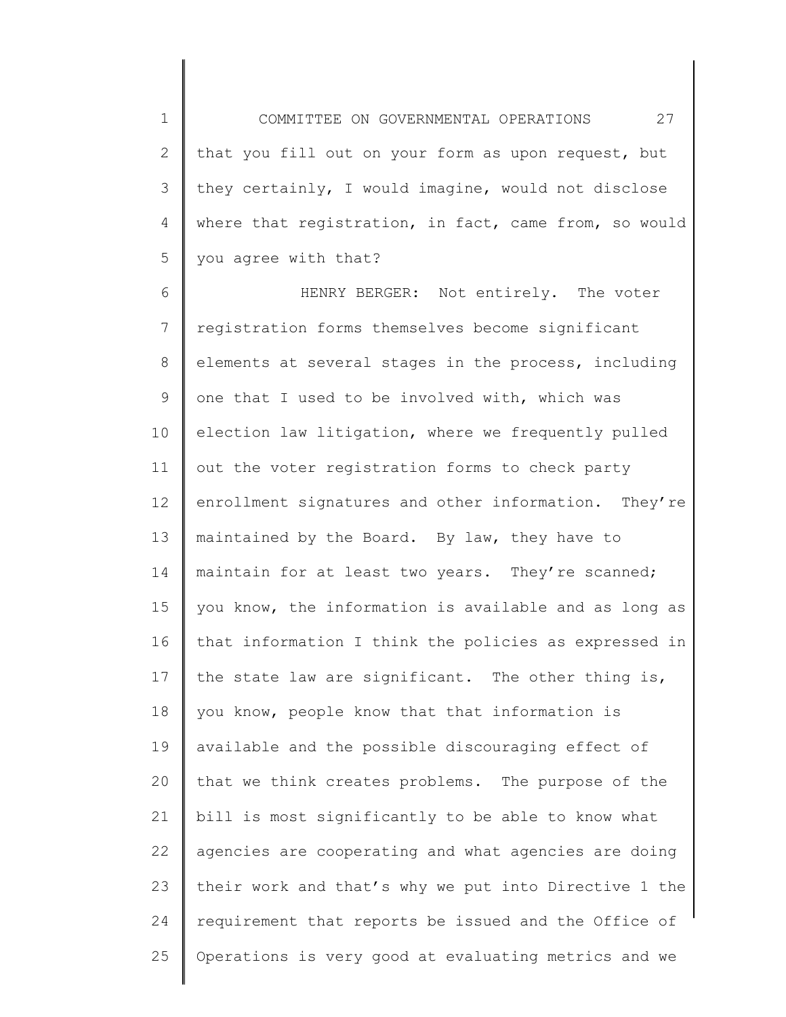1 2 3 4 5 COMMITTEE ON GOVERNMENTAL OPERATIONS 27 that you fill out on your form as upon request, but they certainly, I would imagine, would not disclose where that registration, in fact, came from, so would you agree with that?

6 7 8 9 10 11 12 13 14 15 16 17 18 19 20 21 22 23 24 25 HENRY BERGER: Not entirely. The voter registration forms themselves become significant elements at several stages in the process, including one that I used to be involved with, which was election law litigation, where we frequently pulled out the voter registration forms to check party enrollment signatures and other information. They're maintained by the Board. By law, they have to maintain for at least two years. They're scanned; you know, the information is available and as long as that information I think the policies as expressed in the state law are significant. The other thing is, you know, people know that that information is available and the possible discouraging effect of that we think creates problems. The purpose of the bill is most significantly to be able to know what agencies are cooperating and what agencies are doing their work and that's why we put into Directive 1 the requirement that reports be issued and the Office of Operations is very good at evaluating metrics and we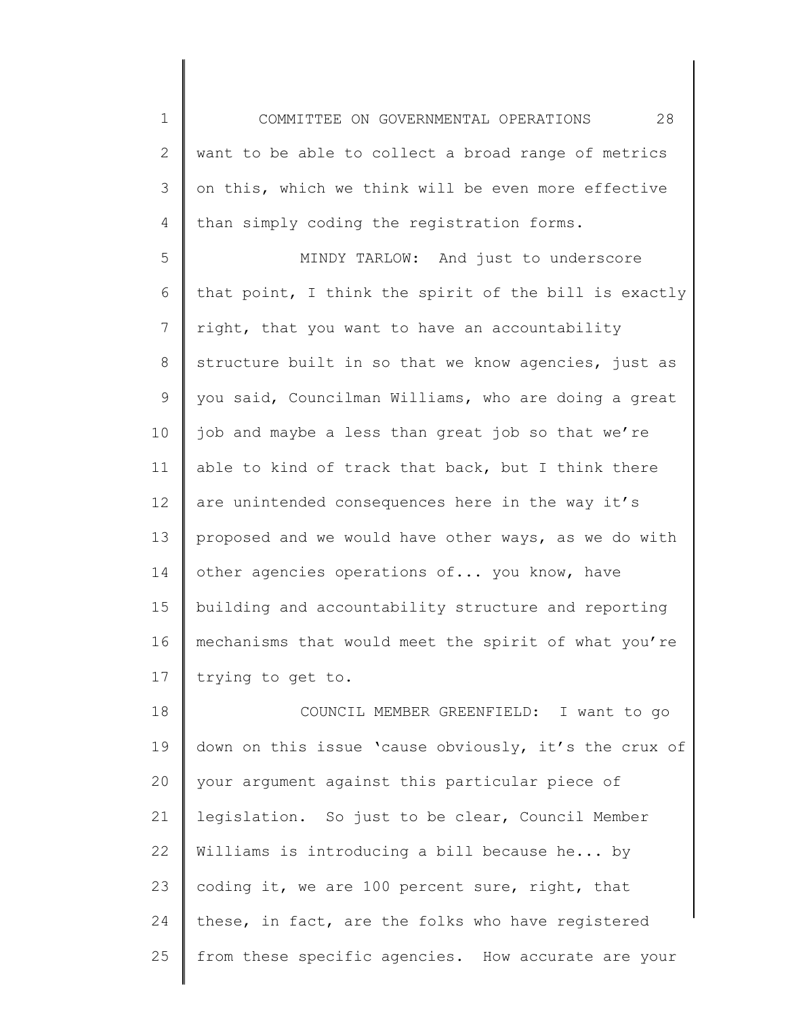1 2 3 4 COMMITTEE ON GOVERNMENTAL OPERATIONS 28 want to be able to collect a broad range of metrics on this, which we think will be even more effective than simply coding the registration forms.

5 6 7 8 9 10 11 12 13 14 15 16 17 MINDY TARLOW: And just to underscore that point, I think the spirit of the bill is exactly right, that you want to have an accountability structure built in so that we know agencies, just as you said, Councilman Williams, who are doing a great job and maybe a less than great job so that we're able to kind of track that back, but I think there are unintended consequences here in the way it's proposed and we would have other ways, as we do with other agencies operations of... you know, have building and accountability structure and reporting mechanisms that would meet the spirit of what you're trying to get to.

18 19 20 21 22 23 24 25 COUNCIL MEMBER GREENFIELD: I want to go down on this issue 'cause obviously, it's the crux of your argument against this particular piece of legislation. So just to be clear, Council Member Williams is introducing a bill because he... by coding it, we are 100 percent sure, right, that these, in fact, are the folks who have registered from these specific agencies. How accurate are your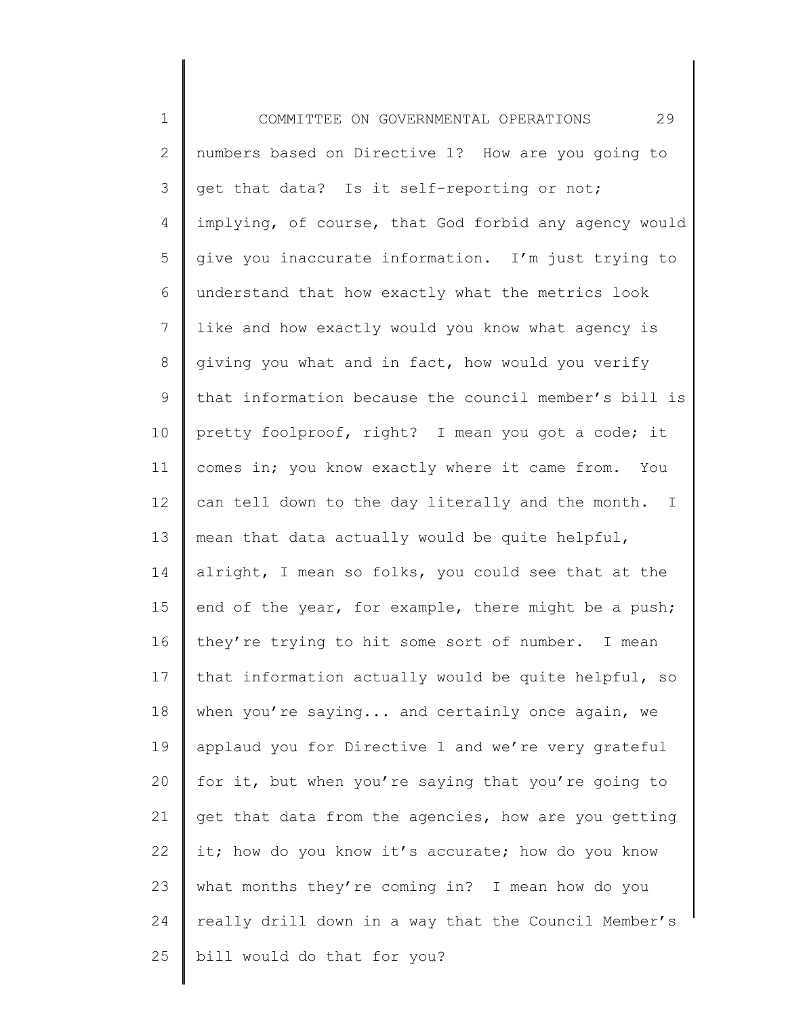1 2 3 4 5 6 7 8 9 10 11 12 13 14 15 16 17 18 19 20 21 22 23 24 25 COMMITTEE ON GOVERNMENTAL OPERATIONS 29 numbers based on Directive 1? How are you going to get that data? Is it self-reporting or not; implying, of course, that God forbid any agency would give you inaccurate information. I'm just trying to understand that how exactly what the metrics look like and how exactly would you know what agency is giving you what and in fact, how would you verify that information because the council member's bill is pretty foolproof, right? I mean you got a code; it comes in; you know exactly where it came from. You can tell down to the day literally and the month. I mean that data actually would be quite helpful, alright, I mean so folks, you could see that at the end of the year, for example, there might be a push; they're trying to hit some sort of number. I mean that information actually would be quite helpful, so when you're saying... and certainly once again, we applaud you for Directive 1 and we're very grateful for it, but when you're saying that you're going to get that data from the agencies, how are you getting it; how do you know it's accurate; how do you know what months they're coming in? I mean how do you really drill down in a way that the Council Member's bill would do that for you?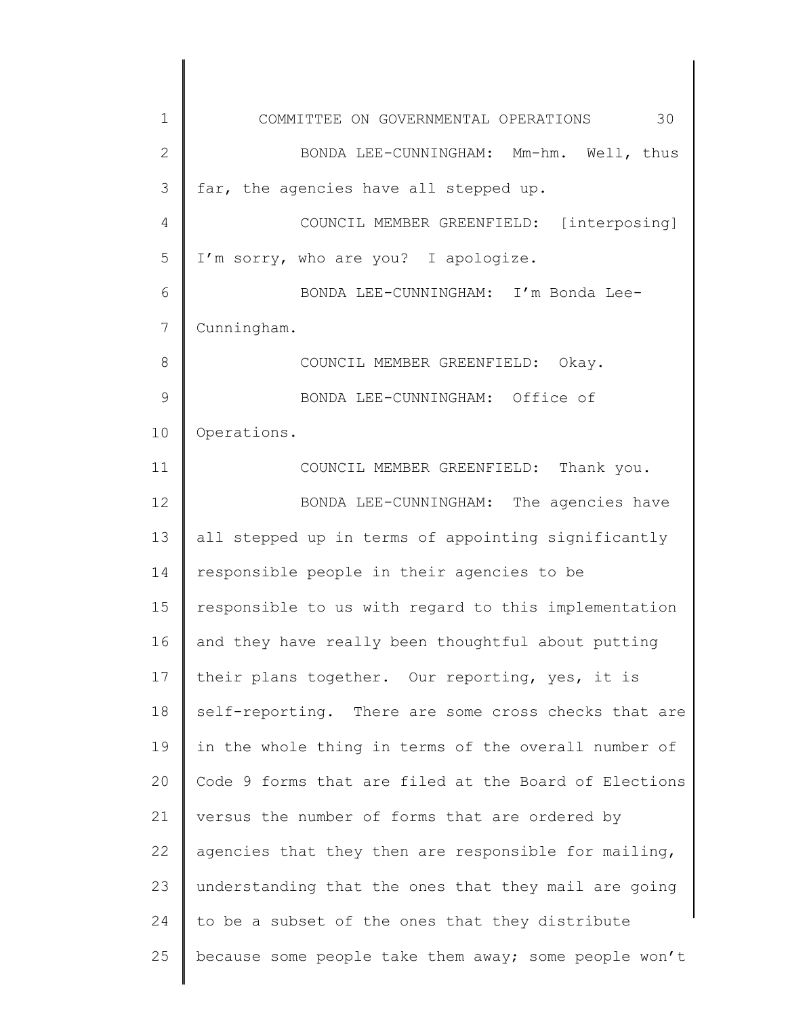1 2 3 4 5 6 7 8 9 10 11 12 13 14 15 16 17 18 19 20 21 22 23 24 25 COMMITTEE ON GOVERNMENTAL OPERATIONS 30 BONDA LEE-CUNNINGHAM: Mm-hm. Well, thus far, the agencies have all stepped up. COUNCIL MEMBER GREENFIELD: [interposing] I'm sorry, who are you? I apologize. BONDA LEE-CUNNINGHAM: I'm Bonda Lee-Cunningham. COUNCIL MEMBER GREENFIELD: Okay. BONDA LEE-CUNNINGHAM: Office of Operations. COUNCIL MEMBER GREENFIELD: Thank you. BONDA LEE-CUNNINGHAM: The agencies have all stepped up in terms of appointing significantly responsible people in their agencies to be responsible to us with regard to this implementation and they have really been thoughtful about putting their plans together. Our reporting, yes, it is self-reporting. There are some cross checks that are in the whole thing in terms of the overall number of Code 9 forms that are filed at the Board of Elections versus the number of forms that are ordered by agencies that they then are responsible for mailing, understanding that the ones that they mail are going to be a subset of the ones that they distribute because some people take them away; some people won't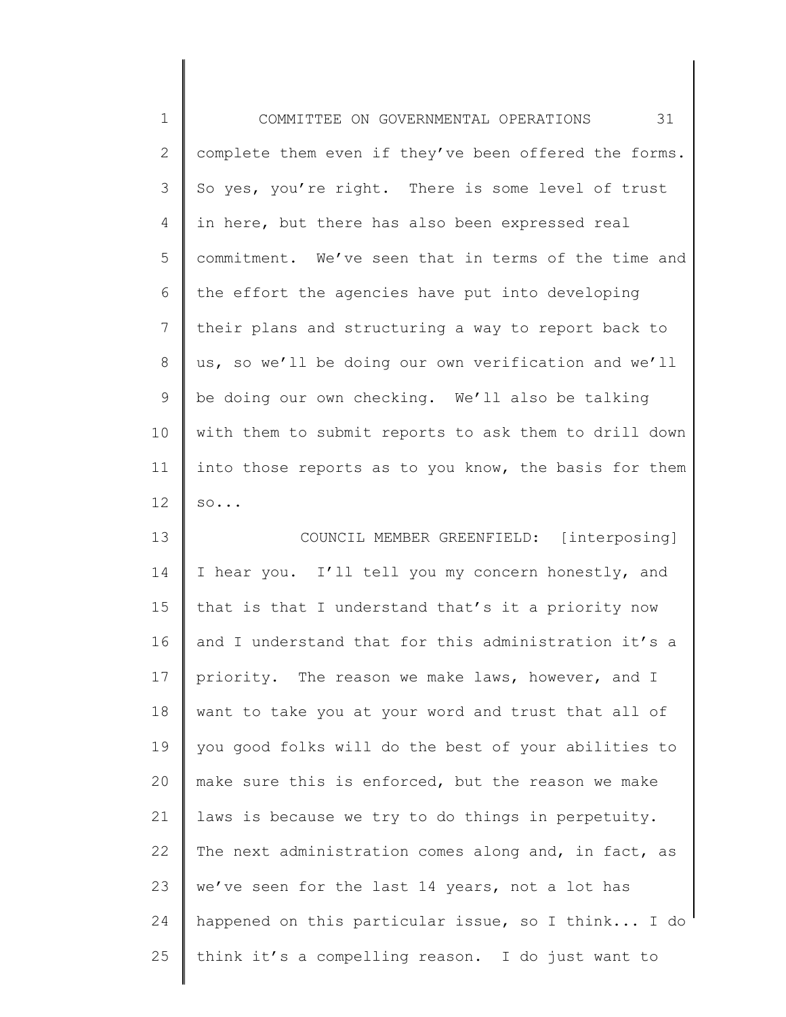| $1\,$          | 31<br>COMMITTEE ON GOVERNMENTAL OPERATIONS            |
|----------------|-------------------------------------------------------|
| $\mathbf{2}$   | complete them even if they've been offered the forms. |
| $\mathcal{S}$  | So yes, you're right. There is some level of trust    |
| 4              | in here, but there has also been expressed real       |
| 5              | commitment. We've seen that in terms of the time and  |
| 6              | the effort the agencies have put into developing      |
| $\overline{7}$ | their plans and structuring a way to report back to   |
| $8\,$          | us, so we'll be doing our own verification and we'll  |
| 9              | be doing our own checking. We'll also be talking      |
| 10             | with them to submit reports to ask them to drill down |
| 11             | into those reports as to you know, the basis for them |
| 12             | SO                                                    |
| 13             | COUNCIL MEMBER GREENFIELD: [interposing]              |
| 14             | I hear you. I'll tell you my concern honestly, and    |
| 15             | that is that I understand that's it a priority now    |
| 16             | and I understand that for this administration it's a  |
| 17             | priority. The reason we make laws, however, and I     |
| 18             | want to take you at your word and trust that all of   |
| 19             | you good folks will do the best of your abilities to  |
| 20             | make sure this is enforced, but the reason we make    |
| 21             | laws is because we try to do things in perpetuity.    |
| 22             | The next administration comes along and, in fact, as  |
| 23             | we've seen for the last 14 years, not a lot has       |
| 24             | happened on this particular issue, so I think I do    |
| 25             | think it's a compelling reason. I do just want to     |
|                |                                                       |

∥ ∥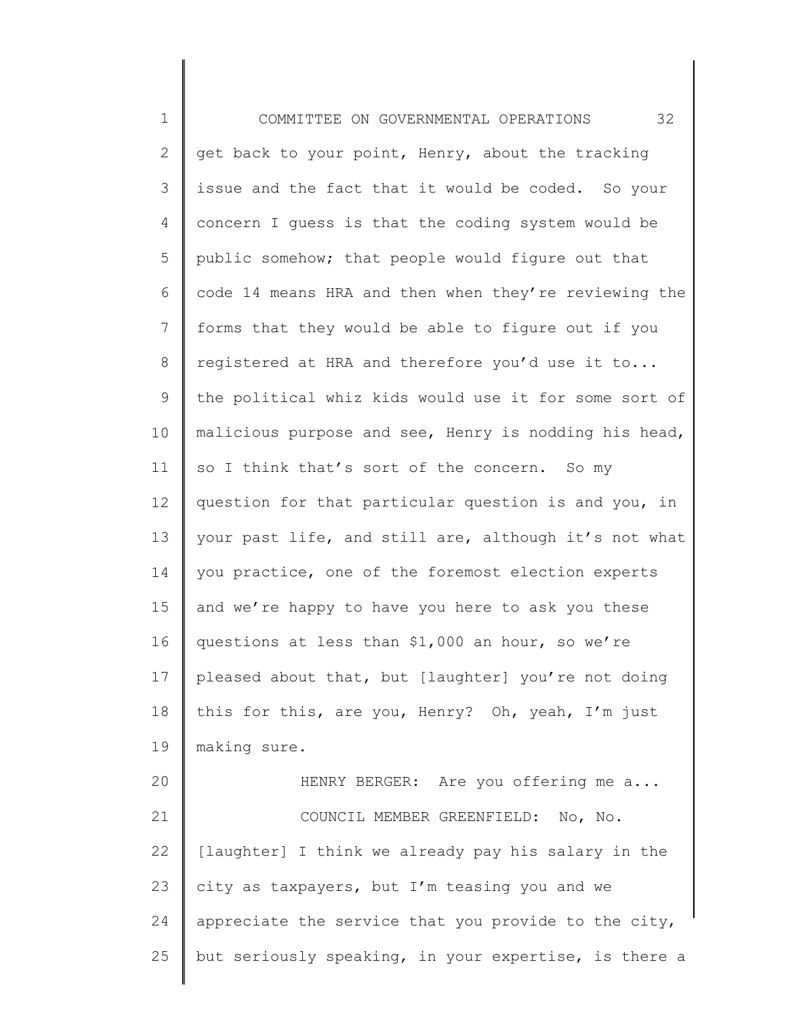1 2 3 4 5 6 7 8 9 10 11 12 13 14 15 16 17 18 19 20 21 22 23 24 25 COMMITTEE ON GOVERNMENTAL OPERATIONS 32 get back to your point, Henry, about the tracking issue and the fact that it would be coded. So your concern I guess is that the coding system would be public somehow; that people would figure out that code 14 means HRA and then when they're reviewing the forms that they would be able to figure out if you registered at HRA and therefore you'd use it to... the political whiz kids would use it for some sort of malicious purpose and see, Henry is nodding his head, so I think that's sort of the concern. So my question for that particular question is and you, in your past life, and still are, although it's not what you practice, one of the foremost election experts and we're happy to have you here to ask you these questions at less than \$1,000 an hour, so we're pleased about that, but [laughter] you're not doing this for this, are you, Henry? Oh, yeah, I'm just making sure. HENRY BERGER: Are you offering me a... COUNCIL MEMBER GREENFIELD: No, No. [laughter] I think we already pay his salary in the city as taxpayers, but I'm teasing you and we appreciate the service that you provide to the city, but seriously speaking, in your expertise, is there a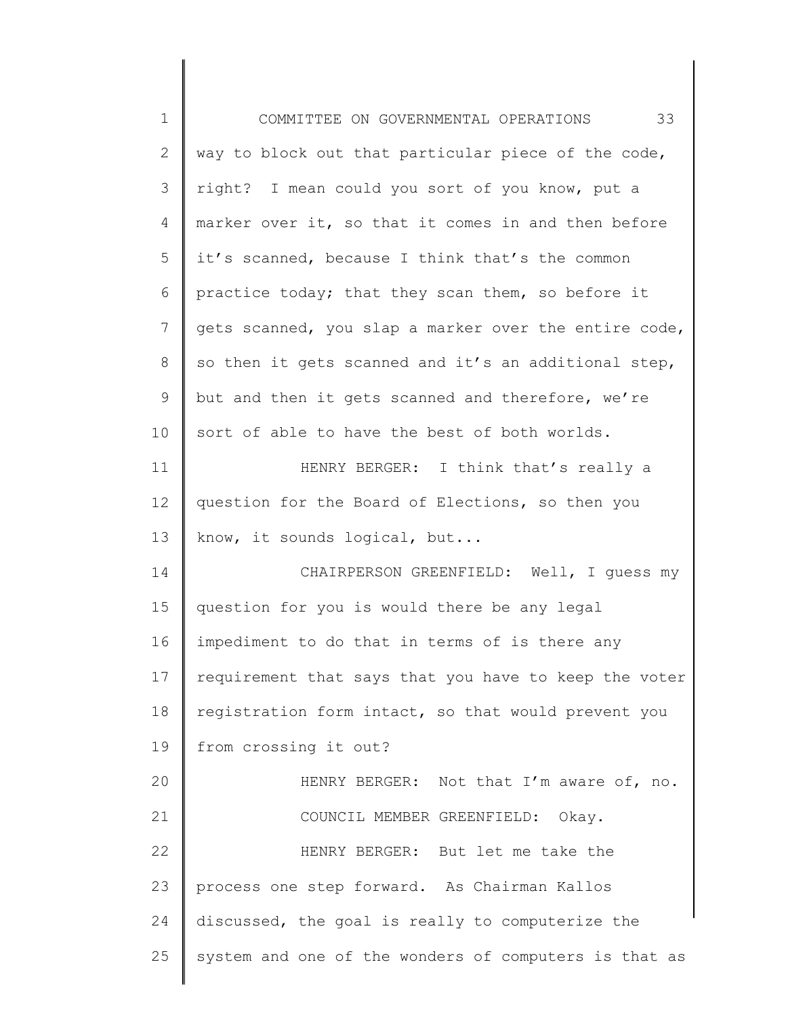| $1\,$        | 33<br>COMMITTEE ON GOVERNMENTAL OPERATIONS            |
|--------------|-------------------------------------------------------|
| $\mathbf{2}$ | way to block out that particular piece of the code,   |
| 3            | right? I mean could you sort of you know, put a       |
| 4            | marker over it, so that it comes in and then before   |
| 5            | it's scanned, because I think that's the common       |
| 6            | practice today; that they scan them, so before it     |
| 7            | gets scanned, you slap a marker over the entire code, |
| 8            | so then it gets scanned and it's an additional step,  |
| 9            | but and then it gets scanned and therefore, we're     |
| 10           | sort of able to have the best of both worlds.         |
| 11           | HENRY BERGER: I think that's really a                 |
| 12           | question for the Board of Elections, so then you      |
| 13           | know, it sounds logical, but                          |
| 14           | CHAIRPERSON GREENFIELD: Well, I guess my              |
| 15           | question for you is would there be any legal          |
| 16           | impediment to do that in terms of is there any        |
| 17           | requirement that says that you have to keep the voter |
| 18           | registration form intact, so that would prevent you   |
| 19           | from crossing it out?                                 |
| 20           | HENRY BERGER: Not that I'm aware of, no.              |
| 21           | COUNCIL MEMBER GREENFIELD: Okay.                      |
| 22           | HENRY BERGER: But let me take the                     |
| 23           | process one step forward. As Chairman Kallos          |
| 24           | discussed, the goal is really to computerize the      |
| 25           | system and one of the wonders of computers is that as |
|              |                                                       |

 $\begin{array}{c} \hline \end{array}$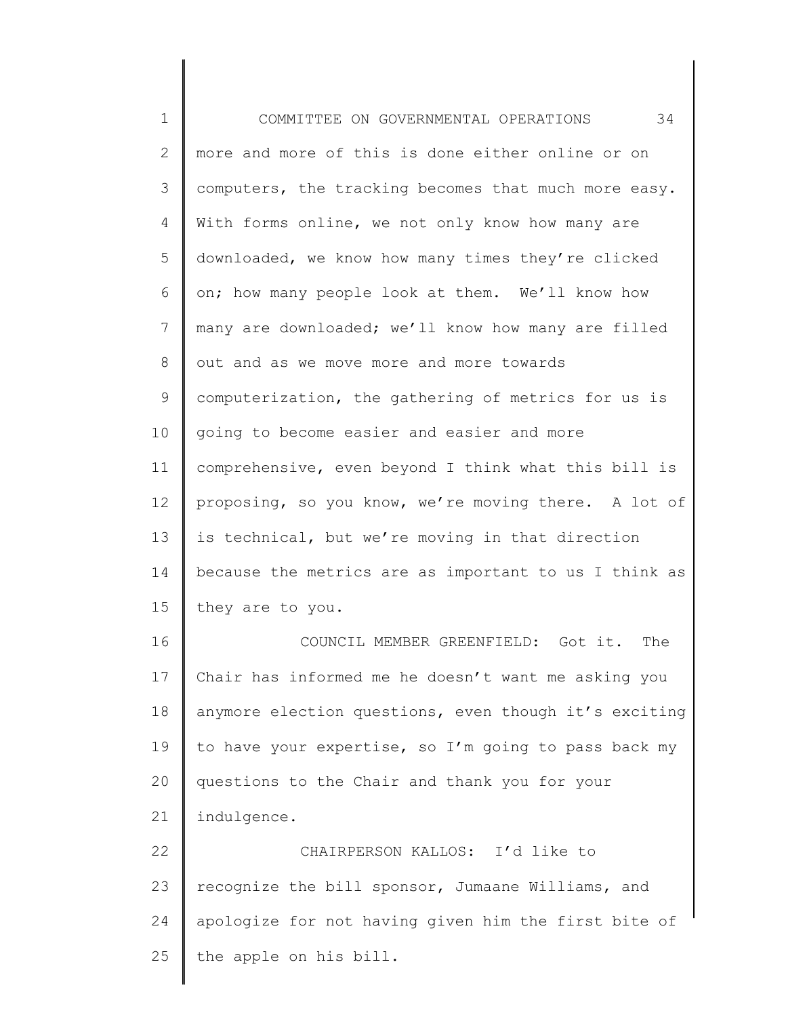1 2 3 4 5 6 7 8 9 10 11 12 13 14 15 16 17 18 19 20 21 22 23 24 25 COMMITTEE ON GOVERNMENTAL OPERATIONS 34 more and more of this is done either online or on computers, the tracking becomes that much more easy. With forms online, we not only know how many are downloaded, we know how many times they're clicked on; how many people look at them. We'll know how many are downloaded; we'll know how many are filled out and as we move more and more towards computerization, the gathering of metrics for us is going to become easier and easier and more comprehensive, even beyond I think what this bill is proposing, so you know, we're moving there. A lot of is technical, but we're moving in that direction because the metrics are as important to us I think as they are to you. COUNCIL MEMBER GREENFIELD: Got it. The Chair has informed me he doesn't want me asking you anymore election questions, even though it's exciting to have your expertise, so I'm going to pass back my questions to the Chair and thank you for your indulgence. CHAIRPERSON KALLOS: I'd like to recognize the bill sponsor, Jumaane Williams, and apologize for not having given him the first bite of the apple on his bill.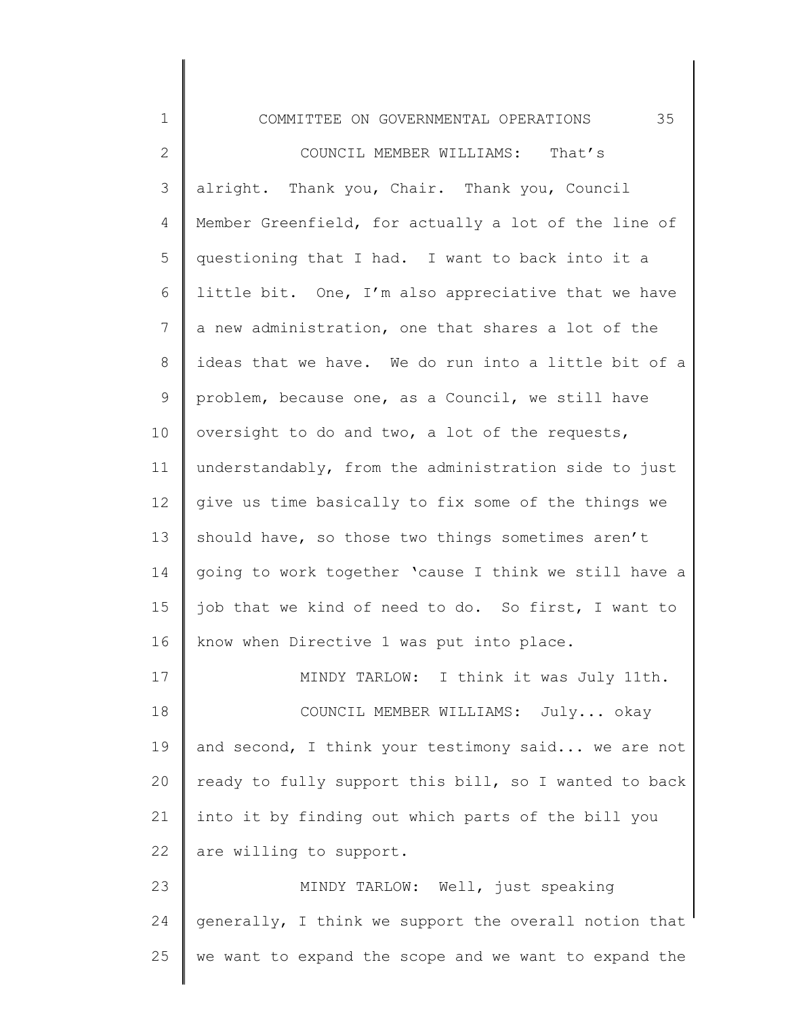1 2 3 4 5 6 7 8 9 10 11 12 13 14 15 16 17 18 19 20 21 22 23 24 25 COMMITTEE ON GOVERNMENTAL OPERATIONS 35 COUNCIL MEMBER WILLIAMS: That's alright. Thank you, Chair. Thank you, Council Member Greenfield, for actually a lot of the line of questioning that I had. I want to back into it a little bit. One, I'm also appreciative that we have a new administration, one that shares a lot of the ideas that we have. We do run into a little bit of a problem, because one, as a Council, we still have oversight to do and two, a lot of the requests, understandably, from the administration side to just give us time basically to fix some of the things we should have, so those two things sometimes aren't going to work together 'cause I think we still have a job that we kind of need to do. So first, I want to know when Directive 1 was put into place. MINDY TARLOW: I think it was July 11th. COUNCIL MEMBER WILLIAMS: July... okay and second, I think your testimony said... we are not ready to fully support this bill, so I wanted to back into it by finding out which parts of the bill you are willing to support. MINDY TARLOW: Well, just speaking generally, I think we support the overall notion that we want to expand the scope and we want to expand the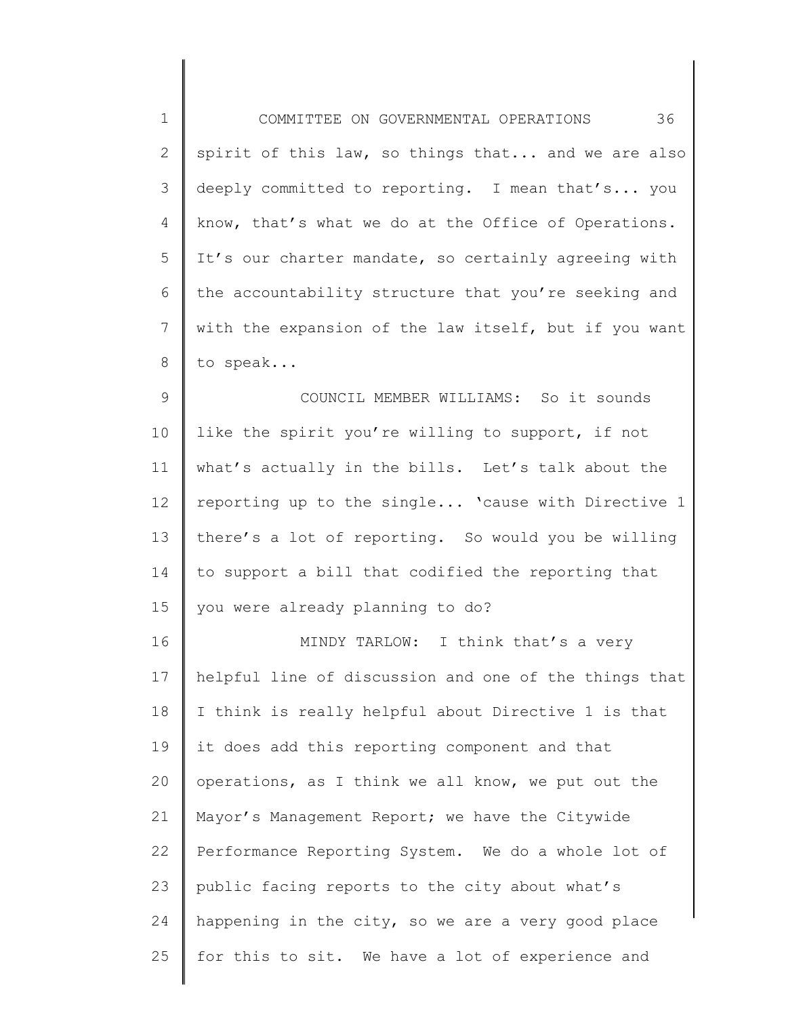| $\mathbf 1$ | 36<br>COMMITTEE ON GOVERNMENTAL OPERATIONS            |
|-------------|-------------------------------------------------------|
| 2           | spirit of this law, so things that and we are also    |
| 3           | deeply committed to reporting. I mean that's you      |
| 4           | know, that's what we do at the Office of Operations.  |
| 5           | It's our charter mandate, so certainly agreeing with  |
| 6           | the accountability structure that you're seeking and  |
| 7           | with the expansion of the law itself, but if you want |
| 8           | to speak                                              |
| 9           | COUNCIL MEMBER WILLIAMS: So it sounds                 |
| 10          | like the spirit you're willing to support, if not     |
| 11          | what's actually in the bills. Let's talk about the    |
| 12          | reporting up to the single 'cause with Directive 1    |
| 13          | there's a lot of reporting. So would you be willing   |
| 14          | to support a bill that codified the reporting that    |
| 15          | you were already planning to do?                      |
| 16          | MINDY TARLOW: I think that's a very                   |
| 17          | helpful line of discussion and one of the things that |
| 18          | I think is really helpful about Directive 1 is that   |
| 19          | it does add this reporting component and that         |
| 20          | operations, as I think we all know, we put out the    |
| 21          | Mayor's Management Report; we have the Citywide       |
| 22          | Performance Reporting System. We do a whole lot of    |
| 23          | public facing reports to the city about what's        |
| 24          | happening in the city, so we are a very good place    |
| 25          | for this to sit. We have a lot of experience and      |
|             |                                                       |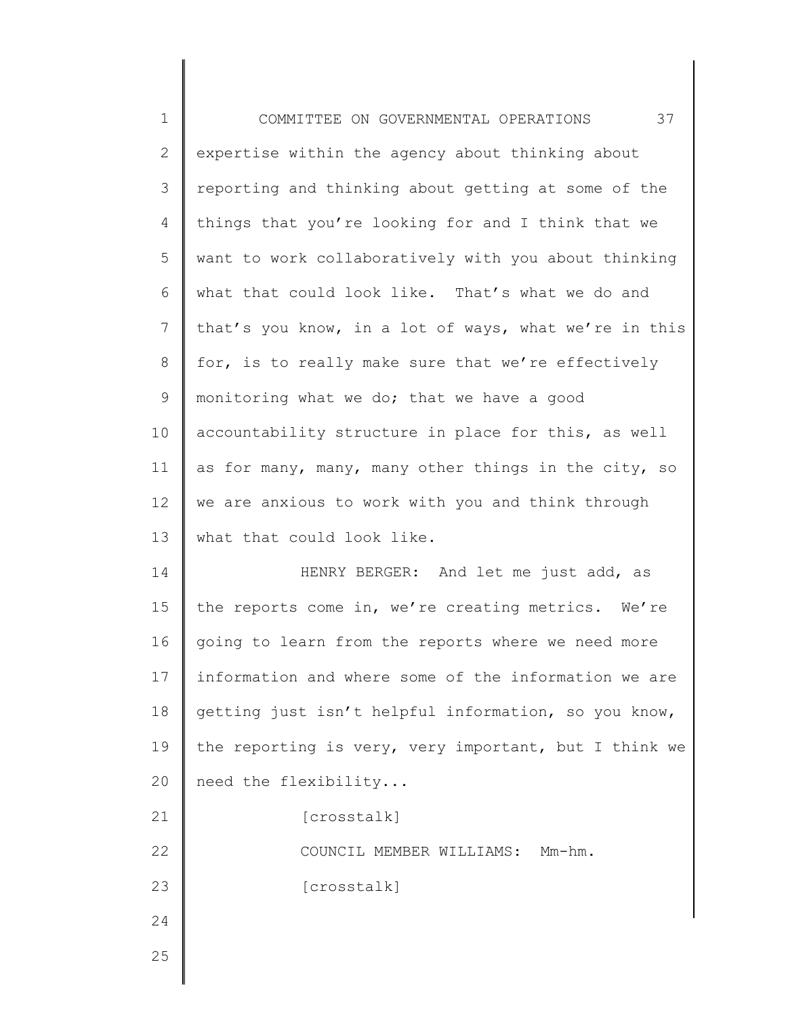| $\mathbf 1$    | 37<br>COMMITTEE ON GOVERNMENTAL OPERATIONS            |
|----------------|-------------------------------------------------------|
| $\mathbf{2}$   | expertise within the agency about thinking about      |
| 3              | reporting and thinking about getting at some of the   |
| 4              | things that you're looking for and I think that we    |
| 5              | want to work collaboratively with you about thinking  |
| 6              | what that could look like. That's what we do and      |
| $\overline{7}$ | that's you know, in a lot of ways, what we're in this |
| $8\,$          | for, is to really make sure that we're effectively    |
| $\mathsf 9$    | monitoring what we do; that we have a good            |
| 10             | accountability structure in place for this, as well   |
| 11             | as for many, many, many other things in the city, so  |
| 12             | we are anxious to work with you and think through     |
| 13             | what that could look like.                            |
| 14             | HENRY BERGER: And let me just add, as                 |
| 15             | the reports come in, we're creating metrics. We're    |
| 16             | going to learn from the reports where we need more    |
| 17             | information and where some of the information we are  |
| 18             | getting just isn't helpful information, so you know,  |
| 19             | the reporting is very, very important, but I think we |
| 20             | need the flexibility                                  |
| 21             | [crosstalk]                                           |
| 22             | COUNCIL MEMBER WILLIAMS: Mm-hm.                       |
| 23             | [crosstalk]                                           |
| 24             |                                                       |
| 25             |                                                       |
|                |                                                       |

║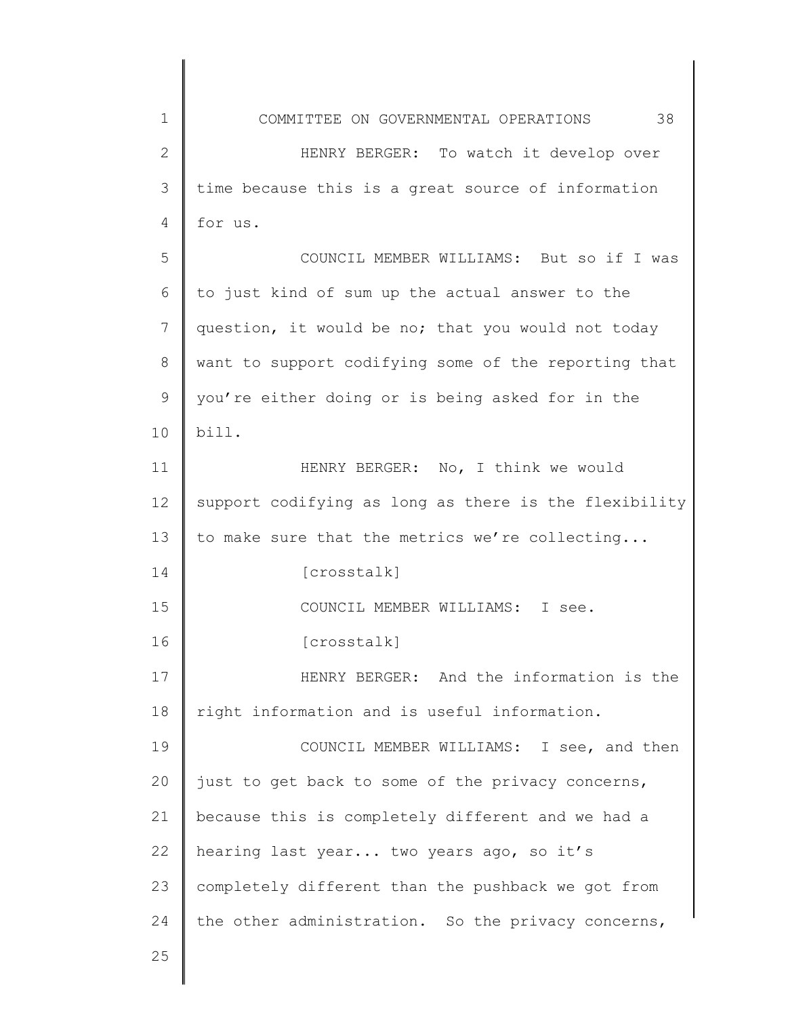| 1             | 38<br>COMMITTEE ON GOVERNMENTAL OPERATIONS            |
|---------------|-------------------------------------------------------|
| $\mathbf{2}$  | HENRY BERGER: To watch it develop over                |
| 3             | time because this is a great source of information    |
| 4             | for us.                                               |
| 5             | COUNCIL MEMBER WILLIAMS: But so if I was              |
| 6             | to just kind of sum up the actual answer to the       |
| 7             | question, it would be no; that you would not today    |
| 8             | want to support codifying some of the reporting that  |
| $\mathcal{G}$ | you're either doing or is being asked for in the      |
| 10            | bill.                                                 |
| 11            | HENRY BERGER: No, I think we would                    |
| 12            | support codifying as long as there is the flexibility |
| 13            | to make sure that the metrics we're collecting        |
| 14            | [crosstalk]                                           |
| 15            | COUNCIL MEMBER WILLIAMS: I see.                       |
| 16            | [crosstalk]                                           |
| 17            | HENRY BERGER: And the information is the              |
| 18            | right information and is useful information.          |
| 19            | COUNCIL MEMBER WILLIAMS: I see, and then              |
| 20            | just to get back to some of the privacy concerns,     |
| 21            | because this is completely different and we had a     |
| 22            | hearing last year two years ago, so it's              |
| 23            | completely different than the pushback we got from    |
| 24            | the other administration. So the privacy concerns,    |
| 25            |                                                       |
|               |                                                       |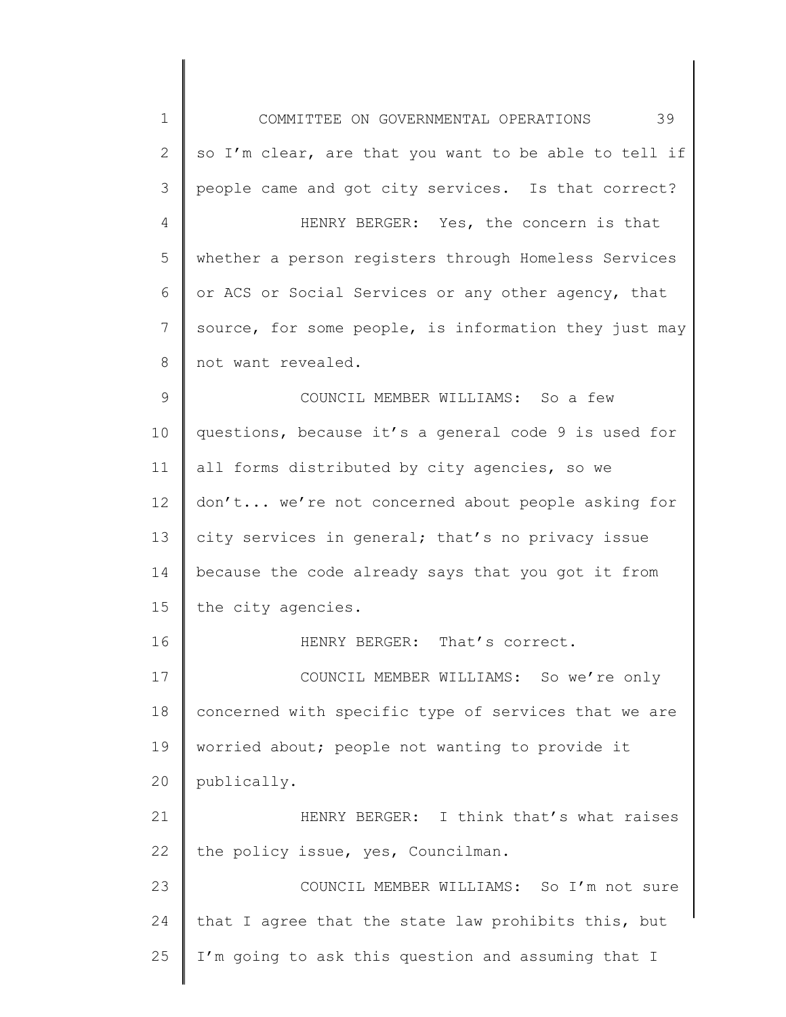1 2 3 4 5 6 7 8 9 10 11 12 13 14 15 16 17 18 19 20 21 22 23 24 25 COMMITTEE ON GOVERNMENTAL OPERATIONS 39 so I'm clear, are that you want to be able to tell if people came and got city services. Is that correct? HENRY BERGER: Yes, the concern is that whether a person registers through Homeless Services or ACS or Social Services or any other agency, that source, for some people, is information they just may not want revealed. COUNCIL MEMBER WILLIAMS: So a few questions, because it's a general code 9 is used for all forms distributed by city agencies, so we don't... we're not concerned about people asking for city services in general; that's no privacy issue because the code already says that you got it from the city agencies. HENRY BERGER: That's correct. COUNCIL MEMBER WILLIAMS: So we're only concerned with specific type of services that we are worried about; people not wanting to provide it publically. HENRY BERGER: I think that's what raises the policy issue, yes, Councilman. COUNCIL MEMBER WILLIAMS: So I'm not sure that I agree that the state law prohibits this, but I'm going to ask this question and assuming that I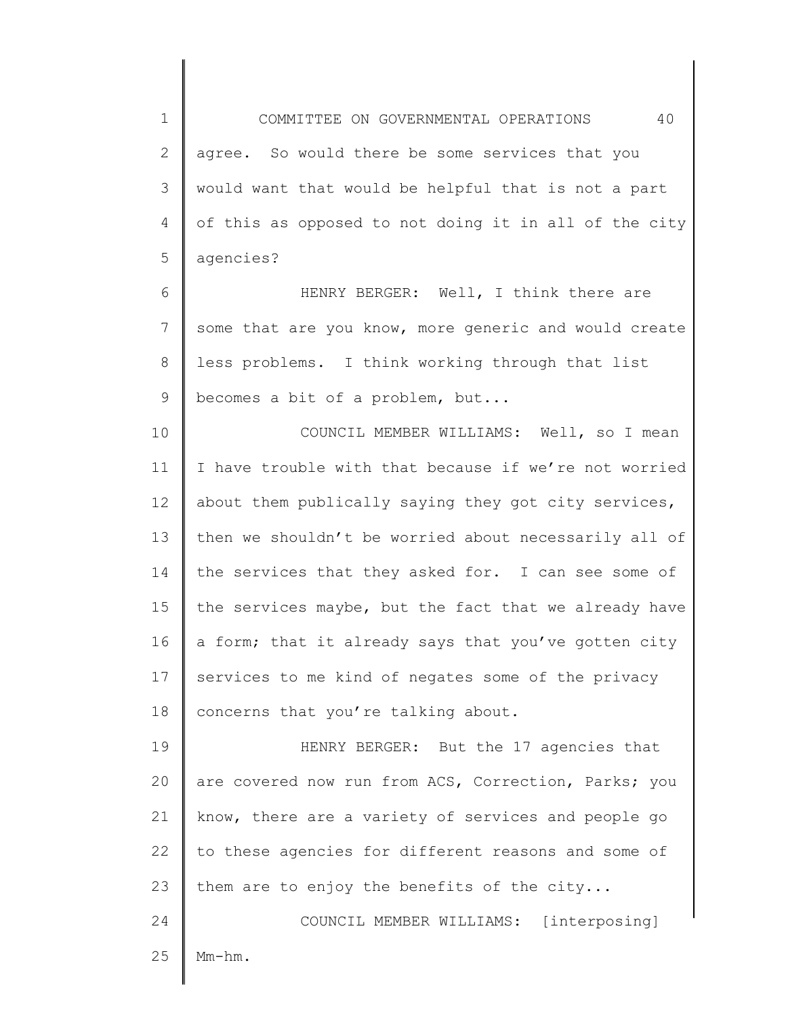1 2 3 4 5 COMMITTEE ON GOVERNMENTAL OPERATIONS 40 agree. So would there be some services that you would want that would be helpful that is not a part of this as opposed to not doing it in all of the city agencies?

6 7 8 9 HENRY BERGER: Well, I think there are some that are you know, more generic and would create less problems. I think working through that list becomes a bit of a problem, but...

10 11 12 13 14 15 16 17 18 COUNCIL MEMBER WILLIAMS: Well, so I mean I have trouble with that because if we're not worried about them publically saying they got city services, then we shouldn't be worried about necessarily all of the services that they asked for. I can see some of the services maybe, but the fact that we already have a form; that it already says that you've gotten city services to me kind of negates some of the privacy concerns that you're talking about.

19 20 21 22 23 HENRY BERGER: But the 17 agencies that are covered now run from ACS, Correction, Parks; you know, there are a variety of services and people go to these agencies for different reasons and some of them are to enjoy the benefits of the city...

24 25 COUNCIL MEMBER WILLIAMS: [interposing] Mm-hm.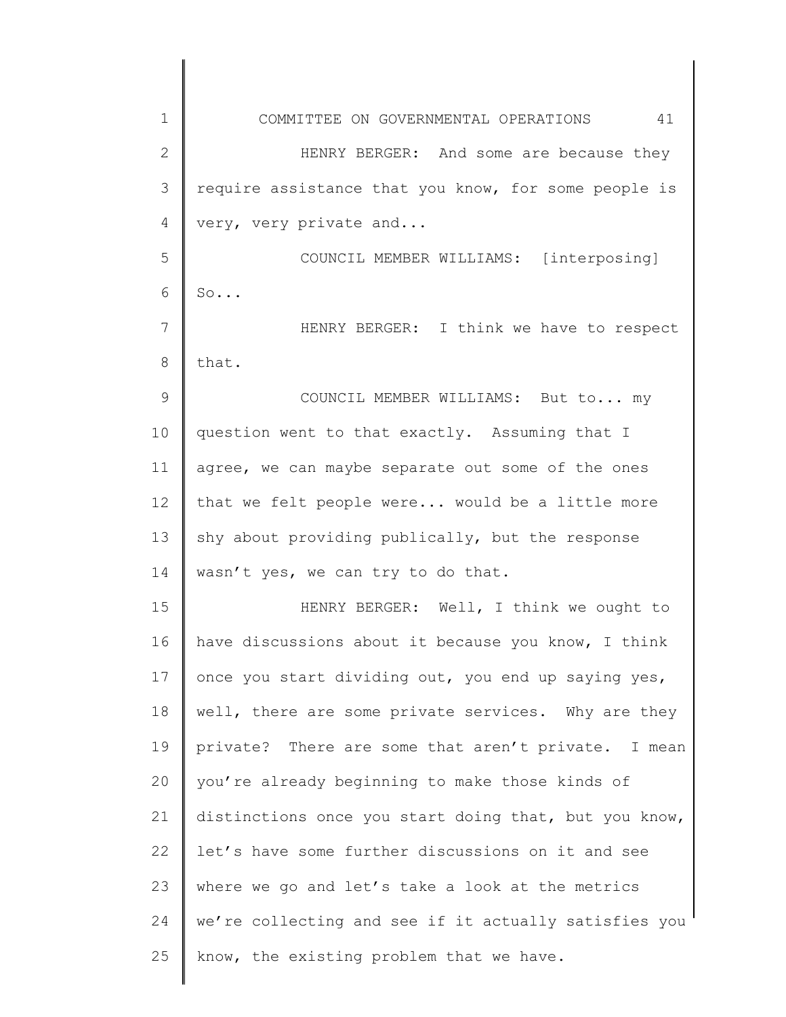| 1            | 41<br>COMMITTEE ON GOVERNMENTAL OPERATIONS            |
|--------------|-------------------------------------------------------|
| $\mathbf{2}$ | HENRY BERGER: And some are because they               |
| 3            | require assistance that you know, for some people is  |
| 4            | very, very private and                                |
| 5            | COUNCIL MEMBER WILLIAMS: [interposing]                |
| 6            | So                                                    |
| 7            | HENRY BERGER: I think we have to respect              |
| 8            | that.                                                 |
| 9            | COUNCIL MEMBER WILLIAMS: But to my                    |
| 10           | question went to that exactly. Assuming that I        |
| 11           | agree, we can maybe separate out some of the ones     |
| 12           | that we felt people were would be a little more       |
| 13           | shy about providing publically, but the response      |
| 14           | wasn't yes, we can try to do that.                    |
| 15           | HENRY BERGER: Well, I think we ought to               |
| 16           | have discussions about it because you know, I think   |
| 17           | once you start dividing out, you end up saying yes,   |
| 18           | well, there are some private services. Why are they   |
| 19           | private? There are some that aren't private. I mean   |
| 20           | you're already beginning to make those kinds of       |
| 21           | distinctions once you start doing that, but you know, |
| 22           | let's have some further discussions on it and see     |
| 23           | where we go and let's take a look at the metrics      |
| 24           | we're collecting and see if it actually satisfies you |
| 25           | know, the existing problem that we have.              |
|              |                                                       |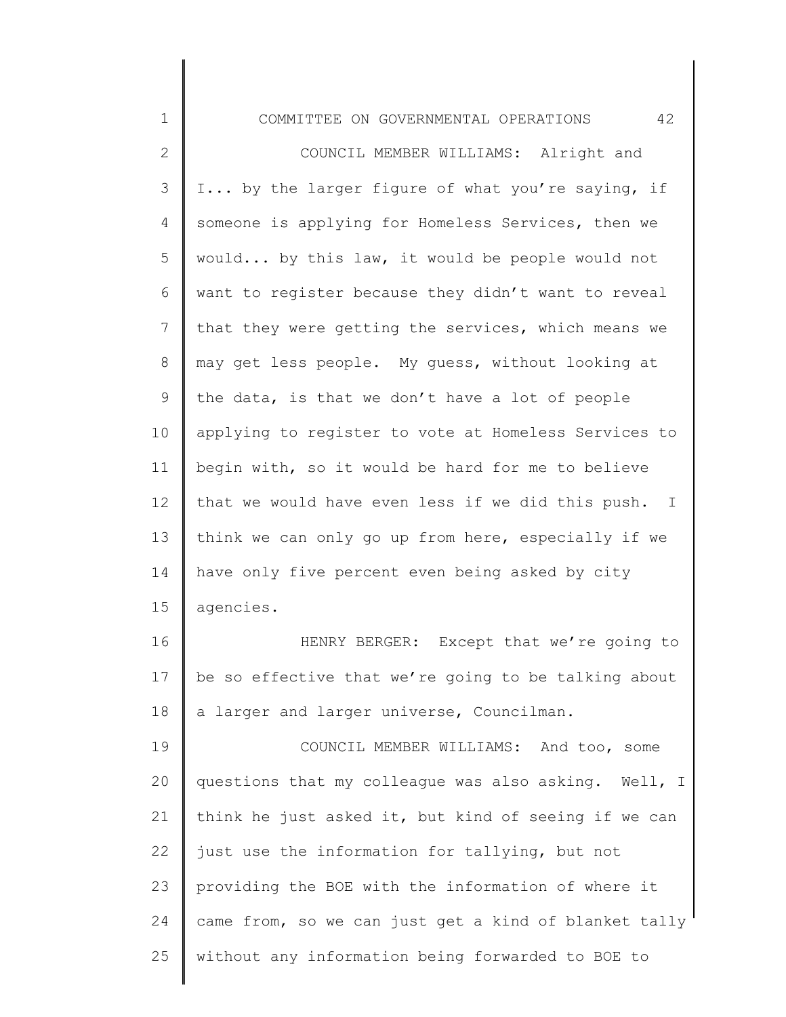1 2 3 4 5 6 7 8 9 10 11 12 13 14 15 16 17 18 19 20 21 22 23 24 COMMITTEE ON GOVERNMENTAL OPERATIONS 42 COUNCIL MEMBER WILLIAMS: Alright and I... by the larger figure of what you're saying, if someone is applying for Homeless Services, then we would... by this law, it would be people would not want to register because they didn't want to reveal that they were getting the services, which means we may get less people. My guess, without looking at the data, is that we don't have a lot of people applying to register to vote at Homeless Services to begin with, so it would be hard for me to believe that we would have even less if we did this push. I think we can only go up from here, especially if we have only five percent even being asked by city agencies. HENRY BERGER: Except that we're going to be so effective that we're going to be talking about a larger and larger universe, Councilman. COUNCIL MEMBER WILLIAMS: And too, some questions that my colleague was also asking. Well, I think he just asked it, but kind of seeing if we can just use the information for tallying, but not providing the BOE with the information of where it came from, so we can just get a kind of blanket tally

25 without any information being forwarded to BOE to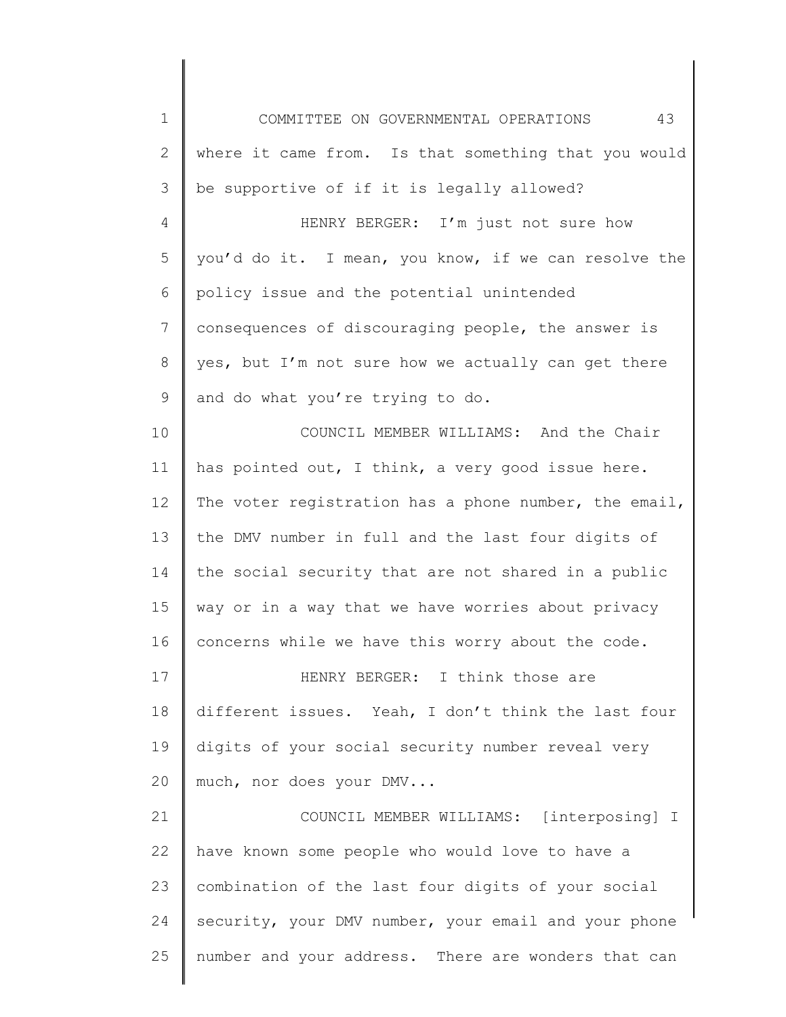1 2 3 4 5 6 7 8 9 10 11 12 13 14 15 16 17 18 19 20 21 22 23 24 25 COMMITTEE ON GOVERNMENTAL OPERATIONS 43 where it came from. Is that something that you would be supportive of if it is legally allowed? HENRY BERGER: I'm just not sure how you'd do it. I mean, you know, if we can resolve the policy issue and the potential unintended consequences of discouraging people, the answer is yes, but I'm not sure how we actually can get there and do what you're trying to do. COUNCIL MEMBER WILLIAMS: And the Chair has pointed out, I think, a very good issue here. The voter registration has a phone number, the email, the DMV number in full and the last four digits of the social security that are not shared in a public way or in a way that we have worries about privacy concerns while we have this worry about the code. HENRY BERGER: I think those are different issues. Yeah, I don't think the last four digits of your social security number reveal very much, nor does your DMV... COUNCIL MEMBER WILLIAMS: [interposing] I have known some people who would love to have a combination of the last four digits of your social security, your DMV number, your email and your phone number and your address. There are wonders that can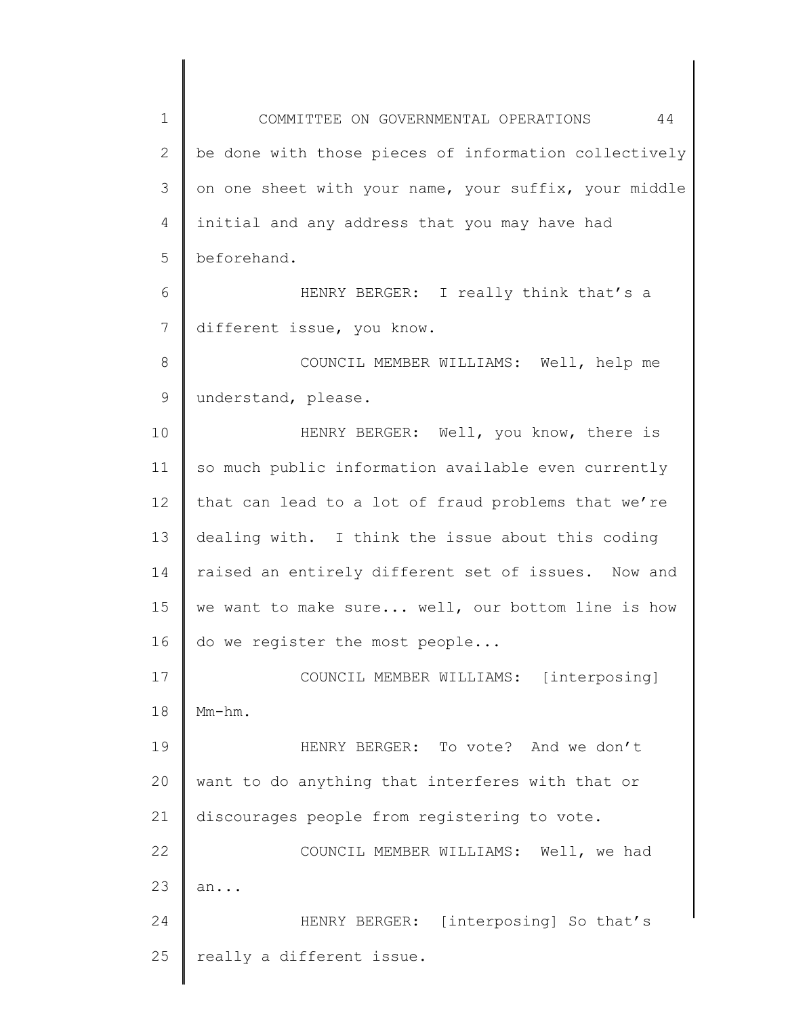1 2 3 4 5 6 7 8 9 10 11 12 13 14 15 16 17 18 19 20 21 22 23 24 25 COMMITTEE ON GOVERNMENTAL OPERATIONS 44 be done with those pieces of information collectively on one sheet with your name, your suffix, your middle initial and any address that you may have had beforehand. HENRY BERGER: I really think that's a different issue, you know. COUNCIL MEMBER WILLIAMS: Well, help me understand, please. HENRY BERGER: Well, you know, there is so much public information available even currently that can lead to a lot of fraud problems that we're dealing with. I think the issue about this coding raised an entirely different set of issues. Now and we want to make sure... well, our bottom line is how do we register the most people... COUNCIL MEMBER WILLIAMS: [interposing] Mm-hm. HENRY BERGER: To vote? And we don't want to do anything that interferes with that or discourages people from registering to vote. COUNCIL MEMBER WILLIAMS: Well, we had an... HENRY BERGER: [interposing] So that's really a different issue.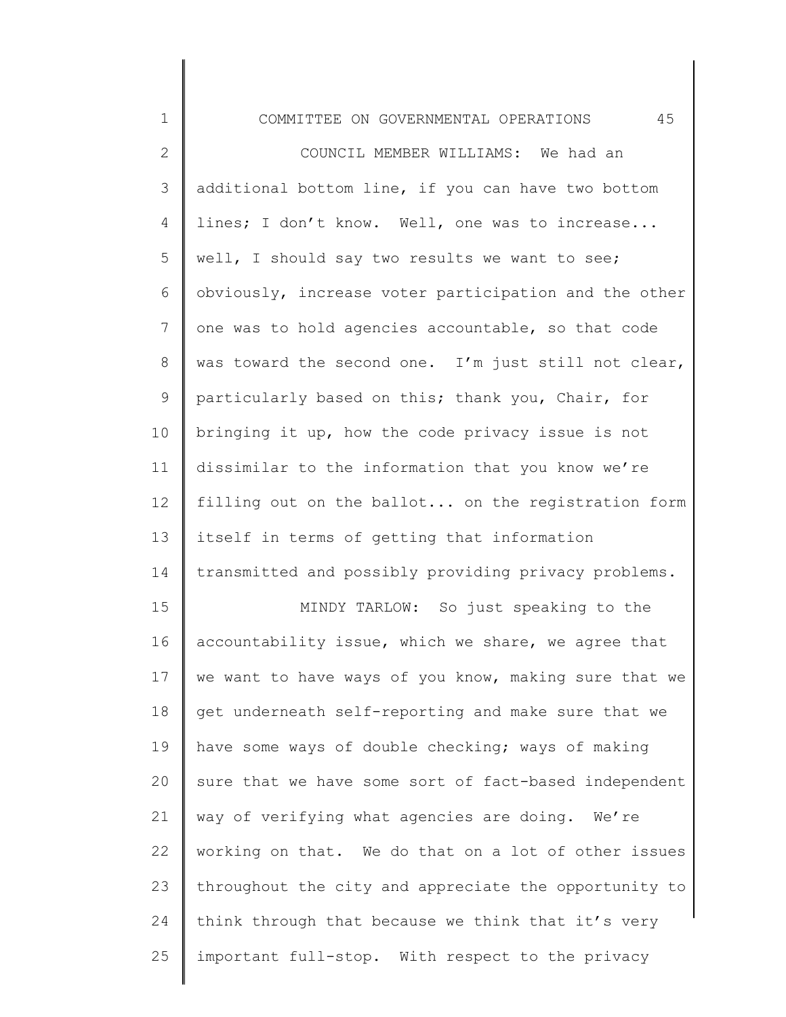| 1            | 45<br>COMMITTEE ON GOVERNMENTAL OPERATIONS            |
|--------------|-------------------------------------------------------|
| $\mathbf{2}$ | COUNCIL MEMBER WILLIAMS: We had an                    |
| 3            | additional bottom line, if you can have two bottom    |
| 4            | lines; I don't know. Well, one was to increase        |
| 5            | well, I should say two results we want to see;        |
| 6            | obviously, increase voter participation and the other |
| 7            | one was to hold agencies accountable, so that code    |
| 8            | was toward the second one. I'm just still not clear,  |
| 9            | particularly based on this; thank you, Chair, for     |
| 10           | bringing it up, how the code privacy issue is not     |
| 11           | dissimilar to the information that you know we're     |
| 12           | filling out on the ballot on the registration form    |
| 13           | itself in terms of getting that information           |
| 14           | transmitted and possibly providing privacy problems.  |
| 15           | MINDY TARLOW: So just speaking to the                 |
| 16           | accountability issue, which we share, we agree that   |
| 17           | we want to have ways of you know, making sure that we |
| 18           | get underneath self-reporting and make sure that we   |
| 19           | have some ways of double checking; ways of making     |
| 20           | sure that we have some sort of fact-based independent |
| 21           | way of verifying what agencies are doing. We're       |
| 22           | working on that. We do that on a lot of other issues  |
| 23           | throughout the city and appreciate the opportunity to |
| 24           | think through that because we think that it's very    |
| 25           | important full-stop. With respect to the privacy      |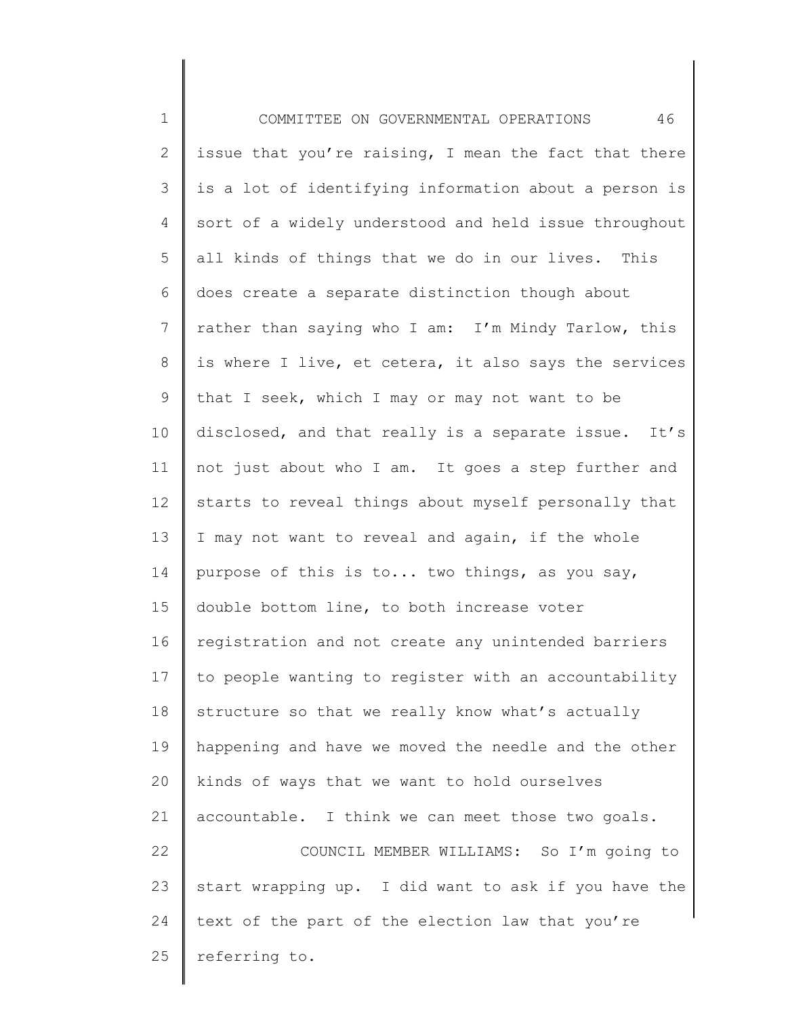1 2 3 4 5 6 7 8 9 10 11 12 13 14 15 16 17 18 19 20 21 22 23 24 25 COMMITTEE ON GOVERNMENTAL OPERATIONS 46 issue that you're raising, I mean the fact that there is a lot of identifying information about a person is sort of a widely understood and held issue throughout all kinds of things that we do in our lives. This does create a separate distinction though about rather than saying who I am: I'm Mindy Tarlow, this is where I live, et cetera, it also says the services that I seek, which I may or may not want to be disclosed, and that really is a separate issue. It's not just about who I am. It goes a step further and starts to reveal things about myself personally that I may not want to reveal and again, if the whole purpose of this is to... two things, as you say, double bottom line, to both increase voter registration and not create any unintended barriers to people wanting to register with an accountability structure so that we really know what's actually happening and have we moved the needle and the other kinds of ways that we want to hold ourselves accountable. I think we can meet those two goals. COUNCIL MEMBER WILLIAMS: So I'm going to start wrapping up. I did want to ask if you have the text of the part of the election law that you're referring to.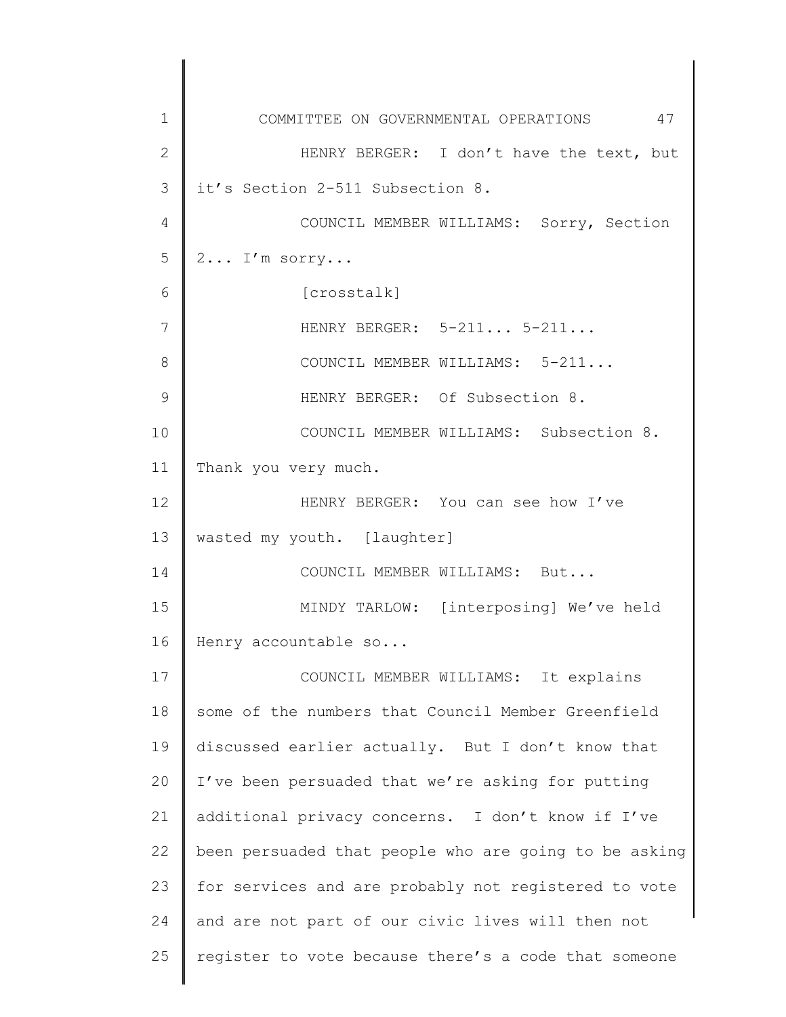1 2 3 4 5 6 7 8 9 10 11 12 13 14 15 16 17 18 19 20 21 22 23 24 25 COMMITTEE ON GOVERNMENTAL OPERATIONS 47 HENRY BERGER: I don't have the text, but it's Section 2-511 Subsection 8. COUNCIL MEMBER WILLIAMS: Sorry, Section 2... I'm sorry... [crosstalk] HENRY BERGER: 5-211... 5-211... COUNCIL MEMBER WILLIAMS: 5-211... HENRY BERGER: Of Subsection 8. COUNCIL MEMBER WILLIAMS: Subsection 8. Thank you very much. HENRY BERGER: You can see how I've wasted my youth. [laughter] COUNCIL MEMBER WILLIAMS: But... MINDY TARLOW: [interposing] We've held Henry accountable so... COUNCIL MEMBER WILLIAMS: It explains some of the numbers that Council Member Greenfield discussed earlier actually. But I don't know that I've been persuaded that we're asking for putting additional privacy concerns. I don't know if I've been persuaded that people who are going to be asking for services and are probably not registered to vote and are not part of our civic lives will then not register to vote because there's a code that someone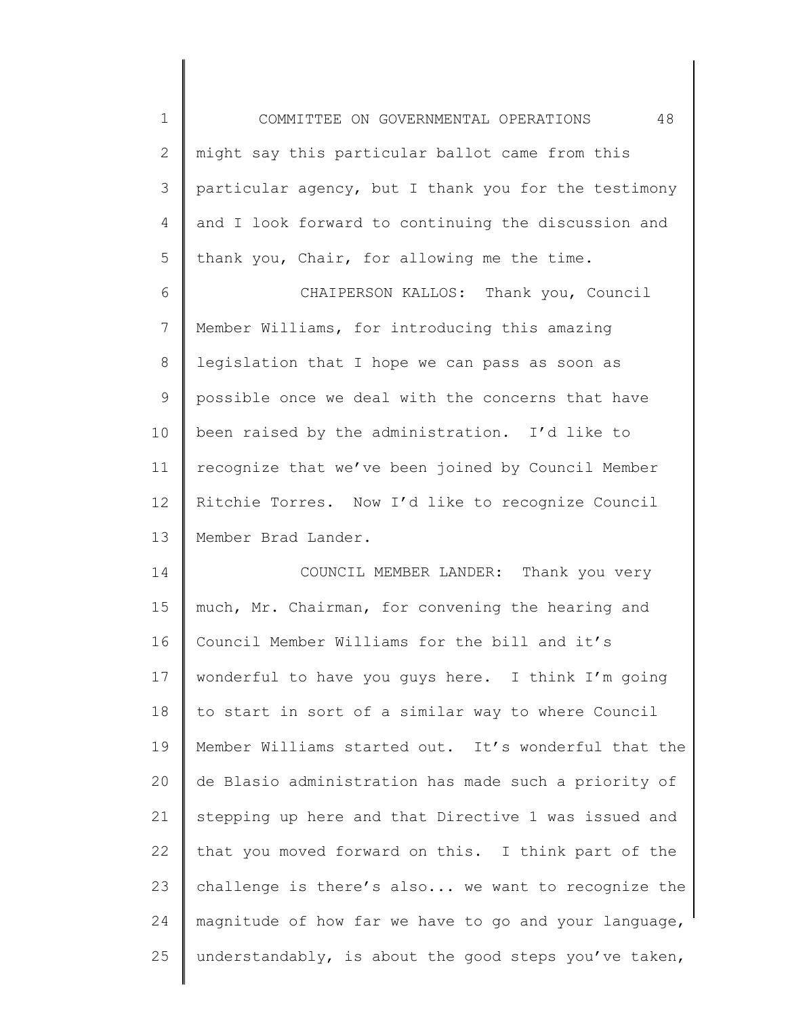1 2 3 4 5 COMMITTEE ON GOVERNMENTAL OPERATIONS 48 might say this particular ballot came from this particular agency, but I thank you for the testimony and I look forward to continuing the discussion and thank you, Chair, for allowing me the time.

6 7 8 9 10 11 12 13 CHAIPERSON KALLOS: Thank you, Council Member Williams, for introducing this amazing legislation that I hope we can pass as soon as possible once we deal with the concerns that have been raised by the administration. I'd like to recognize that we've been joined by Council Member Ritchie Torres. Now I'd like to recognize Council Member Brad Lander.

14 15 16 17 18 19 20 21 22 23 24 25 COUNCIL MEMBER LANDER: Thank you very much, Mr. Chairman, for convening the hearing and Council Member Williams for the bill and it's wonderful to have you guys here. I think I'm going to start in sort of a similar way to where Council Member Williams started out. It's wonderful that the de Blasio administration has made such a priority of stepping up here and that Directive 1 was issued and that you moved forward on this. I think part of the challenge is there's also... we want to recognize the magnitude of how far we have to go and your language, understandably, is about the good steps you've taken,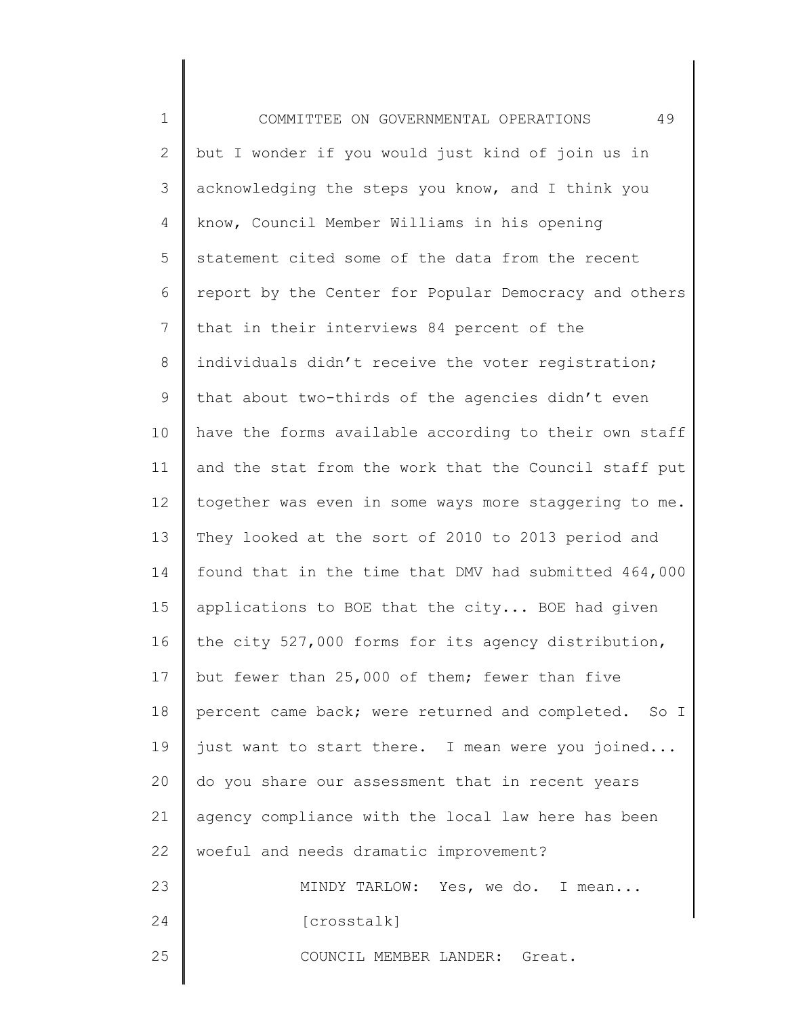1 2 3 4 5 6 7 8 9 10 11 12 13 14 15 16 17 18 19 20 21 22 23 24 25 COMMITTEE ON GOVERNMENTAL OPERATIONS 49 but I wonder if you would just kind of join us in acknowledging the steps you know, and I think you know, Council Member Williams in his opening statement cited some of the data from the recent report by the Center for Popular Democracy and others that in their interviews 84 percent of the individuals didn't receive the voter registration; that about two-thirds of the agencies didn't even have the forms available according to their own staff and the stat from the work that the Council staff put together was even in some ways more staggering to me. They looked at the sort of 2010 to 2013 period and found that in the time that DMV had submitted 464,000 applications to BOE that the city... BOE had given the city 527,000 forms for its agency distribution, but fewer than 25,000 of them; fewer than five percent came back; were returned and completed. So I just want to start there. I mean were you joined... do you share our assessment that in recent years agency compliance with the local law here has been woeful and needs dramatic improvement? MINDY TARLOW: Yes, we do. I mean... [crosstalk] COUNCIL MEMBER LANDER: Great.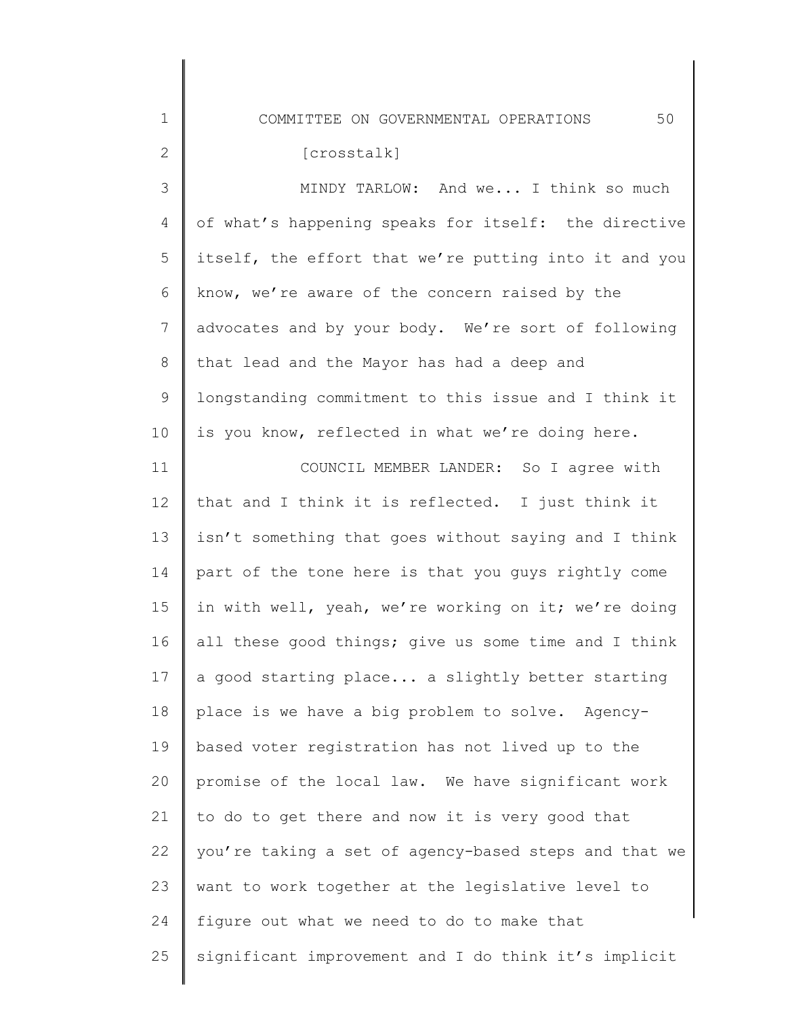COMMITTEE ON GOVERNMENTAL OPERATIONS 50

1

24

| $\overline{2}$ | [crosstalk]                                           |
|----------------|-------------------------------------------------------|
| 3              | MINDY TARLOW: And we I think so much                  |
| $\overline{4}$ | of what's happening speaks for itself: the directive  |
| 5              | itself, the effort that we're putting into it and you |
| 6              | know, we're aware of the concern raised by the        |
| $7\phantom{.}$ | advocates and by your body. We're sort of following   |
| 8              | that lead and the Mayor has had a deep and            |
| 9              | longstanding commitment to this issue and I think it  |
| 10             | is you know, reflected in what we're doing here.      |
| 11             | COUNCIL MEMBER LANDER: So I agree with                |
| 12             | that and I think it is reflected. I just think it     |
| 13             | isn't something that goes without saying and I think  |
| 14             | part of the tone here is that you guys rightly come   |
| 15             | in with well, yeah, we're working on it; we're doing  |
| 16             | all these good things; give us some time and I think  |
| 17             | a good starting place a slightly better starting      |
| 18             | place is we have a big problem to solve. Agency-      |
| 19             | based voter registration has not lived up to the      |
| 20             | promise of the local law. We have significant work    |
| 21             | to do to get there and now it is very good that       |
| 22             | you're taking a set of agency-based steps and that we |

23 want to work together at the legislative level to

figure out what we need to do to make that

25 significant improvement and I do think it's implicit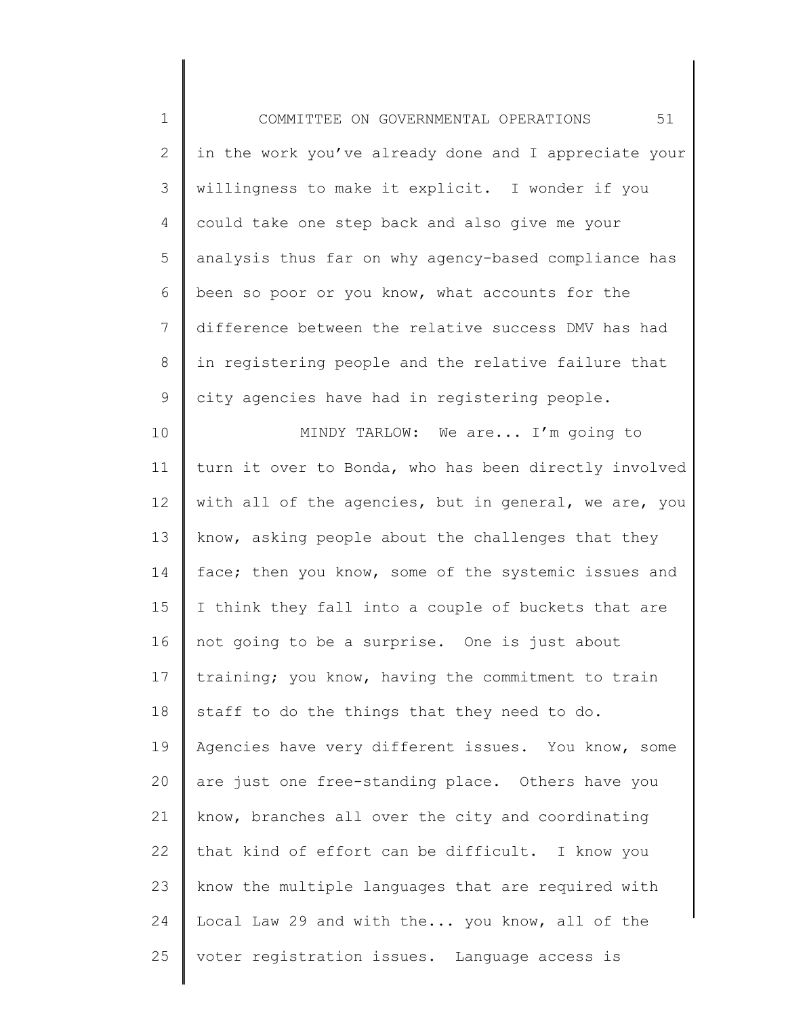1 2 3 4 5 6 7 8 9 10 11 12 13 14 15 16 17 18 19 20 21 22 23 24 25 COMMITTEE ON GOVERNMENTAL OPERATIONS 51 in the work you've already done and I appreciate your willingness to make it explicit. I wonder if you could take one step back and also give me your analysis thus far on why agency-based compliance has been so poor or you know, what accounts for the difference between the relative success DMV has had in registering people and the relative failure that city agencies have had in registering people. MINDY TARLOW: We are... I'm going to turn it over to Bonda, who has been directly involved with all of the agencies, but in general, we are, you know, asking people about the challenges that they face; then you know, some of the systemic issues and I think they fall into a couple of buckets that are not going to be a surprise. One is just about training; you know, having the commitment to train staff to do the things that they need to do. Agencies have very different issues. You know, some are just one free-standing place. Others have you know, branches all over the city and coordinating that kind of effort can be difficult. I know you know the multiple languages that are required with Local Law 29 and with the... you know, all of the voter registration issues. Language access is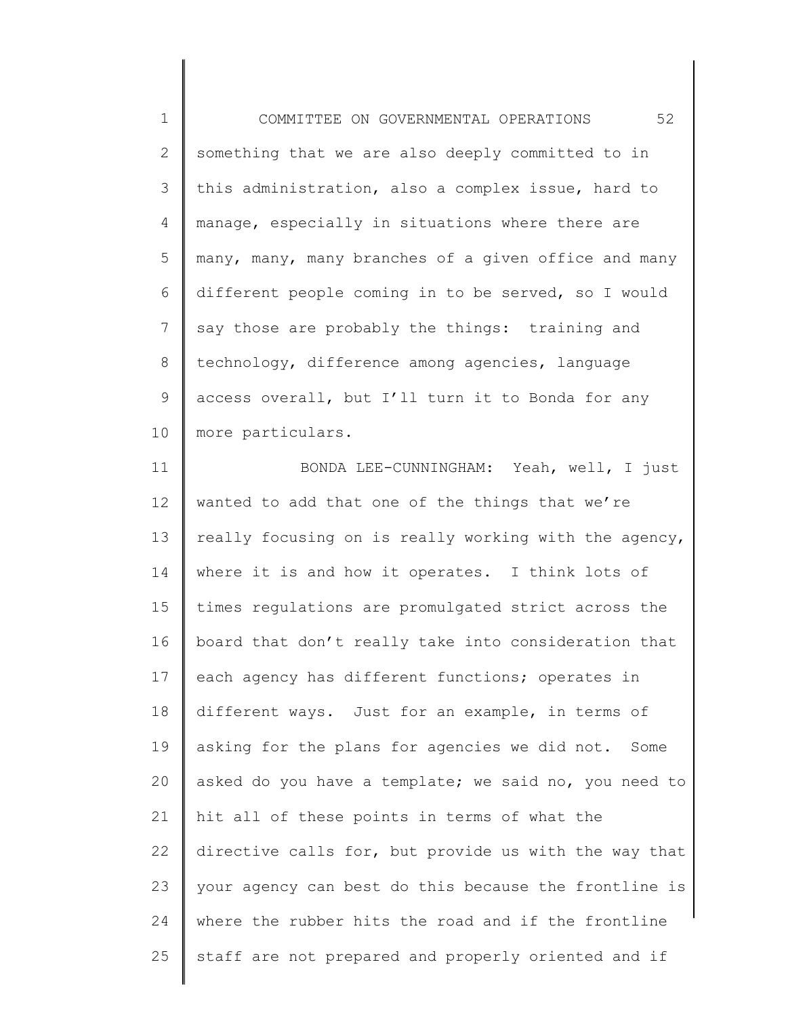1 2 3 4 5 6 7 8 9 10 COMMITTEE ON GOVERNMENTAL OPERATIONS 52 something that we are also deeply committed to in this administration, also a complex issue, hard to manage, especially in situations where there are many, many, many branches of a given office and many different people coming in to be served, so I would say those are probably the things: training and technology, difference among agencies, language access overall, but I'll turn it to Bonda for any more particulars.

11 12 13 14 15 16 17 18 19 20 21 22 23 24 25 BONDA LEE-CUNNINGHAM: Yeah, well, I just wanted to add that one of the things that we're really focusing on is really working with the agency, where it is and how it operates. I think lots of times regulations are promulgated strict across the board that don't really take into consideration that each agency has different functions; operates in different ways. Just for an example, in terms of asking for the plans for agencies we did not. Some asked do you have a template; we said no, you need to hit all of these points in terms of what the directive calls for, but provide us with the way that your agency can best do this because the frontline is where the rubber hits the road and if the frontline staff are not prepared and properly oriented and if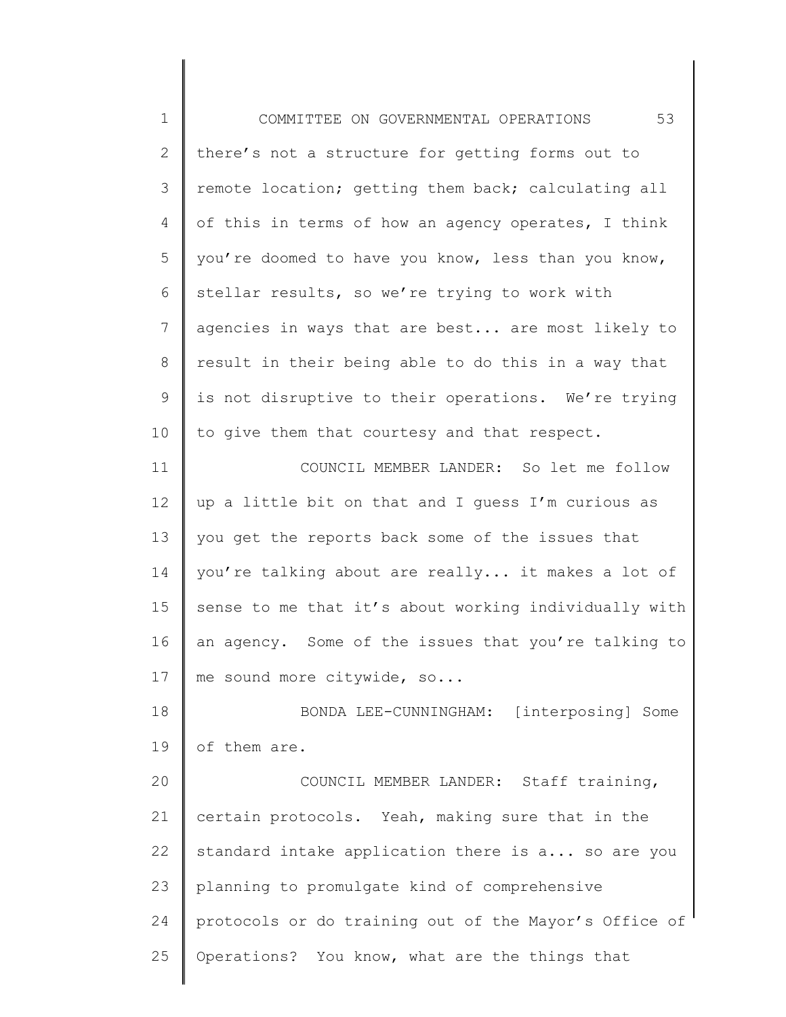1 2 3 4 5 6 7 8 9 10 11 12 13 14 15 16 17 18 19 20 21 22 23 24 25 COMMITTEE ON GOVERNMENTAL OPERATIONS 53 there's not a structure for getting forms out to remote location; getting them back; calculating all of this in terms of how an agency operates, I think you're doomed to have you know, less than you know, stellar results, so we're trying to work with agencies in ways that are best... are most likely to result in their being able to do this in a way that is not disruptive to their operations. We're trying to give them that courtesy and that respect. COUNCIL MEMBER LANDER: So let me follow up a little bit on that and I guess I'm curious as you get the reports back some of the issues that you're talking about are really... it makes a lot of sense to me that it's about working individually with an agency. Some of the issues that you're talking to me sound more citywide, so... BONDA LEE-CUNNINGHAM: [interposing] Some of them are. COUNCIL MEMBER LANDER: Staff training, certain protocols. Yeah, making sure that in the standard intake application there is a... so are you planning to promulgate kind of comprehensive protocols or do training out of the Mayor's Office of Operations? You know, what are the things that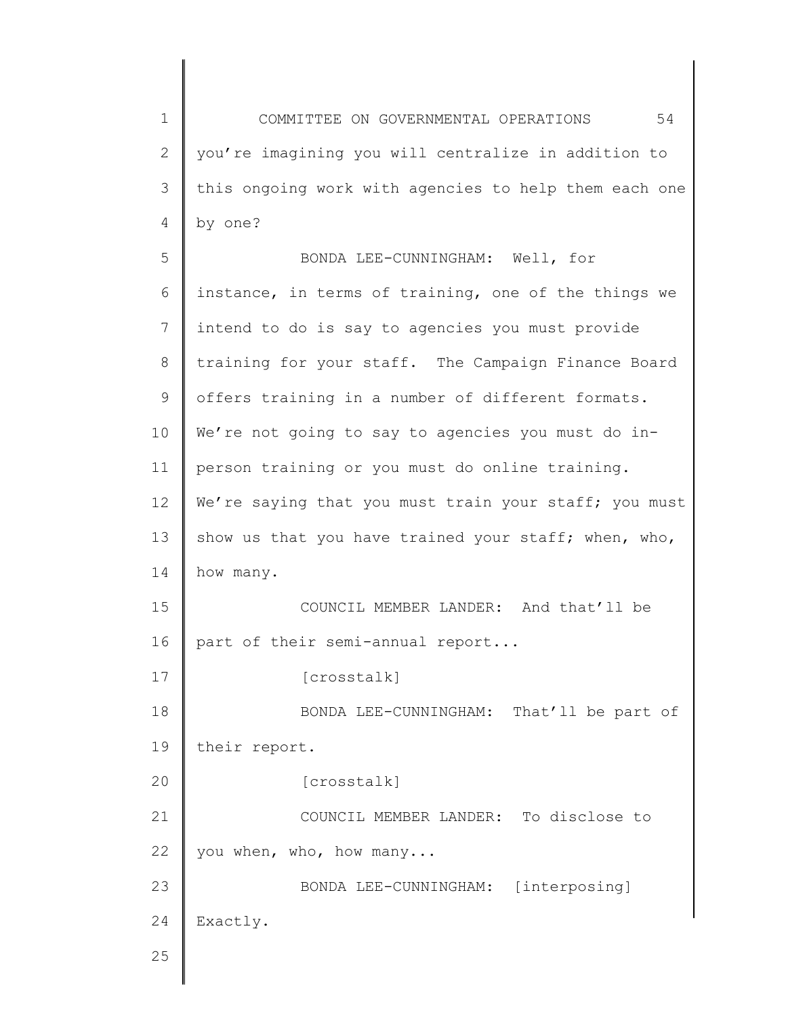1 2 3 4 COMMITTEE ON GOVERNMENTAL OPERATIONS 54 you're imagining you will centralize in addition to this ongoing work with agencies to help them each one by one?

5 6 7 8 9 10 11 12 13 14 15 16 17 18 19 20 21 22 23 24 25 BONDA LEE-CUNNINGHAM: Well, for instance, in terms of training, one of the things we intend to do is say to agencies you must provide training for your staff. The Campaign Finance Board offers training in a number of different formats. We're not going to say to agencies you must do inperson training or you must do online training. We're saying that you must train your staff; you must show us that you have trained your staff; when, who, how many. COUNCIL MEMBER LANDER: And that'll be part of their semi-annual report... [crosstalk] BONDA LEE-CUNNINGHAM: That'll be part of their report. [crosstalk] COUNCIL MEMBER LANDER: To disclose to you when, who, how many... BONDA LEE-CUNNINGHAM: [interposing] Exactly.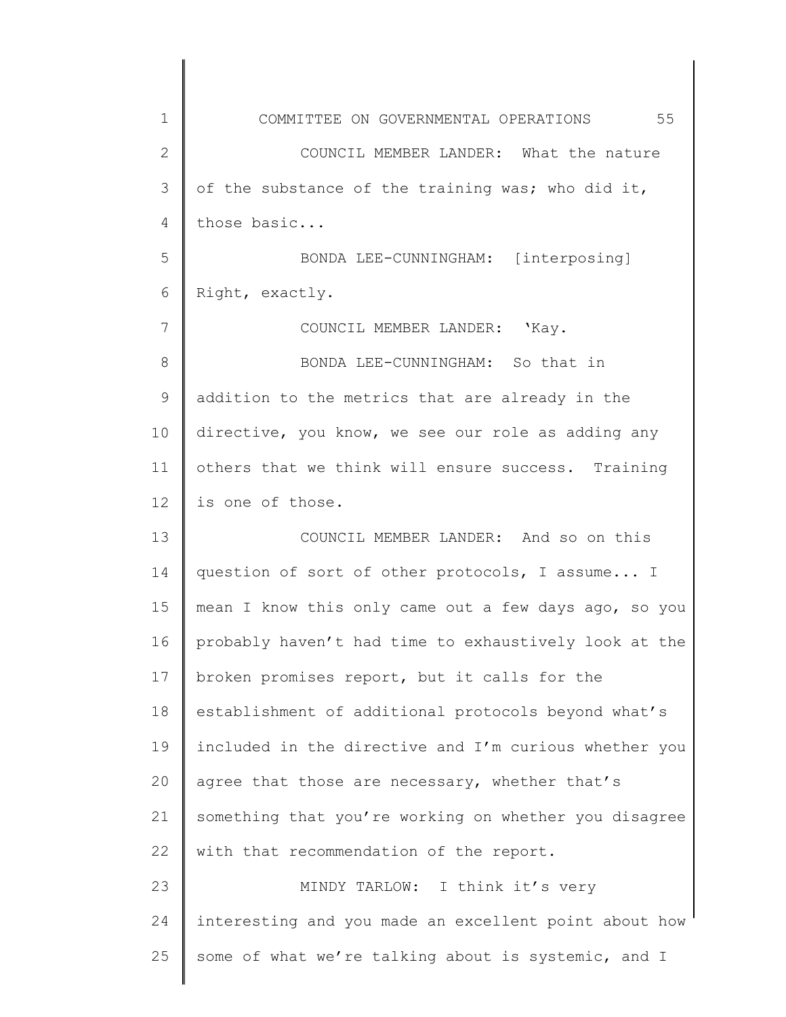1 2 3 4 5 6 7 8 9 10 11 12 13 14 15 16 17 18 19 20 21 22 23 24 25 COMMITTEE ON GOVERNMENTAL OPERATIONS 55 COUNCIL MEMBER LANDER: What the nature of the substance of the training was; who did it, those basic... BONDA LEE-CUNNINGHAM: [interposing] Right, exactly. COUNCIL MEMBER LANDER: 'Kay. BONDA LEE-CUNNINGHAM: So that in addition to the metrics that are already in the directive, you know, we see our role as adding any others that we think will ensure success. Training is one of those. COUNCIL MEMBER LANDER: And so on this question of sort of other protocols, I assume... I mean I know this only came out a few days ago, so you probably haven't had time to exhaustively look at the broken promises report, but it calls for the establishment of additional protocols beyond what's included in the directive and I'm curious whether you agree that those are necessary, whether that's something that you're working on whether you disagree with that recommendation of the report. MINDY TARLOW: I think it's very interesting and you made an excellent point about how some of what we're talking about is systemic, and I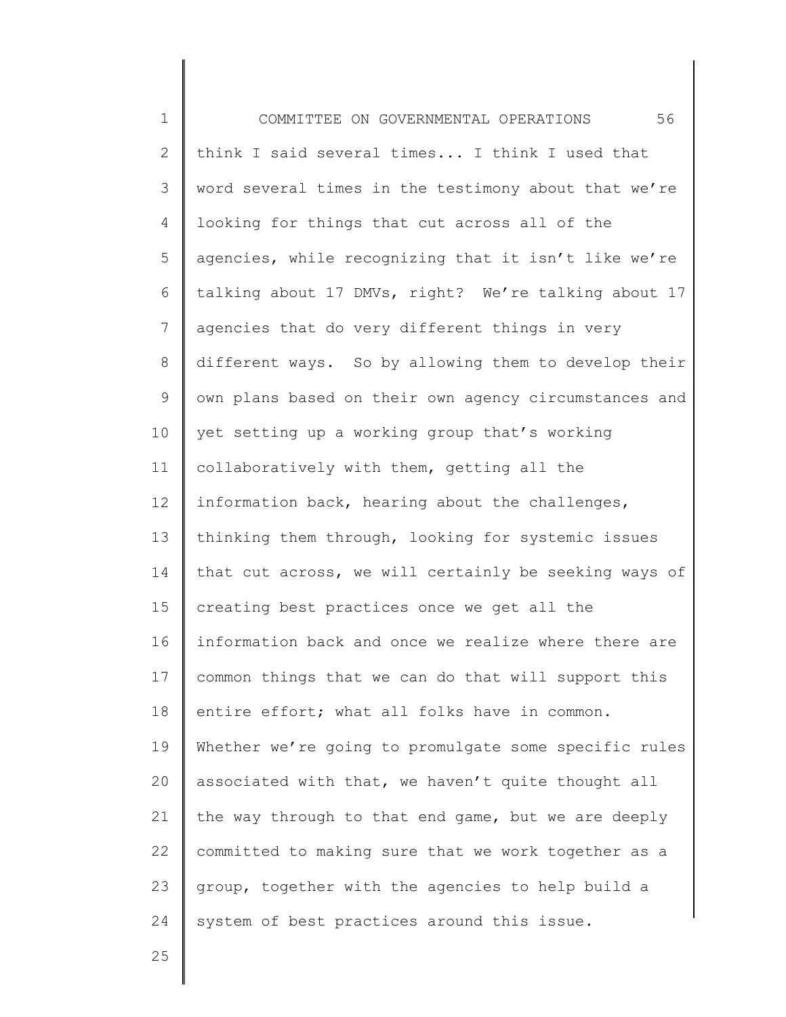1 2 3 4 5 6 7 8 9 10 11 12 13 14 15 16 17 18 19 20 21 22 23 24 COMMITTEE ON GOVERNMENTAL OPERATIONS 56 think I said several times... I think I used that word several times in the testimony about that we're looking for things that cut across all of the agencies, while recognizing that it isn't like we're talking about 17 DMVs, right? We're talking about 17 agencies that do very different things in very different ways. So by allowing them to develop their own plans based on their own agency circumstances and yet setting up a working group that's working collaboratively with them, getting all the information back, hearing about the challenges, thinking them through, looking for systemic issues that cut across, we will certainly be seeking ways of creating best practices once we get all the information back and once we realize where there are common things that we can do that will support this entire effort; what all folks have in common. Whether we're going to promulgate some specific rules associated with that, we haven't quite thought all the way through to that end game, but we are deeply committed to making sure that we work together as a group, together with the agencies to help build a system of best practices around this issue.

25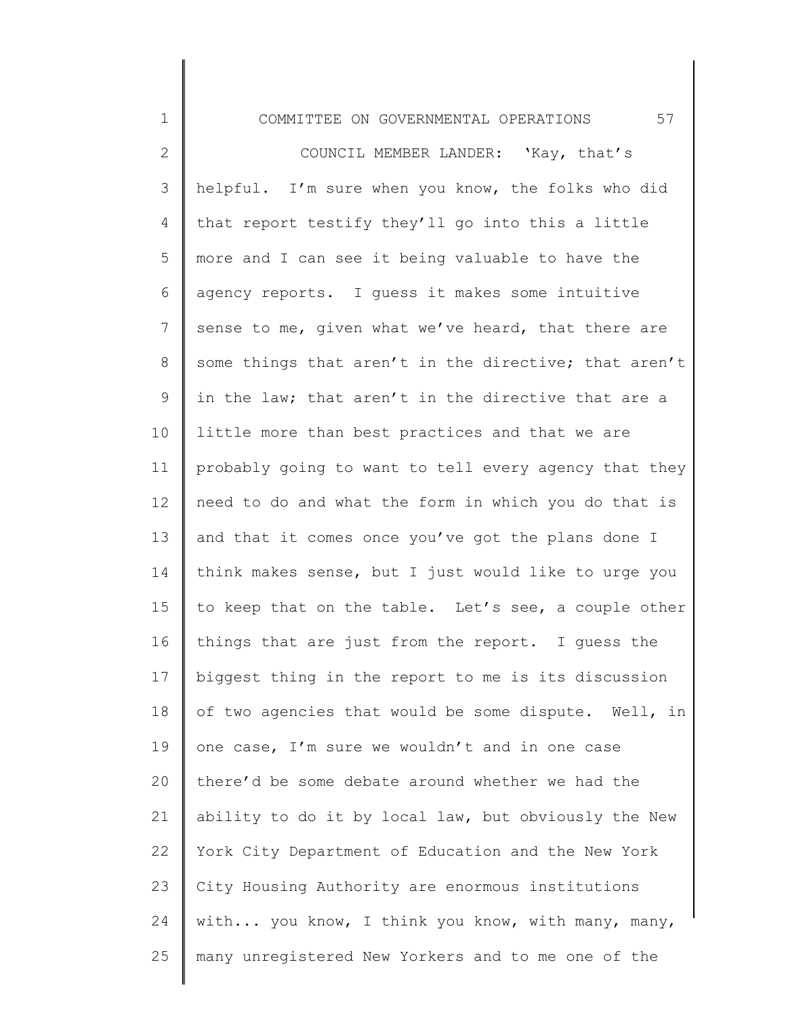1 2 3 4 5 6 7 8 9 10 11 12 13 14 15 16 17 18 19 20 21 22 23 24 25 COMMITTEE ON GOVERNMENTAL OPERATIONS 57 COUNCIL MEMBER LANDER: 'Kay, that's helpful. I'm sure when you know, the folks who did that report testify they'll go into this a little more and I can see it being valuable to have the agency reports. I guess it makes some intuitive sense to me, given what we've heard, that there are some things that aren't in the directive; that aren't in the law; that aren't in the directive that are a little more than best practices and that we are probably going to want to tell every agency that they need to do and what the form in which you do that is and that it comes once you've got the plans done I think makes sense, but I just would like to urge you to keep that on the table. Let's see, a couple other things that are just from the report. I guess the biggest thing in the report to me is its discussion of two agencies that would be some dispute. Well, in one case, I'm sure we wouldn't and in one case there'd be some debate around whether we had the ability to do it by local law, but obviously the New York City Department of Education and the New York City Housing Authority are enormous institutions with... you know, I think you know, with many, many, many unregistered New Yorkers and to me one of the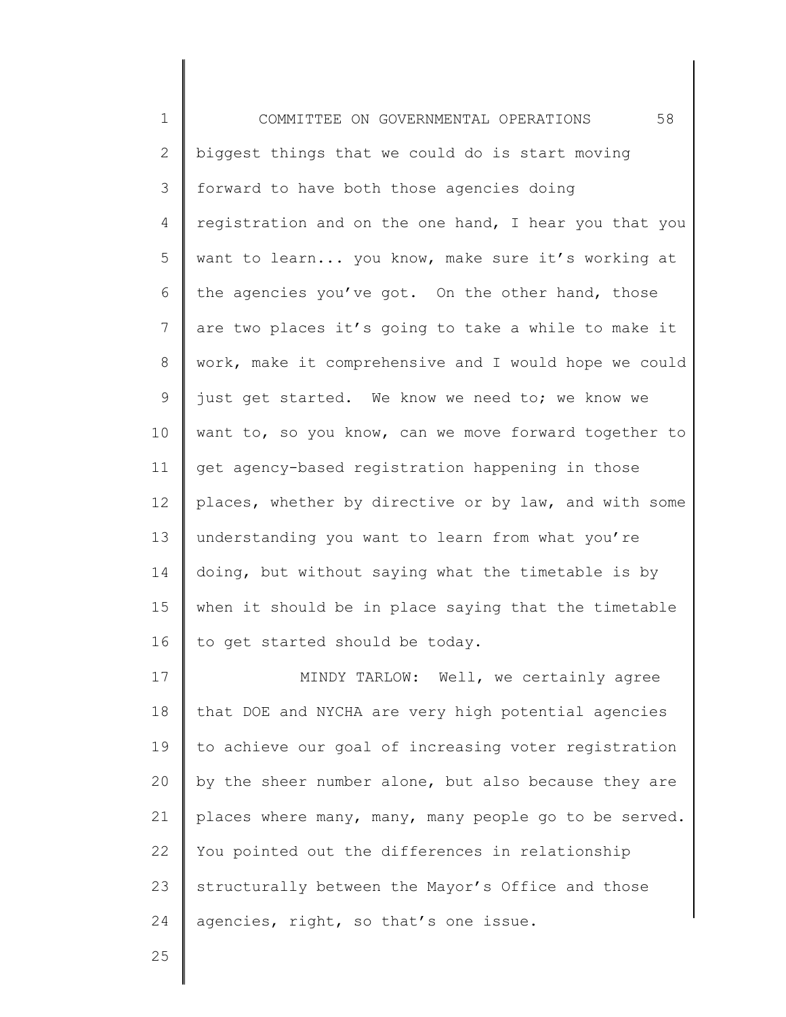1 2 3 4 5 6 7 8 9 10 11 12 13 14 15 16 17 18 19 20 COMMITTEE ON GOVERNMENTAL OPERATIONS 58 biggest things that we could do is start moving forward to have both those agencies doing registration and on the one hand, I hear you that you want to learn... you know, make sure it's working at the agencies you've got. On the other hand, those are two places it's going to take a while to make it work, make it comprehensive and I would hope we could just get started. We know we need to; we know we want to, so you know, can we move forward together to get agency-based registration happening in those places, whether by directive or by law, and with some understanding you want to learn from what you're doing, but without saying what the timetable is by when it should be in place saying that the timetable to get started should be today. MINDY TARLOW: Well, we certainly agree that DOE and NYCHA are very high potential agencies to achieve our goal of increasing voter registration by the sheer number alone, but also because they are

21 22 23 24 places where many, many, many people go to be served. You pointed out the differences in relationship structurally between the Mayor's Office and those agencies, right, so that's one issue.

25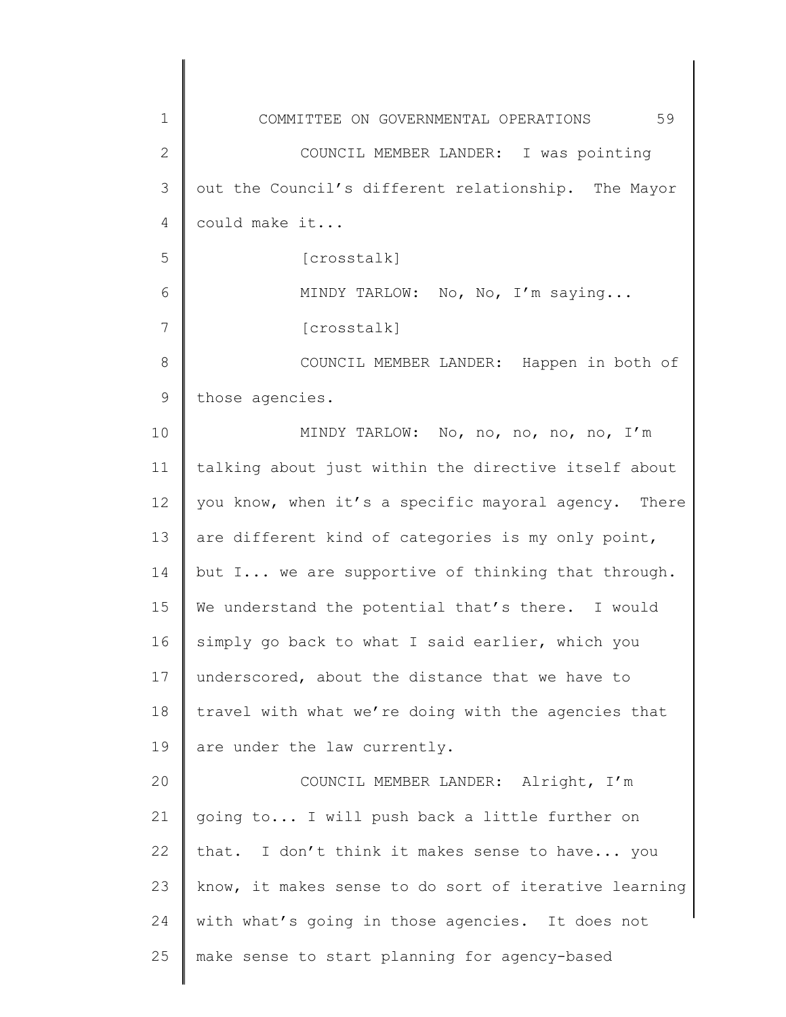1 2 3 4 5 6 7 8 9 10 11 12 13 14 15 16 17 18 19 20 21 22 23 24 25 COMMITTEE ON GOVERNMENTAL OPERATIONS 59 COUNCIL MEMBER LANDER: I was pointing out the Council's different relationship. The Mayor could make it... [crosstalk] MINDY TARLOW: No, No, I'm saying... [crosstalk] COUNCIL MEMBER LANDER: Happen in both of those agencies. MINDY TARLOW: No, no, no, no, no, I'm talking about just within the directive itself about you know, when it's a specific mayoral agency. There are different kind of categories is my only point, but I... we are supportive of thinking that through. We understand the potential that's there. I would simply go back to what I said earlier, which you underscored, about the distance that we have to travel with what we're doing with the agencies that are under the law currently. COUNCIL MEMBER LANDER: Alright, I'm going to... I will push back a little further on that. I don't think it makes sense to have... you know, it makes sense to do sort of iterative learning with what's going in those agencies. It does not make sense to start planning for agency-based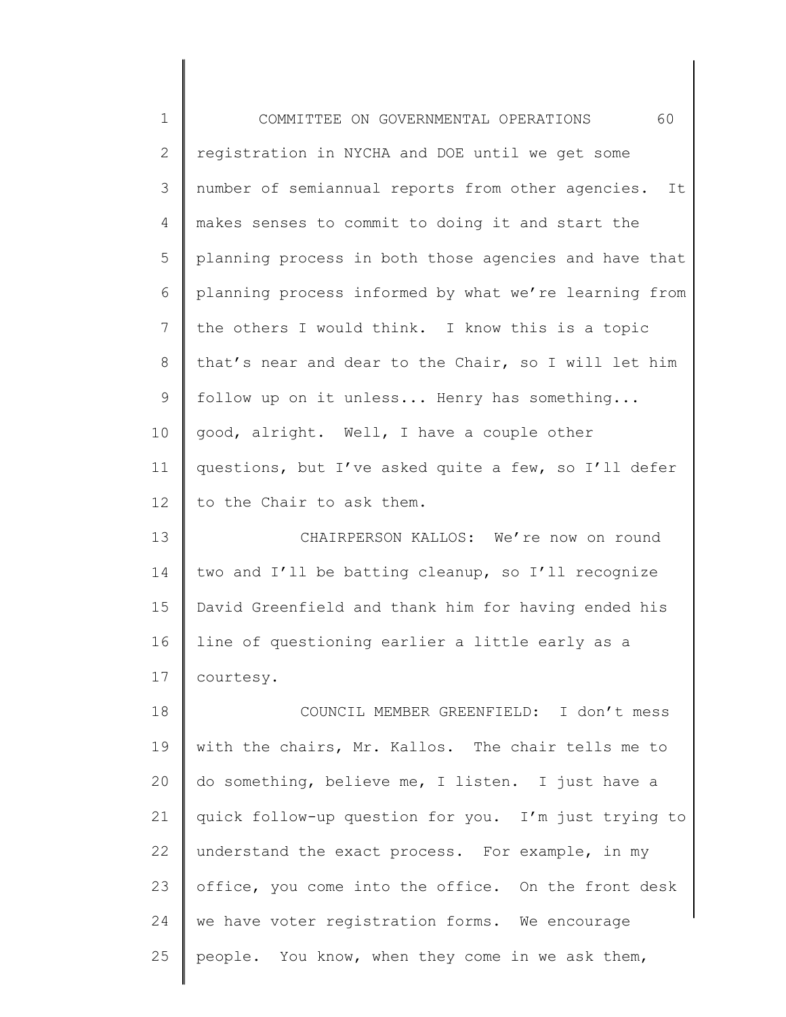| $1\,$        | 60<br>COMMITTEE ON GOVERNMENTAL OPERATIONS              |
|--------------|---------------------------------------------------------|
| $\mathbf{2}$ | registration in NYCHA and DOE until we get some         |
| 3            | number of semiannual reports from other agencies.<br>It |
| 4            | makes senses to commit to doing it and start the        |
| 5            | planning process in both those agencies and have that   |
| 6            | planning process informed by what we're learning from   |
| 7            | the others I would think. I know this is a topic        |
| $8\,$        | that's near and dear to the Chair, so I will let him    |
| $\mathsf 9$  | follow up on it unless Henry has something              |
| 10           | good, alright. Well, I have a couple other              |
| 11           | questions, but I've asked quite a few, so I'll defer    |
| 12           | to the Chair to ask them.                               |
| 13           | CHAIRPERSON KALLOS: We're now on round                  |
| 14           | two and I'll be batting cleanup, so I'll recognize      |
| 15           | David Greenfield and thank him for having ended his     |
| 16           | line of questioning earlier a little early as a         |
| 17           | courtesy.                                               |
| 18           | COUNCIL MEMBER GREENFIELD: I don't mess                 |
| 19           | with the chairs, Mr. Kallos. The chair tells me to      |
| 20           | do something, believe me, I listen. I just have a       |
| 21           | quick follow-up question for you. I'm just trying to    |
| 22           | understand the exact process. For example, in my        |
| 23           | office, you come into the office. On the front desk     |
| 24           | we have voter registration forms. We encourage          |
| 25           | people. You know, when they come in we ask them,        |
|              |                                                         |

║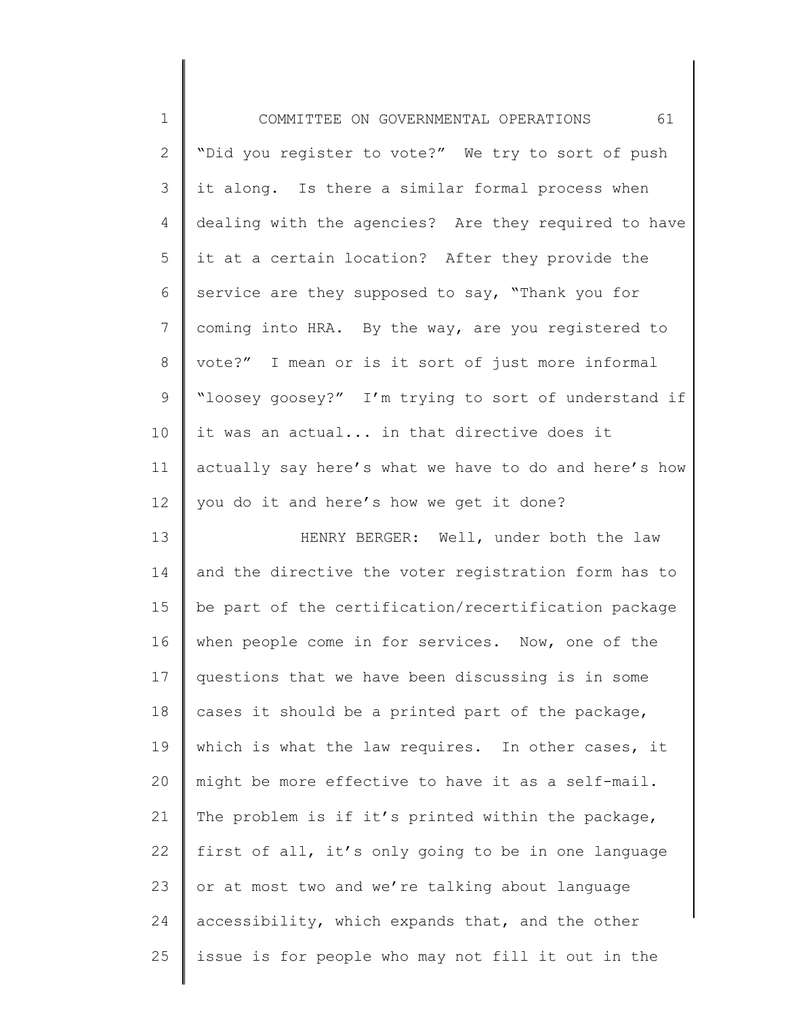| $\mathbf 1$     | 61<br>COMMITTEE ON GOVERNMENTAL OPERATIONS            |
|-----------------|-------------------------------------------------------|
| $\mathbf{2}$    | "Did you register to vote?" We try to sort of push    |
| 3               | it along. Is there a similar formal process when      |
| 4               | dealing with the agencies? Are they required to have  |
| 5               | it at a certain location? After they provide the      |
| 6               | service are they supposed to say, "Thank you for      |
| $7\phantom{.}$  | coming into HRA. By the way, are you registered to    |
| $8\,$           | vote?" I mean or is it sort of just more informal     |
| $\mathsf 9$     | "loosey goosey?" I'm trying to sort of understand if  |
| 10 <sub>o</sub> | it was an actual in that directive does it            |
| 11              | actually say here's what we have to do and here's how |
| 12 <sup>°</sup> | you do it and here's how we get it done?              |
| 13              | HENRY BERGER: Well, under both the law                |
| 14              | and the directive the voter registration form has to  |
| 15              | be part of the certification/recertification package  |
| 16              | when people come in for services. Now, one of the     |
| 17              | questions that we have been discussing is in some     |
| 18              | cases it should be a printed part of the package,     |
| 19              | which is what the law requires. In other cases, it    |
| 20              | might be more effective to have it as a self-mail.    |
| 21              | The problem is if it's printed within the package,    |
| 22              | first of all, it's only going to be in one language   |
| 23              | or at most two and we're talking about language       |
| 24              | accessibility, which expands that, and the other      |
| 25              | issue is for people who may not fill it out in the    |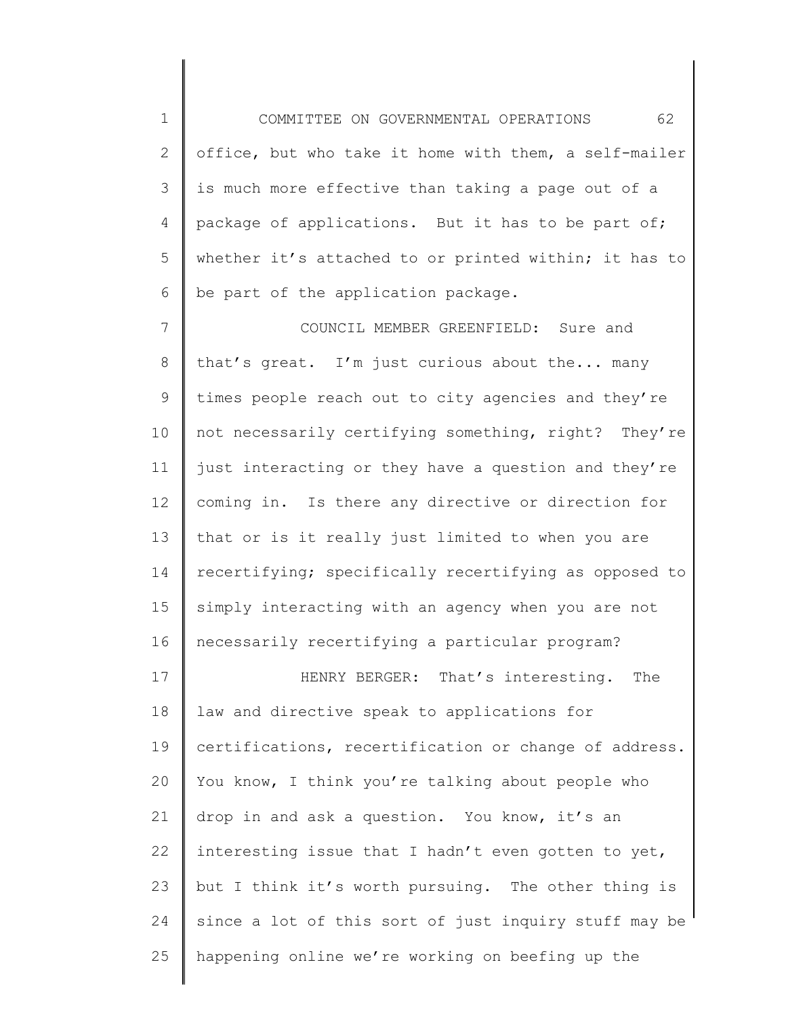1 2 3 4 5 6 COMMITTEE ON GOVERNMENTAL OPERATIONS 62 office, but who take it home with them, a self-mailer is much more effective than taking a page out of a package of applications. But it has to be part of; whether it's attached to or printed within; it has to be part of the application package.

7 8 9 10 11 12 13 14 15 16 COUNCIL MEMBER GREENFIELD: Sure and that's great. I'm just curious about the... many times people reach out to city agencies and they're not necessarily certifying something, right? They're just interacting or they have a question and they're coming in. Is there any directive or direction for that or is it really just limited to when you are recertifying; specifically recertifying as opposed to simply interacting with an agency when you are not necessarily recertifying a particular program?

17 18 19 20 21 22 23 24 25 HENRY BERGER: That's interesting. The law and directive speak to applications for certifications, recertification or change of address. You know, I think you're talking about people who drop in and ask a question. You know, it's an interesting issue that I hadn't even gotten to yet, but I think it's worth pursuing. The other thing is since a lot of this sort of just inquiry stuff may be happening online we're working on beefing up the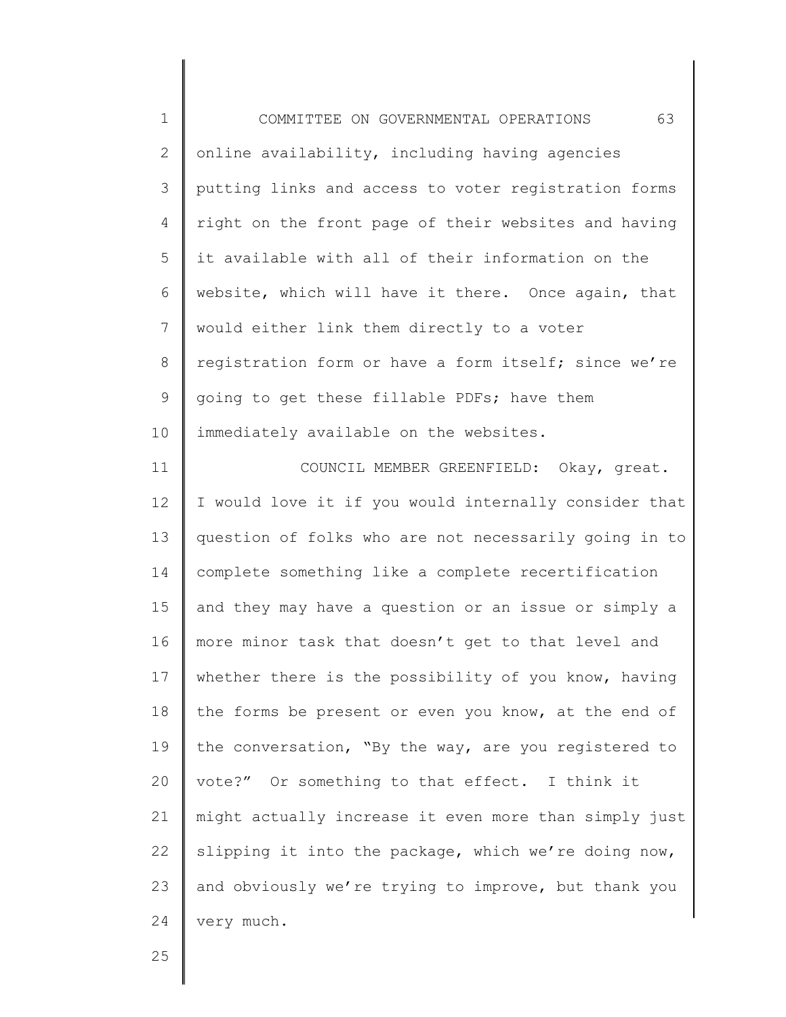1 2 3 4 5 6 7 8 9 10 11 COMMITTEE ON GOVERNMENTAL OPERATIONS 63 online availability, including having agencies putting links and access to voter registration forms right on the front page of their websites and having it available with all of their information on the website, which will have it there. Once again, that would either link them directly to a voter registration form or have a form itself; since we're going to get these fillable PDFs; have them immediately available on the websites. COUNCIL MEMBER GREENFIELD: Okay, great.

12 13 14 15 16 17 18 19 20 21 22 23 24 I would love it if you would internally consider that question of folks who are not necessarily going in to complete something like a complete recertification and they may have a question or an issue or simply a more minor task that doesn't get to that level and whether there is the possibility of you know, having the forms be present or even you know, at the end of the conversation, "By the way, are you registered to vote?" Or something to that effect. I think it might actually increase it even more than simply just slipping it into the package, which we're doing now, and obviously we're trying to improve, but thank you very much.

25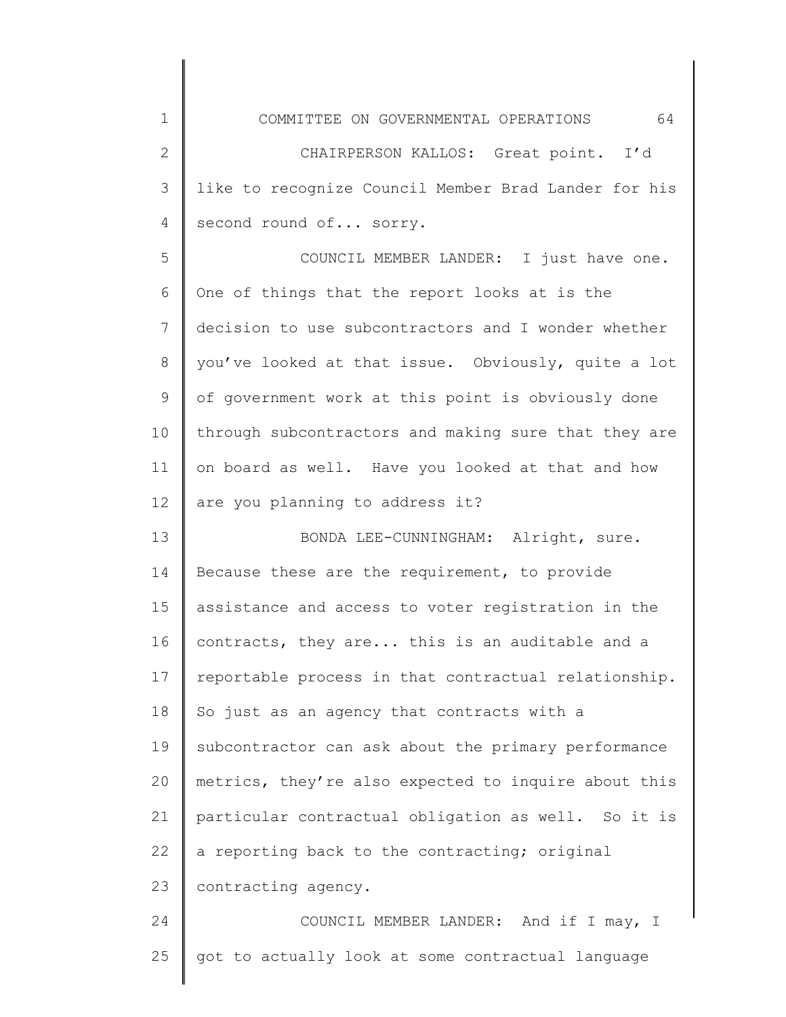1 2 3 4 5 6 7 8 9 10 11 12 13 14 15 16 17 18 19 20 21 22 23 24 COMMITTEE ON GOVERNMENTAL OPERATIONS 64 CHAIRPERSON KALLOS: Great point. I'd like to recognize Council Member Brad Lander for his second round of... sorry. COUNCIL MEMBER LANDER: I just have one. One of things that the report looks at is the decision to use subcontractors and I wonder whether you've looked at that issue. Obviously, quite a lot of government work at this point is obviously done through subcontractors and making sure that they are on board as well. Have you looked at that and how are you planning to address it? BONDA LEE-CUNNINGHAM: Alright, sure. Because these are the requirement, to provide assistance and access to voter registration in the contracts, they are... this is an auditable and a reportable process in that contractual relationship. So just as an agency that contracts with a subcontractor can ask about the primary performance metrics, they're also expected to inquire about this particular contractual obligation as well. So it is a reporting back to the contracting; original contracting agency. COUNCIL MEMBER LANDER: And if I may, I

25

got to actually look at some contractual language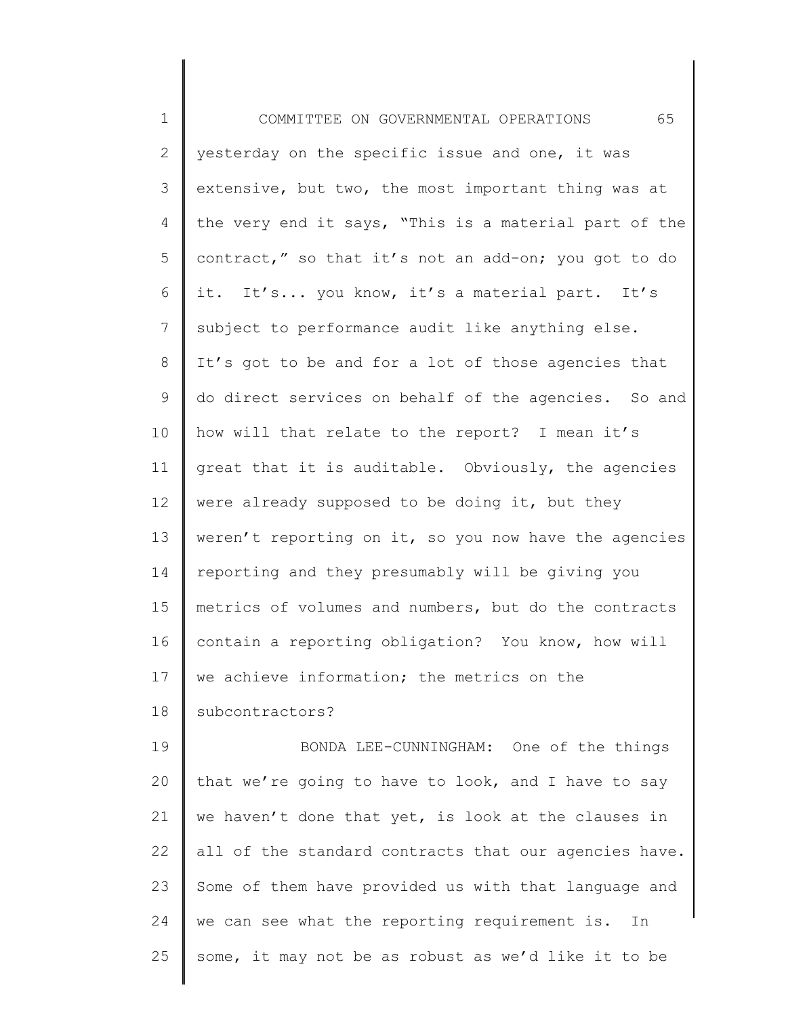1 2 3 4 5 6 7 8 9 10 11 12 13 14 15 16 17 18 19 20 21 22 23 24 25 COMMITTEE ON GOVERNMENTAL OPERATIONS 65 yesterday on the specific issue and one, it was extensive, but two, the most important thing was at the very end it says, "This is a material part of the contract," so that it's not an add-on; you got to do it. It's... you know, it's a material part. It's subject to performance audit like anything else. It's got to be and for a lot of those agencies that do direct services on behalf of the agencies. So and how will that relate to the report? I mean it's great that it is auditable. Obviously, the agencies were already supposed to be doing it, but they weren't reporting on it, so you now have the agencies reporting and they presumably will be giving you metrics of volumes and numbers, but do the contracts contain a reporting obligation? You know, how will we achieve information; the metrics on the subcontractors? BONDA LEE-CUNNINGHAM: One of the things that we're going to have to look, and I have to say we haven't done that yet, is look at the clauses in all of the standard contracts that our agencies have. Some of them have provided us with that language and we can see what the reporting requirement is. In some, it may not be as robust as we'd like it to be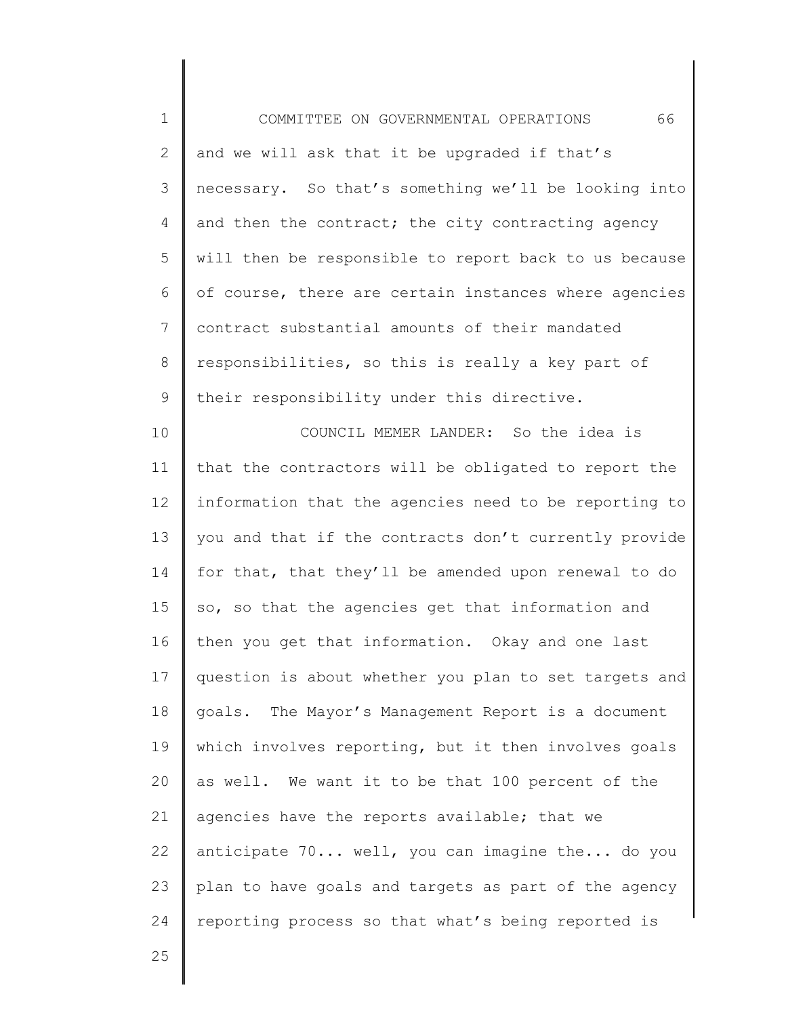1 2 3 4 5 6 7 8 9 10 11 12 13 14 15 16 17 18 19 20 21 22 23 24 COMMITTEE ON GOVERNMENTAL OPERATIONS 66 and we will ask that it be upgraded if that's necessary. So that's something we'll be looking into and then the contract; the city contracting agency will then be responsible to report back to us because of course, there are certain instances where agencies contract substantial amounts of their mandated responsibilities, so this is really a key part of their responsibility under this directive. COUNCIL MEMER LANDER: So the idea is that the contractors will be obligated to report the information that the agencies need to be reporting to you and that if the contracts don't currently provide for that, that they'll be amended upon renewal to do so, so that the agencies get that information and then you get that information. Okay and one last question is about whether you plan to set targets and goals. The Mayor's Management Report is a document which involves reporting, but it then involves goals as well. We want it to be that 100 percent of the agencies have the reports available; that we anticipate 70... well, you can imagine the... do you plan to have goals and targets as part of the agency reporting process so that what's being reported is

25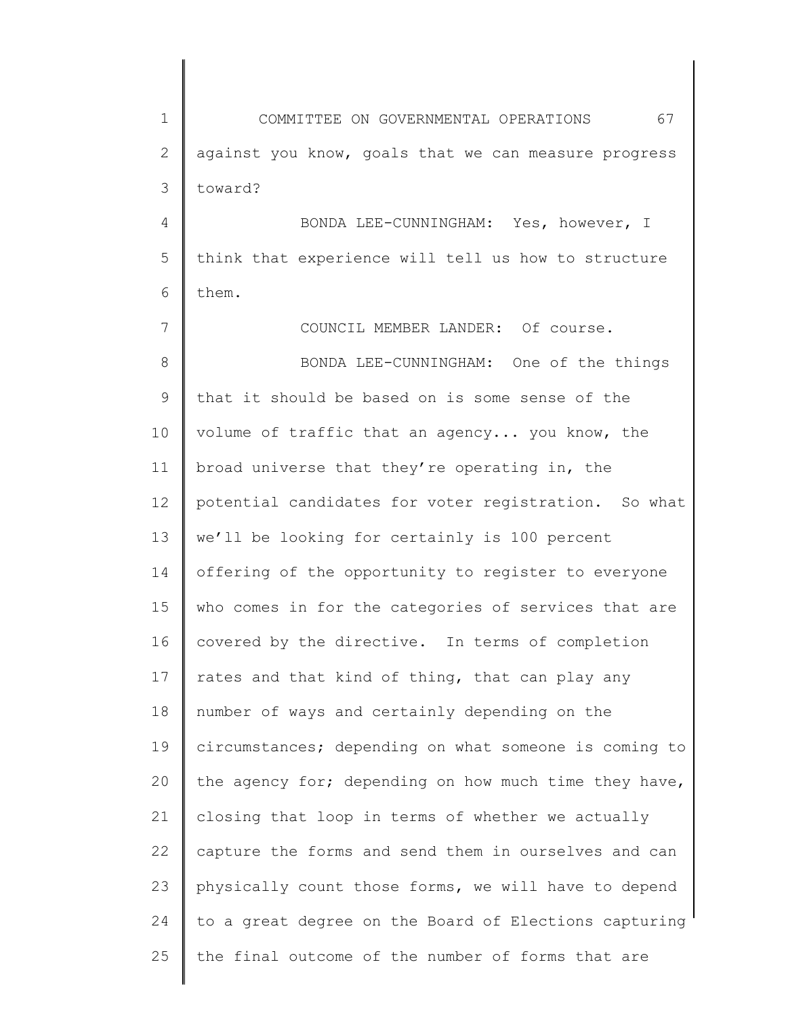1 2 3 4 5 6 7 8 9 10 11 12 13 14 15 16 17 18 19 20 21 22 23 24 25 COMMITTEE ON GOVERNMENTAL OPERATIONS 67 against you know, goals that we can measure progress toward? BONDA LEE-CUNNINGHAM: Yes, however, I think that experience will tell us how to structure them. COUNCIL MEMBER LANDER: Of course. BONDA LEE-CUNNINGHAM: One of the things that it should be based on is some sense of the volume of traffic that an agency... you know, the broad universe that they're operating in, the potential candidates for voter registration. So what we'll be looking for certainly is 100 percent offering of the opportunity to register to everyone who comes in for the categories of services that are covered by the directive. In terms of completion rates and that kind of thing, that can play any number of ways and certainly depending on the circumstances; depending on what someone is coming to the agency for; depending on how much time they have, closing that loop in terms of whether we actually capture the forms and send them in ourselves and can physically count those forms, we will have to depend to a great degree on the Board of Elections capturing the final outcome of the number of forms that are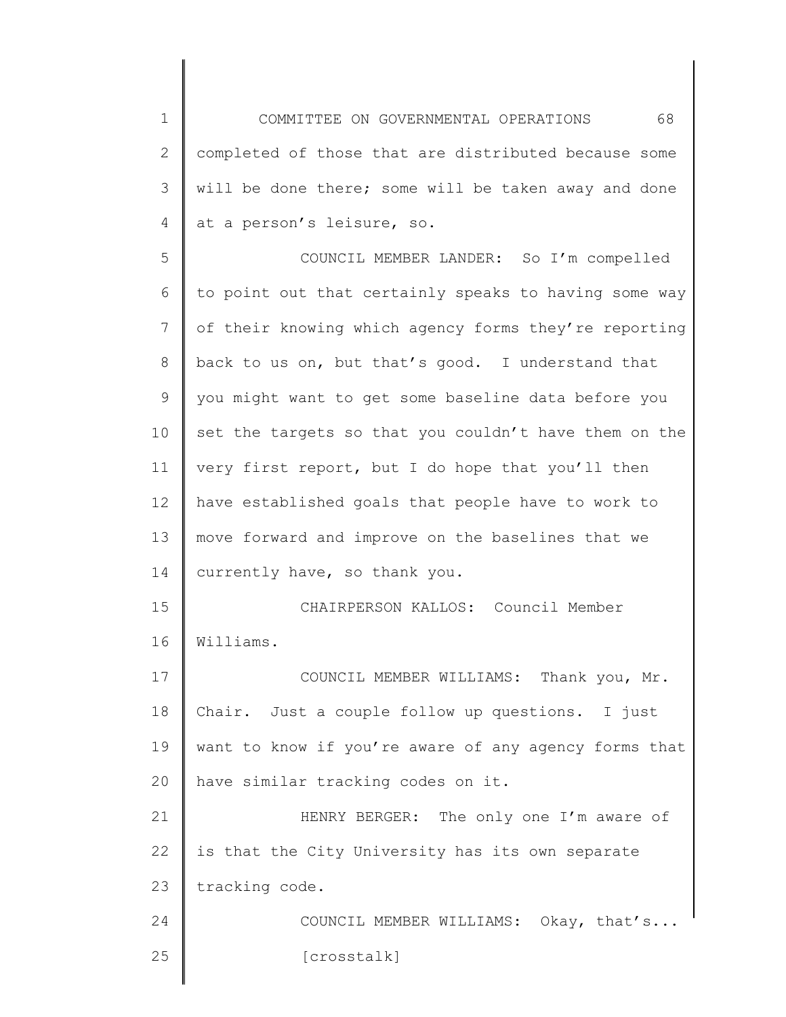1 2 3 4 5 6 7 8 9 10 11 12 13 14 15 16 17 COMMITTEE ON GOVERNMENTAL OPERATIONS 68 completed of those that are distributed because some will be done there; some will be taken away and done at a person's leisure, so. COUNCIL MEMBER LANDER: So I'm compelled to point out that certainly speaks to having some way of their knowing which agency forms they're reporting back to us on, but that's good. I understand that you might want to get some baseline data before you set the targets so that you couldn't have them on the very first report, but I do hope that you'll then have established goals that people have to work to move forward and improve on the baselines that we currently have, so thank you. CHAIRPERSON KALLOS: Council Member Williams. COUNCIL MEMBER WILLIAMS: Thank you, Mr.

18 19 20 Chair. Just a couple follow up questions. I just want to know if you're aware of any agency forms that have similar tracking codes on it.

21 22 23 24 HENRY BERGER: The only one I'm aware of is that the City University has its own separate tracking code.

25 COUNCIL MEMBER WILLIAMS: Okay, that's... [crosstalk]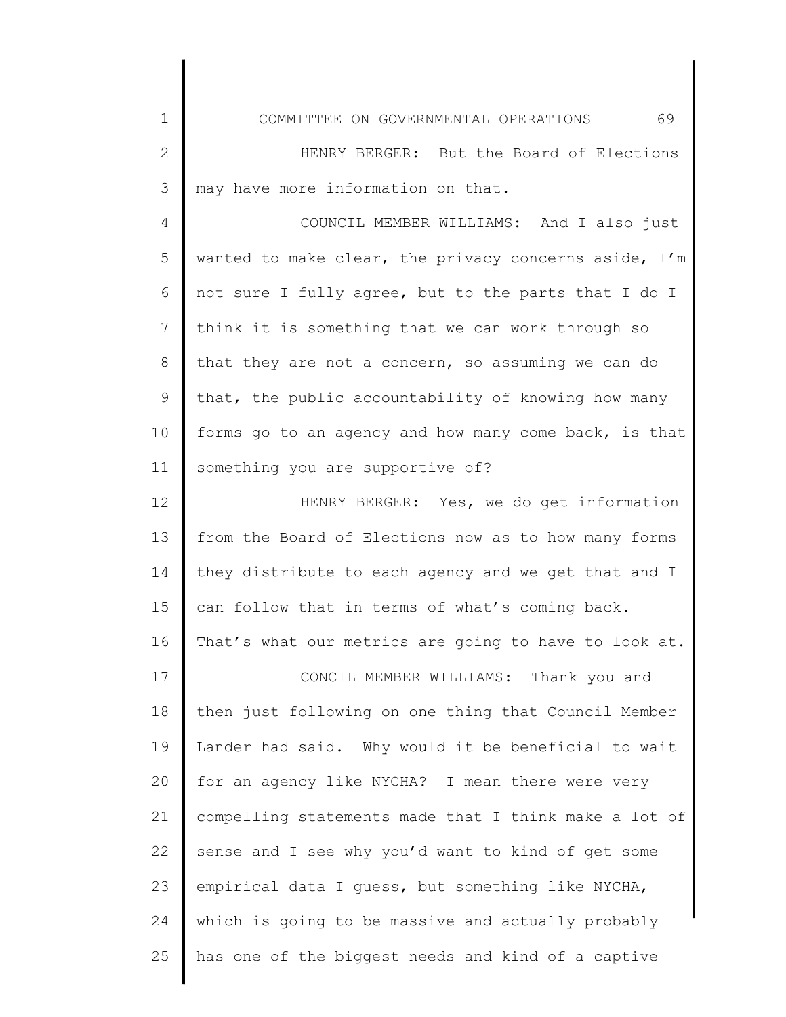COMMITTEE ON GOVERNMENTAL OPERATIONS 69

1

2 3 HENRY BERGER: But the Board of Elections may have more information on that.

4 5 6 7 8 9 10 11 COUNCIL MEMBER WILLIAMS: And I also just wanted to make clear, the privacy concerns aside, I'm not sure I fully agree, but to the parts that I do I think it is something that we can work through so that they are not a concern, so assuming we can do that, the public accountability of knowing how many forms go to an agency and how many come back, is that something you are supportive of?

12 13 14 15 16 HENRY BERGER: Yes, we do get information from the Board of Elections now as to how many forms they distribute to each agency and we get that and I can follow that in terms of what's coming back. That's what our metrics are going to have to look at.

17 18 19 20 21 22 23 24 25 CONCIL MEMBER WILLIAMS: Thank you and then just following on one thing that Council Member Lander had said. Why would it be beneficial to wait for an agency like NYCHA? I mean there were very compelling statements made that I think make a lot of sense and I see why you'd want to kind of get some empirical data I guess, but something like NYCHA, which is going to be massive and actually probably has one of the biggest needs and kind of a captive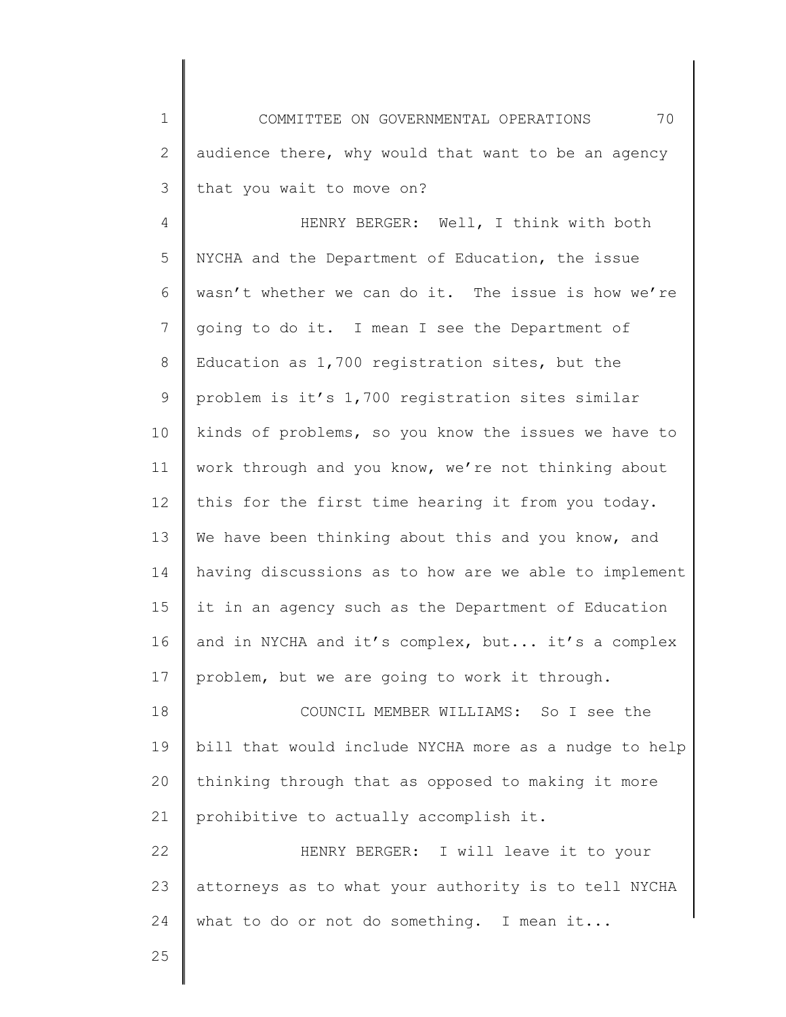1 2 3 COMMITTEE ON GOVERNMENTAL OPERATIONS 70 audience there, why would that want to be an agency that you wait to move on?

4 5 6 7 8 9 10 11 12 13 14 15 16 17 HENRY BERGER: Well, I think with both NYCHA and the Department of Education, the issue wasn't whether we can do it. The issue is how we're going to do it. I mean I see the Department of Education as 1,700 registration sites, but the problem is it's 1,700 registration sites similar kinds of problems, so you know the issues we have to work through and you know, we're not thinking about this for the first time hearing it from you today. We have been thinking about this and you know, and having discussions as to how are we able to implement it in an agency such as the Department of Education and in NYCHA and it's complex, but... it's a complex problem, but we are going to work it through.

18 19 20 21 COUNCIL MEMBER WILLIAMS: So I see the bill that would include NYCHA more as a nudge to help thinking through that as opposed to making it more prohibitive to actually accomplish it.

22 23 24 HENRY BERGER: I will leave it to your attorneys as to what your authority is to tell NYCHA what to do or not do something. I mean it...

25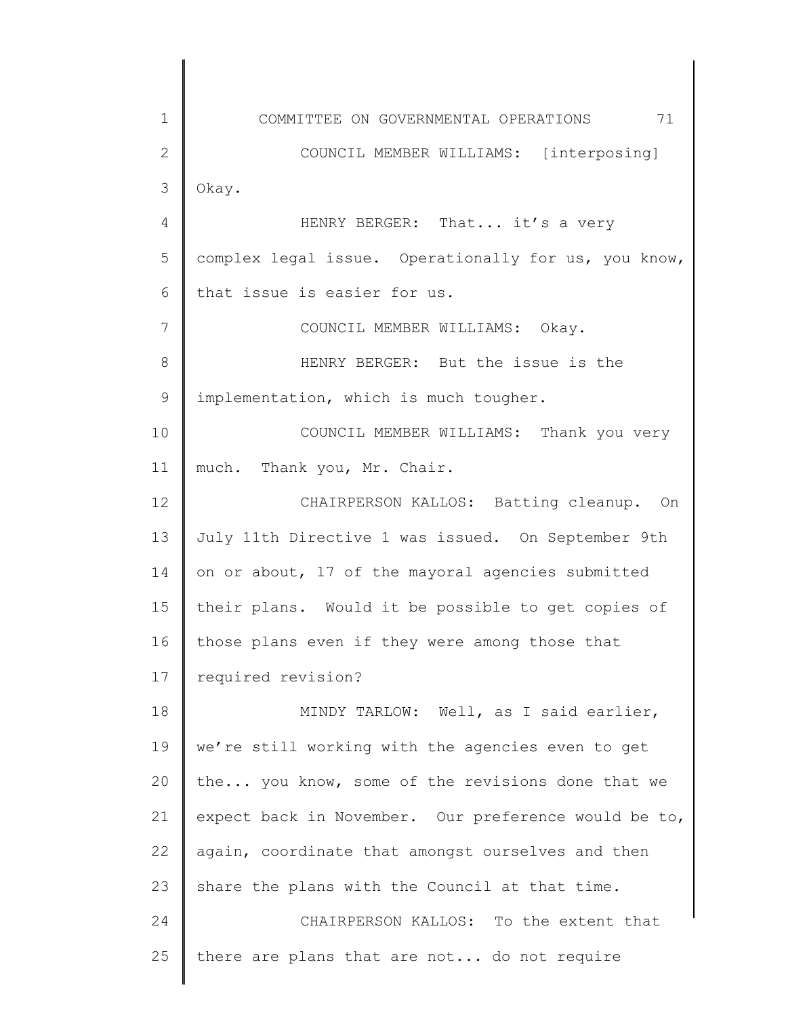1 2 3 4 5 6 7 8 9 10 11 12 13 14 15 16 17 18 19 20 21 22 23 24 25 COMMITTEE ON GOVERNMENTAL OPERATIONS 71 COUNCIL MEMBER WILLIAMS: [interposing] Okay. HENRY BERGER: That... it's a very complex legal issue. Operationally for us, you know, that issue is easier for us. COUNCIL MEMBER WILLIAMS: Okay. HENRY BERGER: But the issue is the implementation, which is much tougher. COUNCIL MEMBER WILLIAMS: Thank you very much. Thank you, Mr. Chair. CHAIRPERSON KALLOS: Batting cleanup. On July 11th Directive 1 was issued. On September 9th on or about, 17 of the mayoral agencies submitted their plans. Would it be possible to get copies of those plans even if they were among those that required revision? MINDY TARLOW: Well, as I said earlier, we're still working with the agencies even to get the... you know, some of the revisions done that we expect back in November. Our preference would be to, again, coordinate that amongst ourselves and then share the plans with the Council at that time. CHAIRPERSON KALLOS: To the extent that there are plans that are not... do not require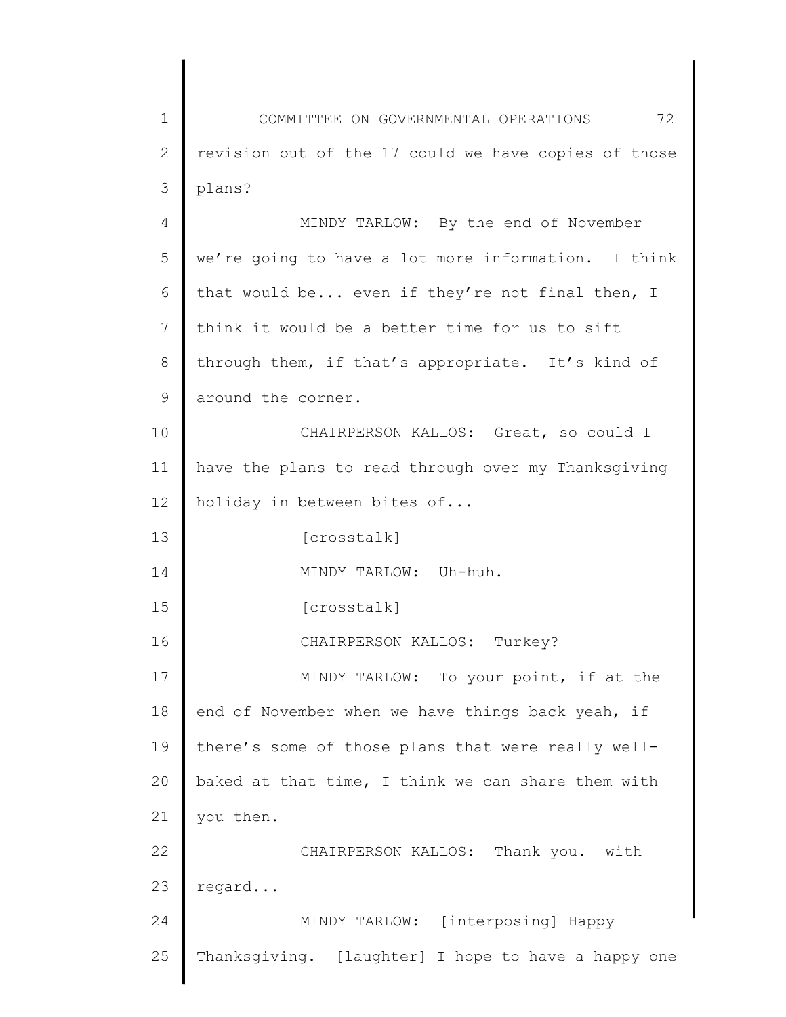1 2 3 4 COMMITTEE ON GOVERNMENTAL OPERATIONS 72 revision out of the 17 could we have copies of those plans? MINDY TARLOW: By the end of November

5 6 7 8 9 10 11 12 13 14 we're going to have a lot more information. I think that would be... even if they're not final then, I think it would be a better time for us to sift through them, if that's appropriate. It's kind of around the corner. CHAIRPERSON KALLOS: Great, so could I have the plans to read through over my Thanksgiving holiday in between bites of... [crosstalk] MINDY TARLOW: Uh-huh.

15 [crosstalk]

16 17 18 19 20 21 CHAIRPERSON KALLOS: Turkey? MINDY TARLOW: To your point, if at the end of November when we have things back yeah, if there's some of those plans that were really wellbaked at that time, I think we can share them with you then.

22 23 CHAIRPERSON KALLOS: Thank you. with regard...

24 25 MINDY TARLOW: [interposing] Happy Thanksgiving. [laughter] I hope to have a happy one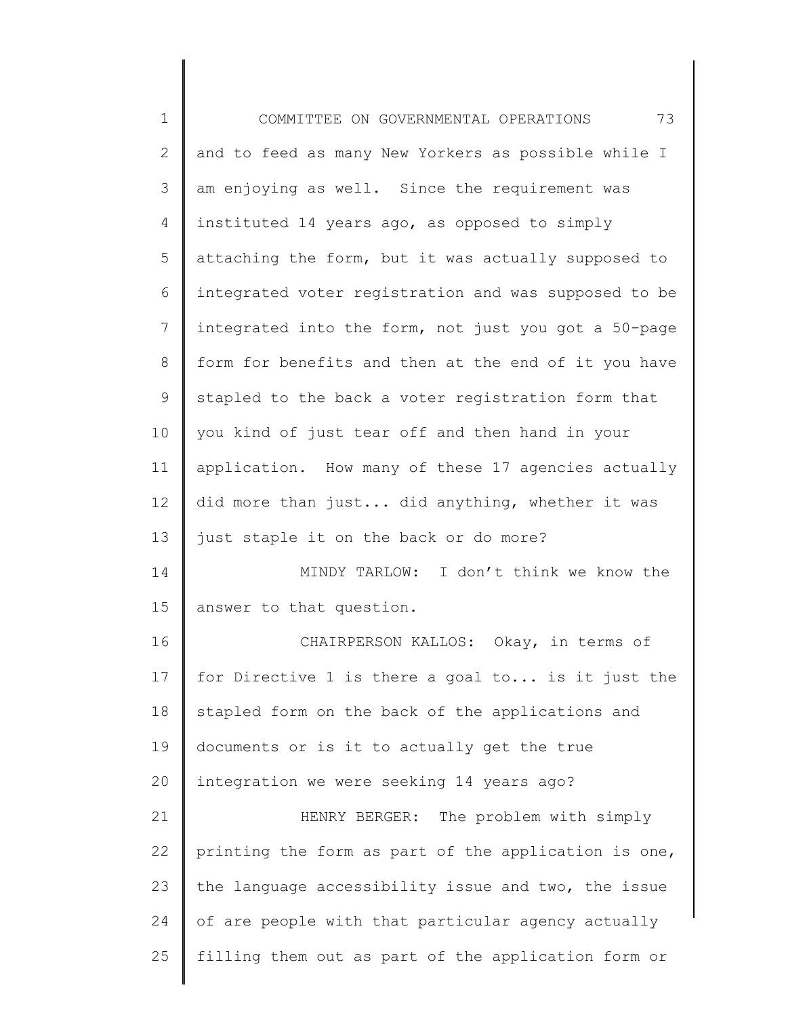1 2 3 4 5 6 7 8 9 10 11 12 13 14 15 16 17 18 19 20 21 22 23 24 25 COMMITTEE ON GOVERNMENTAL OPERATIONS 73 and to feed as many New Yorkers as possible while I am enjoying as well. Since the requirement was instituted 14 years ago, as opposed to simply attaching the form, but it was actually supposed to integrated voter registration and was supposed to be integrated into the form, not just you got a 50-page form for benefits and then at the end of it you have stapled to the back a voter registration form that you kind of just tear off and then hand in your application. How many of these 17 agencies actually did more than just... did anything, whether it was just staple it on the back or do more? MINDY TARLOW: I don't think we know the answer to that question. CHAIRPERSON KALLOS: Okay, in terms of for Directive 1 is there a goal to... is it just the stapled form on the back of the applications and documents or is it to actually get the true integration we were seeking 14 years ago? HENRY BERGER: The problem with simply printing the form as part of the application is one, the language accessibility issue and two, the issue of are people with that particular agency actually filling them out as part of the application form or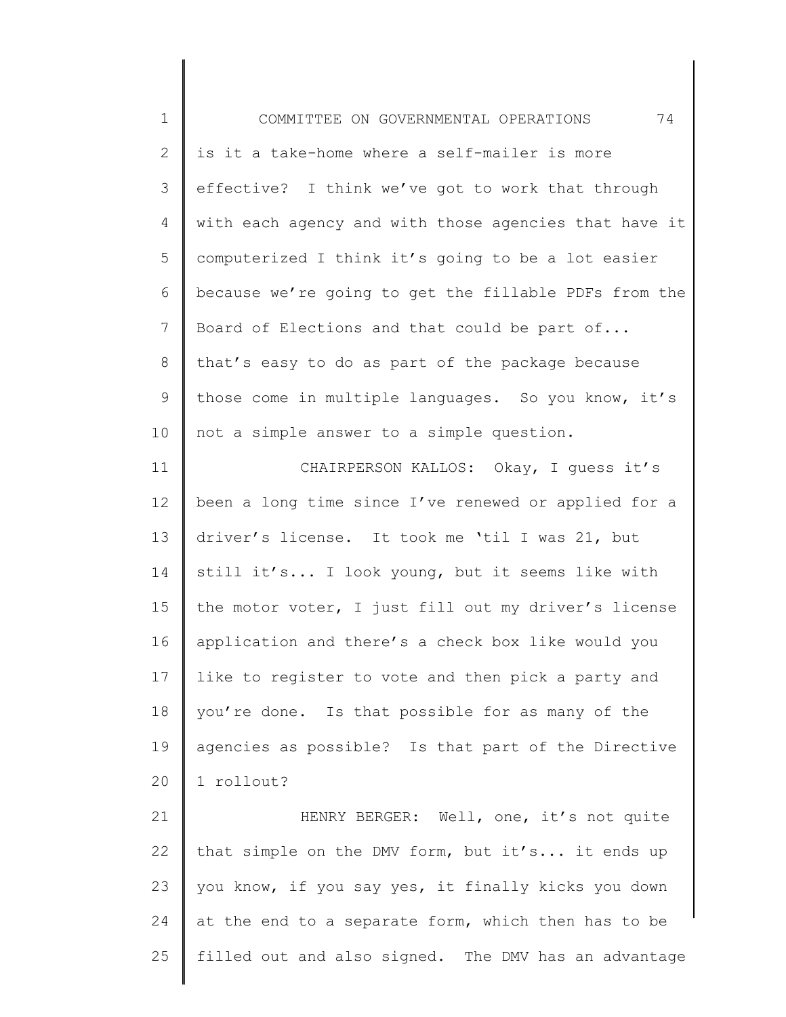| $\mathbf 1$     | 74<br>COMMITTEE ON GOVERNMENTAL OPERATIONS            |
|-----------------|-------------------------------------------------------|
| $\mathbf{2}$    | is it a take-home where a self-mailer is more         |
| 3               | effective? I think we've got to work that through     |
| 4               | with each agency and with those agencies that have it |
| 5               | computerized I think it's going to be a lot easier    |
| 6               | because we're going to get the fillable PDFs from the |
| $7\phantom{.0}$ | Board of Elections and that could be part of          |
| 8               | that's easy to do as part of the package because      |
| 9               | those come in multiple languages. So you know, it's   |
| 10              | not a simple answer to a simple question.             |
| 11              | CHAIRPERSON KALLOS: Okay, I quess it's                |
| 12              | been a long time since I've renewed or applied for a  |
| 13              | driver's license. It took me 'til I was 21, but       |
| 14              | still it's I look young, but it seems like with       |
| 15              | the motor voter, I just fill out my driver's license  |
| 16              | application and there's a check box like would you    |
| 17              | like to register to vote and then pick a party and    |
| 18              | you're done. Is that possible for as many of the      |
| 19              | agencies as possible? Is that part of the Directive   |
| 20              | 1 rollout?                                            |
| 21              | HENRY BERGER: Well, one, it's not quite               |
| 22              | that simple on the DMV form, but it's it ends up      |
| 23              | you know, if you say yes, it finally kicks you down   |
| 24              | at the end to a separate form, which then has to be   |
| 25              | filled out and also signed. The DMV has an advantage  |

 $\mathsf{l}$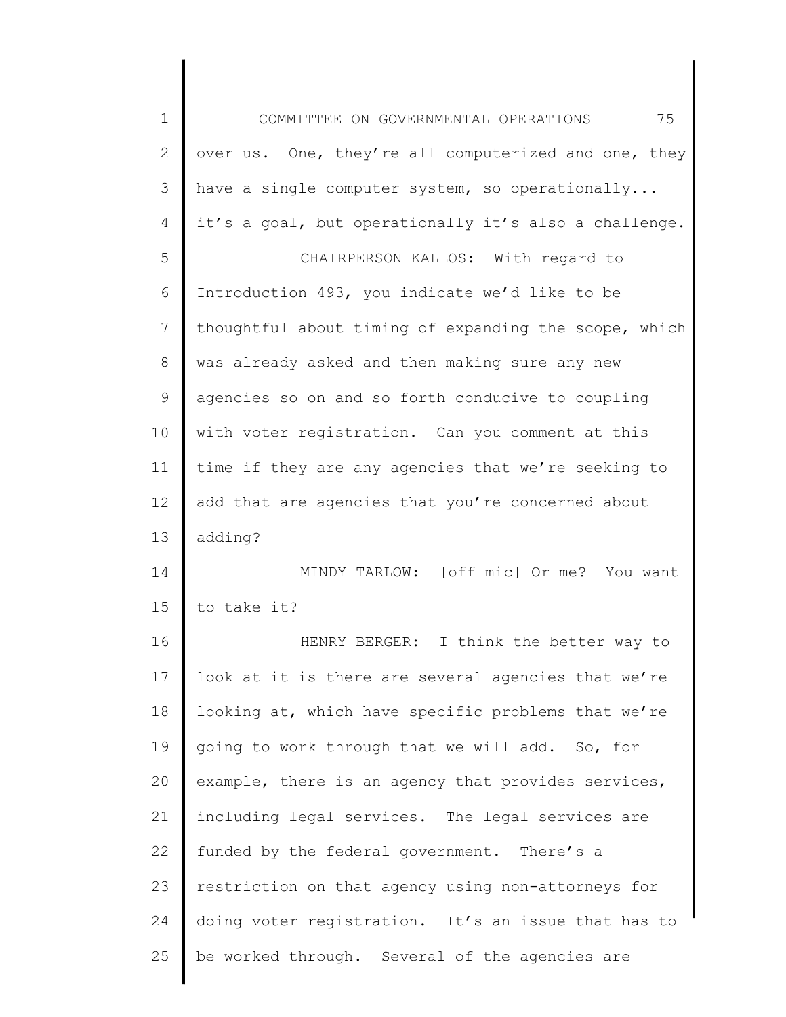1 2 3 4 5 6 7 8 9 10 11 12 13 14 15 16 17 18 19 20 21 22 23 24 25 COMMITTEE ON GOVERNMENTAL OPERATIONS 75 over us. One, they're all computerized and one, they have a single computer system, so operationally... it's a goal, but operationally it's also a challenge. CHAIRPERSON KALLOS: With regard to Introduction 493, you indicate we'd like to be thoughtful about timing of expanding the scope, which was already asked and then making sure any new agencies so on and so forth conducive to coupling with voter registration. Can you comment at this time if they are any agencies that we're seeking to add that are agencies that you're concerned about adding? MINDY TARLOW: [off mic] Or me? You want to take it? HENRY BERGER: I think the better way to look at it is there are several agencies that we're looking at, which have specific problems that we're going to work through that we will add. So, for example, there is an agency that provides services, including legal services. The legal services are funded by the federal government. There's a restriction on that agency using non-attorneys for doing voter registration. It's an issue that has to be worked through. Several of the agencies are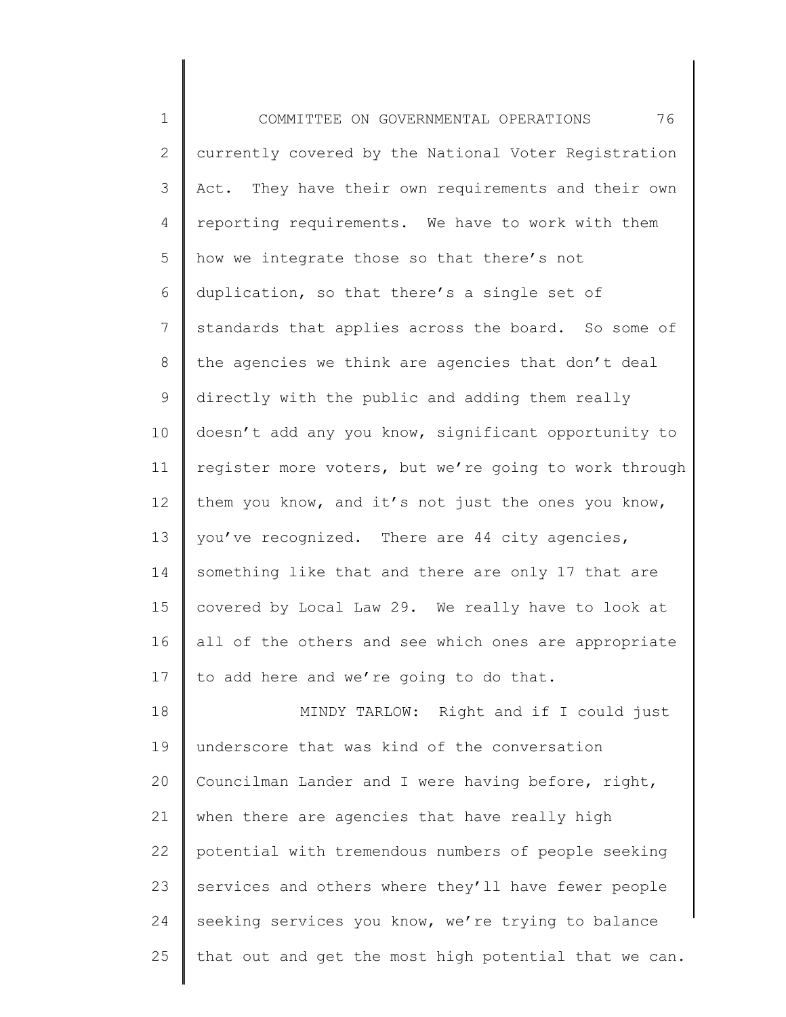1 2 3 4 5 6 7 8 9 10 11 12 13 14 15 16 17 18 19 20 21 22 23 COMMITTEE ON GOVERNMENTAL OPERATIONS 76 currently covered by the National Voter Registration Act. They have their own requirements and their own reporting requirements. We have to work with them how we integrate those so that there's not duplication, so that there's a single set of standards that applies across the board. So some of the agencies we think are agencies that don't deal directly with the public and adding them really doesn't add any you know, significant opportunity to register more voters, but we're going to work through them you know, and it's not just the ones you know, you've recognized. There are 44 city agencies, something like that and there are only 17 that are covered by Local Law 29. We really have to look at all of the others and see which ones are appropriate to add here and we're going to do that. MINDY TARLOW: Right and if I could just underscore that was kind of the conversation Councilman Lander and I were having before, right, when there are agencies that have really high potential with tremendous numbers of people seeking services and others where they'll have fewer people

25 that out and get the most high potential that we can.

seeking services you know, we're trying to balance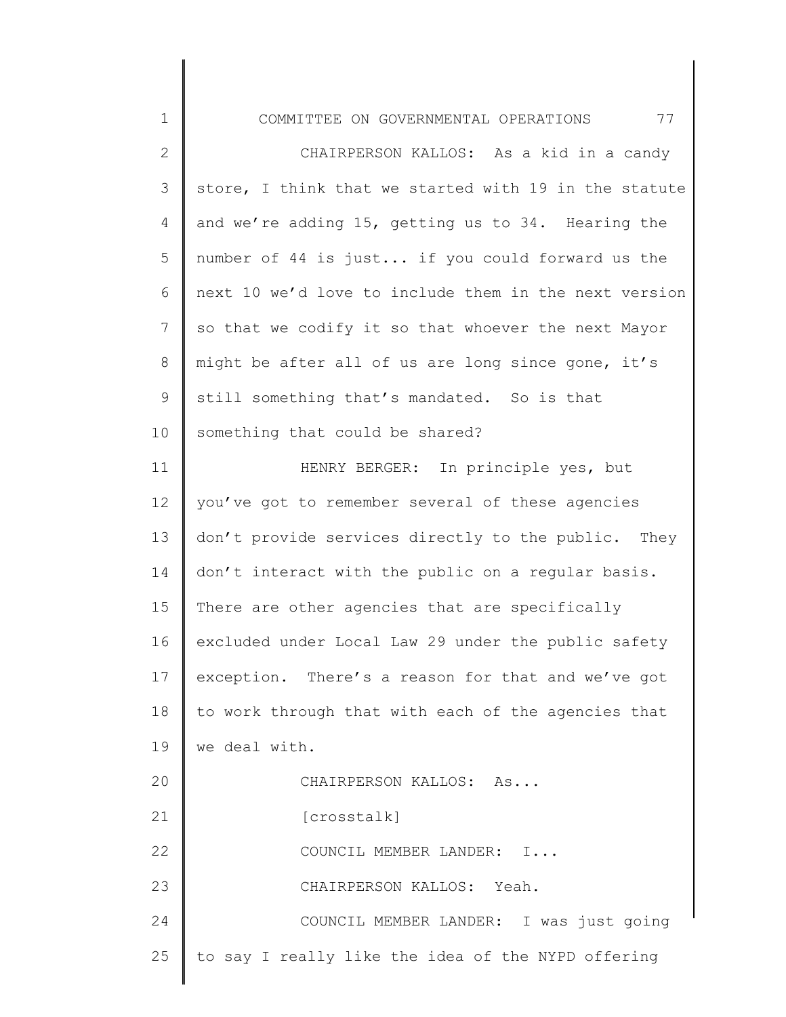| $\mathbf 1$    | 77<br>COMMITTEE ON GOVERNMENTAL OPERATIONS            |
|----------------|-------------------------------------------------------|
| $\mathbf{2}$   | CHAIRPERSON KALLOS: As a kid in a candy               |
| 3              | store, I think that we started with 19 in the statute |
| 4              | and we're adding 15, getting us to 34. Hearing the    |
| 5              | number of 44 is just if you could forward us the      |
| 6              | next 10 we'd love to include them in the next version |
| $\overline{7}$ | so that we codify it so that whoever the next Mayor   |
| $8\,$          | might be after all of us are long since gone, it's    |
| 9              | still something that's mandated. So is that           |
| 10             | something that could be shared?                       |
| 11             | HENRY BERGER: In principle yes, but                   |
| 12             | you've got to remember several of these agencies      |
| 13             | don't provide services directly to the public. They   |
| 14             | don't interact with the public on a regular basis.    |
| 15             | There are other agencies that are specifically        |
| 16             | excluded under Local Law 29 under the public safety   |
| 17             | exception. There's a reason for that and we've got    |
| 18             | to work through that with each of the agencies that   |
| 19             | we deal with.                                         |
| 20             | CHAIRPERSON KALLOS: As                                |
| 21             | [crosstalk]                                           |
| 22             | COUNCIL MEMBER LANDER: I                              |
| 23             | CHAIRPERSON KALLOS: Yeah.                             |
| 24             | COUNCIL MEMBER LANDER: I was just going               |
| 25             | to say I really like the idea of the NYPD offering    |
|                |                                                       |

 $\mathsf I$ ∥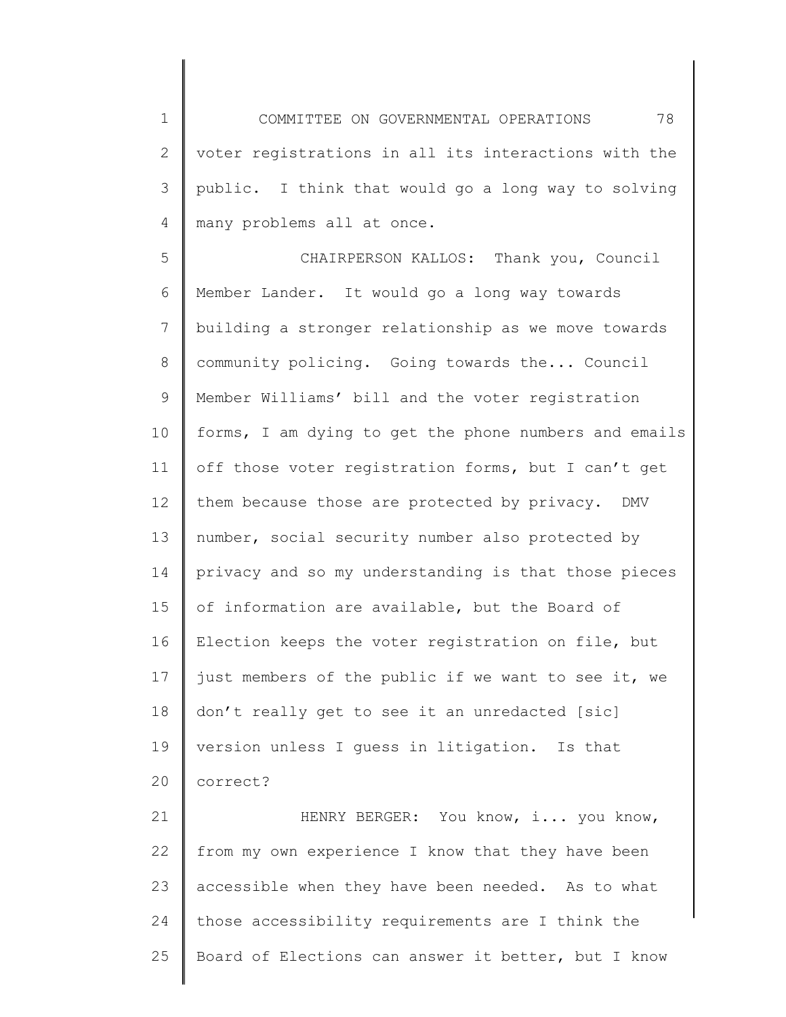1 2 3 4 COMMITTEE ON GOVERNMENTAL OPERATIONS 78 voter registrations in all its interactions with the public. I think that would go a long way to solving many problems all at once.

5 6 7 8 9 10 11 12 13 14 15 16 17 18 19 20 CHAIRPERSON KALLOS: Thank you, Council Member Lander. It would go a long way towards building a stronger relationship as we move towards community policing. Going towards the... Council Member Williams' bill and the voter registration forms, I am dying to get the phone numbers and emails off those voter registration forms, but I can't get them because those are protected by privacy. DMV number, social security number also protected by privacy and so my understanding is that those pieces of information are available, but the Board of Election keeps the voter registration on file, but just members of the public if we want to see it, we don't really get to see it an unredacted [sic] version unless I guess in litigation. Is that correct?

21 22 23 24 25 HENRY BERGER: You know, i... you know, from my own experience I know that they have been accessible when they have been needed. As to what those accessibility requirements are I think the Board of Elections can answer it better, but I know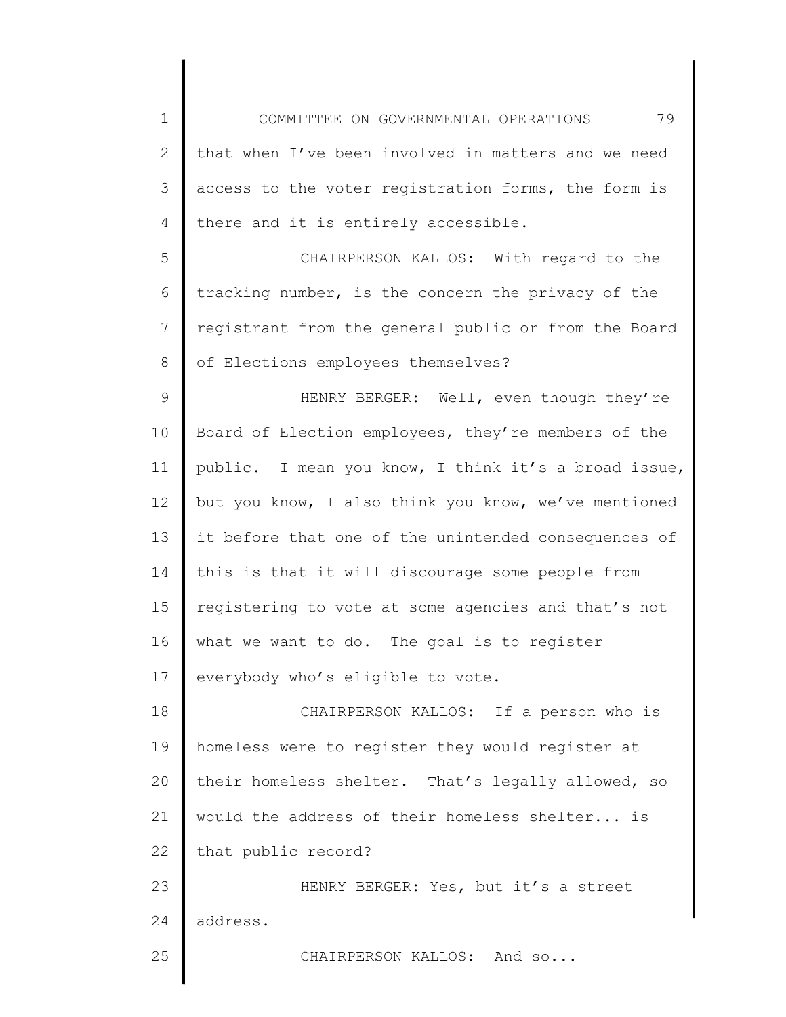1 2 3 4 5 6 7 8 9 10 11 12 13 14 15 16 17 18 19 20 21 22 COMMITTEE ON GOVERNMENTAL OPERATIONS 79 that when I've been involved in matters and we need access to the voter registration forms, the form is there and it is entirely accessible. CHAIRPERSON KALLOS: With regard to the tracking number, is the concern the privacy of the registrant from the general public or from the Board of Elections employees themselves? HENRY BERGER: Well, even though they're Board of Election employees, they're members of the public. I mean you know, I think it's a broad issue, but you know, I also think you know, we've mentioned it before that one of the unintended consequences of this is that it will discourage some people from registering to vote at some agencies and that's not what we want to do. The goal is to register everybody who's eligible to vote. CHAIRPERSON KALLOS: If a person who is homeless were to register they would register at their homeless shelter. That's legally allowed, so would the address of their homeless shelter... is that public record?

23 24 HENRY BERGER: Yes, but it's a street address.

CHAIRPERSON KALLOS: And so...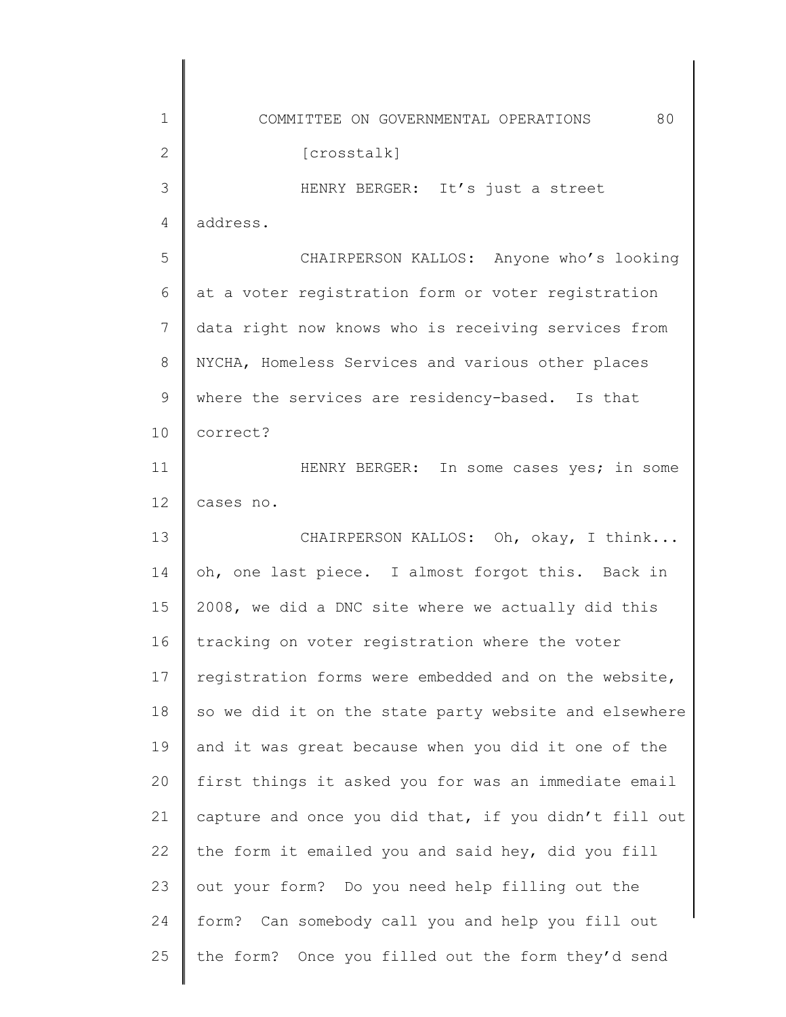| $\mathbf 1$   | 80<br>COMMITTEE ON GOVERNMENTAL OPERATIONS            |
|---------------|-------------------------------------------------------|
| 2             | [crosstalk]                                           |
| 3             | HENRY BERGER: It's just a street                      |
| 4             | address.                                              |
| 5             | CHAIRPERSON KALLOS: Anyone who's looking              |
| 6             | at a voter registration form or voter registration    |
| 7             | data right now knows who is receiving services from   |
| 8             | NYCHA, Homeless Services and various other places     |
| $\mathcal{G}$ | where the services are residency-based. Is that       |
| 10            | correct?                                              |
| 11            | HENRY BERGER: In some cases yes; in some              |
| 12            | cases no.                                             |
| 13            | CHAIRPERSON KALLOS: Oh, okay, I think                 |
| 14            | oh, one last piece. I almost forgot this. Back in     |
| 15            | 2008, we did a DNC site where we actually did this    |
| 16            | tracking on voter registration where the voter        |
| 17            | registration forms were embedded and on the website,  |
| 18            | so we did it on the state party website and elsewhere |
| 19            | and it was great because when you did it one of the   |
| 20            | first things it asked you for was an immediate email  |
| 21            | capture and once you did that, if you didn't fill out |
| 22            | the form it emailed you and said hey, did you fill    |
| 23            | out your form? Do you need help filling out the       |
| 24            | form? Can somebody call you and help you fill out     |
| 25            | the form? Once you filled out the form they'd send    |
|               |                                                       |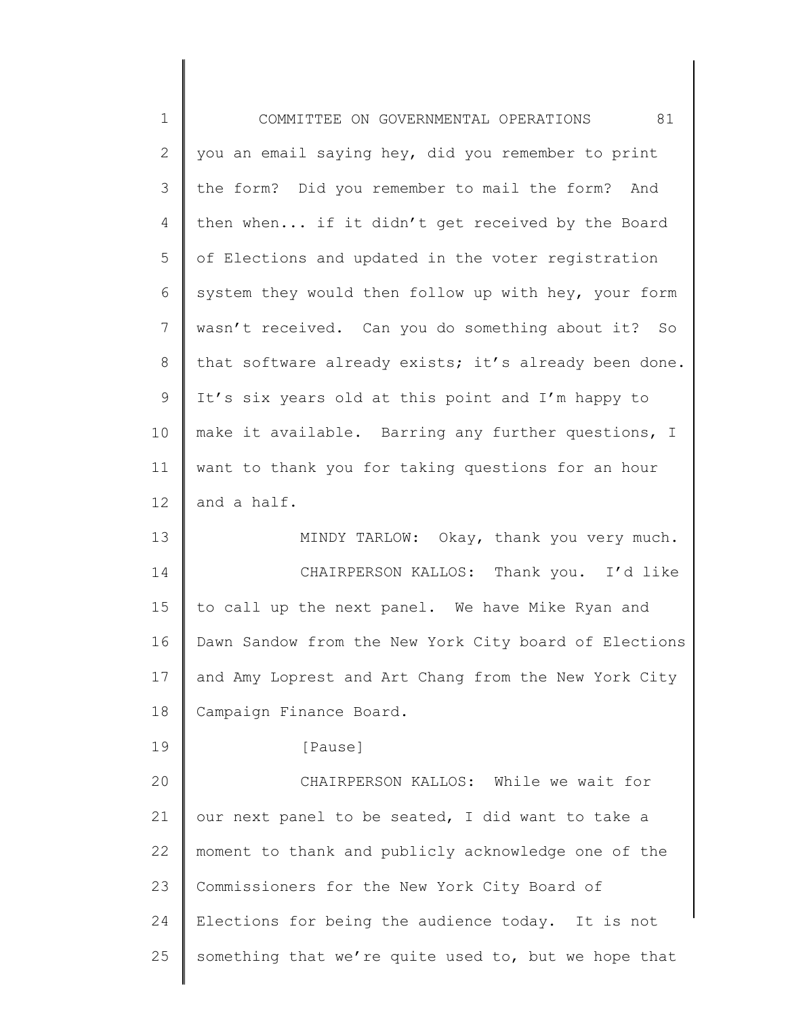| $\mathbf 1$    | 81<br>COMMITTEE ON GOVERNMENTAL OPERATIONS            |
|----------------|-------------------------------------------------------|
| $\mathbf{2}$   | you an email saying hey, did you remember to print    |
| 3              | the form? Did you remember to mail the form? And      |
| $\overline{4}$ | then when if it didn't get received by the Board      |
| 5              | of Elections and updated in the voter registration    |
| 6              | system they would then follow up with hey, your form  |
| $\overline{7}$ | wasn't received. Can you do something about it? So    |
| 8              | that software already exists; it's already been done. |
| $\mathsf 9$    | It's six years old at this point and I'm happy to     |
| 10             | make it available. Barring any further questions, I   |
| 11             | want to thank you for taking questions for an hour    |
| 12             | and a half.                                           |
| 13             | MINDY TARLOW: Okay, thank you very much.              |
| 14             | CHAIRPERSON KALLOS: Thank you. I'd like               |
| 15             | to call up the next panel. We have Mike Ryan and      |
| 16             | Dawn Sandow from the New York City board of Elections |
| 17             | and Amy Loprest and Art Chang from the New York City  |
| 18             | Campaign Finance Board.                               |
| 19             | [Pause]                                               |
| 20             | CHAIRPERSON KALLOS: While we wait for                 |
| 21             | our next panel to be seated, I did want to take a     |
| 22             | moment to thank and publicly acknowledge one of the   |
| 23             | Commissioners for the New York City Board of          |
| 24             | Elections for being the audience today. It is not     |
| 25             | something that we're quite used to, but we hope that  |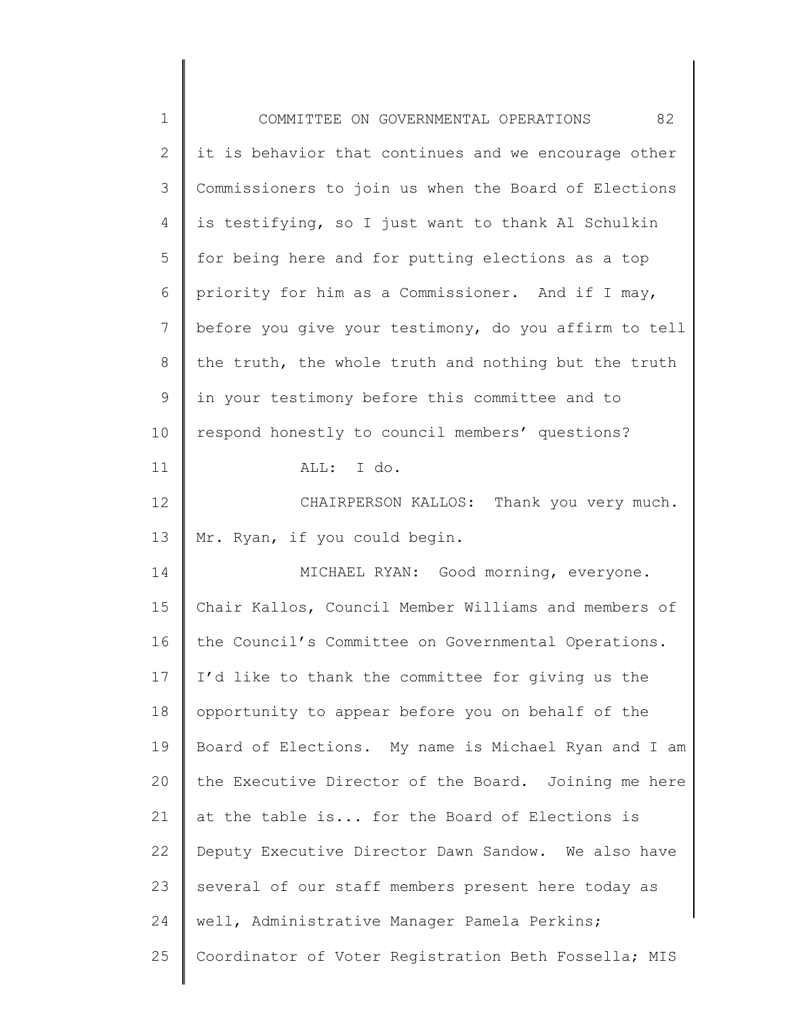| $\mathbf 1$  | 82<br>COMMITTEE ON GOVERNMENTAL OPERATIONS            |
|--------------|-------------------------------------------------------|
| $\mathbf{2}$ | it is behavior that continues and we encourage other  |
| 3            | Commissioners to join us when the Board of Elections  |
| 4            | is testifying, so I just want to thank Al Schulkin    |
| 5            | for being here and for putting elections as a top     |
| 6            | priority for him as a Commissioner. And if I may,     |
| 7            | before you give your testimony, do you affirm to tell |
| $8\,$        | the truth, the whole truth and nothing but the truth  |
| $\mathsf 9$  | in your testimony before this committee and to        |
| 10           | respond honestly to council members' questions?       |
| 11           | ALL: I do.                                            |
| 12           | CHAIRPERSON KALLOS: Thank you very much.              |
| 13           | Mr. Ryan, if you could begin.                         |
| 14           | MICHAEL RYAN: Good morning, everyone.                 |
| 15           | Chair Kallos, Council Member Williams and members of  |
| 16           | the Council's Committee on Governmental Operations.   |
| 17           | I'd like to thank the committee for giving us the     |
| 18           | opportunity to appear before you on behalf of the     |
| 19           | Board of Elections. My name is Michael Ryan and I am  |
| 20           | the Executive Director of the Board. Joining me here  |
| 21           | at the table is for the Board of Elections is         |
| 22           | Deputy Executive Director Dawn Sandow. We also have   |
| 23           | several of our staff members present here today as    |
| 24           | well, Administrative Manager Pamela Perkins;          |
| 25           | Coordinator of Voter Registration Beth Fossella; MIS  |
|              |                                                       |

║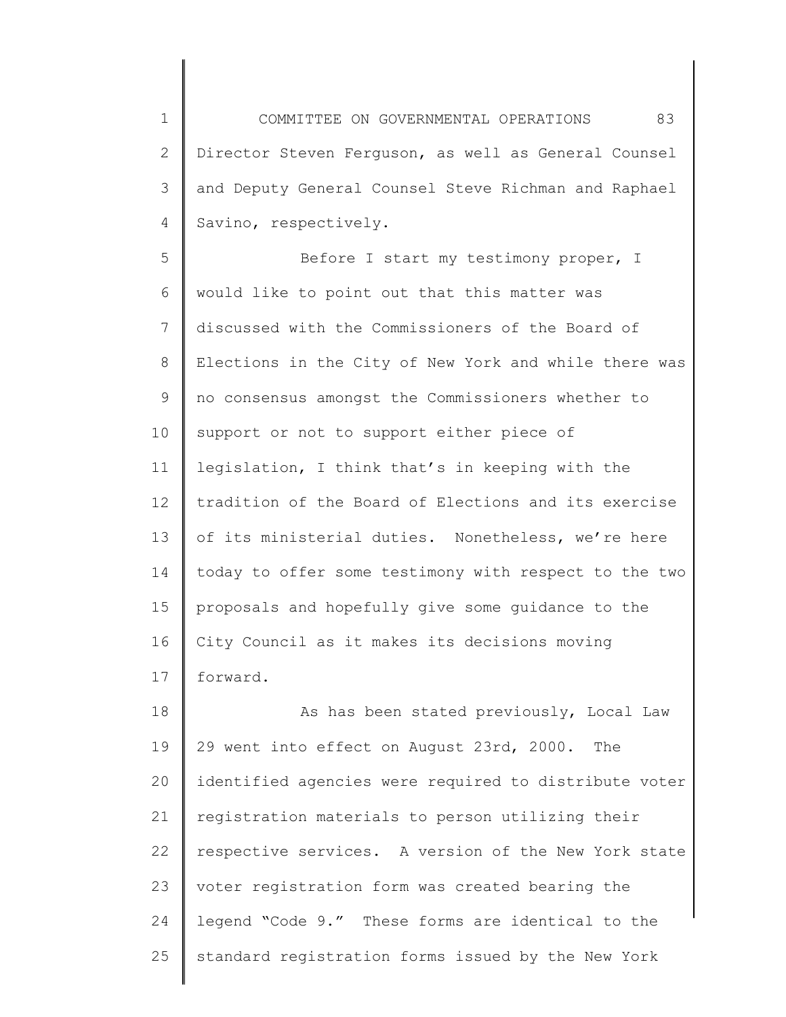1 2 3 4 COMMITTEE ON GOVERNMENTAL OPERATIONS 83 Director Steven Ferguson, as well as General Counsel and Deputy General Counsel Steve Richman and Raphael Savino, respectively.

5 6 7 8 9 10 11 12 13 14 15 16 17 Before I start my testimony proper, I would like to point out that this matter was discussed with the Commissioners of the Board of Elections in the City of New York and while there was no consensus amongst the Commissioners whether to support or not to support either piece of legislation, I think that's in keeping with the tradition of the Board of Elections and its exercise of its ministerial duties. Nonetheless, we're here today to offer some testimony with respect to the two proposals and hopefully give some guidance to the City Council as it makes its decisions moving forward.

18 19 20 21 22 23 24 25 As has been stated previously, Local Law 29 went into effect on August 23rd, 2000. The identified agencies were required to distribute voter registration materials to person utilizing their respective services. A version of the New York state voter registration form was created bearing the legend "Code 9." These forms are identical to the standard registration forms issued by the New York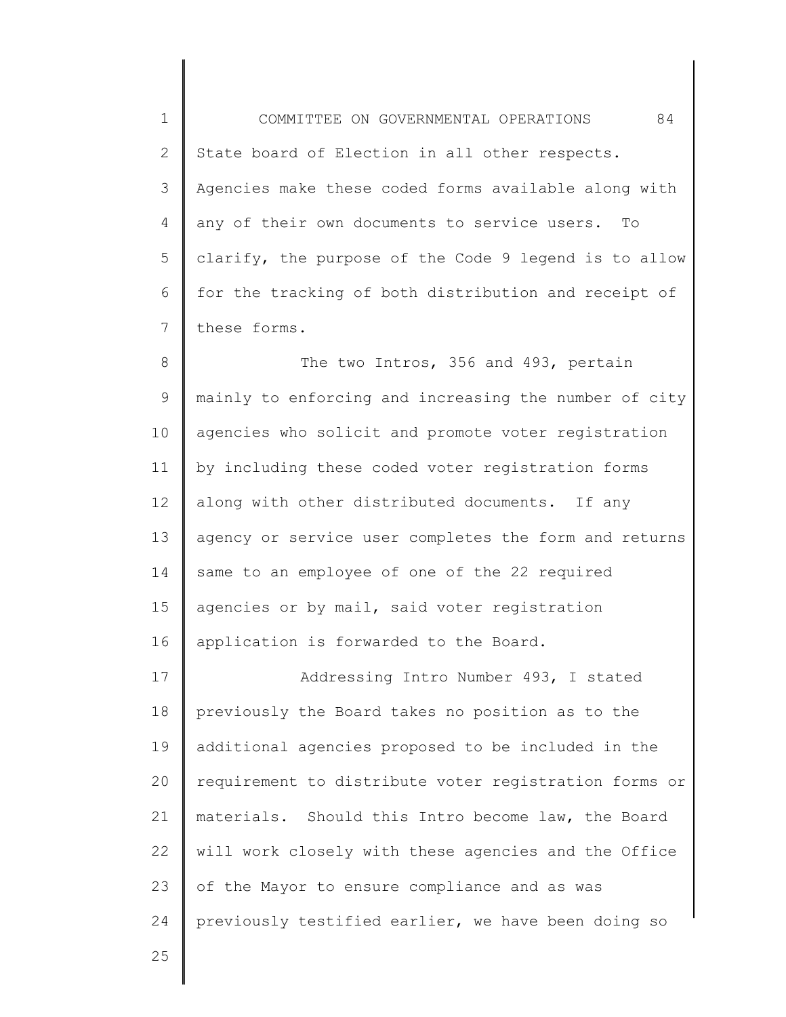1 2 3 4 5 6 7 COMMITTEE ON GOVERNMENTAL OPERATIONS 84 State board of Election in all other respects. Agencies make these coded forms available along with any of their own documents to service users. To clarify, the purpose of the Code 9 legend is to allow for the tracking of both distribution and receipt of these forms.

8 9 10 11 12 13 14 15 16 The two Intros, 356 and 493, pertain mainly to enforcing and increasing the number of city agencies who solicit and promote voter registration by including these coded voter registration forms along with other distributed documents. If any agency or service user completes the form and returns same to an employee of one of the 22 required agencies or by mail, said voter registration application is forwarded to the Board.

17 18 19 20 21 22 23 24 Addressing Intro Number 493, I stated previously the Board takes no position as to the additional agencies proposed to be included in the requirement to distribute voter registration forms or materials. Should this Intro become law, the Board will work closely with these agencies and the Office of the Mayor to ensure compliance and as was previously testified earlier, we have been doing so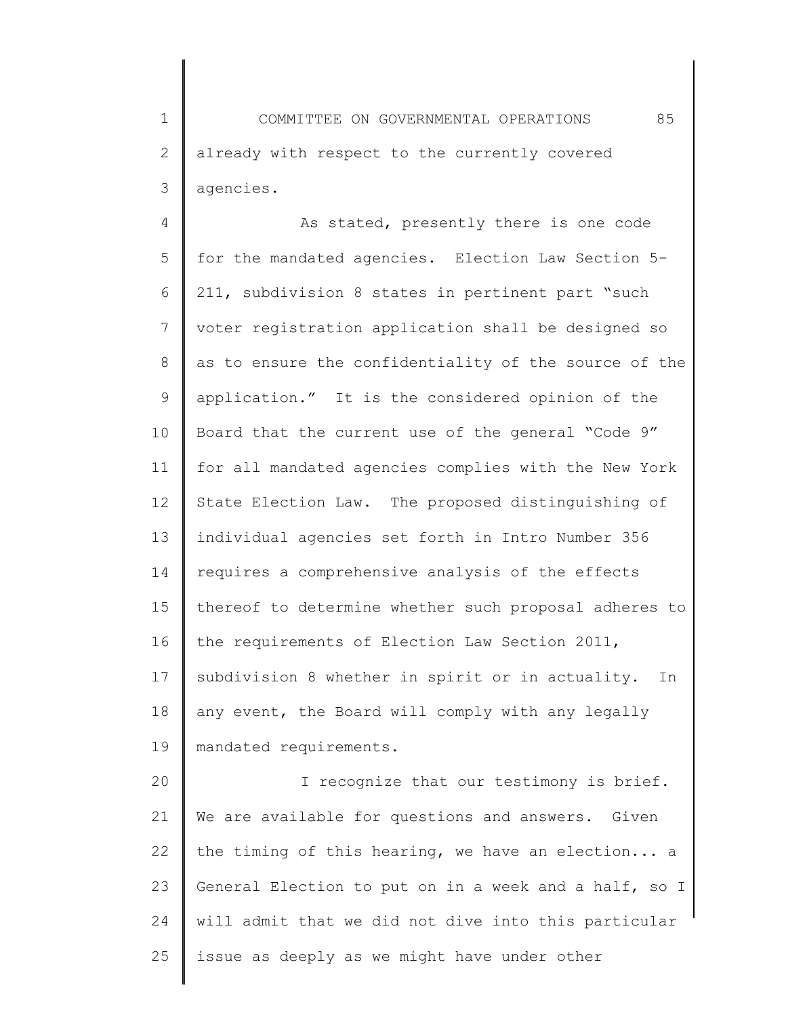1 2 3 COMMITTEE ON GOVERNMENTAL OPERATIONS 85 already with respect to the currently covered agencies.

4 5 6 7 8 9 10 11 12 13 14 15 16 17 18 19 As stated, presently there is one code for the mandated agencies. Election Law Section 5- 211, subdivision 8 states in pertinent part "such voter registration application shall be designed so as to ensure the confidentiality of the source of the application." It is the considered opinion of the Board that the current use of the general "Code 9" for all mandated agencies complies with the New York State Election Law. The proposed distinguishing of individual agencies set forth in Intro Number 356 requires a comprehensive analysis of the effects thereof to determine whether such proposal adheres to the requirements of Election Law Section 2011, subdivision 8 whether in spirit or in actuality. In any event, the Board will comply with any legally mandated requirements.

20 21 22 23 24 25 I recognize that our testimony is brief. We are available for questions and answers. Given the timing of this hearing, we have an election... a General Election to put on in a week and a half, so I will admit that we did not dive into this particular issue as deeply as we might have under other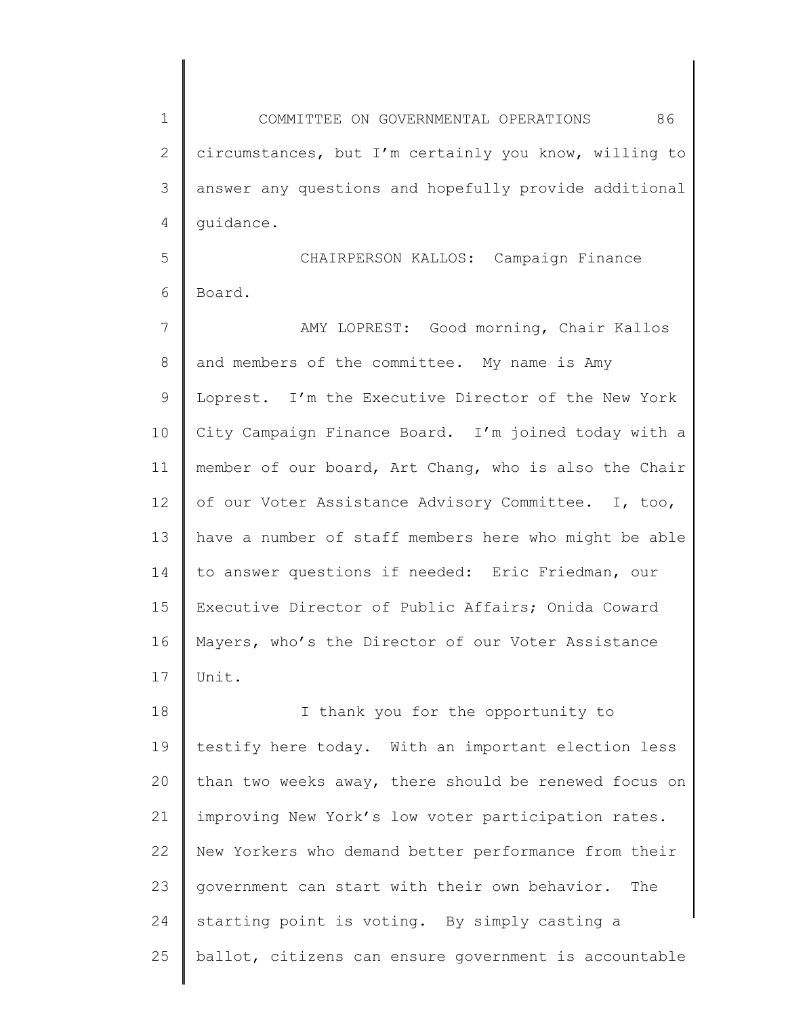1 2 3 4 COMMITTEE ON GOVERNMENTAL OPERATIONS 86 circumstances, but I'm certainly you know, willing to answer any questions and hopefully provide additional guidance.

5 6 CHAIRPERSON KALLOS: Campaign Finance Board.

7 8 9 10 11 12 13 14 15 16 17 AMY LOPREST: Good morning, Chair Kallos and members of the committee. My name is Amy Loprest. I'm the Executive Director of the New York City Campaign Finance Board. I'm joined today with a member of our board, Art Chang, who is also the Chair of our Voter Assistance Advisory Committee. I, too, have a number of staff members here who might be able to answer questions if needed: Eric Friedman, our Executive Director of Public Affairs; Onida Coward Mayers, who's the Director of our Voter Assistance Unit.

18 19 20 21 22 23 24 25 I thank you for the opportunity to testify here today. With an important election less than two weeks away, there should be renewed focus on improving New York's low voter participation rates. New Yorkers who demand better performance from their government can start with their own behavior. The starting point is voting. By simply casting a ballot, citizens can ensure government is accountable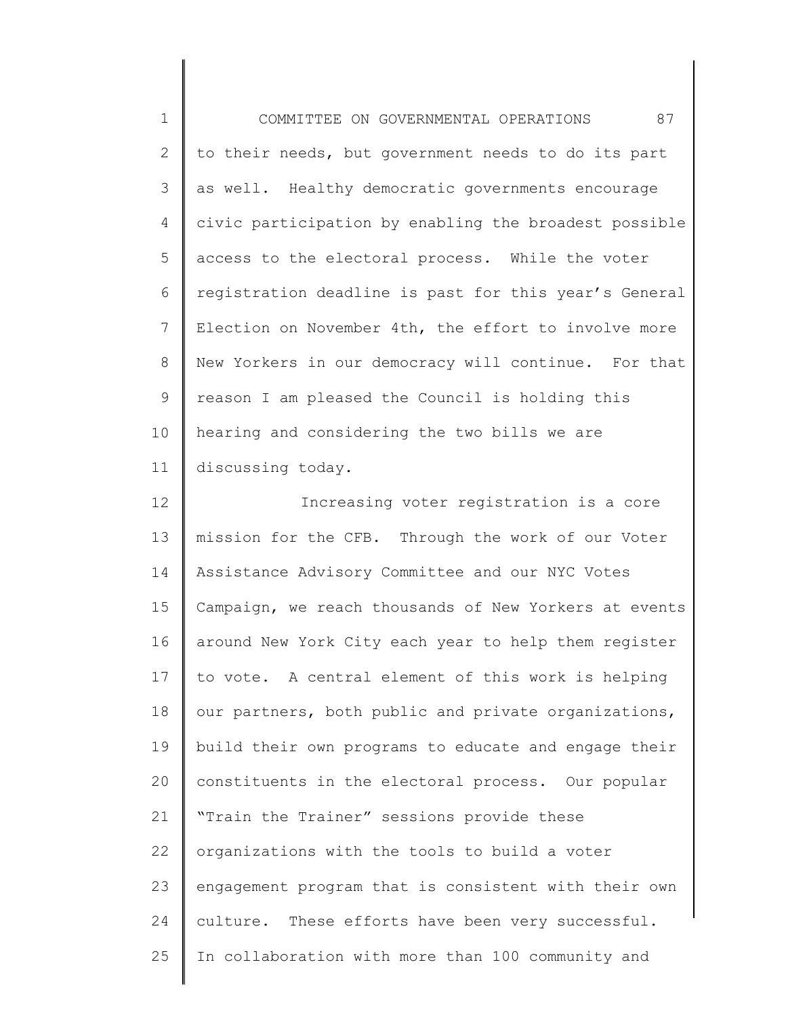1 2 3 4 5 6 7 8 9 10 11 12 13 COMMITTEE ON GOVERNMENTAL OPERATIONS 87 to their needs, but government needs to do its part as well. Healthy democratic governments encourage civic participation by enabling the broadest possible access to the electoral process. While the voter registration deadline is past for this year's General Election on November 4th, the effort to involve more New Yorkers in our democracy will continue. For that reason I am pleased the Council is holding this hearing and considering the two bills we are discussing today. Increasing voter registration is a core mission for the CFB. Through the work of our Voter Assistance Advisory Committee and our NYC Votes

14 15 16 17 18 19 20 21 22 23 24 25 Campaign, we reach thousands of New Yorkers at events around New York City each year to help them register to vote. A central element of this work is helping our partners, both public and private organizations, build their own programs to educate and engage their constituents in the electoral process. Our popular "Train the Trainer" sessions provide these organizations with the tools to build a voter engagement program that is consistent with their own culture. These efforts have been very successful. In collaboration with more than 100 community and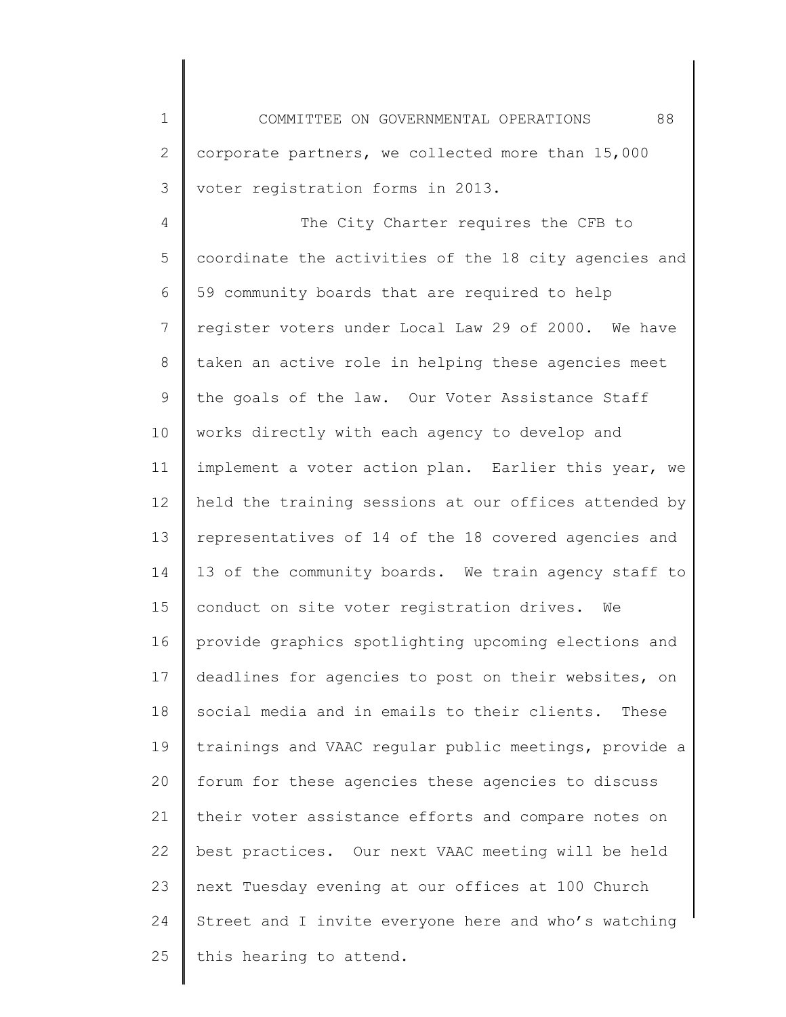1 2 3 COMMITTEE ON GOVERNMENTAL OPERATIONS 88 corporate partners, we collected more than 15,000 voter registration forms in 2013.

4 5 6 7 8 9 10 11 12 13 14 15 16 17 18 19 20 21 22 23 24 25 The City Charter requires the CFB to coordinate the activities of the 18 city agencies and 59 community boards that are required to help register voters under Local Law 29 of 2000. We have taken an active role in helping these agencies meet the goals of the law. Our Voter Assistance Staff works directly with each agency to develop and implement a voter action plan. Earlier this year, we held the training sessions at our offices attended by representatives of 14 of the 18 covered agencies and 13 of the community boards. We train agency staff to conduct on site voter registration drives. We provide graphics spotlighting upcoming elections and deadlines for agencies to post on their websites, on social media and in emails to their clients. These trainings and VAAC regular public meetings, provide a forum for these agencies these agencies to discuss their voter assistance efforts and compare notes on best practices. Our next VAAC meeting will be held next Tuesday evening at our offices at 100 Church Street and I invite everyone here and who's watching this hearing to attend.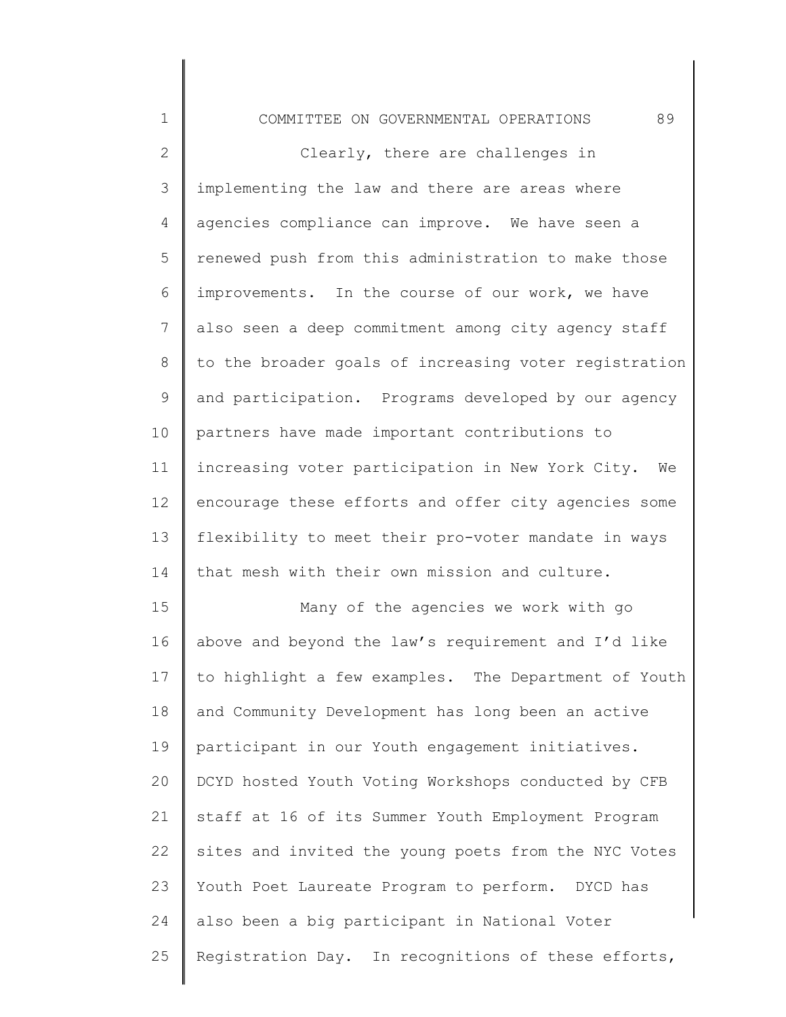| $\mathbf 1$  | 89<br>COMMITTEE ON GOVERNMENTAL OPERATIONS             |
|--------------|--------------------------------------------------------|
| $\mathbf{2}$ | Clearly, there are challenges in                       |
| 3            | implementing the law and there are areas where         |
| 4            | agencies compliance can improve. We have seen a        |
| 5            | renewed push from this administration to make those    |
| 6            | improvements. In the course of our work, we have       |
| 7            | also seen a deep commitment among city agency staff    |
| 8            | to the broader goals of increasing voter registration  |
| 9            | and participation. Programs developed by our agency    |
| 10           | partners have made important contributions to          |
| 11           | increasing voter participation in New York City.<br>We |
| 12           | encourage these efforts and offer city agencies some   |
| 13           | flexibility to meet their pro-voter mandate in ways    |
| 14           | that mesh with their own mission and culture.          |
| 15           | Many of the agencies we work with go                   |
| 16           | above and beyond the law's requirement and I'd like    |
| 17           | to highlight a few examples. The Department of Youth   |
| 18           | and Community Development has long been an active      |
| 19           | participant in our Youth engagement initiatives.       |
| 20           | DCYD hosted Youth Voting Workshops conducted by CFB    |
| 21           | staff at 16 of its Summer Youth Employment Program     |
| 22           | sites and invited the young poets from the NYC Votes   |
| 23           | Youth Poet Laureate Program to perform. DYCD has       |
| 24           | also been a big participant in National Voter          |
| 25           | Registration Day. In recognitions of these efforts,    |
|              |                                                        |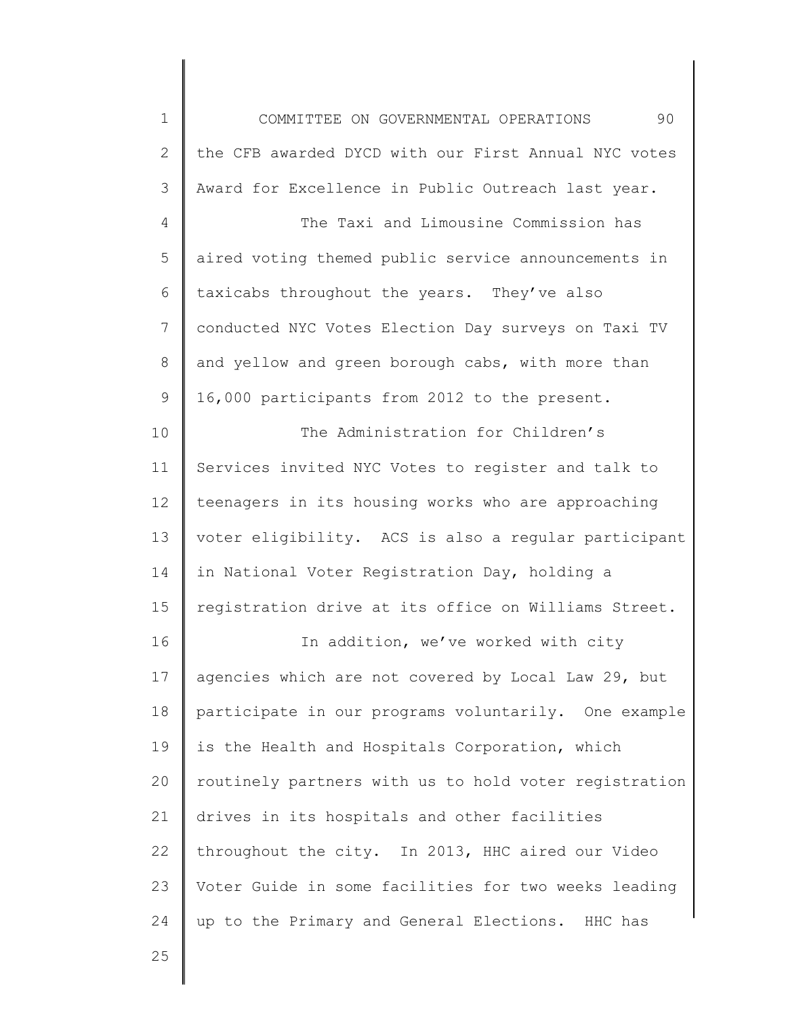1 2 3 4 5 6 7 8 9 10 11 12 13 14 15 16 17 18 19 20 21 22 23 24 COMMITTEE ON GOVERNMENTAL OPERATIONS 90 the CFB awarded DYCD with our First Annual NYC votes Award for Excellence in Public Outreach last year. The Taxi and Limousine Commission has aired voting themed public service announcements in taxicabs throughout the years. They've also conducted NYC Votes Election Day surveys on Taxi TV and yellow and green borough cabs, with more than 16,000 participants from 2012 to the present. The Administration for Children's Services invited NYC Votes to register and talk to teenagers in its housing works who are approaching voter eligibility. ACS is also a regular participant in National Voter Registration Day, holding a registration drive at its office on Williams Street. In addition, we've worked with city agencies which are not covered by Local Law 29, but participate in our programs voluntarily. One example is the Health and Hospitals Corporation, which routinely partners with us to hold voter registration drives in its hospitals and other facilities throughout the city. In 2013, HHC aired our Video Voter Guide in some facilities for two weeks leading up to the Primary and General Elections. HHC has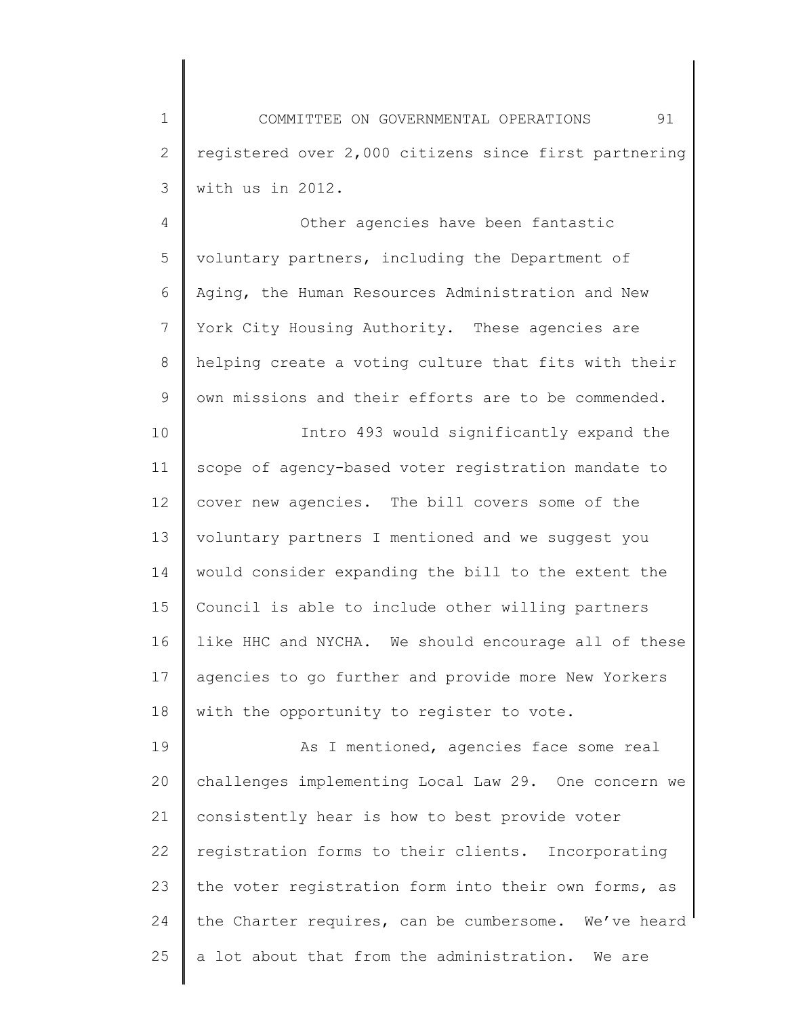1 2 3 COMMITTEE ON GOVERNMENTAL OPERATIONS 91 registered over 2,000 citizens since first partnering with us in 2012.

4 5 6 7 8 9 Other agencies have been fantastic voluntary partners, including the Department of Aging, the Human Resources Administration and New York City Housing Authority. These agencies are helping create a voting culture that fits with their own missions and their efforts are to be commended.

10 11 12 13 14 15 16 17 18 Intro 493 would significantly expand the scope of agency-based voter registration mandate to cover new agencies. The bill covers some of the voluntary partners I mentioned and we suggest you would consider expanding the bill to the extent the Council is able to include other willing partners like HHC and NYCHA. We should encourage all of these agencies to go further and provide more New Yorkers with the opportunity to register to vote.

19 20 21 22 23 24 25 As I mentioned, agencies face some real challenges implementing Local Law 29. One concern we consistently hear is how to best provide voter registration forms to their clients. Incorporating the voter registration form into their own forms, as the Charter requires, can be cumbersome. We've heard a lot about that from the administration. We are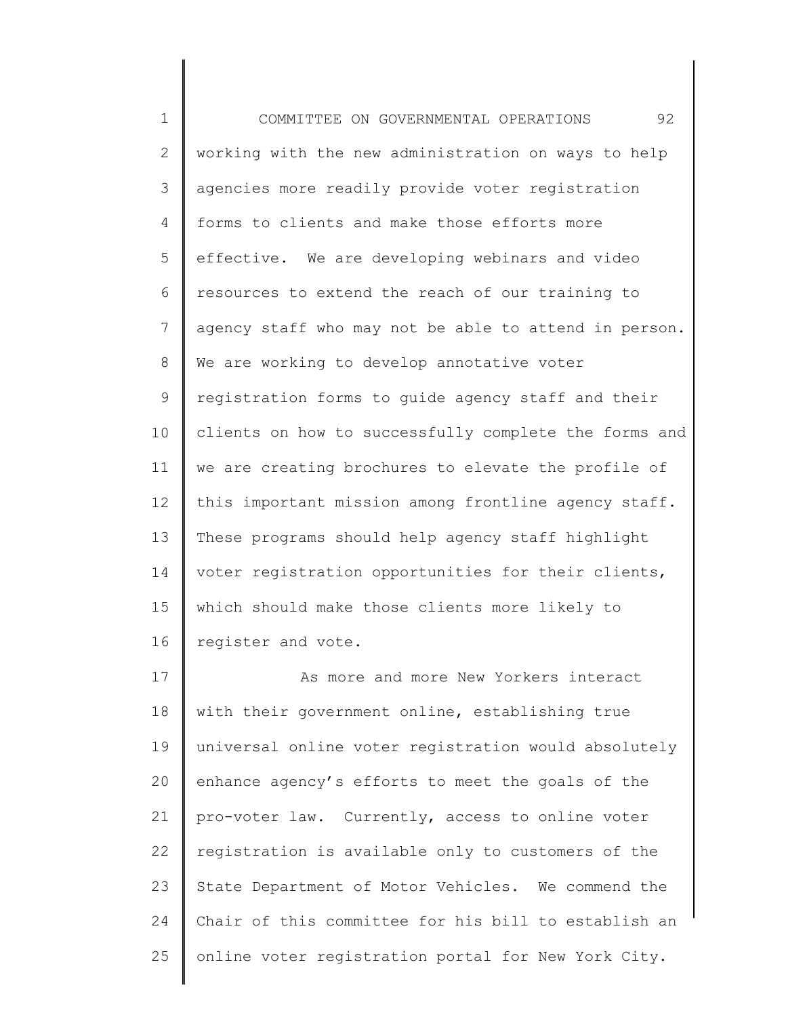1 2 3 4 5 6 7 8 9 10 11 12 13 14 15 16 17 18 19 20 COMMITTEE ON GOVERNMENTAL OPERATIONS 92 working with the new administration on ways to help agencies more readily provide voter registration forms to clients and make those efforts more effective. We are developing webinars and video resources to extend the reach of our training to agency staff who may not be able to attend in person. We are working to develop annotative voter registration forms to guide agency staff and their clients on how to successfully complete the forms and we are creating brochures to elevate the profile of this important mission among frontline agency staff. These programs should help agency staff highlight voter registration opportunities for their clients, which should make those clients more likely to register and vote. As more and more New Yorkers interact with their government online, establishing true universal online voter registration would absolutely enhance agency's efforts to meet the goals of the

21 22 23 24 25 pro-voter law. Currently, access to online voter registration is available only to customers of the State Department of Motor Vehicles. We commend the Chair of this committee for his bill to establish an online voter registration portal for New York City.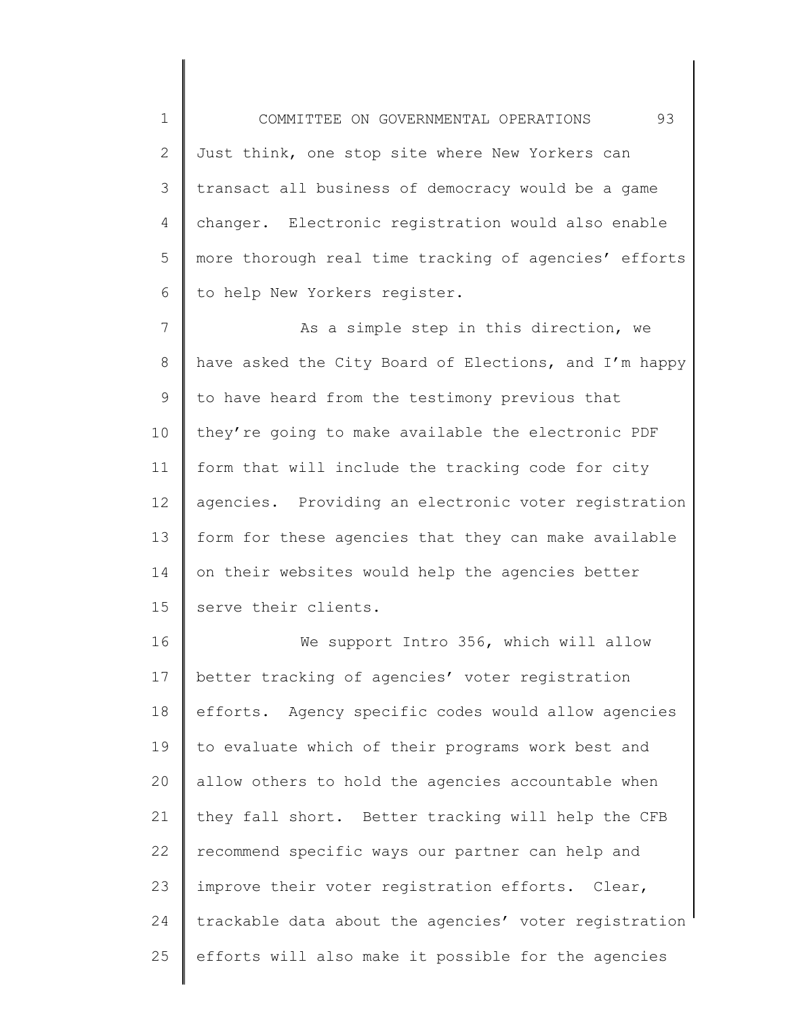1 2 3 4 5 6 COMMITTEE ON GOVERNMENTAL OPERATIONS 93 Just think, one stop site where New Yorkers can transact all business of democracy would be a game changer. Electronic registration would also enable more thorough real time tracking of agencies' efforts to help New Yorkers register.

7 8 9 10 11 12 13 14 15 As a simple step in this direction, we have asked the City Board of Elections, and I'm happy to have heard from the testimony previous that they're going to make available the electronic PDF form that will include the tracking code for city agencies. Providing an electronic voter registration form for these agencies that they can make available on their websites would help the agencies better serve their clients.

16 17 18 19 20 21 22 23 24 25 We support Intro 356, which will allow better tracking of agencies' voter registration efforts. Agency specific codes would allow agencies to evaluate which of their programs work best and allow others to hold the agencies accountable when they fall short. Better tracking will help the CFB recommend specific ways our partner can help and improve their voter registration efforts. Clear, trackable data about the agencies' voter registration efforts will also make it possible for the agencies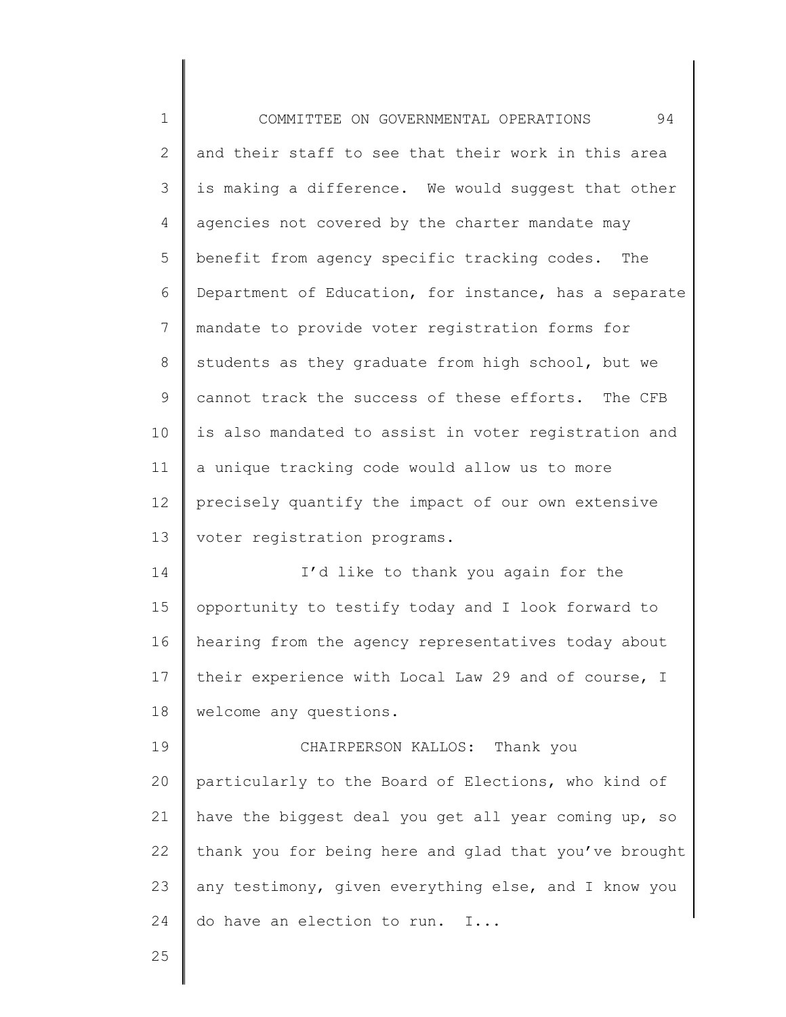| $\mathbf 1$     | 94<br>COMMITTEE ON GOVERNMENTAL OPERATIONS            |
|-----------------|-------------------------------------------------------|
| $\mathbf{2}$    | and their staff to see that their work in this area   |
| 3               | is making a difference. We would suggest that other   |
| 4               | agencies not covered by the charter mandate may       |
| 5               | benefit from agency specific tracking codes. The      |
| 6               | Department of Education, for instance, has a separate |
| $\overline{7}$  | mandate to provide voter registration forms for       |
| $8\,$           | students as they graduate from high school, but we    |
| 9               | cannot track the success of these efforts. The CFB    |
| 10              | is also mandated to assist in voter registration and  |
| 11              | a unique tracking code would allow us to more         |
| 12 <sup>°</sup> | precisely quantify the impact of our own extensive    |
| 13              | voter registration programs.                          |
| 14              | I'd like to thank you again for the                   |
| 15              | opportunity to testify today and I look forward to    |
| 16              | hearing from the agency representatives today about   |
| 17              | their experience with Local Law 29 and of course, I   |
| 18              | welcome any questions.                                |
| 19              | CHAIRPERSON KALLOS: Thank you                         |
| 20              | particularly to the Board of Elections, who kind of   |
| 21              | have the biggest deal you get all year coming up, so  |
| 22              | thank you for being here and glad that you've brought |
| 23              | any testimony, given everything else, and I know you  |
| 24              | do have an election to run. I                         |
| 25              |                                                       |

 $\mathsf I$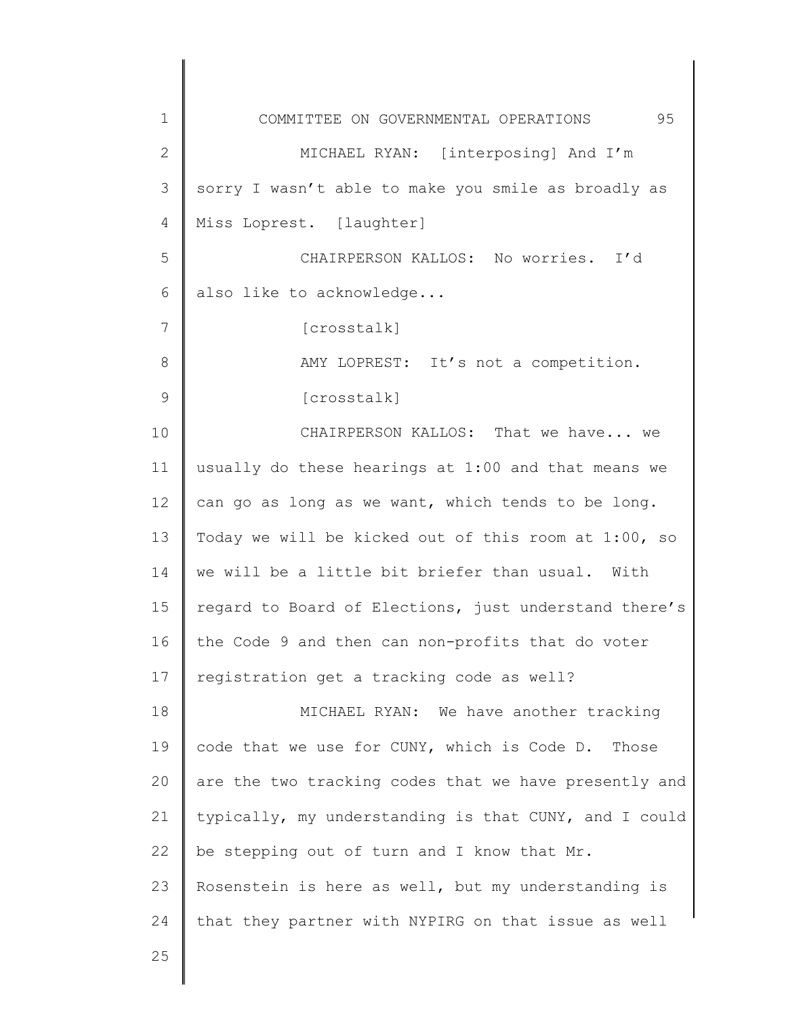1 2 3 4 5 6 7 8 9 10 11 12 13 14 15 16 17 18 19 20 21 22 23 24 25 COMMITTEE ON GOVERNMENTAL OPERATIONS 95 MICHAEL RYAN: [interposing] And I'm sorry I wasn't able to make you smile as broadly as Miss Loprest. [laughter] CHAIRPERSON KALLOS: No worries. I'd also like to acknowledge... [crosstalk] AMY LOPREST: It's not a competition. [crosstalk] CHAIRPERSON KALLOS: That we have... we usually do these hearings at 1:00 and that means we can go as long as we want, which tends to be long. Today we will be kicked out of this room at 1:00, so we will be a little bit briefer than usual. With regard to Board of Elections, just understand there's the Code 9 and then can non-profits that do voter registration get a tracking code as well? MICHAEL RYAN: We have another tracking code that we use for CUNY, which is Code D. Those are the two tracking codes that we have presently and typically, my understanding is that CUNY, and I could be stepping out of turn and I know that Mr. Rosenstein is here as well, but my understanding is that they partner with NYPIRG on that issue as well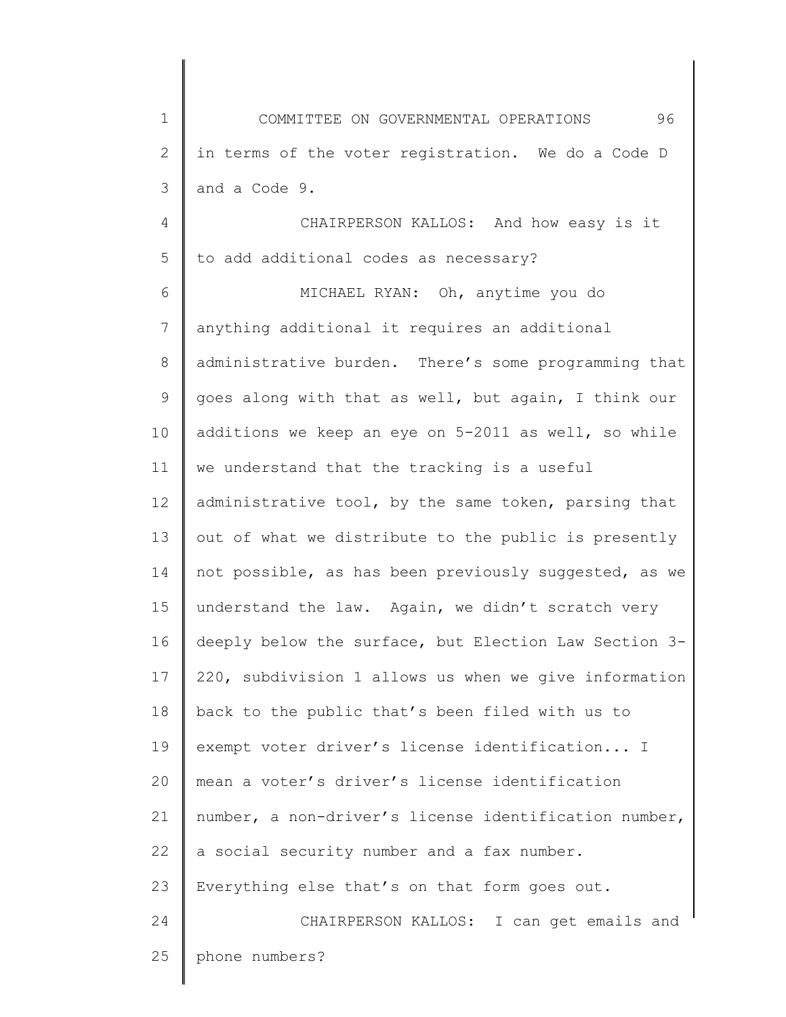1 2 3 4 5 6 7 8 9 10 11 12 13 14 15 16 17 18 19 20 21 22 23 24 25 COMMITTEE ON GOVERNMENTAL OPERATIONS 96 in terms of the voter registration. We do a Code D and a Code 9. CHAIRPERSON KALLOS: And how easy is it to add additional codes as necessary? MICHAEL RYAN: Oh, anytime you do anything additional it requires an additional administrative burden. There's some programming that goes along with that as well, but again, I think our additions we keep an eye on 5-2011 as well, so while we understand that the tracking is a useful administrative tool, by the same token, parsing that out of what we distribute to the public is presently not possible, as has been previously suggested, as we understand the law. Again, we didn't scratch very deeply below the surface, but Election Law Section 3- 220, subdivision 1 allows us when we give information back to the public that's been filed with us to exempt voter driver's license identification... I mean a voter's driver's license identification number, a non-driver's license identification number, a social security number and a fax number. Everything else that's on that form goes out. CHAIRPERSON KALLOS: I can get emails and phone numbers?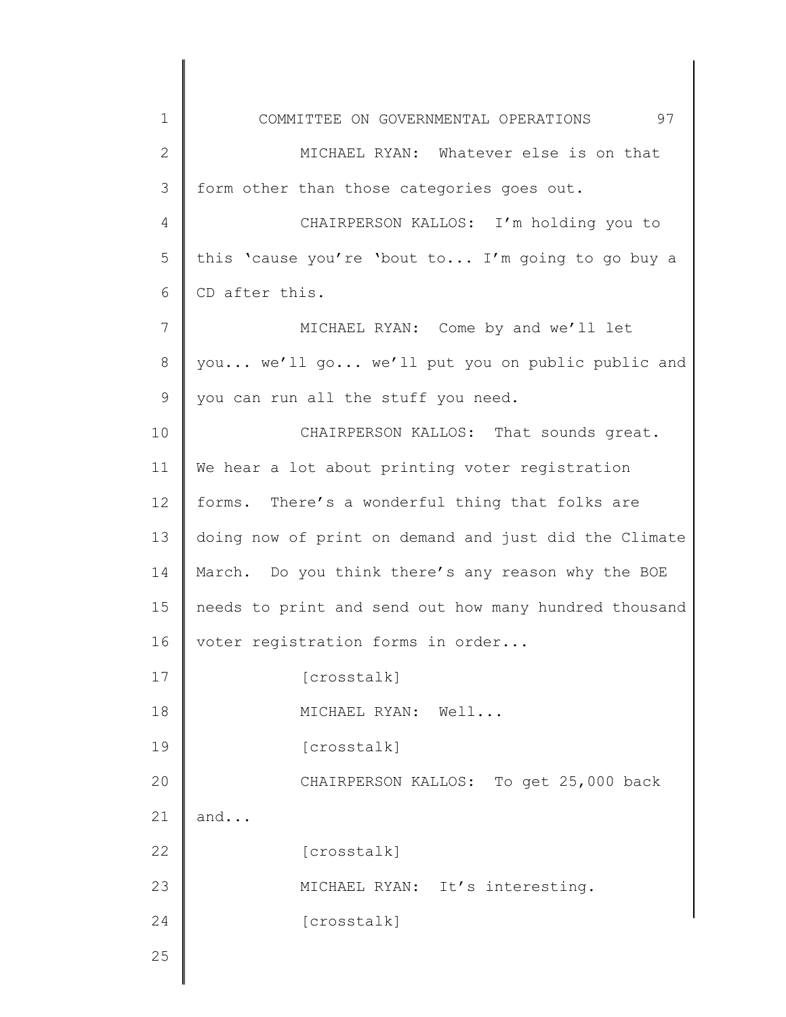| $\mathbf 1$    | 97<br>COMMITTEE ON GOVERNMENTAL OPERATIONS            |
|----------------|-------------------------------------------------------|
| $\mathbf{2}$   | MICHAEL RYAN: Whatever else is on that                |
| 3              | form other than those categories goes out.            |
| 4              | CHAIRPERSON KALLOS: I'm holding you to                |
| 5              | this 'cause you're 'bout to I'm going to go buy a     |
| 6              | CD after this.                                        |
| $\overline{7}$ | MICHAEL RYAN: Come by and we'll let                   |
| 8              | you we'll go we'll put you on public public and       |
| 9              | you can run all the stuff you need.                   |
| 10             | CHAIRPERSON KALLOS: That sounds great.                |
| 11             | We hear a lot about printing voter registration       |
| 12             | forms. There's a wonderful thing that folks are       |
| 13             | doing now of print on demand and just did the Climate |
| 14             | March. Do you think there's any reason why the BOE    |
| 15             | needs to print and send out how many hundred thousand |
| 16             | voter registration forms in order                     |
| 17             | [crosstalk]                                           |
| 18             | MICHAEL RYAN: Well                                    |
| 19             | [crosstalk]                                           |
| 20             | CHAIRPERSON KALLOS: To get 25,000 back                |
| 21             | and                                                   |
| 22             | [crosstalk]                                           |
| 23             | MICHAEL RYAN: It's interesting.                       |
| 24             | [crosstalk]                                           |
| 25             |                                                       |
|                |                                                       |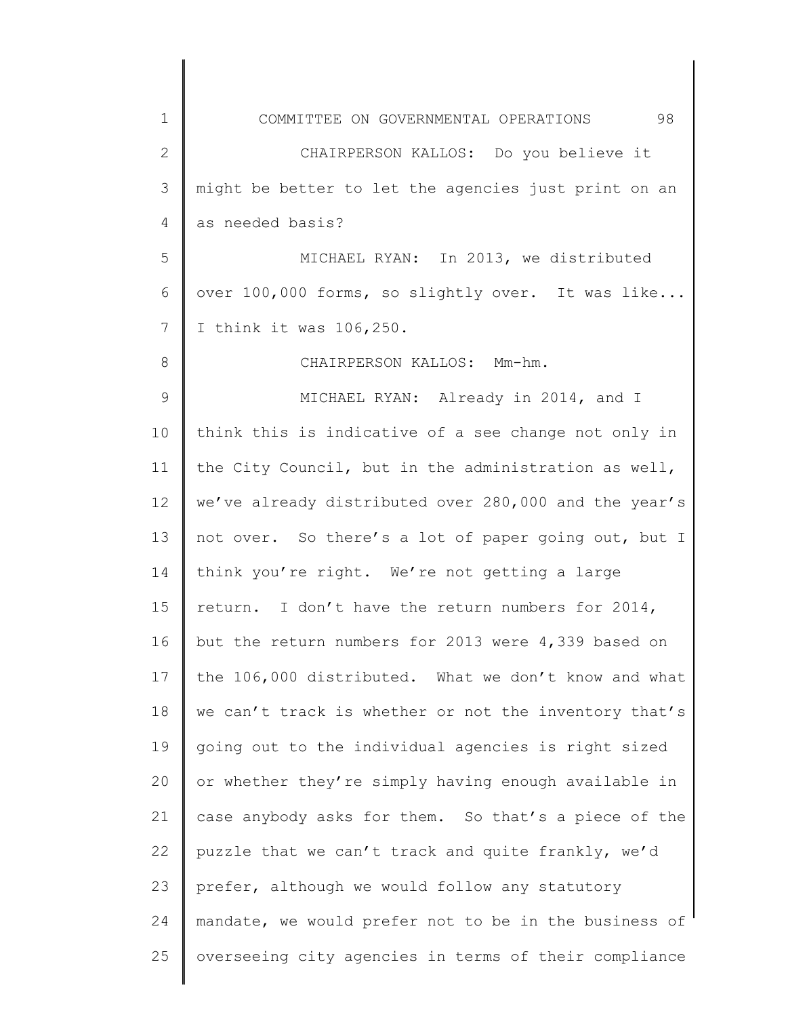| 1            | 98<br>COMMITTEE ON GOVERNMENTAL OPERATIONS            |
|--------------|-------------------------------------------------------|
| $\mathbf{2}$ | CHAIRPERSON KALLOS: Do you believe it                 |
| 3            | might be better to let the agencies just print on an  |
| 4            | as needed basis?                                      |
| 5            | MICHAEL RYAN: In 2013, we distributed                 |
| 6            | over 100,000 forms, so slightly over. It was like     |
| 7            | I think it was 106, 250.                              |
| 8            | CHAIRPERSON KALLOS: Mm-hm.                            |
| 9            | MICHAEL RYAN: Already in 2014, and I                  |
| 10           | think this is indicative of a see change not only in  |
| 11           | the City Council, but in the administration as well,  |
| 12           | we've already distributed over 280,000 and the year's |
| 13           | not over. So there's a lot of paper going out, but I  |
| 14           | think you're right. We're not getting a large         |
| 15           | return. I don't have the return numbers for 2014,     |
| 16           | but the return numbers for 2013 were 4,339 based on   |
| 17           | the 106,000 distributed. What we don't know and what  |
| 18           | we can't track is whether or not the inventory that's |
| 19           | going out to the individual agencies is right sized   |
| 20           | or whether they're simply having enough available in  |
| 21           | case anybody asks for them. So that's a piece of the  |
| 22           | puzzle that we can't track and quite frankly, we'd    |
| 23           | prefer, although we would follow any statutory        |
| 24           | mandate, we would prefer not to be in the business of |
| 25           | overseeing city agencies in terms of their compliance |
|              |                                                       |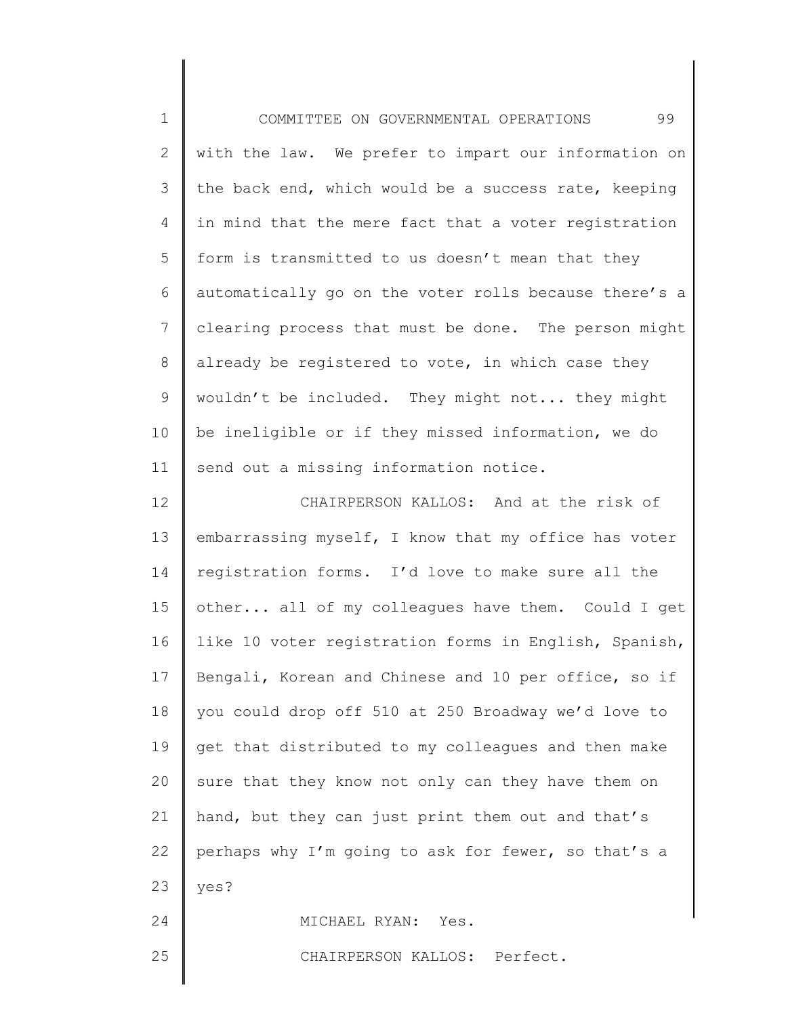1 2 3 4 5 6 7 8 9 10 11 12 13 14 15 16 17 18 19 20 21 22 23 COMMITTEE ON GOVERNMENTAL OPERATIONS 99 with the law. We prefer to impart our information on the back end, which would be a success rate, keeping in mind that the mere fact that a voter registration form is transmitted to us doesn't mean that they automatically go on the voter rolls because there's a clearing process that must be done. The person might already be registered to vote, in which case they wouldn't be included. They might not... they might be ineligible or if they missed information, we do send out a missing information notice. CHAIRPERSON KALLOS: And at the risk of embarrassing myself, I know that my office has voter registration forms. I'd love to make sure all the other... all of my colleagues have them. Could I get like 10 voter registration forms in English, Spanish, Bengali, Korean and Chinese and 10 per office, so if you could drop off 510 at 250 Broadway we'd love to get that distributed to my colleagues and then make sure that they know not only can they have them on hand, but they can just print them out and that's perhaps why I'm going to ask for fewer, so that's a yes?

MICHAEL RYAN: Yes.

CHAIRPERSON KALLOS: Perfect.

25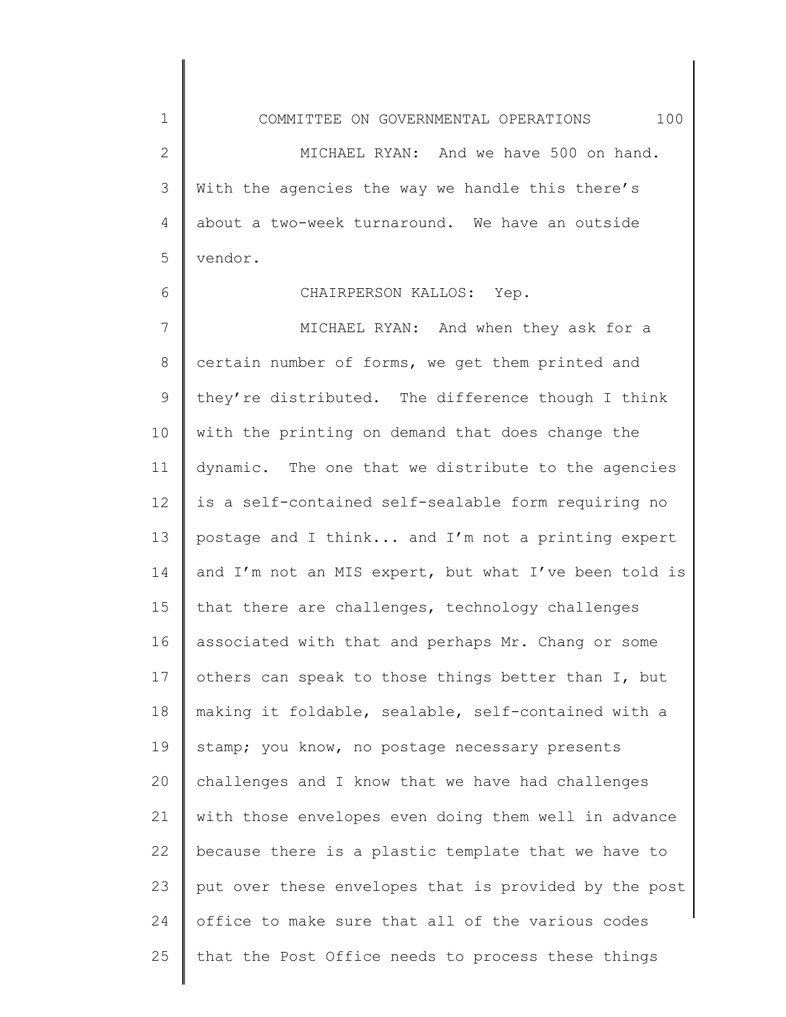1 2 3 4 5 COMMITTEE ON GOVERNMENTAL OPERATIONS 100 MICHAEL RYAN: And we have 500 on hand. With the agencies the way we handle this there's about a two-week turnaround. We have an outside vendor.

## CHAIRPERSON KALLOS: Yep.

6

7 8 9 10 11 12 13 14 15 16 17 18 19 20 21 22 23 24 25 MICHAEL RYAN: And when they ask for a certain number of forms, we get them printed and they're distributed. The difference though I think with the printing on demand that does change the dynamic. The one that we distribute to the agencies is a self-contained self-sealable form requiring no postage and I think... and I'm not a printing expert and I'm not an MIS expert, but what I've been told is that there are challenges, technology challenges associated with that and perhaps Mr. Chang or some others can speak to those things better than I, but making it foldable, sealable, self-contained with a stamp; you know, no postage necessary presents challenges and I know that we have had challenges with those envelopes even doing them well in advance because there is a plastic template that we have to put over these envelopes that is provided by the post office to make sure that all of the various codes that the Post Office needs to process these things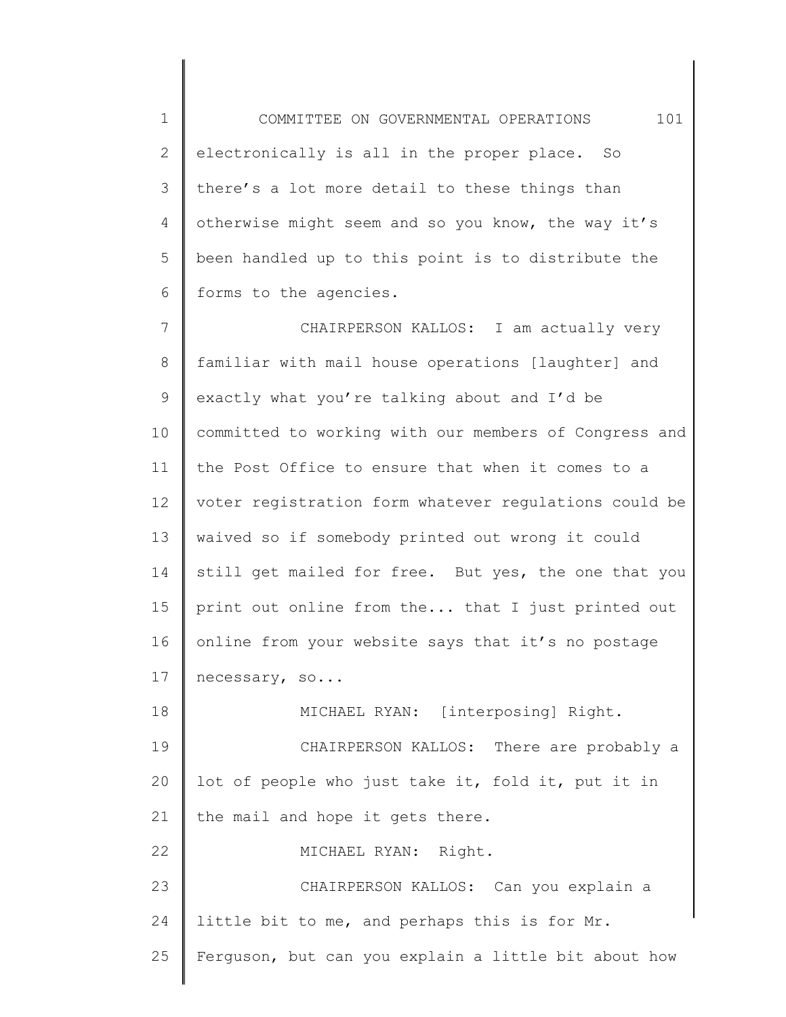1 2 3 4 5 6 COMMITTEE ON GOVERNMENTAL OPERATIONS 101 electronically is all in the proper place. So there's a lot more detail to these things than otherwise might seem and so you know, the way it's been handled up to this point is to distribute the forms to the agencies.

7 8 9 10 11 12 13 14 15 16 17 CHAIRPERSON KALLOS: I am actually very familiar with mail house operations [laughter] and exactly what you're talking about and I'd be committed to working with our members of Congress and the Post Office to ensure that when it comes to a voter registration form whatever regulations could be waived so if somebody printed out wrong it could still get mailed for free. But yes, the one that you print out online from the... that I just printed out online from your website says that it's no postage necessary, so...

18 19 20 21 22 23 24 25 MICHAEL RYAN: [interposing] Right. CHAIRPERSON KALLOS: There are probably a lot of people who just take it, fold it, put it in the mail and hope it gets there. MICHAEL RYAN: Right. CHAIRPERSON KALLOS: Can you explain a little bit to me, and perhaps this is for Mr. Ferguson, but can you explain a little bit about how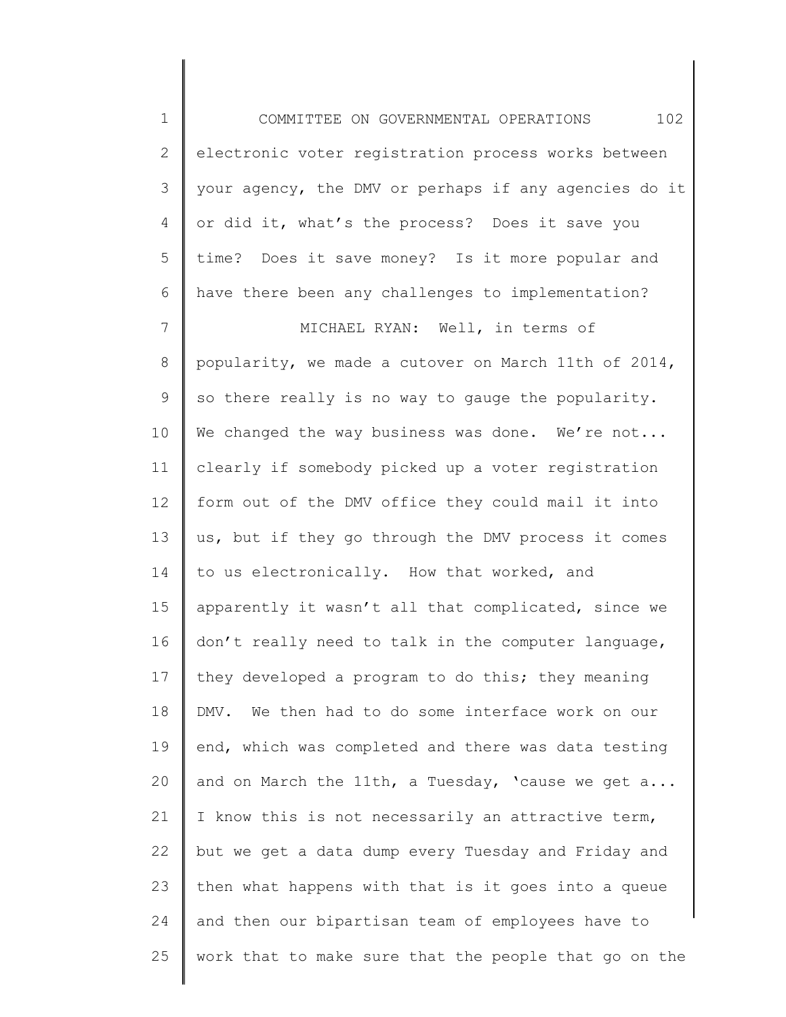1 2 3 4 5 6 7 COMMITTEE ON GOVERNMENTAL OPERATIONS 102 electronic voter registration process works between your agency, the DMV or perhaps if any agencies do it or did it, what's the process? Does it save you time? Does it save money? Is it more popular and have there been any challenges to implementation? MICHAEL RYAN: Well, in terms of

8 9 10 11 12 13 14 15 16 17 18 19 20 21 22 23 24 25 popularity, we made a cutover on March 11th of 2014, so there really is no way to gauge the popularity. We changed the way business was done. We're not... clearly if somebody picked up a voter registration form out of the DMV office they could mail it into us, but if they go through the DMV process it comes to us electronically. How that worked, and apparently it wasn't all that complicated, since we don't really need to talk in the computer language, they developed a program to do this; they meaning DMV. We then had to do some interface work on our end, which was completed and there was data testing and on March the 11th, a Tuesday, 'cause we get a... I know this is not necessarily an attractive term, but we get a data dump every Tuesday and Friday and then what happens with that is it goes into a queue and then our bipartisan team of employees have to work that to make sure that the people that go on the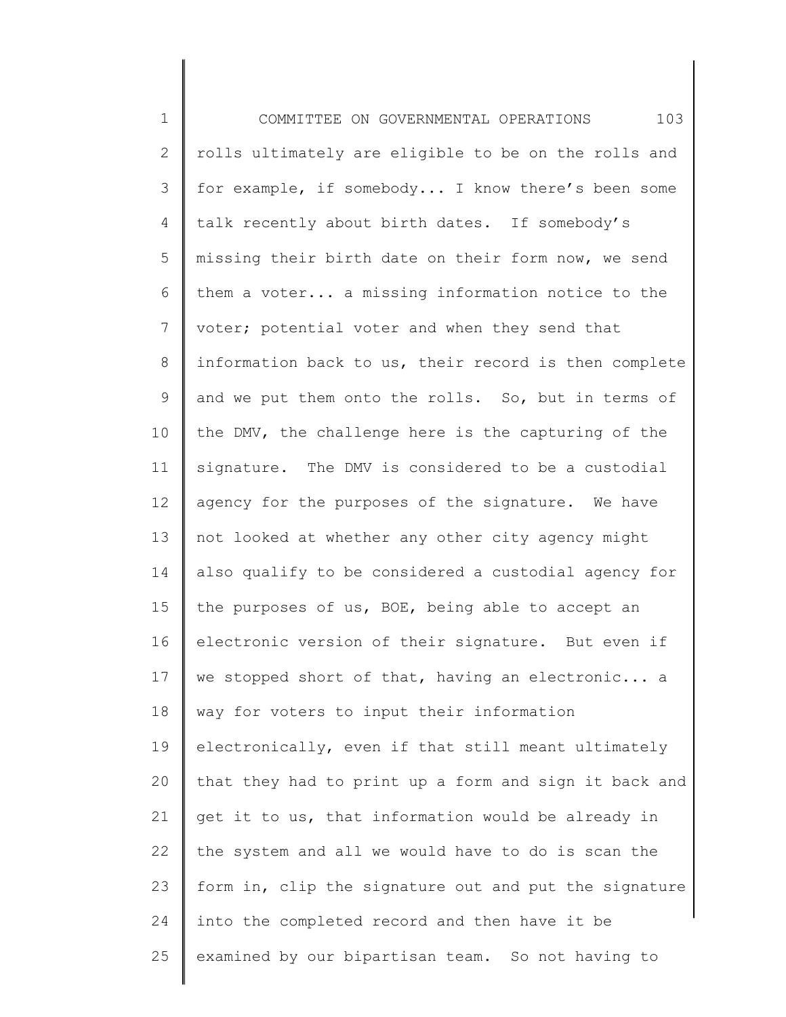1 2 3 4 5 6 7 8 9 10 11 12 13 14 15 16 17 18 19 20 21 22 23 24 25 COMMITTEE ON GOVERNMENTAL OPERATIONS 103 rolls ultimately are eligible to be on the rolls and for example, if somebody... I know there's been some talk recently about birth dates. If somebody's missing their birth date on their form now, we send them a voter... a missing information notice to the voter; potential voter and when they send that information back to us, their record is then complete and we put them onto the rolls. So, but in terms of the DMV, the challenge here is the capturing of the signature. The DMV is considered to be a custodial agency for the purposes of the signature. We have not looked at whether any other city agency might also qualify to be considered a custodial agency for the purposes of us, BOE, being able to accept an electronic version of their signature. But even if we stopped short of that, having an electronic... a way for voters to input their information electronically, even if that still meant ultimately that they had to print up a form and sign it back and get it to us, that information would be already in the system and all we would have to do is scan the form in, clip the signature out and put the signature into the completed record and then have it be examined by our bipartisan team. So not having to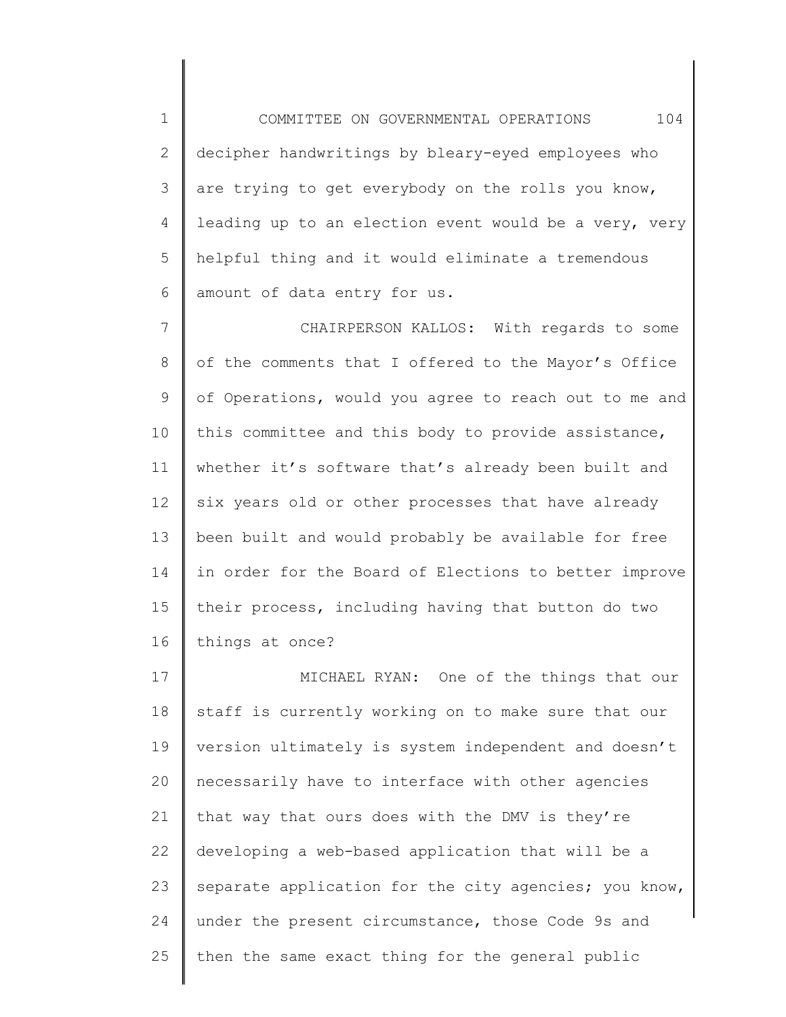1 2 3 4 5 6 COMMITTEE ON GOVERNMENTAL OPERATIONS 104 decipher handwritings by bleary-eyed employees who are trying to get everybody on the rolls you know, leading up to an election event would be a very, very helpful thing and it would eliminate a tremendous amount of data entry for us.

7 8 9 10 11 12 13 14 15 16 CHAIRPERSON KALLOS: With regards to some of the comments that I offered to the Mayor's Office of Operations, would you agree to reach out to me and this committee and this body to provide assistance, whether it's software that's already been built and six years old or other processes that have already been built and would probably be available for free in order for the Board of Elections to better improve their process, including having that button do two things at once?

17 18 19 20 21 22 23 24 25 MICHAEL RYAN: One of the things that our staff is currently working on to make sure that our version ultimately is system independent and doesn't necessarily have to interface with other agencies that way that ours does with the DMV is they're developing a web-based application that will be a separate application for the city agencies; you know, under the present circumstance, those Code 9s and then the same exact thing for the general public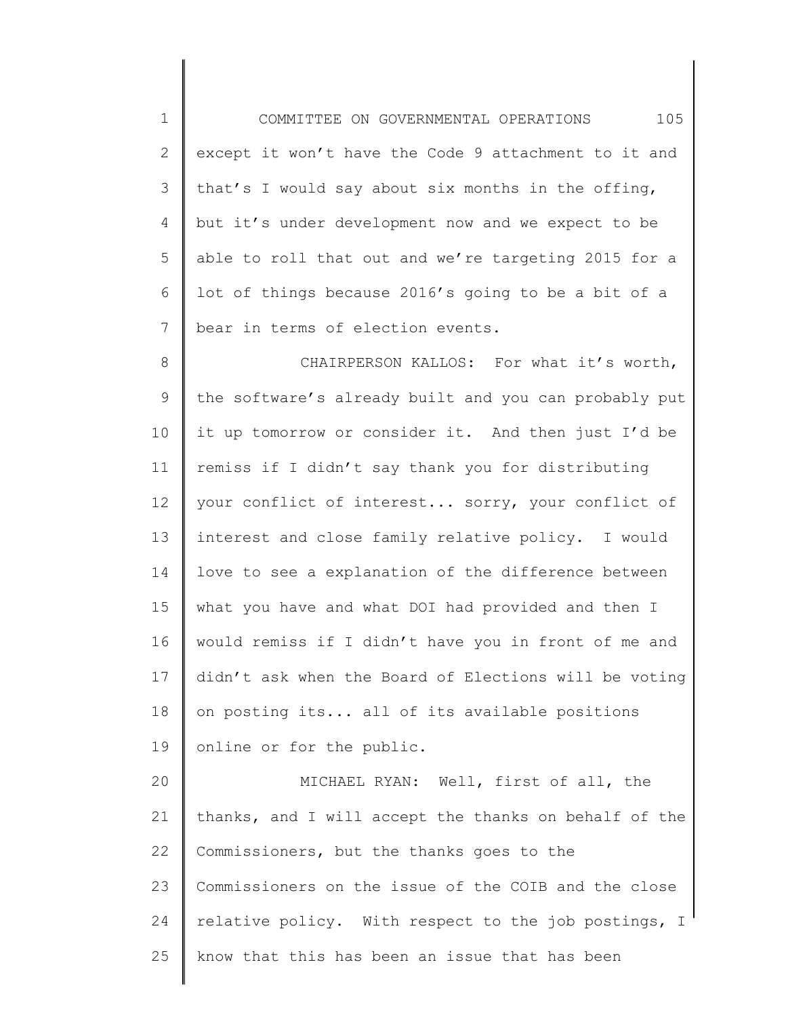1 2 3 4 5 6 7 8 9 10 11 12 13 14 15 16 17 18 19 20 COMMITTEE ON GOVERNMENTAL OPERATIONS 105 except it won't have the Code 9 attachment to it and that's I would say about six months in the offing, but it's under development now and we expect to be able to roll that out and we're targeting 2015 for a lot of things because 2016's going to be a bit of a bear in terms of election events. CHAIRPERSON KALLOS: For what it's worth, the software's already built and you can probably put it up tomorrow or consider it. And then just I'd be remiss if I didn't say thank you for distributing your conflict of interest... sorry, your conflict of interest and close family relative policy. I would love to see a explanation of the difference between what you have and what DOI had provided and then I would remiss if I didn't have you in front of me and didn't ask when the Board of Elections will be voting on posting its... all of its available positions online or for the public. MICHAEL RYAN: Well, first of all, the

21 22 23 24 25 thanks, and I will accept the thanks on behalf of the Commissioners, but the thanks goes to the Commissioners on the issue of the COIB and the close relative policy. With respect to the job postings, I know that this has been an issue that has been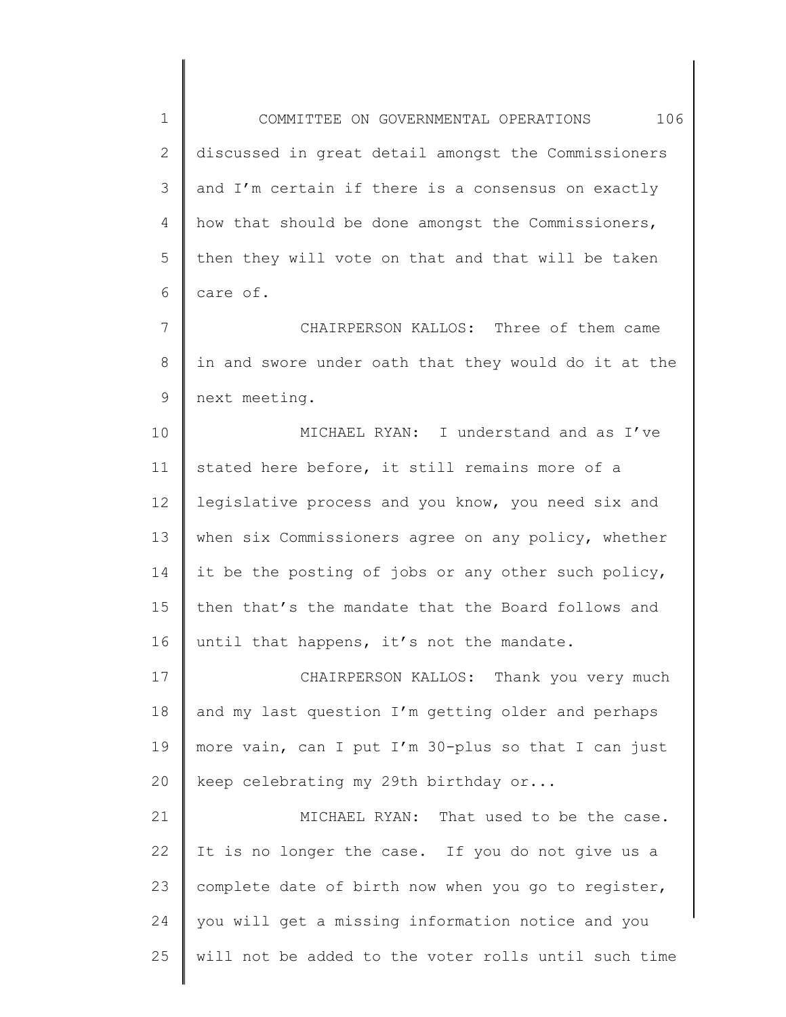1 2 3 4 5 6 COMMITTEE ON GOVERNMENTAL OPERATIONS 106 discussed in great detail amongst the Commissioners and I'm certain if there is a consensus on exactly how that should be done amongst the Commissioners, then they will vote on that and that will be taken care of.

7 8 9 CHAIRPERSON KALLOS: Three of them came in and swore under oath that they would do it at the next meeting.

10 11 12 13 14 15 16 MICHAEL RYAN: I understand and as I've stated here before, it still remains more of a legislative process and you know, you need six and when six Commissioners agree on any policy, whether it be the posting of jobs or any other such policy, then that's the mandate that the Board follows and until that happens, it's not the mandate.

17 18 19 20 CHAIRPERSON KALLOS: Thank you very much and my last question I'm getting older and perhaps more vain, can I put I'm 30-plus so that I can just keep celebrating my 29th birthday or...

21 22 23 24 25 MICHAEL RYAN: That used to be the case. It is no longer the case. If you do not give us a complete date of birth now when you go to register, you will get a missing information notice and you will not be added to the voter rolls until such time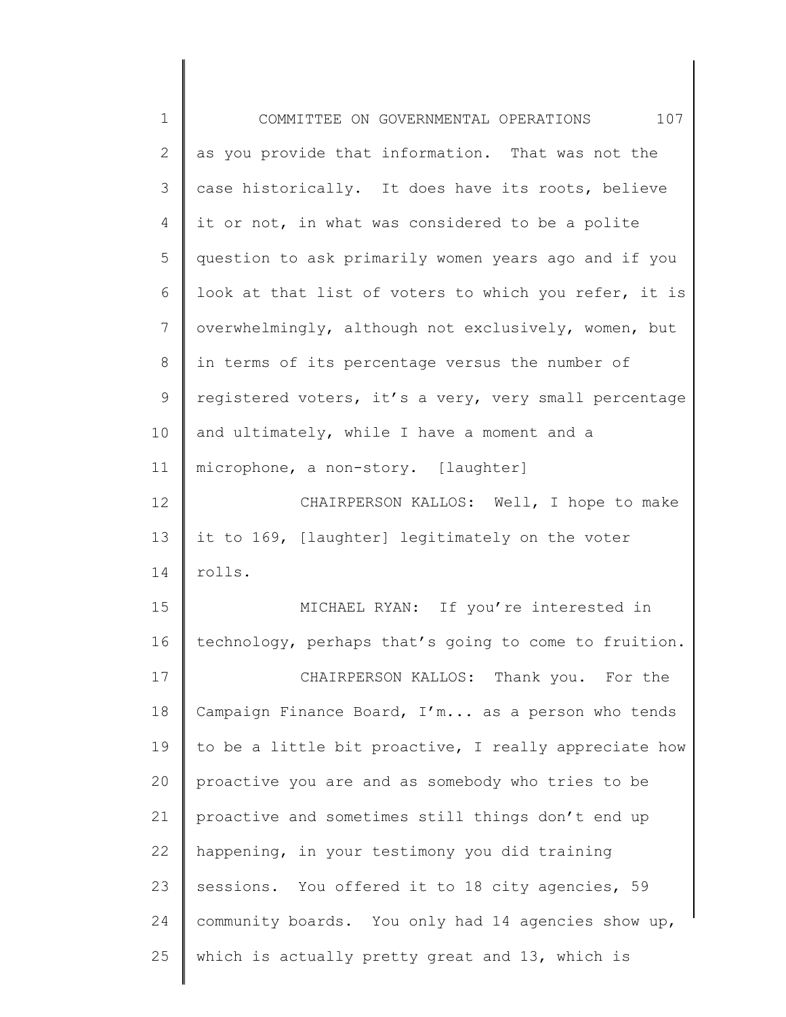| $\mathbf 1$    | 107<br>COMMITTEE ON GOVERNMENTAL OPERATIONS           |
|----------------|-------------------------------------------------------|
| $\mathbf{2}$   | as you provide that information. That was not the     |
| 3              | case historically. It does have its roots, believe    |
| 4              | it or not, in what was considered to be a polite      |
| 5              | question to ask primarily women years ago and if you  |
| 6              | look at that list of voters to which you refer, it is |
| $\overline{7}$ | overwhelmingly, although not exclusively, women, but  |
| 8              | in terms of its percentage versus the number of       |
| 9              | registered voters, it's a very, very small percentage |
| 10             | and ultimately, while I have a moment and a           |
| 11             | microphone, a non-story. [laughter]                   |
| 12             | CHAIRPERSON KALLOS: Well, I hope to make              |
| 13             | it to 169, [laughter] legitimately on the voter       |
| 14             | rolls.                                                |
| 15             | MICHAEL RYAN: If you're interested in                 |
| 16             | technology, perhaps that's going to come to fruition. |
| 17             | CHAIRPERSON KALLOS: Thank you. For the                |
| 18             | Campaign Finance Board, I'm as a person who tends     |
| 19             | to be a little bit proactive, I really appreciate how |
| 20             | proactive you are and as somebody who tries to be     |
| 21             | proactive and sometimes still things don't end up     |
| 22             | happening, in your testimony you did training         |
| 23             | sessions. You offered it to 18 city agencies, 59      |
| 24             | community boards. You only had 14 agencies show up,   |
| 25             | which is actually pretty great and 13, which is       |
|                |                                                       |

║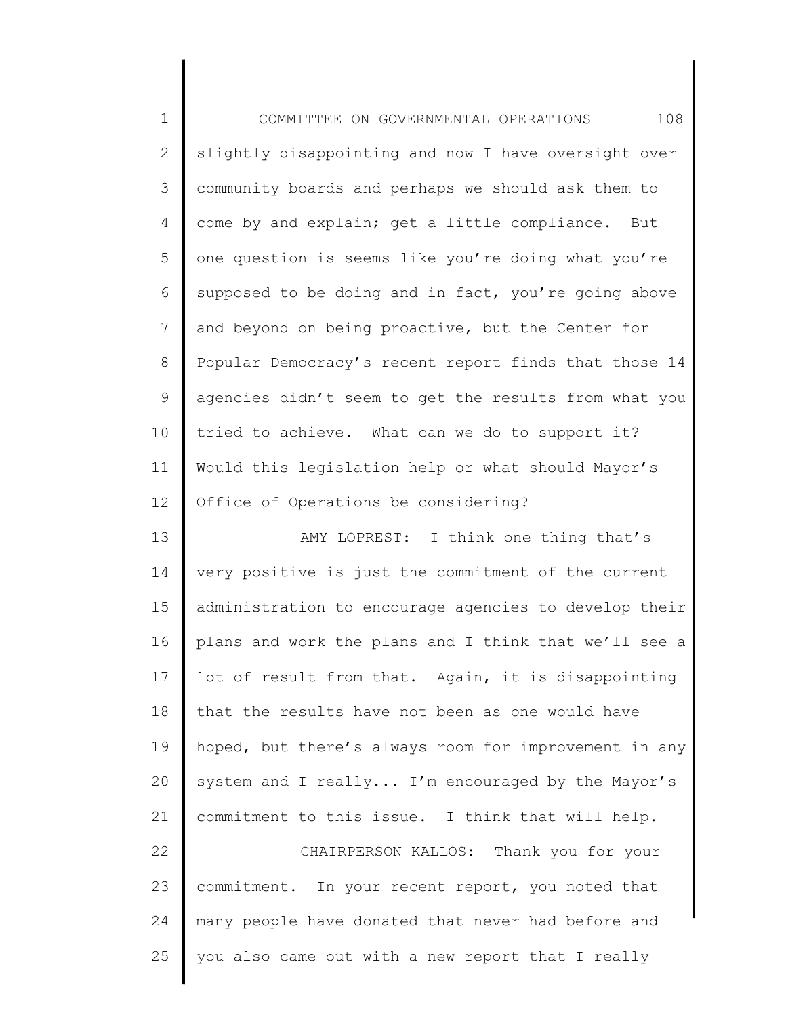| $\mathbf 1$    | 108<br>COMMITTEE ON GOVERNMENTAL OPERATIONS           |
|----------------|-------------------------------------------------------|
| $\mathbf{2}$   | slightly disappointing and now I have oversight over  |
| 3              | community boards and perhaps we should ask them to    |
| 4              | come by and explain; get a little compliance. But     |
| 5              | one question is seems like you're doing what you're   |
| 6              | supposed to be doing and in fact, you're going above  |
| $7\phantom{.}$ | and beyond on being proactive, but the Center for     |
| 8              | Popular Democracy's recent report finds that those 14 |
| $\mathsf 9$    | agencies didn't seem to get the results from what you |
| 10             | tried to achieve. What can we do to support it?       |
| 11             | Would this legislation help or what should Mayor's    |
| 12             | Office of Operations be considering?                  |
| 13             | AMY LOPREST: I think one thing that's                 |
| 14             | very positive is just the commitment of the current   |
| 15             | administration to encourage agencies to develop their |
| 16             | plans and work the plans and I think that we'll see a |
| 17             | lot of result from that. Again, it is disappointing   |
| 18             | that the results have not been as one would have      |
| 19             | hoped, but there's always room for improvement in any |
| 20             | system and I really I'm encouraged by the Mayor's     |
| 21             | commitment to this issue. I think that will help.     |
| 22             | CHAIRPERSON KALLOS: Thank you for your                |
| 23             | commitment. In your recent report, you noted that     |
| 24             | many people have donated that never had before and    |
| 25             | you also came out with a new report that I really     |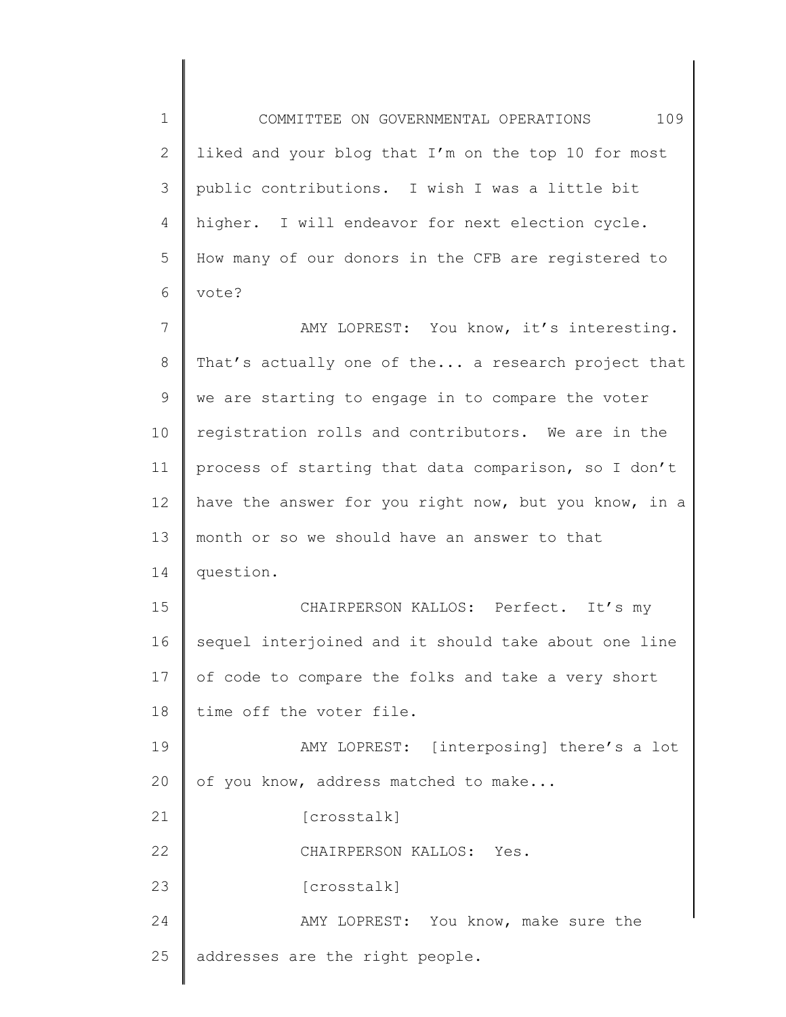1 2 3 4 5 6 COMMITTEE ON GOVERNMENTAL OPERATIONS 109 liked and your blog that I'm on the top 10 for most public contributions. I wish I was a little bit higher. I will endeavor for next election cycle. How many of our donors in the CFB are registered to vote?

7 8 9 10 11 12 13 14 15 16 AMY LOPREST: You know, it's interesting. That's actually one of the... a research project that we are starting to engage in to compare the voter registration rolls and contributors. We are in the process of starting that data comparison, so I don't have the answer for you right now, but you know, in a month or so we should have an answer to that question. CHAIRPERSON KALLOS: Perfect. It's my sequel interjoined and it should take about one line

17 18 of code to compare the folks and take a very short time off the voter file.

19 20 AMY LOPREST: [interposing] there's a lot of you know, address matched to make...

[crosstalk]

22 CHAIRPERSON KALLOS: Yes.

23 [crosstalk]

21

24 25 AMY LOPREST: You know, make sure the addresses are the right people.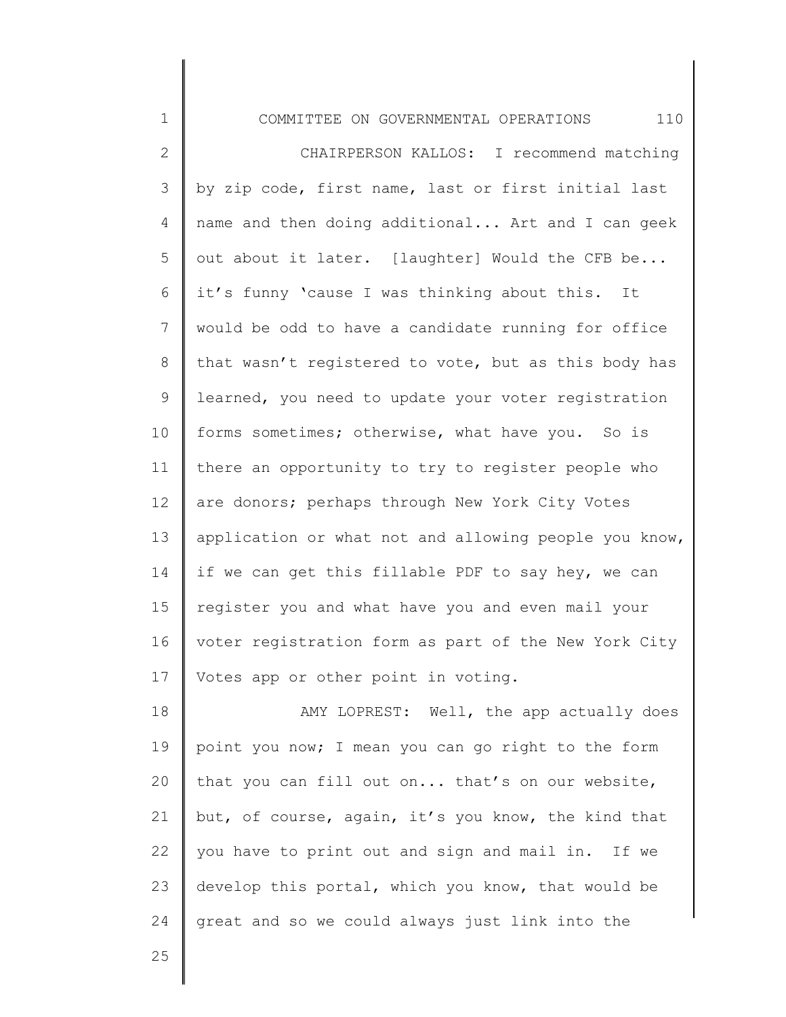1 2 3 4 5 6 7 8 9 10 11 12 13 14 15 16 17 18 19 COMMITTEE ON GOVERNMENTAL OPERATIONS 110 CHAIRPERSON KALLOS: I recommend matching by zip code, first name, last or first initial last name and then doing additional... Art and I can geek out about it later. [laughter] Would the CFB be... it's funny 'cause I was thinking about this. It would be odd to have a candidate running for office that wasn't registered to vote, but as this body has learned, you need to update your voter registration forms sometimes; otherwise, what have you. So is there an opportunity to try to register people who are donors; perhaps through New York City Votes application or what not and allowing people you know, if we can get this fillable PDF to say hey, we can register you and what have you and even mail your voter registration form as part of the New York City Votes app or other point in voting. AMY LOPREST: Well, the app actually does point you now; I mean you can go right to the form

20 21 22 23 24 that you can fill out on... that's on our website, but, of course, again, it's you know, the kind that you have to print out and sign and mail in. If we develop this portal, which you know, that would be great and so we could always just link into the

25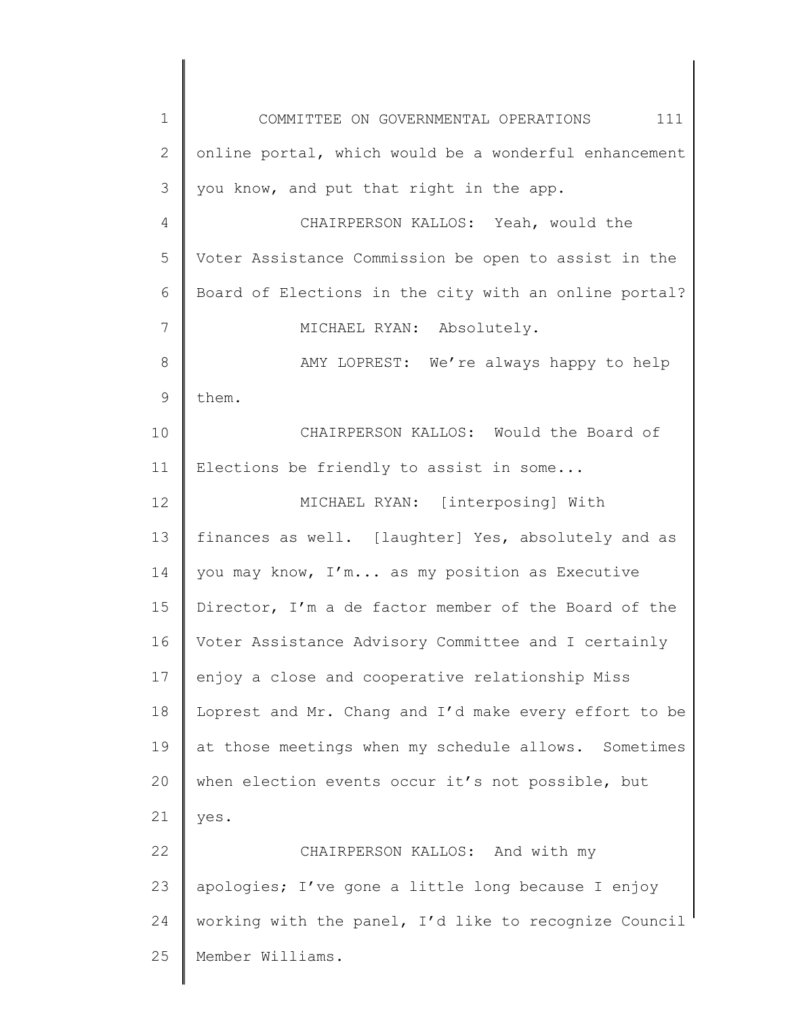1 2 3 4 5 6 7 8 9 10 11 12 13 14 15 16 17 18 19 20 21 22 23 24 25 COMMITTEE ON GOVERNMENTAL OPERATIONS 111 online portal, which would be a wonderful enhancement you know, and put that right in the app. CHAIRPERSON KALLOS: Yeah, would the Voter Assistance Commission be open to assist in the Board of Elections in the city with an online portal? MICHAEL RYAN: Absolutely. AMY LOPREST: We're always happy to help them. CHAIRPERSON KALLOS: Would the Board of Elections be friendly to assist in some... MICHAEL RYAN: [interposing] With finances as well. [laughter] Yes, absolutely and as you may know, I'm... as my position as Executive Director, I'm a de factor member of the Board of the Voter Assistance Advisory Committee and I certainly enjoy a close and cooperative relationship Miss Loprest and Mr. Chang and I'd make every effort to be at those meetings when my schedule allows. Sometimes when election events occur it's not possible, but yes. CHAIRPERSON KALLOS: And with my apologies; I've gone a little long because I enjoy working with the panel, I'd like to recognize Council Member Williams.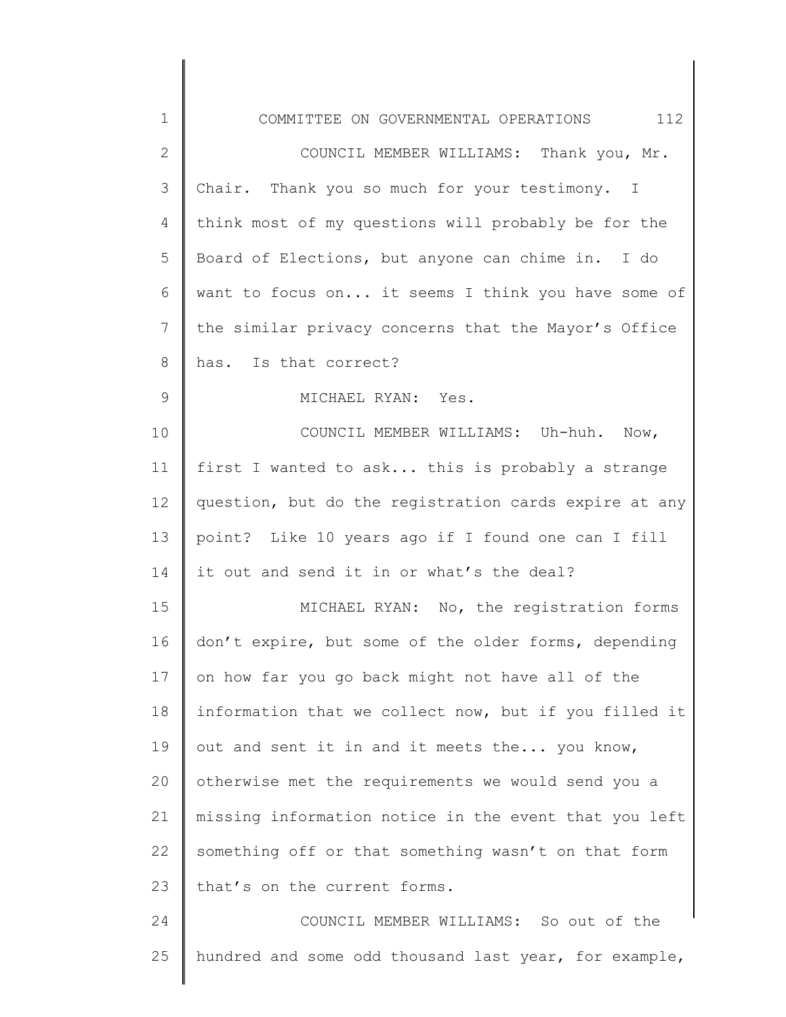| $\mathbf 1$  | 112<br>COMMITTEE ON GOVERNMENTAL OPERATIONS           |
|--------------|-------------------------------------------------------|
| $\mathbf{2}$ | COUNCIL MEMBER WILLIAMS: Thank you, Mr.               |
| 3            | Chair. Thank you so much for your testimony. I        |
| 4            | think most of my questions will probably be for the   |
| 5            | Board of Elections, but anyone can chime in. I do     |
| 6            | want to focus on it seems I think you have some of    |
| 7            | the similar privacy concerns that the Mayor's Office  |
| 8            | has. Is that correct?                                 |
| 9            | MICHAEL RYAN: Yes.                                    |
| 10           | COUNCIL MEMBER WILLIAMS: Uh-huh. Now,                 |
| 11           | first I wanted to ask this is probably a strange      |
| 12           | question, but do the registration cards expire at any |
| 13           | point? Like 10 years ago if I found one can I fill    |
| 14           | it out and send it in or what's the deal?             |
| 15           | MICHAEL RYAN: No, the registration forms              |
| 16           | don't expire, but some of the older forms, depending  |
| 17           | on how far you go back might not have all of the      |
| 18           | information that we collect now, but if you filled it |
| 19           | out and sent it in and it meets the you know,         |
| 20           | otherwise met the requirements we would send you a    |
| 21           | missing information notice in the event that you left |
| 22           | something off or that something wasn't on that form   |
| 23           | that's on the current forms.                          |
| 24           | COUNCIL MEMBER WILLIAMS: So out of the                |
| 25           | hundred and some odd thousand last year, for example, |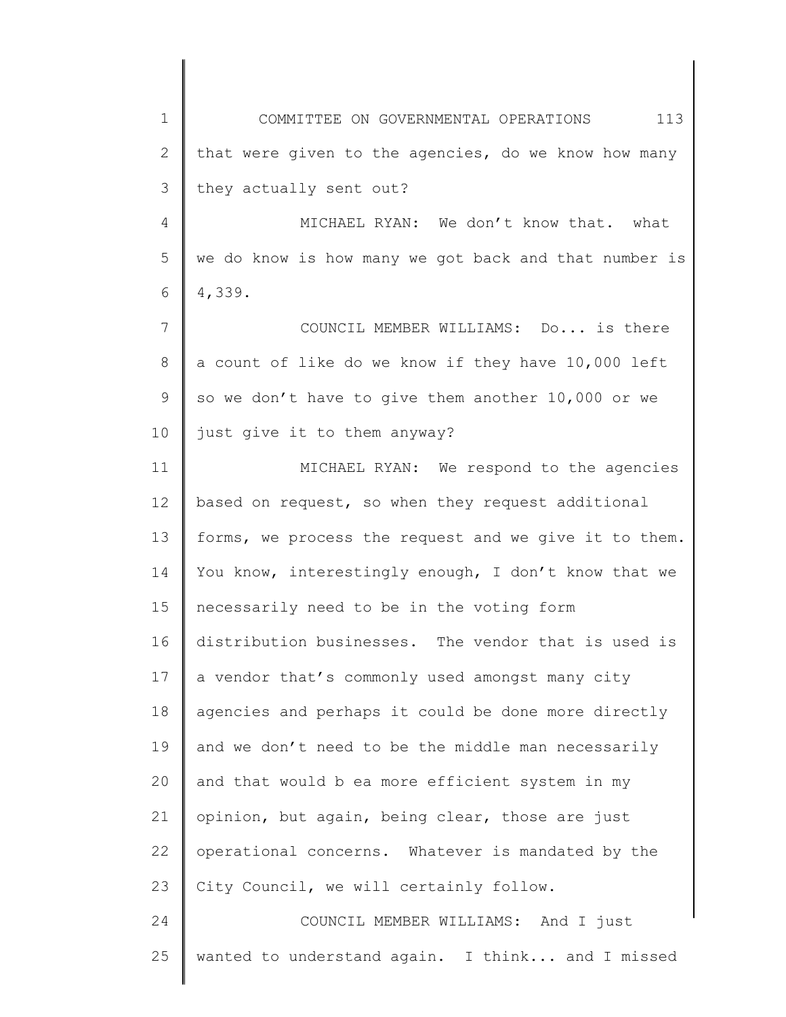1 2 3 4 5 6 7 8 9 10 11 12 13 14 15 16 17 18 19 20 21 22 23 24 25 COMMITTEE ON GOVERNMENTAL OPERATIONS 113 that were given to the agencies, do we know how many they actually sent out? MICHAEL RYAN: We don't know that. what we do know is how many we got back and that number is 4,339. COUNCIL MEMBER WILLIAMS: Do... is there a count of like do we know if they have 10,000 left so we don't have to give them another 10,000 or we just give it to them anyway? MICHAEL RYAN: We respond to the agencies based on request, so when they request additional forms, we process the request and we give it to them. You know, interestingly enough, I don't know that we necessarily need to be in the voting form distribution businesses. The vendor that is used is a vendor that's commonly used amongst many city agencies and perhaps it could be done more directly and we don't need to be the middle man necessarily and that would b ea more efficient system in my opinion, but again, being clear, those are just operational concerns. Whatever is mandated by the City Council, we will certainly follow. COUNCIL MEMBER WILLIAMS: And I just wanted to understand again. I think... and I missed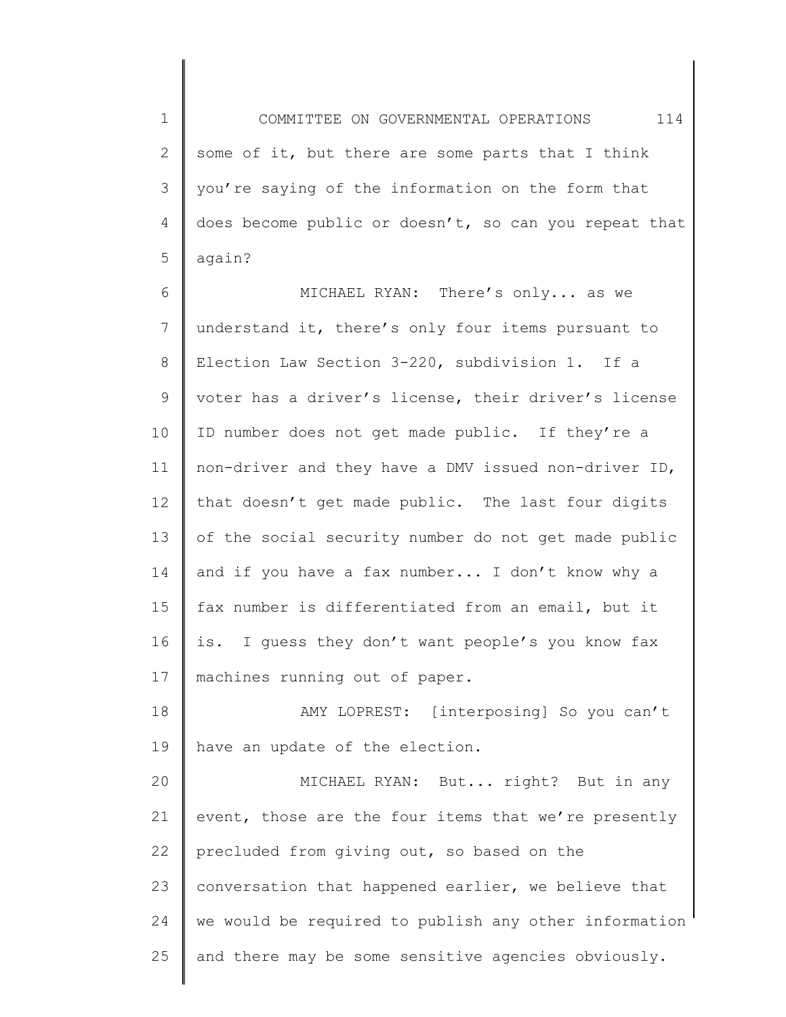1 2 3 4 5 COMMITTEE ON GOVERNMENTAL OPERATIONS 114 some of it, but there are some parts that I think you're saying of the information on the form that does become public or doesn't, so can you repeat that again?

6 7 8 9 10 11 12 13 14 15 16 17 MICHAEL RYAN: There's only... as we understand it, there's only four items pursuant to Election Law Section 3-220, subdivision 1. If a voter has a driver's license, their driver's license ID number does not get made public. If they're a non-driver and they have a DMV issued non-driver ID, that doesn't get made public. The last four digits of the social security number do not get made public and if you have a fax number... I don't know why a fax number is differentiated from an email, but it is. I guess they don't want people's you know fax machines running out of paper.

18 19 AMY LOPREST: [interposing] So you can't have an update of the election.

20 21 22 23 24 25 MICHAEL RYAN: But... right? But in any event, those are the four items that we're presently precluded from giving out, so based on the conversation that happened earlier, we believe that we would be required to publish any other information and there may be some sensitive agencies obviously.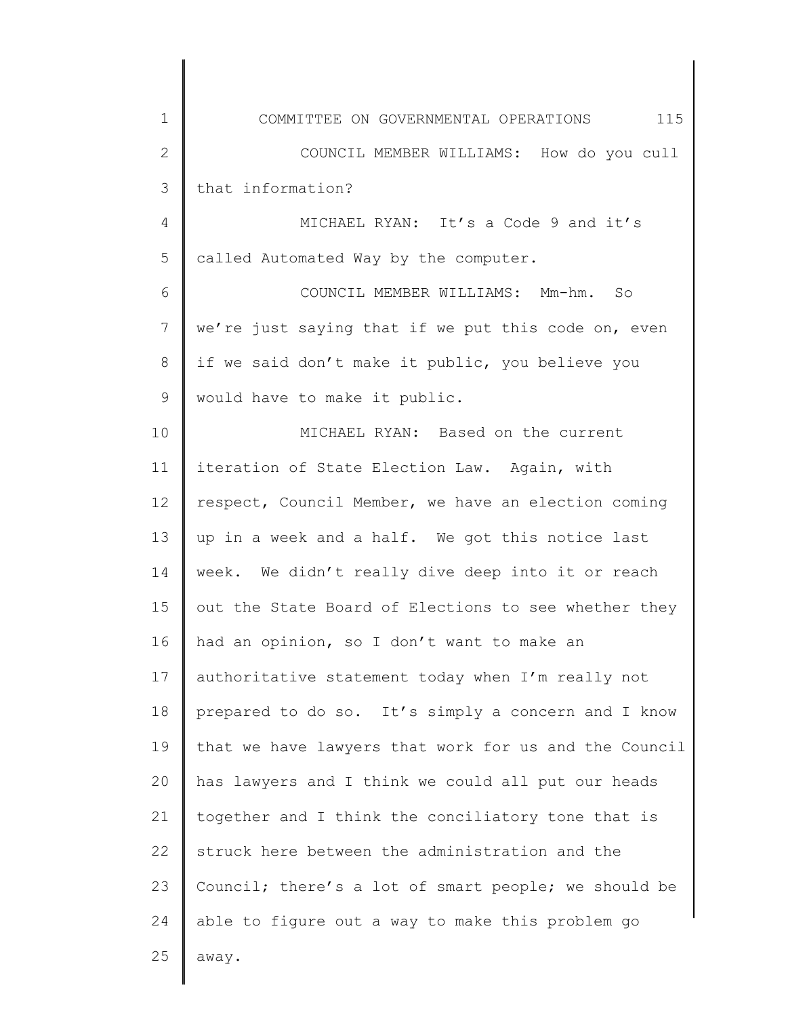| $\mathbf 1$     | 115<br>COMMITTEE ON GOVERNMENTAL OPERATIONS           |
|-----------------|-------------------------------------------------------|
| $\mathbf{2}$    | COUNCIL MEMBER WILLIAMS: How do you cull              |
| 3               | that information?                                     |
| 4               | MICHAEL RYAN: It's a Code 9 and it's                  |
| 5               | called Automated Way by the computer.                 |
| 6               | COUNCIL MEMBER WILLIAMS: Mm-hm. So                    |
| $7\phantom{.0}$ | we're just saying that if we put this code on, even   |
| $8\,$           | if we said don't make it public, you believe you      |
| 9               | would have to make it public.                         |
| 10              | MICHAEL RYAN: Based on the current                    |
| 11              | iteration of State Election Law. Again, with          |
| 12              | respect, Council Member, we have an election coming   |
| 13              | up in a week and a half. We got this notice last      |
| 14              | week. We didn't really dive deep into it or reach     |
| 15              | out the State Board of Elections to see whether they  |
| 16              | had an opinion, so I don't want to make an            |
| 17              | authoritative statement today when I'm really not     |
| 18              | prepared to do so. It's simply a concern and I know   |
| 19              | that we have lawyers that work for us and the Council |
| 20              | has lawyers and I think we could all put our heads    |
| 21              | together and I think the conciliatory tone that is    |
| 22              | struck here between the administration and the        |
| 23              | Council; there's a lot of smart people; we should be  |
| 24              | able to figure out a way to make this problem go      |
| 25              | away.                                                 |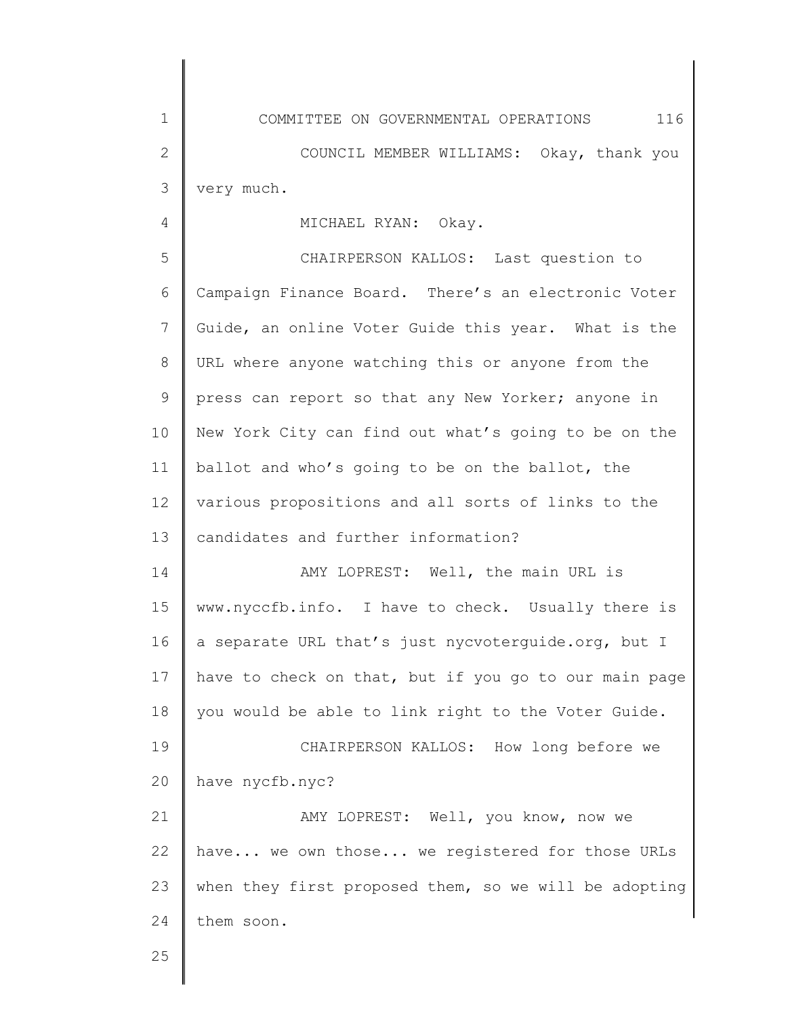1 2 3 COMMITTEE ON GOVERNMENTAL OPERATIONS 116 COUNCIL MEMBER WILLIAMS: Okay, thank you very much.

## MICHAEL RYAN: Okay.

5 6 7 8 9 10 11 12 13 CHAIRPERSON KALLOS: Last question to Campaign Finance Board. There's an electronic Voter Guide, an online Voter Guide this year. What is the URL where anyone watching this or anyone from the press can report so that any New Yorker; anyone in New York City can find out what's going to be on the ballot and who's going to be on the ballot, the various propositions and all sorts of links to the candidates and further information?

14 15 16 17 18 AMY LOPREST: Well, the main URL is www.nyccfb.info. I have to check. Usually there is a separate URL that's just nycvoterguide.org, but I have to check on that, but if you go to our main page you would be able to link right to the Voter Guide.

19 20 CHAIRPERSON KALLOS: How long before we have nycfb.nyc?

21 22 23 24 AMY LOPREST: Well, you know, now we have... we own those... we registered for those URLs when they first proposed them, so we will be adopting them soon.

25

4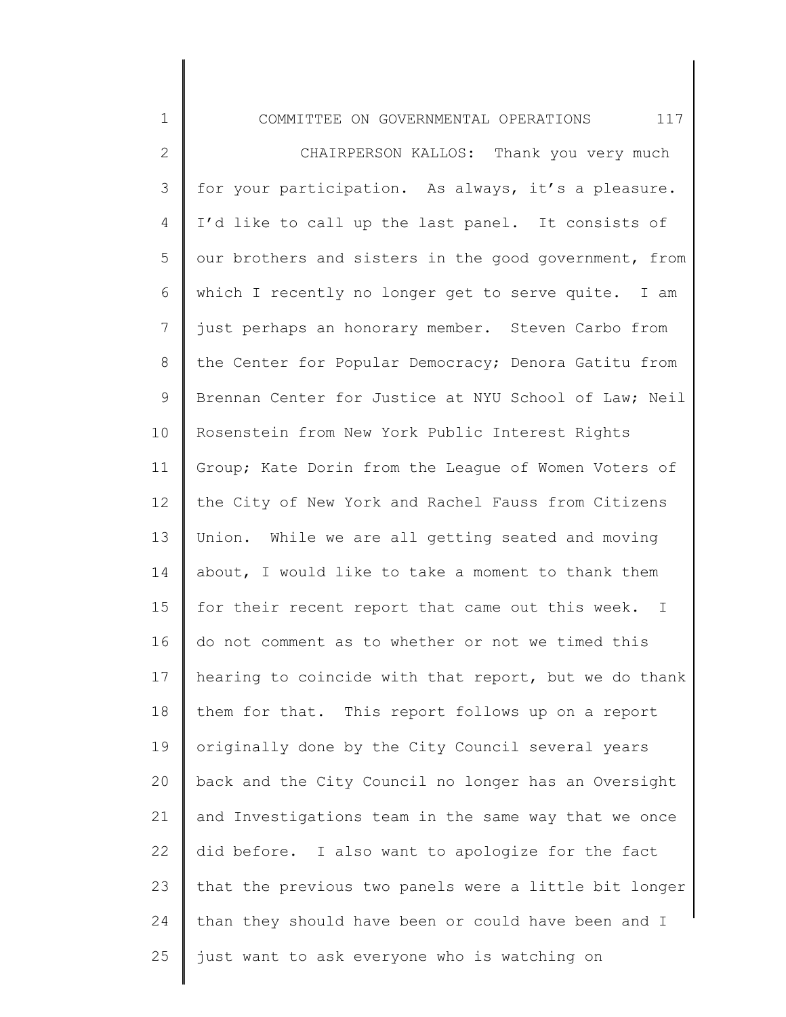1 2 3 4 5 6 7 8 9 10 11 12 13 14 15 16 17 18 19 20 21 22 23 24 25 COMMITTEE ON GOVERNMENTAL OPERATIONS 117 CHAIRPERSON KALLOS: Thank you very much for your participation. As always, it's a pleasure. I'd like to call up the last panel. It consists of our brothers and sisters in the good government, from which I recently no longer get to serve quite. I am just perhaps an honorary member. Steven Carbo from the Center for Popular Democracy; Denora Gatitu from Brennan Center for Justice at NYU School of Law; Neil Rosenstein from New York Public Interest Rights Group; Kate Dorin from the League of Women Voters of the City of New York and Rachel Fauss from Citizens Union. While we are all getting seated and moving about, I would like to take a moment to thank them for their recent report that came out this week. I do not comment as to whether or not we timed this hearing to coincide with that report, but we do thank them for that. This report follows up on a report originally done by the City Council several years back and the City Council no longer has an Oversight and Investigations team in the same way that we once did before. I also want to apologize for the fact that the previous two panels were a little bit longer than they should have been or could have been and I just want to ask everyone who is watching on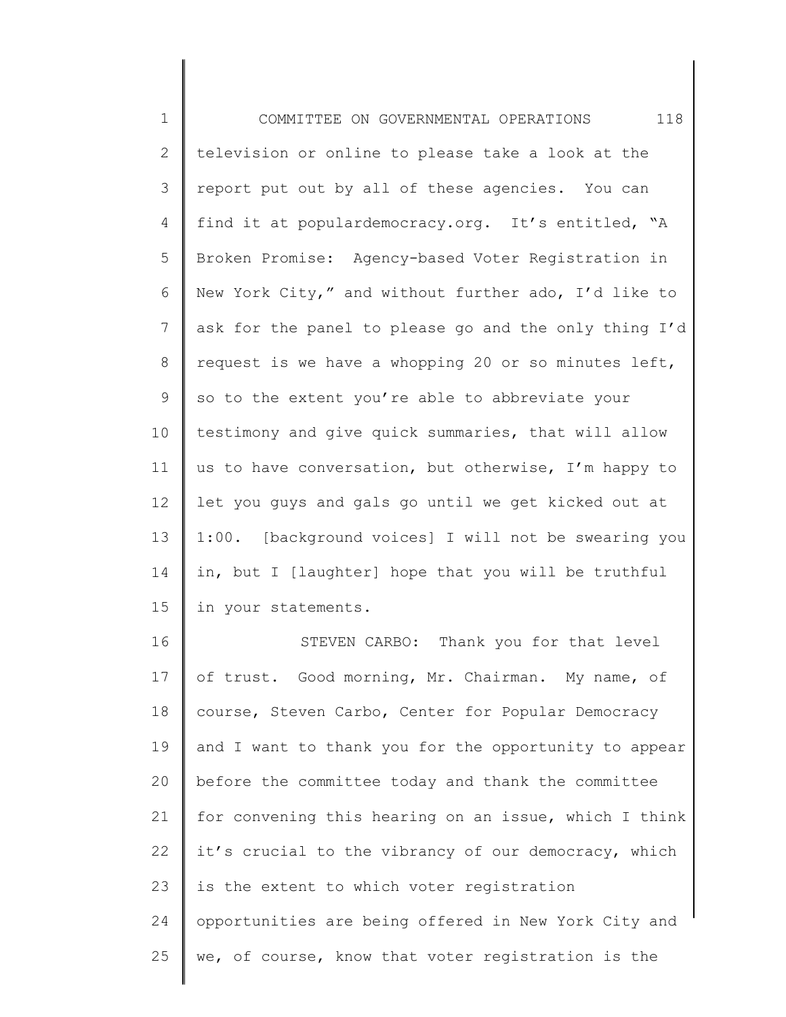1 2 3 4 5 6 7 8 9 10 11 12 13 14 15 16 17 18 19 20 COMMITTEE ON GOVERNMENTAL OPERATIONS 118 television or online to please take a look at the report put out by all of these agencies. You can find it at populardemocracy.org. It's entitled, "A Broken Promise: Agency-based Voter Registration in New York City," and without further ado, I'd like to ask for the panel to please go and the only thing I'd request is we have a whopping 20 or so minutes left, so to the extent you're able to abbreviate your testimony and give quick summaries, that will allow us to have conversation, but otherwise, I'm happy to let you guys and gals go until we get kicked out at 1:00. [background voices] I will not be swearing you in, but I [laughter] hope that you will be truthful in your statements. STEVEN CARBO: Thank you for that level of trust. Good morning, Mr. Chairman. My name, of course, Steven Carbo, Center for Popular Democracy and I want to thank you for the opportunity to appear before the committee today and thank the committee

21 22 23 24 25 for convening this hearing on an issue, which I think it's crucial to the vibrancy of our democracy, which is the extent to which voter registration opportunities are being offered in New York City and we, of course, know that voter registration is the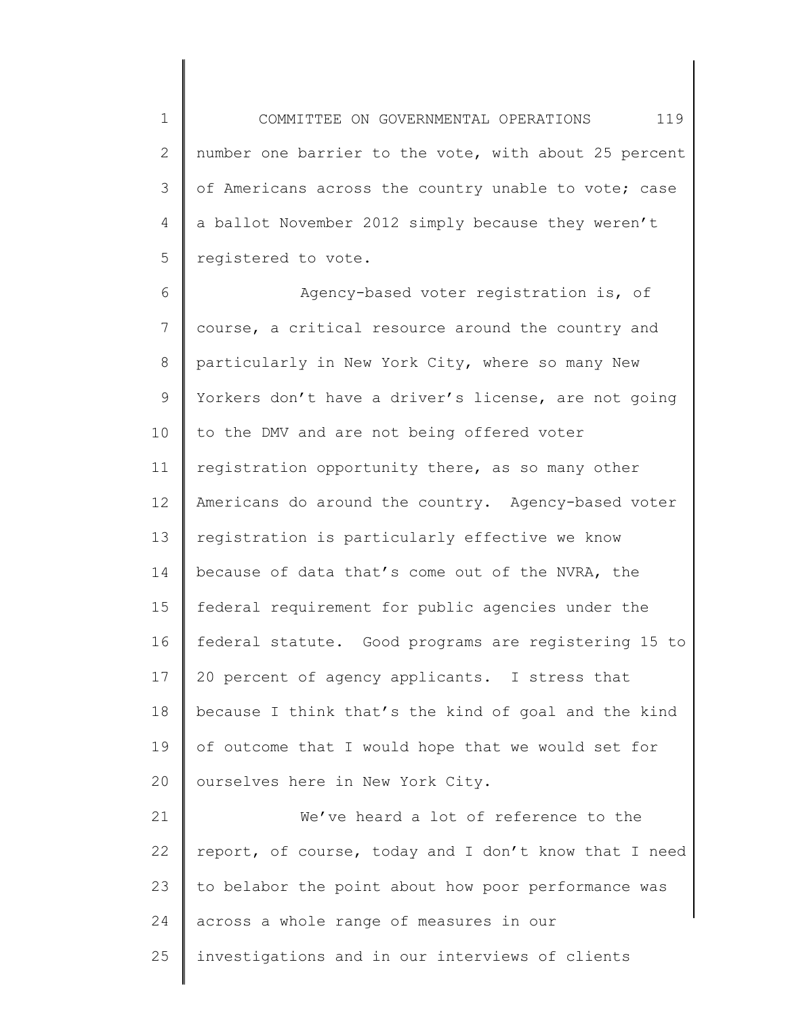1 2 3 4 5 COMMITTEE ON GOVERNMENTAL OPERATIONS 119 number one barrier to the vote, with about 25 percent of Americans across the country unable to vote; case a ballot November 2012 simply because they weren't registered to vote.

6 7 8 9 10 11 12 13 14 15 16 17 18 19 20 Agency-based voter registration is, of course, a critical resource around the country and particularly in New York City, where so many New Yorkers don't have a driver's license, are not going to the DMV and are not being offered voter registration opportunity there, as so many other Americans do around the country. Agency-based voter registration is particularly effective we know because of data that's come out of the NVRA, the federal requirement for public agencies under the federal statute. Good programs are registering 15 to 20 percent of agency applicants. I stress that because I think that's the kind of goal and the kind of outcome that I would hope that we would set for ourselves here in New York City.

21 22 23 24 25 We've heard a lot of reference to the report, of course, today and I don't know that I need to belabor the point about how poor performance was across a whole range of measures in our investigations and in our interviews of clients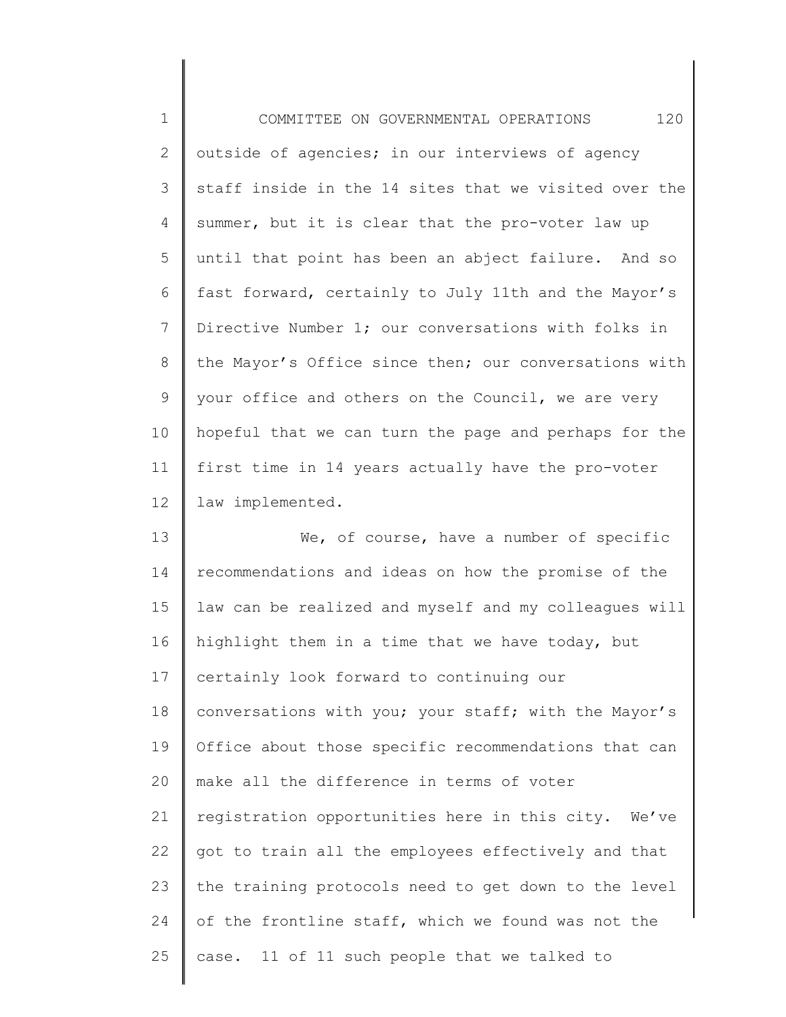| $\mathbf 1$                                  | 120<br>COMMITTEE ON GOVERNMENTAL OPERATIONS           |
|----------------------------------------------|-------------------------------------------------------|
| $\mathbf{2}$                                 | outside of agencies; in our interviews of agency      |
| 3                                            | staff inside in the 14 sites that we visited over the |
| 4                                            | summer, but it is clear that the pro-voter law up     |
| 5                                            | until that point has been an abject failure. And so   |
| 6                                            | fast forward, certainly to July 11th and the Mayor's  |
| 7                                            | Directive Number 1; our conversations with folks in   |
| 8                                            | the Mayor's Office since then; our conversations with |
| 9                                            | your office and others on the Council, we are very    |
| 10                                           | hopeful that we can turn the page and perhaps for the |
| 11                                           | first time in 14 years actually have the pro-voter    |
| 12                                           | law implemented.                                      |
| 13                                           | We, of course, have a number of specific              |
| 14                                           | recommendations and ideas on how the promise of the   |
| 15                                           | law can be realized and myself and my colleagues will |
|                                              |                                                       |
|                                              | highlight them in a time that we have today, but      |
|                                              | certainly look forward to continuing our              |
|                                              | conversations with you; your staff; with the Mayor's  |
|                                              | Office about those specific recommendations that can  |
|                                              | make all the difference in terms of voter             |
|                                              | registration opportunities here in this city. We've   |
|                                              | got to train all the employees effectively and that   |
| 16<br>17<br>18<br>19<br>20<br>21<br>22<br>23 | the training protocols need to get down to the level  |
| 24                                           | of the frontline staff, which we found was not the    |

 $\Big\}$ 

25 case. 11 of 11 such people that we talked to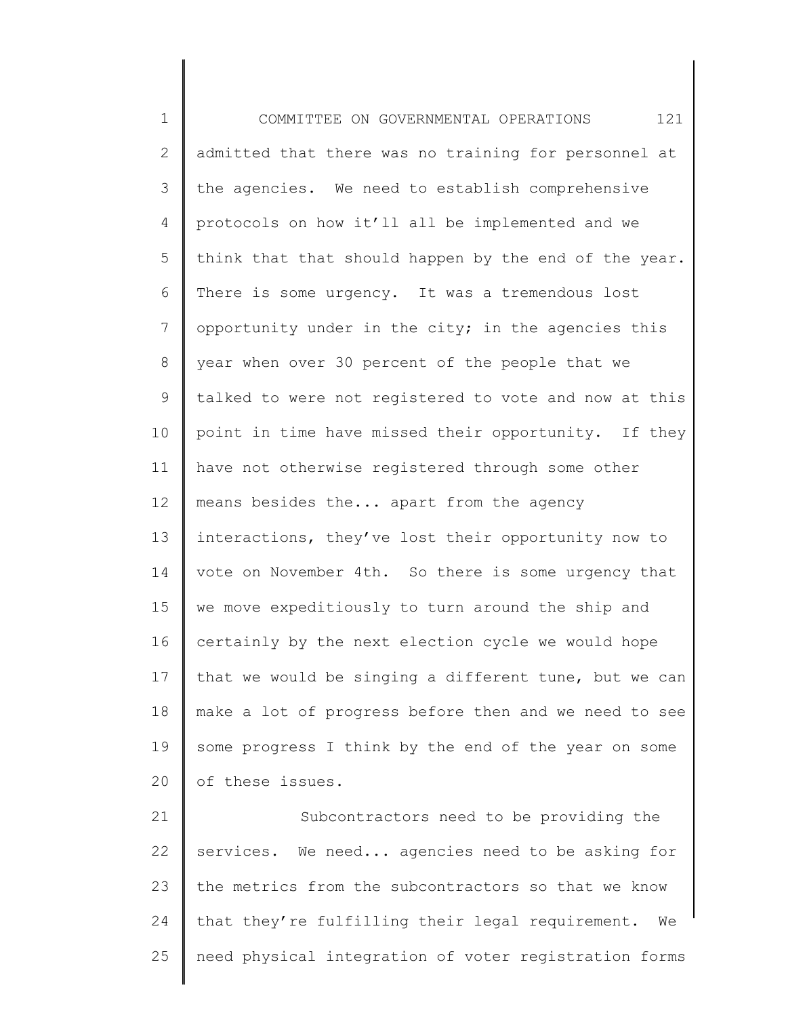1 2 3 4 5 6 7 8 9 10 11 12 13 14 15 16 17 18 19 20 COMMITTEE ON GOVERNMENTAL OPERATIONS 121 admitted that there was no training for personnel at the agencies. We need to establish comprehensive protocols on how it'll all be implemented and we think that that should happen by the end of the year. There is some urgency. It was a tremendous lost opportunity under in the city; in the agencies this year when over 30 percent of the people that we talked to were not registered to vote and now at this point in time have missed their opportunity. If they have not otherwise registered through some other means besides the... apart from the agency interactions, they've lost their opportunity now to vote on November 4th. So there is some urgency that we move expeditiously to turn around the ship and certainly by the next election cycle we would hope that we would be singing a different tune, but we can make a lot of progress before then and we need to see some progress I think by the end of the year on some of these issues.

21 22 23 24 25 Subcontractors need to be providing the services. We need... agencies need to be asking for the metrics from the subcontractors so that we know that they're fulfilling their legal requirement. We need physical integration of voter registration forms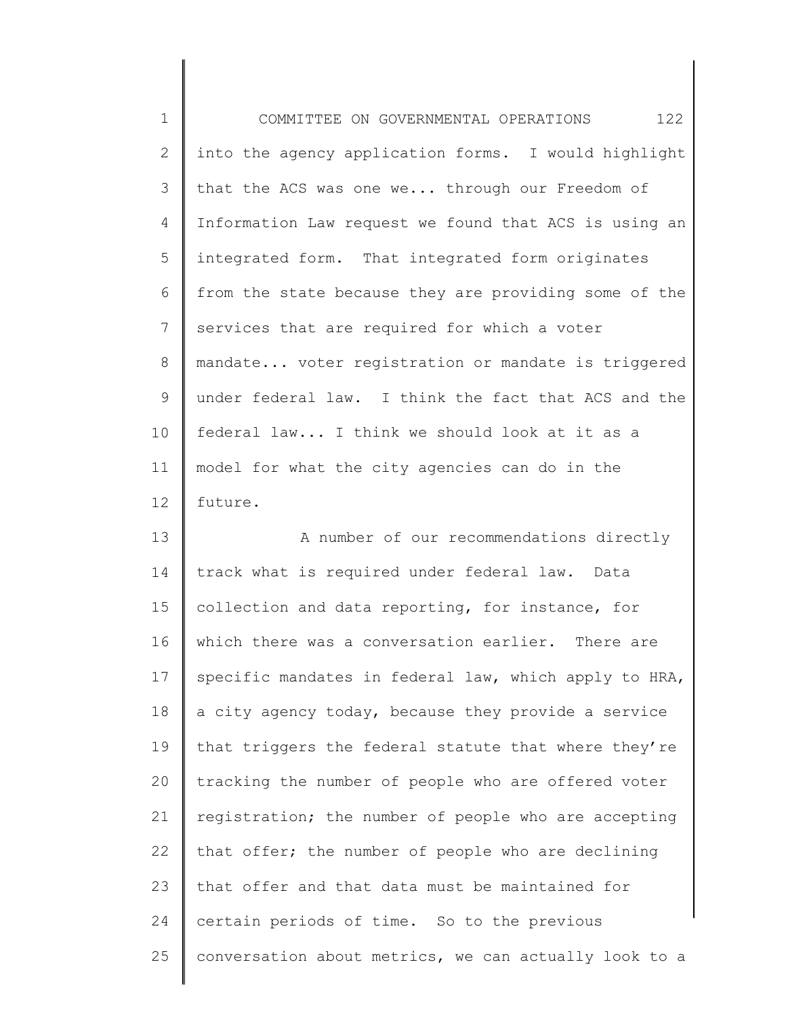1 2 3 4 5 6 7 8 9 10 11 12 COMMITTEE ON GOVERNMENTAL OPERATIONS 122 into the agency application forms. I would highlight that the ACS was one we... through our Freedom of Information Law request we found that ACS is using an integrated form. That integrated form originates from the state because they are providing some of the services that are required for which a voter mandate... voter registration or mandate is triggered under federal law. I think the fact that ACS and the federal law... I think we should look at it as a model for what the city agencies can do in the future.

13 14 15 16 17 18 19 20 21 22 23 24 25 A number of our recommendations directly track what is required under federal law. Data collection and data reporting, for instance, for which there was a conversation earlier. There are specific mandates in federal law, which apply to HRA, a city agency today, because they provide a service that triggers the federal statute that where they're tracking the number of people who are offered voter registration; the number of people who are accepting that offer; the number of people who are declining that offer and that data must be maintained for certain periods of time. So to the previous conversation about metrics, we can actually look to a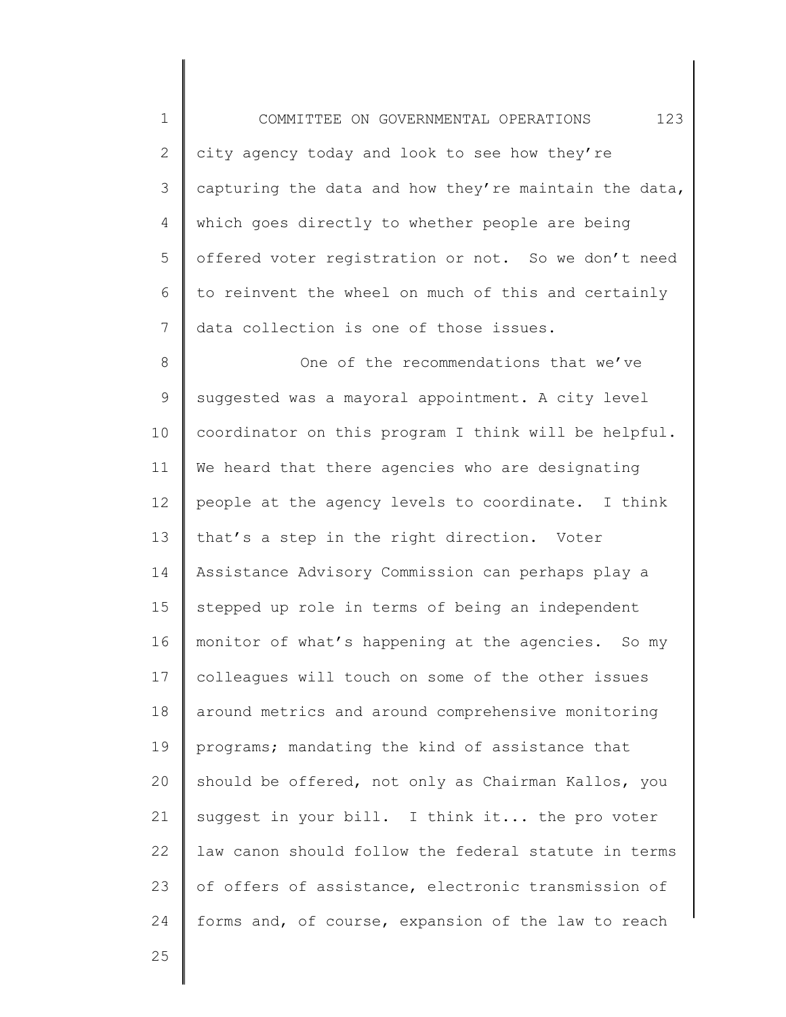1 2 3 4 5 6 7 COMMITTEE ON GOVERNMENTAL OPERATIONS 123 city agency today and look to see how they're capturing the data and how they're maintain the data, which goes directly to whether people are being offered voter registration or not. So we don't need to reinvent the wheel on much of this and certainly data collection is one of those issues.

8 9 10 11 12 13 14 15 16 17 18 19 20 21 22 23 24 One of the recommendations that we've suggested was a mayoral appointment. A city level coordinator on this program I think will be helpful. We heard that there agencies who are designating people at the agency levels to coordinate. I think that's a step in the right direction. Voter Assistance Advisory Commission can perhaps play a stepped up role in terms of being an independent monitor of what's happening at the agencies. So my colleagues will touch on some of the other issues around metrics and around comprehensive monitoring programs; mandating the kind of assistance that should be offered, not only as Chairman Kallos, you suggest in your bill. I think it... the pro voter law canon should follow the federal statute in terms of offers of assistance, electronic transmission of forms and, of course, expansion of the law to reach

25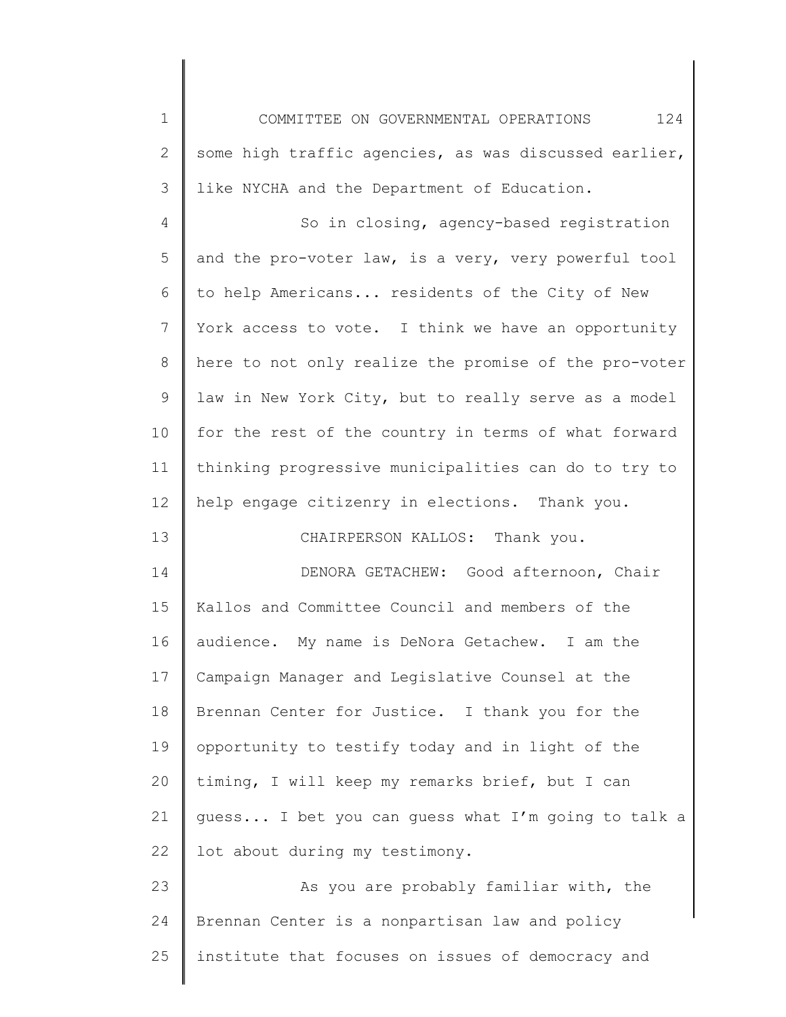1 2 3 COMMITTEE ON GOVERNMENTAL OPERATIONS 124 some high traffic agencies, as was discussed earlier, like NYCHA and the Department of Education.

4 5 6 7 8 9 10 11 12 So in closing, agency-based registration and the pro-voter law, is a very, very powerful tool to help Americans... residents of the City of New York access to vote. I think we have an opportunity here to not only realize the promise of the pro-voter law in New York City, but to really serve as a model for the rest of the country in terms of what forward thinking progressive municipalities can do to try to help engage citizenry in elections. Thank you.

CHAIRPERSON KALLOS: Thank you.

13

14 15 16 17 18 19 20 21 22 DENORA GETACHEW: Good afternoon, Chair Kallos and Committee Council and members of the audience. My name is DeNora Getachew. I am the Campaign Manager and Legislative Counsel at the Brennan Center for Justice. I thank you for the opportunity to testify today and in light of the timing, I will keep my remarks brief, but I can guess... I bet you can guess what I'm going to talk a lot about during my testimony.

23 24 25 As you are probably familiar with, the Brennan Center is a nonpartisan law and policy institute that focuses on issues of democracy and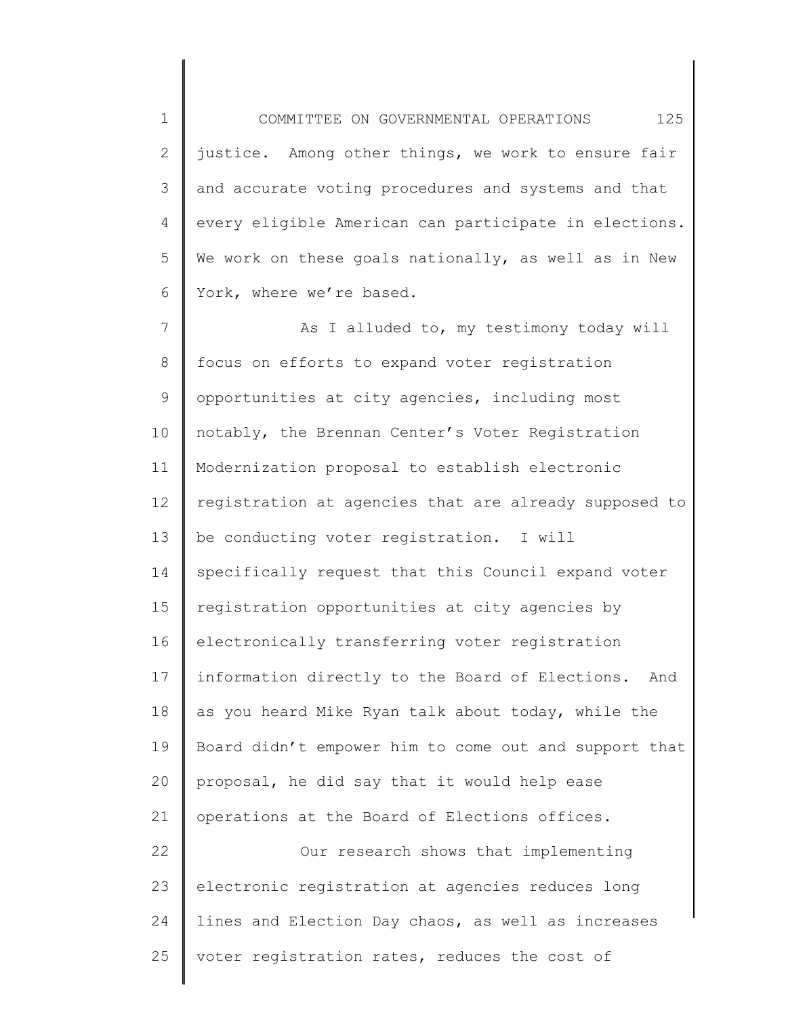1 2 3 4 5 6 COMMITTEE ON GOVERNMENTAL OPERATIONS 125 justice. Among other things, we work to ensure fair and accurate voting procedures and systems and that every eligible American can participate in elections. We work on these goals nationally, as well as in New York, where we're based.

7 8 9 10 11 12 13 14 15 16 17 18 19 20 21 22 23 As I alluded to, my testimony today will focus on efforts to expand voter registration opportunities at city agencies, including most notably, the Brennan Center's Voter Registration Modernization proposal to establish electronic registration at agencies that are already supposed to be conducting voter registration. I will specifically request that this Council expand voter registration opportunities at city agencies by electronically transferring voter registration information directly to the Board of Elections. And as you heard Mike Ryan talk about today, while the Board didn't empower him to come out and support that proposal, he did say that it would help ease operations at the Board of Elections offices. Our research shows that implementing electronic registration at agencies reduces long

25 voter registration rates, reduces the cost of

lines and Election Day chaos, as well as increases

24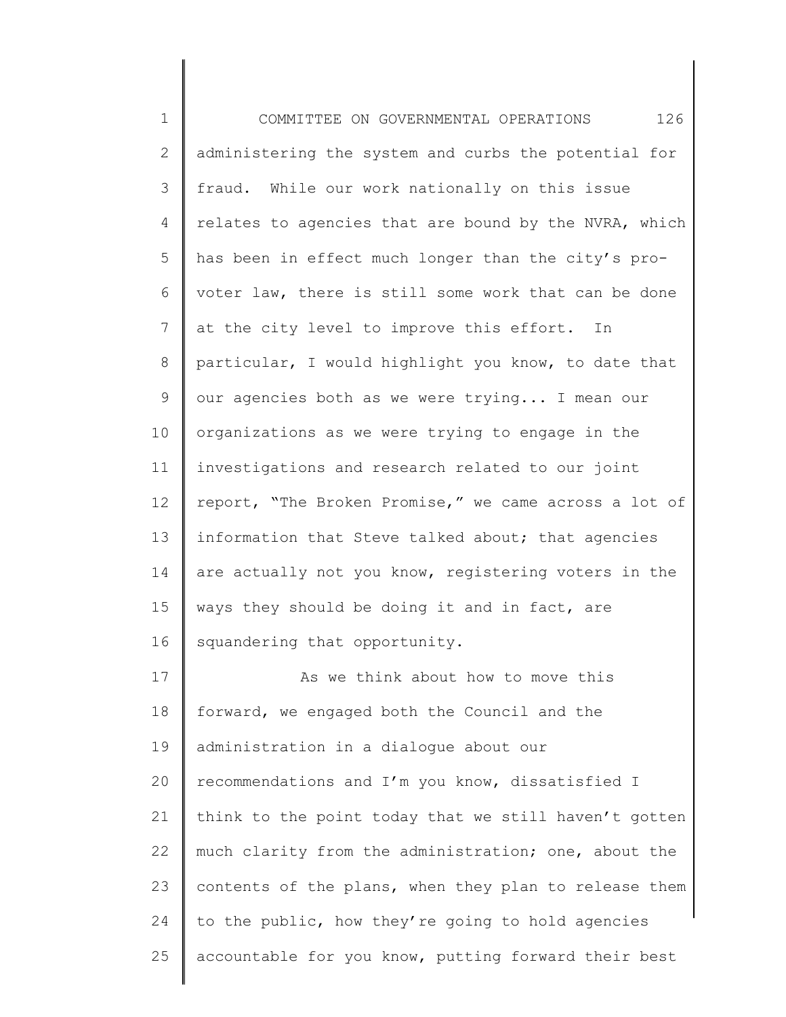1 2 3 4 5 6 7 8 9 10 11 12 13 14 15 16 17 18 19 20 21 22 23 24 25 COMMITTEE ON GOVERNMENTAL OPERATIONS 126 administering the system and curbs the potential for fraud. While our work nationally on this issue relates to agencies that are bound by the NVRA, which has been in effect much longer than the city's provoter law, there is still some work that can be done at the city level to improve this effort. In particular, I would highlight you know, to date that our agencies both as we were trying... I mean our organizations as we were trying to engage in the investigations and research related to our joint report, "The Broken Promise," we came across a lot of information that Steve talked about; that agencies are actually not you know, registering voters in the ways they should be doing it and in fact, are squandering that opportunity. As we think about how to move this forward, we engaged both the Council and the administration in a dialogue about our recommendations and I'm you know, dissatisfied I think to the point today that we still haven't gotten much clarity from the administration; one, about the contents of the plans, when they plan to release them to the public, how they're going to hold agencies accountable for you know, putting forward their best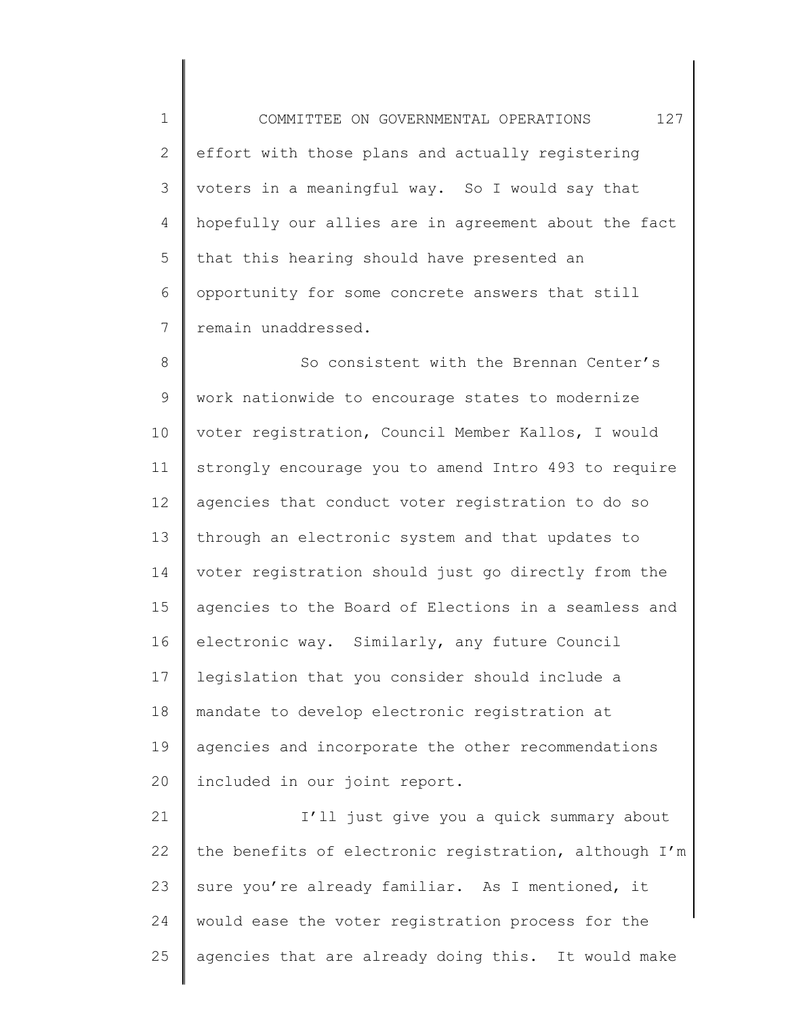1 2 3 4 5 6 7 COMMITTEE ON GOVERNMENTAL OPERATIONS 127 effort with those plans and actually registering voters in a meaningful way. So I would say that hopefully our allies are in agreement about the fact that this hearing should have presented an opportunity for some concrete answers that still remain unaddressed.

8 9 10 11 12 13 14 15 16 17 18 19 20 So consistent with the Brennan Center's work nationwide to encourage states to modernize voter registration, Council Member Kallos, I would strongly encourage you to amend Intro 493 to require agencies that conduct voter registration to do so through an electronic system and that updates to voter registration should just go directly from the agencies to the Board of Elections in a seamless and electronic way. Similarly, any future Council legislation that you consider should include a mandate to develop electronic registration at agencies and incorporate the other recommendations included in our joint report.

21 22 23 24 25 I'll just give you a quick summary about the benefits of electronic registration, although I'm sure you're already familiar. As I mentioned, it would ease the voter registration process for the agencies that are already doing this. It would make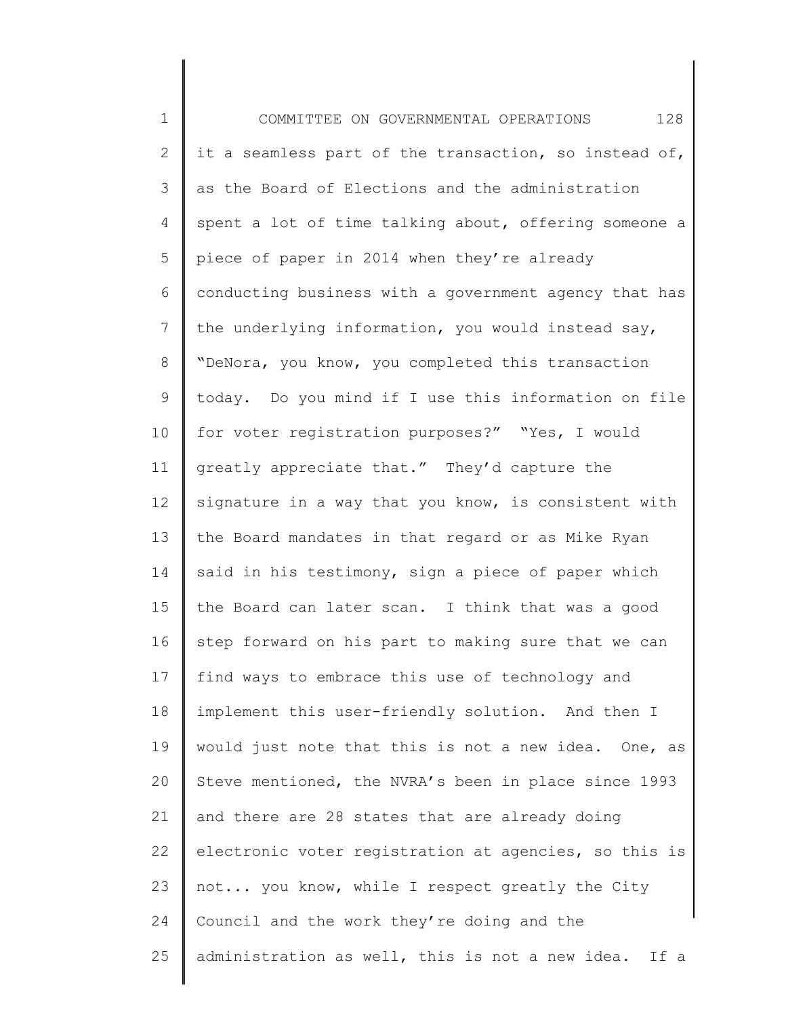1 2 3 4 5 6 7 8 9 10 11 12 13 14 15 16 17 18 19 20 21 22 23 24 25 COMMITTEE ON GOVERNMENTAL OPERATIONS 128 it a seamless part of the transaction, so instead of, as the Board of Elections and the administration spent a lot of time talking about, offering someone a piece of paper in 2014 when they're already conducting business with a government agency that has the underlying information, you would instead say, "DeNora, you know, you completed this transaction today. Do you mind if I use this information on file for voter registration purposes?" "Yes, I would greatly appreciate that." They'd capture the signature in a way that you know, is consistent with the Board mandates in that regard or as Mike Ryan said in his testimony, sign a piece of paper which the Board can later scan. I think that was a good step forward on his part to making sure that we can find ways to embrace this use of technology and implement this user-friendly solution. And then I would just note that this is not a new idea. One, as Steve mentioned, the NVRA's been in place since 1993 and there are 28 states that are already doing electronic voter registration at agencies, so this is not... you know, while I respect greatly the City Council and the work they're doing and the administration as well, this is not a new idea. If a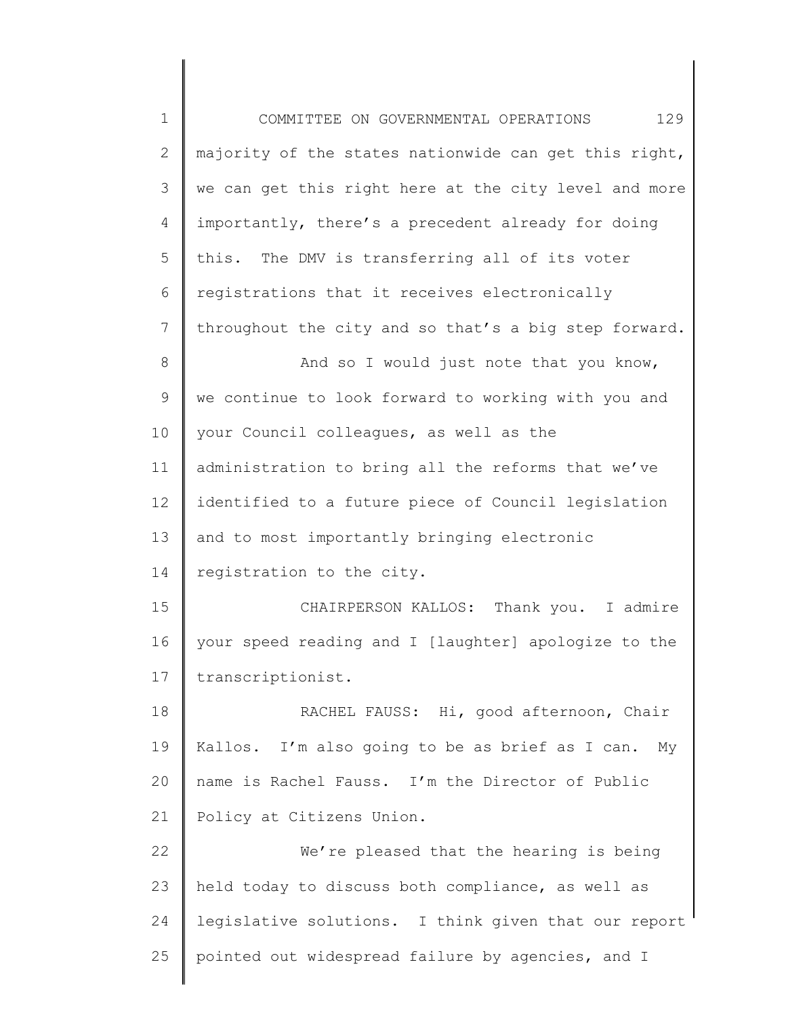1 2 3 4 5 6 7 8 9 10 11 12 13 14 15 16 17 18 19 20 21 22 23 24 25 COMMITTEE ON GOVERNMENTAL OPERATIONS 129 majority of the states nationwide can get this right, we can get this right here at the city level and more importantly, there's a precedent already for doing this. The DMV is transferring all of its voter registrations that it receives electronically throughout the city and so that's a big step forward. And so I would just note that you know, we continue to look forward to working with you and your Council colleagues, as well as the administration to bring all the reforms that we've identified to a future piece of Council legislation and to most importantly bringing electronic registration to the city. CHAIRPERSON KALLOS: Thank you. I admire your speed reading and I [laughter] apologize to the transcriptionist. RACHEL FAUSS: Hi, good afternoon, Chair Kallos. I'm also going to be as brief as I can. My name is Rachel Fauss. I'm the Director of Public Policy at Citizens Union. We're pleased that the hearing is being held today to discuss both compliance, as well as legislative solutions. I think given that our report pointed out widespread failure by agencies, and I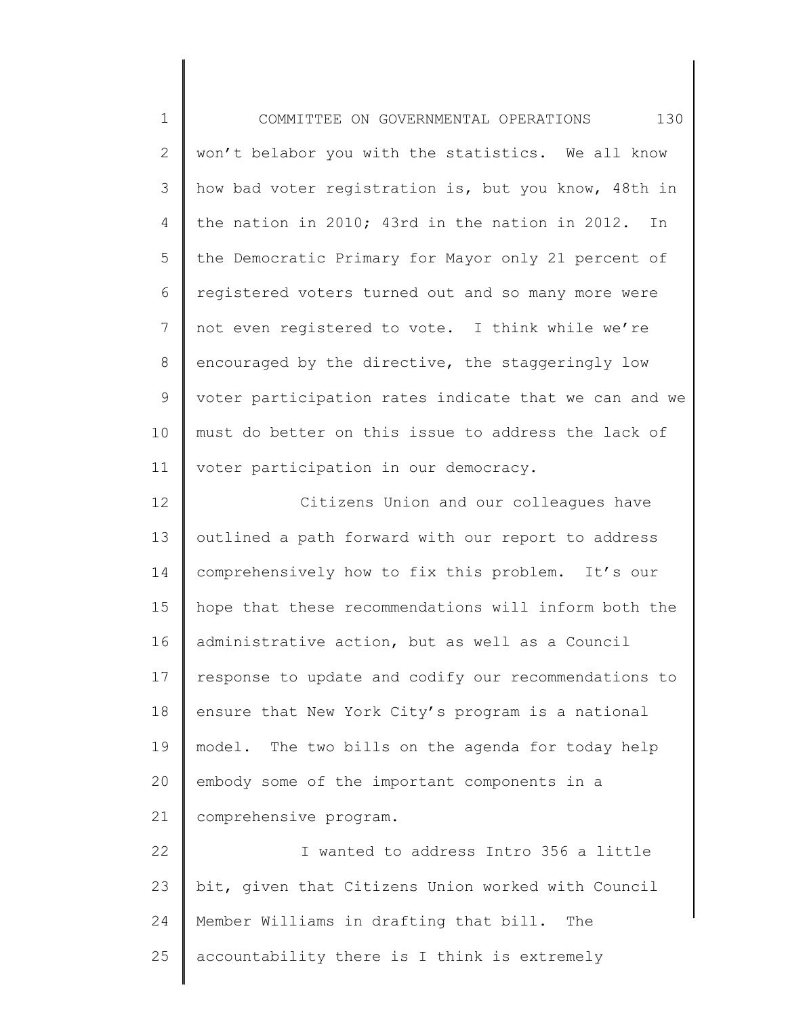1 2 3 4 5 6 7 8 9 10 11 12 13 14 15 16 17 18 19 20 21 22 23 COMMITTEE ON GOVERNMENTAL OPERATIONS 130 won't belabor you with the statistics. We all know how bad voter registration is, but you know, 48th in the nation in 2010; 43rd in the nation in 2012. In the Democratic Primary for Mayor only 21 percent of registered voters turned out and so many more were not even registered to vote. I think while we're encouraged by the directive, the staggeringly low voter participation rates indicate that we can and we must do better on this issue to address the lack of voter participation in our democracy. Citizens Union and our colleagues have outlined a path forward with our report to address comprehensively how to fix this problem. It's our hope that these recommendations will inform both the administrative action, but as well as a Council response to update and codify our recommendations to ensure that New York City's program is a national model. The two bills on the agenda for today help embody some of the important components in a comprehensive program. I wanted to address Intro 356 a little bit, given that Citizens Union worked with Council

25 accountability there is I think is extremely

Member Williams in drafting that bill. The

24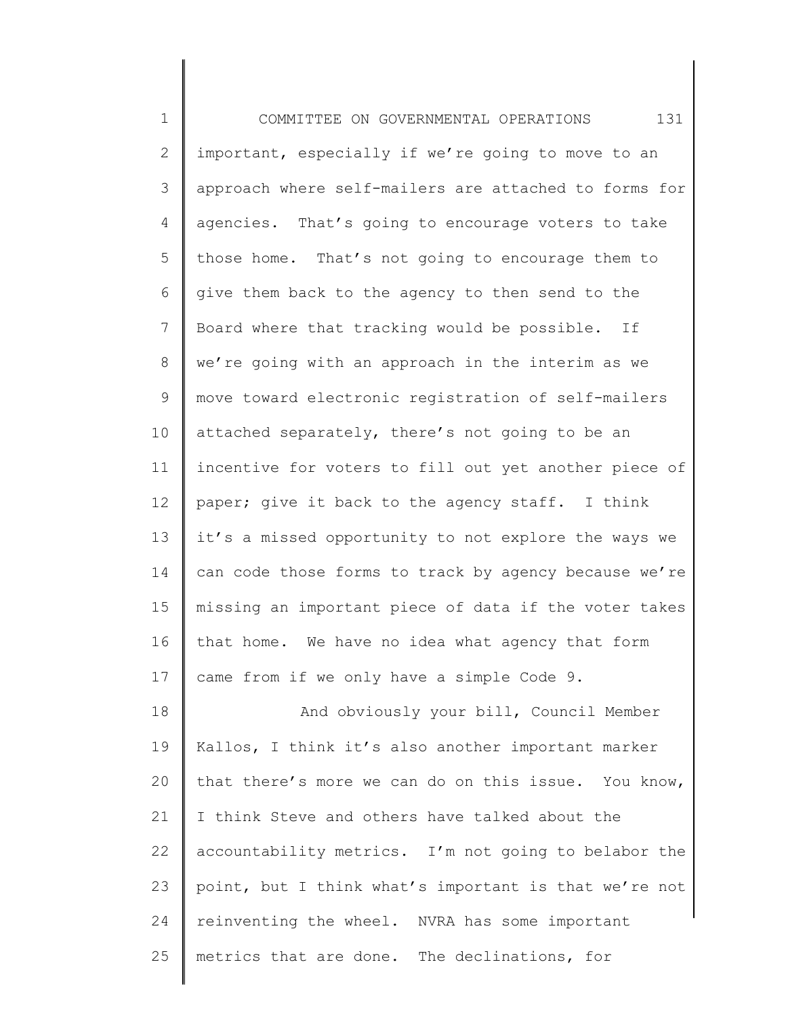1 2 3 4 5 6 7 8 9 10 11 12 13 14 15 16 17 18 19 20 21 22 23 24 25 COMMITTEE ON GOVERNMENTAL OPERATIONS 131 important, especially if we're going to move to an approach where self-mailers are attached to forms for agencies. That's going to encourage voters to take those home. That's not going to encourage them to give them back to the agency to then send to the Board where that tracking would be possible. If we're going with an approach in the interim as we move toward electronic registration of self-mailers attached separately, there's not going to be an incentive for voters to fill out yet another piece of paper; give it back to the agency staff. I think it's a missed opportunity to not explore the ways we can code those forms to track by agency because we're missing an important piece of data if the voter takes that home. We have no idea what agency that form came from if we only have a simple Code 9. And obviously your bill, Council Member Kallos, I think it's also another important marker that there's more we can do on this issue. You know, I think Steve and others have talked about the accountability metrics. I'm not going to belabor the point, but I think what's important is that we're not reinventing the wheel. NVRA has some important metrics that are done. The declinations, for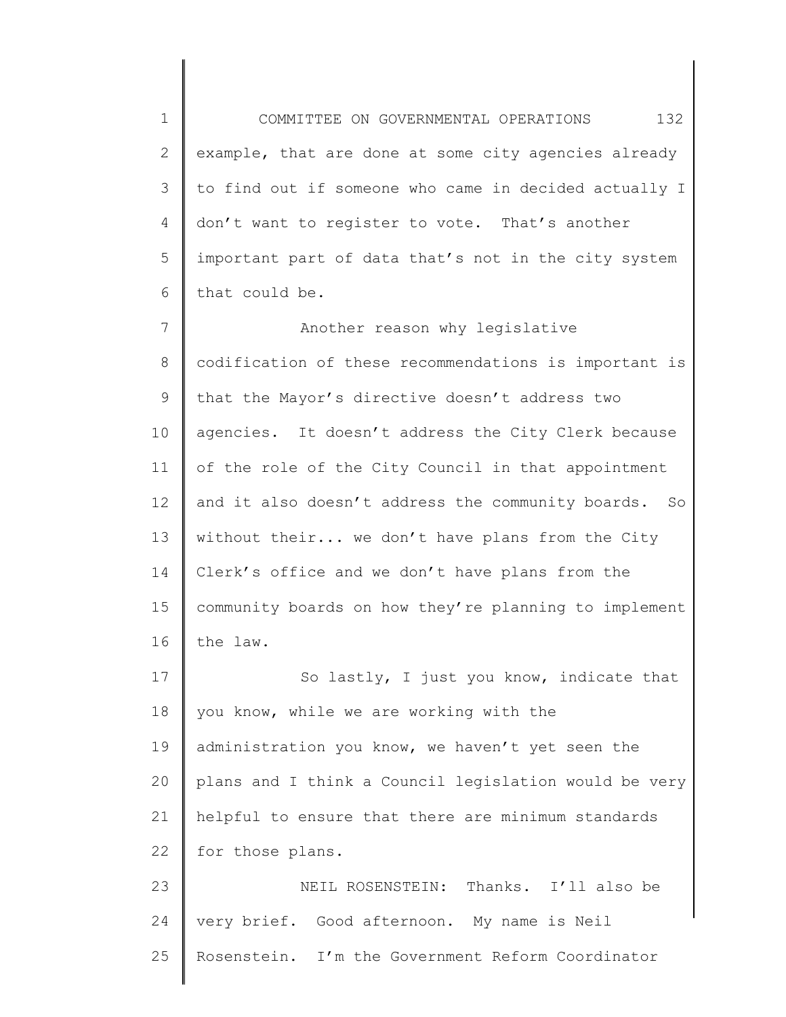1 2 3 4 5 6 COMMITTEE ON GOVERNMENTAL OPERATIONS 132 example, that are done at some city agencies already to find out if someone who came in decided actually I don't want to register to vote. That's another important part of data that's not in the city system that could be.

7 8 9 10 11 12 13 14 15 16 Another reason why legislative codification of these recommendations is important is that the Mayor's directive doesn't address two agencies. It doesn't address the City Clerk because of the role of the City Council in that appointment and it also doesn't address the community boards. So without their... we don't have plans from the City Clerk's office and we don't have plans from the community boards on how they're planning to implement the law.

17 18 19 20 21 22 So lastly, I just you know, indicate that you know, while we are working with the administration you know, we haven't yet seen the plans and I think a Council legislation would be very helpful to ensure that there are minimum standards for those plans.

23 24 25 NEIL ROSENSTEIN: Thanks. I'll also be very brief. Good afternoon. My name is Neil Rosenstein. I'm the Government Reform Coordinator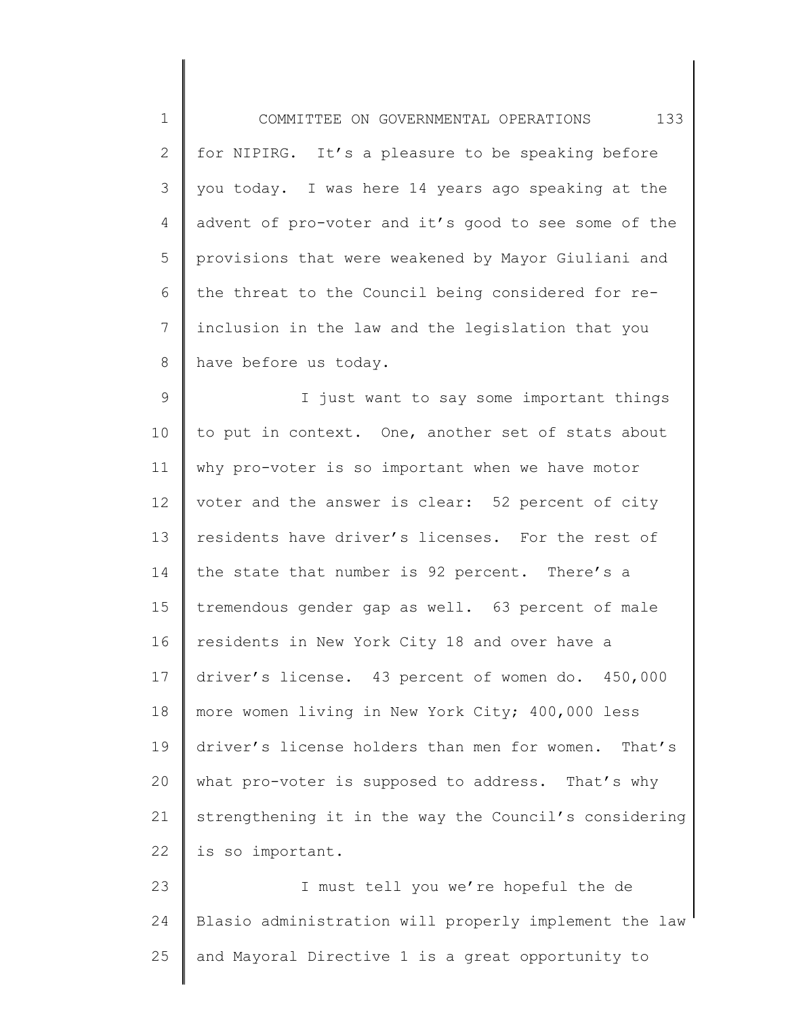1 2 3 4 5 6 7 8 COMMITTEE ON GOVERNMENTAL OPERATIONS 133 for NIPIRG. It's a pleasure to be speaking before you today. I was here 14 years ago speaking at the advent of pro-voter and it's good to see some of the provisions that were weakened by Mayor Giuliani and the threat to the Council being considered for reinclusion in the law and the legislation that you have before us today.

9 10 11 12 13 14 15 16 17 18 19 20 21 22 I just want to say some important things to put in context. One, another set of stats about why pro-voter is so important when we have motor voter and the answer is clear: 52 percent of city residents have driver's licenses. For the rest of the state that number is 92 percent. There's a tremendous gender gap as well. 63 percent of male residents in New York City 18 and over have a driver's license. 43 percent of women do. 450,000 more women living in New York City; 400,000 less driver's license holders than men for women. That's what pro-voter is supposed to address. That's why strengthening it in the way the Council's considering is so important.

23 24 25 I must tell you we're hopeful the de Blasio administration will properly implement the law and Mayoral Directive 1 is a great opportunity to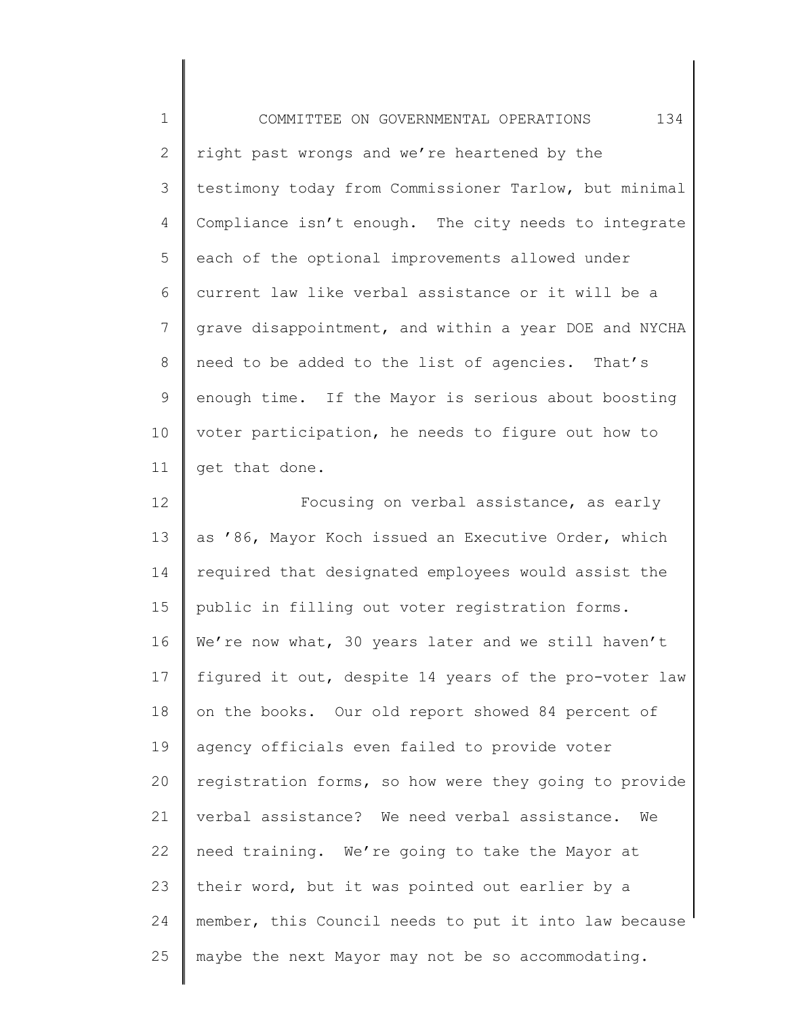1 2 3 4 5 6 7 8 9 10 11 12 13 14 15 16 17 18 19 20 21 22 23 24 25 COMMITTEE ON GOVERNMENTAL OPERATIONS 134 right past wrongs and we're heartened by the testimony today from Commissioner Tarlow, but minimal Compliance isn't enough. The city needs to integrate each of the optional improvements allowed under current law like verbal assistance or it will be a grave disappointment, and within a year DOE and NYCHA need to be added to the list of agencies. That's enough time. If the Mayor is serious about boosting voter participation, he needs to figure out how to get that done. Focusing on verbal assistance, as early as '86, Mayor Koch issued an Executive Order, which required that designated employees would assist the public in filling out voter registration forms. We're now what, 30 years later and we still haven't figured it out, despite 14 years of the pro-voter law on the books. Our old report showed 84 percent of agency officials even failed to provide voter registration forms, so how were they going to provide verbal assistance? We need verbal assistance. We need training. We're going to take the Mayor at their word, but it was pointed out earlier by a member, this Council needs to put it into law because maybe the next Mayor may not be so accommodating.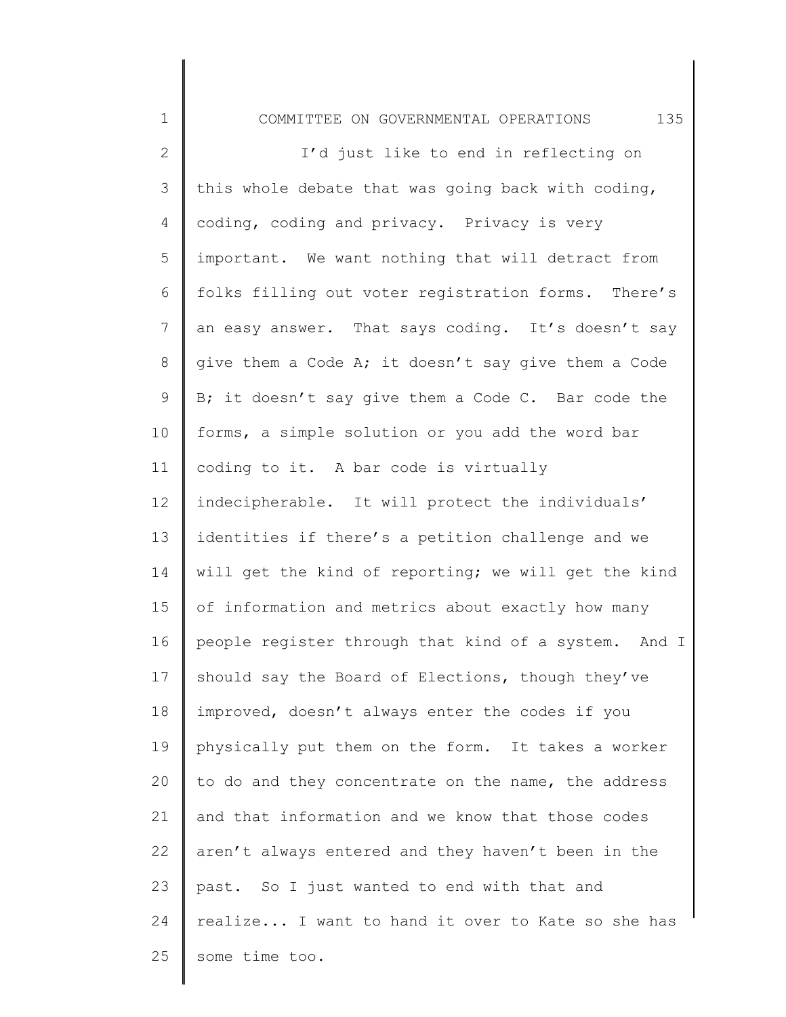1 2 3 4 5 6 7 8 9 10 11 12 13 14 15 16 17 18 19 20 21 22 23 24 25 COMMITTEE ON GOVERNMENTAL OPERATIONS 135 I'd just like to end in reflecting on this whole debate that was going back with coding, coding, coding and privacy. Privacy is very important. We want nothing that will detract from folks filling out voter registration forms. There's an easy answer. That says coding. It's doesn't say give them a Code A; it doesn't say give them a Code B; it doesn't say give them a Code C. Bar code the forms, a simple solution or you add the word bar coding to it. A bar code is virtually indecipherable. It will protect the individuals' identities if there's a petition challenge and we will get the kind of reporting; we will get the kind of information and metrics about exactly how many people register through that kind of a system. And I should say the Board of Elections, though they've improved, doesn't always enter the codes if you physically put them on the form. It takes a worker to do and they concentrate on the name, the address and that information and we know that those codes aren't always entered and they haven't been in the past. So I just wanted to end with that and realize... I want to hand it over to Kate so she has some time too.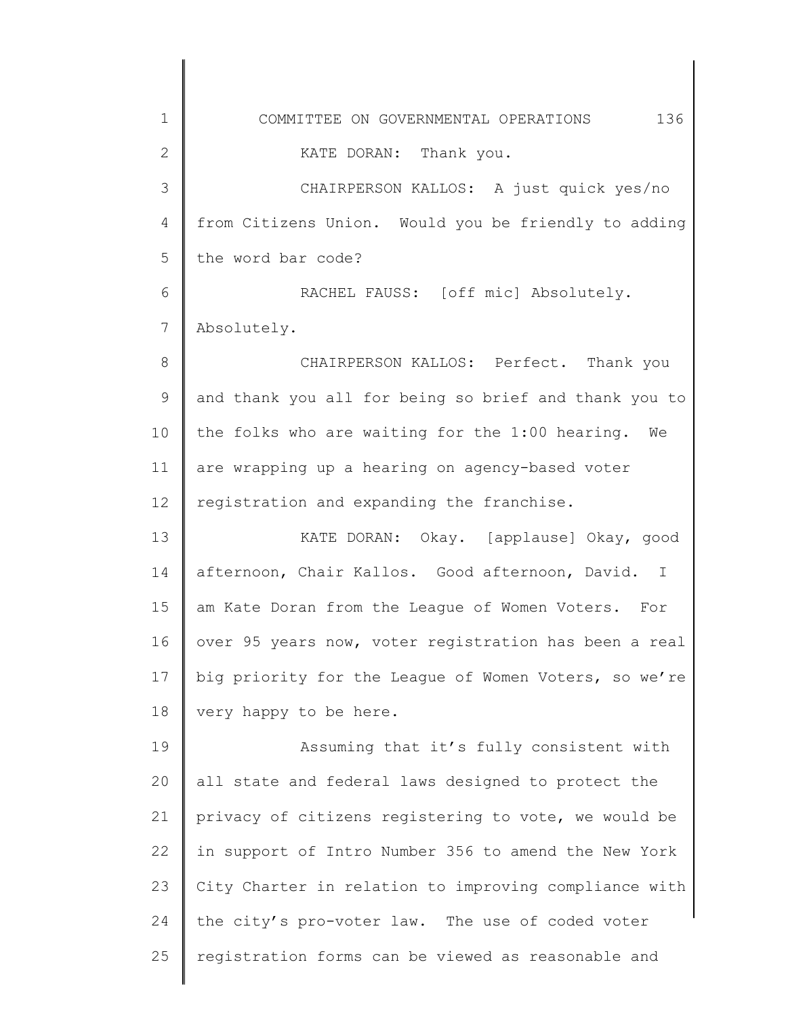| 1            | 136<br>COMMITTEE ON GOVERNMENTAL OPERATIONS           |
|--------------|-------------------------------------------------------|
| $\mathbf{2}$ | KATE DORAN: Thank you.                                |
| 3            | CHAIRPERSON KALLOS: A just quick yes/no               |
| 4            | from Citizens Union. Would you be friendly to adding  |
| 5            | the word bar code?                                    |
| 6            | RACHEL FAUSS: [off mic] Absolutely.                   |
| 7            | Absolutely.                                           |
| 8            | CHAIRPERSON KALLOS: Perfect. Thank you                |
| 9            | and thank you all for being so brief and thank you to |
| 10           | the folks who are waiting for the 1:00 hearing.<br>We |
| 11           | are wrapping up a hearing on agency-based voter       |
| 12           | registration and expanding the franchise.             |
| 13           | KATE DORAN: Okay. [applause] Okay, good               |
| 14           | afternoon, Chair Kallos. Good afternoon, David. I     |
| 15           | am Kate Doran from the League of Women Voters.<br>For |
| 16           | over 95 years now, voter registration has been a real |
| 17           | big priority for the League of Women Voters, so we're |
| 18           | very happy to be here.                                |
| 19           | Assuming that it's fully consistent with              |
| 20           | all state and federal laws designed to protect the    |
| 21           | privacy of citizens registering to vote, we would be  |
| 22           | in support of Intro Number 356 to amend the New York  |
| 23           | City Charter in relation to improving compliance with |
| 24           | the city's pro-voter law. The use of coded voter      |
| 25           | registration forms can be viewed as reasonable and    |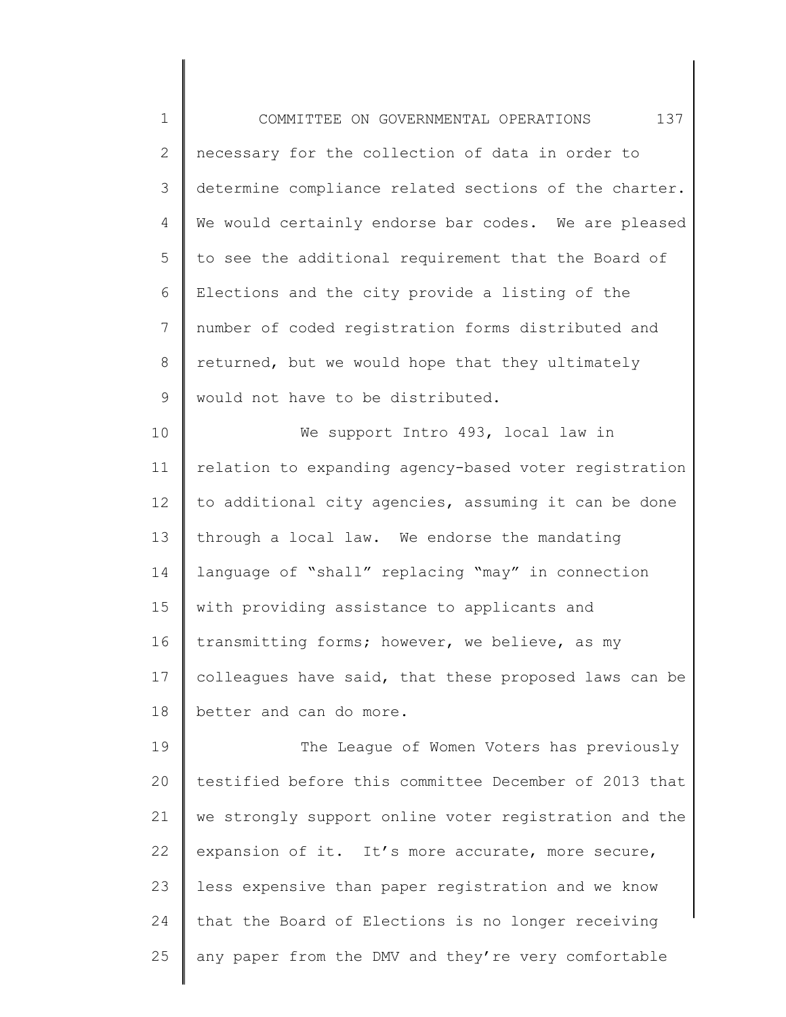1 2 3 4 5 6 7 8 9 10 11 12 13 14 15 16 17 18 19 20 21 22 23 24 25 COMMITTEE ON GOVERNMENTAL OPERATIONS 137 necessary for the collection of data in order to determine compliance related sections of the charter. We would certainly endorse bar codes. We are pleased to see the additional requirement that the Board of Elections and the city provide a listing of the number of coded registration forms distributed and returned, but we would hope that they ultimately would not have to be distributed. We support Intro 493, local law in relation to expanding agency-based voter registration to additional city agencies, assuming it can be done through a local law. We endorse the mandating language of "shall" replacing "may" in connection with providing assistance to applicants and transmitting forms; however, we believe, as my colleagues have said, that these proposed laws can be better and can do more. The League of Women Voters has previously testified before this committee December of 2013 that we strongly support online voter registration and the expansion of it. It's more accurate, more secure, less expensive than paper registration and we know that the Board of Elections is no longer receiving any paper from the DMV and they're very comfortable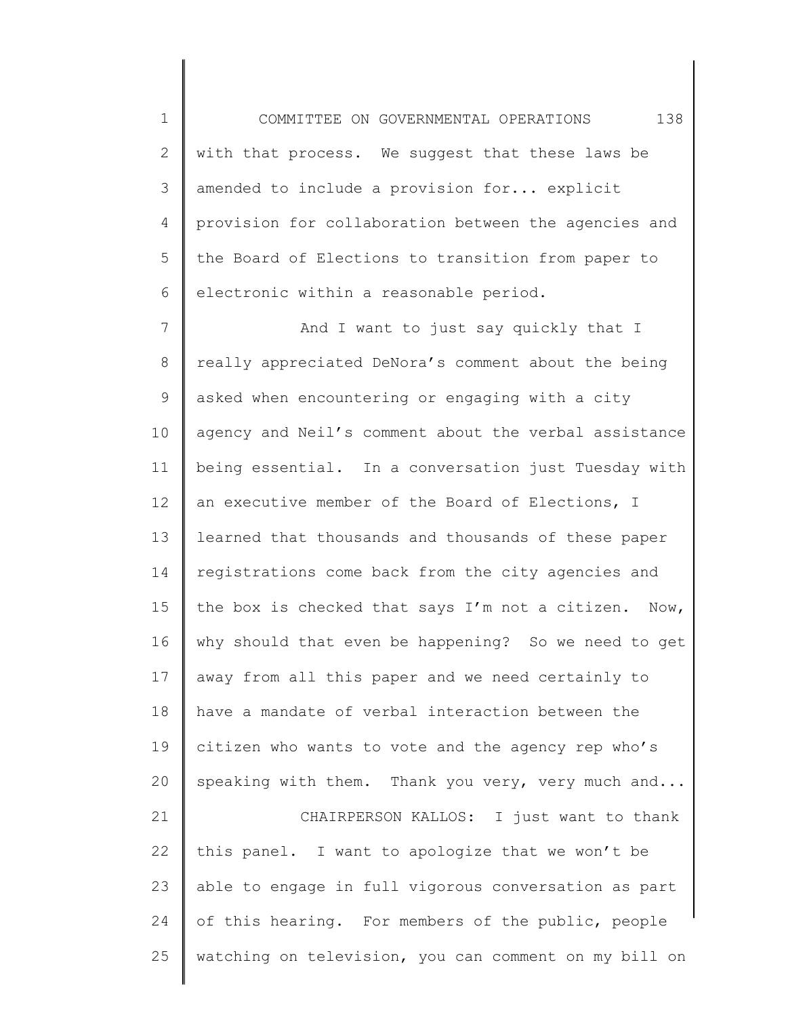1 2 3 4 5 6 COMMITTEE ON GOVERNMENTAL OPERATIONS 138 with that process. We suggest that these laws be amended to include a provision for... explicit provision for collaboration between the agencies and the Board of Elections to transition from paper to electronic within a reasonable period.

7 8 9 10 11 12 13 14 15 16 17 18 19 20 21 22 23 24 25 And I want to just say quickly that I really appreciated DeNora's comment about the being asked when encountering or engaging with a city agency and Neil's comment about the verbal assistance being essential. In a conversation just Tuesday with an executive member of the Board of Elections, I learned that thousands and thousands of these paper registrations come back from the city agencies and the box is checked that says I'm not a citizen. Now, why should that even be happening? So we need to get away from all this paper and we need certainly to have a mandate of verbal interaction between the citizen who wants to vote and the agency rep who's speaking with them. Thank you very, very much and... CHAIRPERSON KALLOS: I just want to thank this panel. I want to apologize that we won't be able to engage in full vigorous conversation as part of this hearing. For members of the public, people watching on television, you can comment on my bill on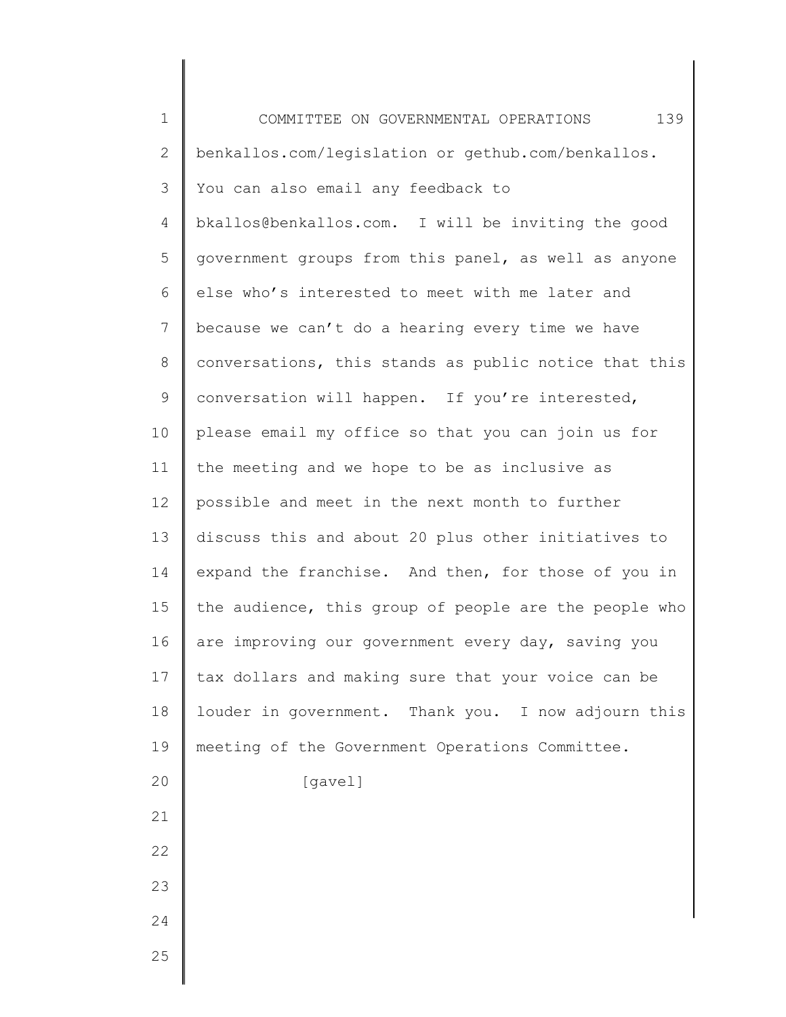| $\mathbf 1$ | 139<br>COMMITTEE ON GOVERNMENTAL OPERATIONS           |
|-------------|-------------------------------------------------------|
| 2           | benkallos.com/legislation or gethub.com/benkallos.    |
| 3           | You can also email any feedback to                    |
| 4           | bkallos@benkallos.com. I will be inviting the good    |
| 5           | government groups from this panel, as well as anyone  |
| 6           | else who's interested to meet with me later and       |
| 7           | because we can't do a hearing every time we have      |
| $8\,$       | conversations, this stands as public notice that this |
| $\mathsf 9$ | conversation will happen. If you're interested,       |
| 10          | please email my office so that you can join us for    |
| 11          | the meeting and we hope to be as inclusive as         |
| 12          | possible and meet in the next month to further        |
| 13          | discuss this and about 20 plus other initiatives to   |
| 14          | expand the franchise. And then, for those of you in   |
| 15          | the audience, this group of people are the people who |
| 16          | are improving our government every day, saving you    |
| 17          | tax dollars and making sure that your voice can be    |
| 18          | louder in government. Thank you. I now adjourn this   |
| 19          | meeting of the Government Operations Committee.       |
| 20          | [gavel]                                               |
| 21          |                                                       |
| 22          |                                                       |
| 23          |                                                       |
| 24          |                                                       |
| 25          |                                                       |
|             |                                                       |